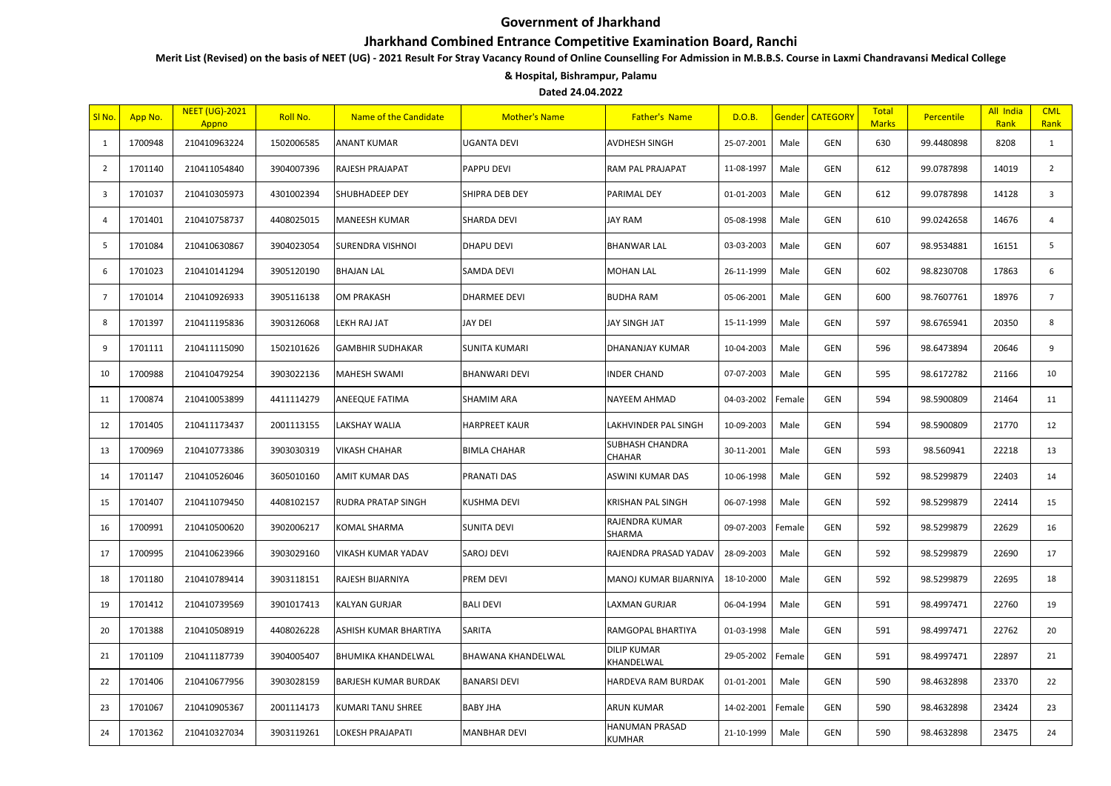## Government of Jharkhand

## Jharkhand Combined Entrance Competitive Examination Board, Ranchi

Merit List (Revised) on the basis of NEET (UG) - 2021 Result For Stray Vacancy Round of Online Counselling For Admission in M.B.B.S. Course in Laxmi Chandravansi Medical College

## & Hospital, Bishrampur, Palamu

Dated 24.04.2022

| SI No.                  | <mark>App No.</mark> | <b>NEET (UG)-2021</b><br>Appno | Roll No.   | Name of the Candidate       | <b>Mother's Name</b> | <b>Father's Name</b>             | D.O.B.     | Gender | <b>CATEGORY</b> | Total<br><b>Marks</b> | <b>Percentile</b> | All India<br>Rank | <b>CML</b><br>Rank |
|-------------------------|----------------------|--------------------------------|------------|-----------------------------|----------------------|----------------------------------|------------|--------|-----------------|-----------------------|-------------------|-------------------|--------------------|
| $\mathbf{1}$            | 1700948              | 210410963224                   | 1502006585 | <b>ANANT KUMAR</b>          | <b>UGANTA DEVI</b>   | AVDHESH SINGH                    | 25-07-2001 | Male   | GEN             | 630                   | 99.4480898        | 8208              | 1                  |
| $\overline{2}$          | 1701140              | 210411054840                   | 3904007396 | RAJESH PRAJAPAT             | PAPPU DEVI           | RAM PAL PRAJAPAT                 | 11-08-1997 | Male   | GEN             | 612                   | 99.0787898        | 14019             | $\overline{2}$     |
| $\overline{\mathbf{3}}$ | 1701037              | 210410305973                   | 4301002394 | SHUBHADEEP DEY              | SHIPRA DEB DEY       | PARIMAL DEY                      | 01-01-2003 | Male   | <b>GEN</b>      | 612                   | 99.0787898        | 14128             | $\mathbf{3}$       |
| $\overline{4}$          | 1701401              | 210410758737                   | 4408025015 | <b>MANEESH KUMAR</b>        | SHARDA DEVI          | <b>JAY RAM</b>                   | 05-08-1998 | Male   | GEN             | 610                   | 99.0242658        | 14676             | $\overline{4}$     |
| 5                       | 1701084              | 210410630867                   | 3904023054 | SURENDRA VISHNOI            | <b>DHAPU DEVI</b>    | <b>BHANWAR LAL</b>               | 03-03-2003 | Male   | GEN             | 607                   | 98.9534881        | 16151             | 5                  |
| 6                       | 1701023              | 210410141294                   | 3905120190 | <b>BHAJAN LAL</b>           | SAMDA DEVI           | <b>MOHAN LAL</b>                 | 26-11-1999 | Male   | GEN             | 602                   | 98.8230708        | 17863             | 6                  |
| $\overline{7}$          | 1701014              | 210410926933                   | 3905116138 | OM PRAKASH                  | <b>DHARMEE DEVI</b>  | <b>BUDHA RAM</b>                 | 05-06-2001 | Male   | GEN             | 600                   | 98.7607761        | 18976             | $7\overline{ }$    |
| 8                       | 1701397              | 210411195836                   | 3903126068 | LEKH RAJ JAT                | JAY DEI              | JAY SINGH JAT                    | 15-11-1999 | Male   | GEN             | 597                   | 98.6765941        | 20350             | 8                  |
| 9                       | 1701111              | 210411115090                   | 1502101626 | <b>GAMBHIR SUDHAKAR</b>     | SUNITA KUMARI        | DHANANJAY KUMAR                  | 10-04-2003 | Male   | GEN             | 596                   | 98.6473894        | 20646             | 9                  |
| 10                      | 1700988              | 210410479254                   | 3903022136 | <b>MAHESH SWAMI</b>         | <b>BHANWARI DEVI</b> | <b>NDER CHAND</b>                | 07-07-2003 | Male   | <b>GEN</b>      | 595                   | 98.6172782        | 21166             | 10                 |
| 11                      | 1700874              | 210410053899                   | 4411114279 | ANEEQUE FATIMA              | SHAMIM ARA           | NAYEEM AHMAD                     | 04-03-2002 | Female | <b>GEN</b>      | 594                   | 98.5900809        | 21464             | 11                 |
| 12                      | 1701405              | 210411173437                   | 2001113155 | LAKSHAY WALIA               | <b>HARPREET KAUR</b> | LAKHVINDER PAL SINGH             | 10-09-2003 | Male   | GEN             | 594                   | 98.5900809        | 21770             | 12                 |
| 13                      | 1700969              | 210410773386                   | 3903030319 | VIKASH CHAHAR               | BIMLA CHAHAR         | SUBHASH CHANDRA<br>CHAHAR        | 30-11-2001 | Male   | GEN             | 593                   | 98.560941         | 22218             | 13                 |
| 14                      | 1701147              | 210410526046                   | 3605010160 | AMIT KUMAR DAS              | PRANATI DAS          | ASWINI KUMAR DAS                 | 10-06-1998 | Male   | GEN             | 592                   | 98.5299879        | 22403             | 14                 |
| 15                      | 1701407              | 210411079450                   | 4408102157 | RUDRA PRATAP SINGH          | KUSHMA DEVI          | <b>KRISHAN PAL SINGH</b>         | 06-07-1998 | Male   | <b>GEN</b>      | 592                   | 98.5299879        | 22414             | 15                 |
| 16                      | 1700991              | 210410500620                   | 3902006217 | KOMAL SHARMA                | <b>SUNITA DEVI</b>   | RAJENDRA KUMAR<br>SHARMA         | 09-07-2003 | Female | GEN             | 592                   | 98.5299879        | 22629             | 16                 |
| 17                      | 1700995              | 210410623966                   | 3903029160 | VIKASH KUMAR YADAV          | SAROJ DEVI           | RAJENDRA PRASAD YADAV            | 28-09-2003 | Male   | GEN             | 592                   | 98.5299879        | 22690             | 17                 |
| 18                      | 1701180              | 210410789414                   | 3903118151 | RAJESH BIJARNIYA            | PREM DEVI            | MANOJ KUMAR BIJARNIYA            | 18-10-2000 | Male   | GEN             | 592                   | 98.5299879        | 22695             | 18                 |
| 19                      | 1701412              | 210410739569                   | 3901017413 | KALYAN GURJAR               | <b>BALI DEVI</b>     | LAXMAN GURJAR                    | 06-04-1994 | Male   | GEN             | 591                   | 98.4997471        | 22760             | 19                 |
| 20                      | 1701388              | 210410508919                   | 4408026228 | ASHISH KUMAR BHARTIYA       | SARITA               | RAMGOPAL BHARTIYA                | 01-03-1998 | Male   | GEN             | 591                   | 98.4997471        | 22762             | 20                 |
| 21                      | 1701109              | 210411187739                   | 3904005407 | BHUMIKA KHANDELWAL          | BHAWANA KHANDELWAL   | <b>DILIP KUMAR</b><br>KHANDELWAL | 29-05-2002 | Female | GEN             | 591                   | 98.4997471        | 22897             | 21                 |
| 22                      | 1701406              | 210410677956                   | 3903028159 | <b>BARJESH KUMAR BURDAK</b> | <b>BANARSI DEVI</b>  | HARDEVA RAM BURDAK               | 01-01-2001 | Male   | <b>GEN</b>      | 590                   | 98.4632898        | 23370             | 22                 |
| 23                      | 1701067              | 210410905367                   | 2001114173 | KUMARI TANU SHREE           | <b>BABY JHA</b>      | ARUN KUMAR                       | 14-02-2001 | Female | <b>GEN</b>      | 590                   | 98.4632898        | 23424             | 23                 |
| 24                      | 1701362              | 210410327034                   | 3903119261 | LOKESH PRAJAPATI            | <b>MANBHAR DEVI</b>  | HANUMAN PRASAD<br><b>KUMHAR</b>  | 21-10-1999 | Male   | GEN             | 590                   | 98.4632898        | 23475             | 24                 |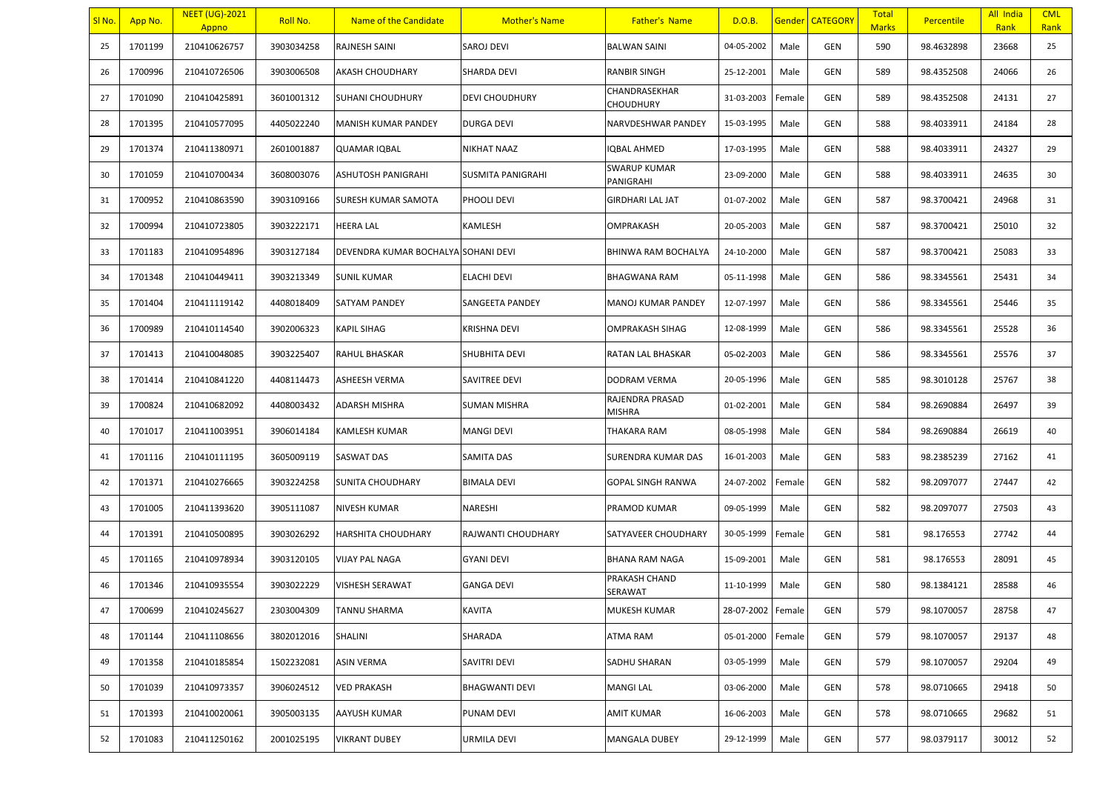| SI No. | App No. | <b>NEET (UG)-2021</b><br>Appno | Roll No.   | Name of the Candidate               | <b>Mother's Name</b>     | <b>Father's Name</b>             | D.O.B.            |        | <b>Gender CATEGORY</b> | <b>Total</b><br><b>Marks</b> | Percentile | All India<br>Rank | <b>CML</b><br>Rank |
|--------|---------|--------------------------------|------------|-------------------------------------|--------------------------|----------------------------------|-------------------|--------|------------------------|------------------------------|------------|-------------------|--------------------|
| 25     | 1701199 | 210410626757                   | 3903034258 | RAJNESH SAINI                       | SAROJ DEVI               | <b>BALWAN SAINI</b>              | 04-05-2002        | Male   | GEN                    | 590                          | 98.4632898 | 23668             | 25                 |
| 26     | 1700996 | 210410726506                   | 3903006508 | AKASH CHOUDHARY                     | <b>SHARDA DEVI</b>       | RANBIR SINGH                     | 25-12-2001        | Male   | GEN                    | 589                          | 98.4352508 | 24066             | 26                 |
| 27     | 1701090 | 210410425891                   | 3601001312 | SUHANI CHOUDHURY                    | <b>DEVI CHOUDHURY</b>    | CHANDRASEKHAR<br>CHOUDHURY       | 31-03-2003        | Female | GEN                    | 589                          | 98.4352508 | 24131             | 27                 |
| 28     | 1701395 | 210410577095                   | 4405022240 | MANISH KUMAR PANDEY                 | <b>DURGA DEVI</b>        | NARVDESHWAR PANDEY               | 15-03-1995        | Male   | GEN                    | 588                          | 98.4033911 | 24184             | 28                 |
| 29     | 1701374 | 210411380971                   | 2601001887 | <b>QUAMAR IQBAL</b>                 | <b>NIKHAT NAAZ</b>       | QBAL AHMED                       | 17-03-1995        | Male   | GEN                    | 588                          | 98.4033911 | 24327             | 29                 |
| 30     | 1701059 | 210410700434                   | 3608003076 | ASHUTOSH PANIGRAHI                  | <b>SUSMITA PANIGRAHI</b> | <b>SWARUP KUMAR</b><br>PANIGRAHI | 23-09-2000        | Male   | GEN                    | 588                          | 98.4033911 | 24635             | 30                 |
| 31     | 1700952 | 210410863590                   | 3903109166 | SURESH KUMAR SAMOTA                 | PHOOLI DEVI              | <b>GIRDHARI LAL JAT</b>          | 01-07-2002        | Male   | GEN                    | 587                          | 98.3700421 | 24968             | 31                 |
| 32     | 1700994 | 210410723805                   | 3903222171 | <b>HEERA LAL</b>                    | <b>KAMLESH</b>           | OMPRAKASH                        | 20-05-2003        | Male   | GEN                    | 587                          | 98.3700421 | 25010             | 32                 |
| 33     | 1701183 | 210410954896                   | 3903127184 | DEVENDRA KUMAR BOCHALYA SOHANI DEVI |                          | BHINWA RAM BOCHALYA              | 24-10-2000        | Male   | GEN                    | 587                          | 98.3700421 | 25083             | 33                 |
| 34     | 1701348 | 210410449411                   | 3903213349 | <b>SUNIL KUMAR</b>                  | <b>ELACHI DEVI</b>       | <b>BHAGWANA RAM</b>              | 05-11-1998        | Male   | GEN                    | 586                          | 98.3345561 | 25431             | 34                 |
| 35     | 1701404 | 210411119142                   | 4408018409 | SATYAM PANDEY                       | <b>SANGEETA PANDEY</b>   | MANOJ KUMAR PANDEY               | 12-07-1997        | Male   | GEN                    | 586                          | 98.3345561 | 25446             | 35                 |
| 36     | 1700989 | 210410114540                   | 3902006323 | <b>KAPIL SIHAG</b>                  | <b>KRISHNA DEVI</b>      | OMPRAKASH SIHAG                  | 12-08-1999        | Male   | GEN                    | 586                          | 98.3345561 | 25528             | 36                 |
| 37     | 1701413 | 210410048085                   | 3903225407 | RAHUL BHASKAR                       | SHUBHITA DEVI            | RATAN LAL BHASKAR                | 05-02-2003        | Male   | GEN                    | 586                          | 98.3345561 | 25576             | 37                 |
| 38     | 1701414 | 210410841220                   | 4408114473 | ASHEESH VERMA                       | SAVITREE DEVI            | DODRAM VERMA                     | 20-05-1996        | Male   | GEN                    | 585                          | 98.3010128 | 25767             | 38                 |
| 39     | 1700824 | 210410682092                   | 4408003432 | ADARSH MISHRA                       | <b>SUMAN MISHRA</b>      | RAJENDRA PRASAD<br>MISHRA        | 01-02-2001        | Male   | GEN                    | 584                          | 98.2690884 | 26497             | 39                 |
| 40     | 1701017 | 210411003951                   | 3906014184 | KAMLESH KUMAR                       | <b>MANGI DEVI</b>        | THAKARA RAM                      | 08-05-1998        | Male   | GEN                    | 584                          | 98.2690884 | 26619             | 40                 |
| 41     | 1701116 | 210410111195                   | 3605009119 | <b>SASWAT DAS</b>                   | <b>SAMITA DAS</b>        | SURENDRA KUMAR DAS               | 16-01-2003        | Male   | GEN                    | 583                          | 98.2385239 | 27162             | 41                 |
| 42     | 1701371 | 210410276665                   | 3903224258 | <b>SUNITA CHOUDHARY</b>             | <b>BIMALA DEVI</b>       | <b>GOPAL SINGH RANWA</b>         | 24-07-2002        | Female | GEN                    | 582                          | 98.2097077 | 27447             | 42                 |
| 43     | 1701005 | 210411393620                   | 3905111087 | <b>NIVESH KUMAR</b>                 | <b>NARESHI</b>           | PRAMOD KUMAR                     | 09-05-1999        | Male   | GEN                    | 582                          | 98.2097077 | 27503             | 43                 |
| 44     | 1701391 | 210410500895                   | 3903026292 | <b>HARSHITA CHOUDHARY</b>           | RAJWANTI CHOUDHARY       | SATYAVEER CHOUDHARY              | 30-05-1999        | Female | GEN                    | 581                          | 98.176553  | 27742             | 44                 |
| 45     | 1701165 | 210410978934                   | 3903120105 | VIJAY PAL NAGA                      | <b>GYANI DEVI</b>        | BHANA RAM NAGA                   | 15-09-2001        | Male   | GEN                    | 581                          | 98.176553  | 28091             | 45                 |
| 46     | 1701346 | 210410935554                   | 3903022229 | <b>VISHESH SERAWAT</b>              | <b>GANGA DEVI</b>        | PRAKASH CHAND<br>SERAWAT         | 11-10-1999        | Male   | GEN                    | 580                          | 98.1384121 | 28588             | 46                 |
| 47     | 1700699 | 210410245627                   | 2303004309 | <b>TANNU SHARMA</b>                 | <b>KAVITA</b>            | MUKESH KUMAR                     | 28-07-2002 Female |        | GEN                    | 579                          | 98.1070057 | 28758             | 47                 |
| 48     | 1701144 | 210411108656                   | 3802012016 | SHALINI                             | SHARADA                  | ATMA RAM                         | 05-01-2000        | Female | GEN                    | 579                          | 98.1070057 | 29137             | 48                 |
| 49     | 1701358 | 210410185854                   | 1502232081 | <b>ASIN VERMA</b>                   | SAVITRI DEVI             | SADHU SHARAN                     | 03-05-1999        | Male   | GEN                    | 579                          | 98.1070057 | 29204             | 49                 |
| 50     | 1701039 | 210410973357                   | 3906024512 | <b>VED PRAKASH</b>                  | <b>BHAGWANTI DEVI</b>    | <b>MANGI LAL</b>                 | 03-06-2000        | Male   | GEN                    | 578                          | 98.0710665 | 29418             | 50                 |
| 51     | 1701393 | 210410020061                   | 3905003135 | AAYUSH KUMAR                        | <b>PUNAM DEVI</b>        | AMIT KUMAR                       | 16-06-2003        | Male   | GEN                    | 578                          | 98.0710665 | 29682             | 51                 |
| 52     | 1701083 | 210411250162                   | 2001025195 | VIKRANT DUBEY                       | URMILA DEVI              | MANGALA DUBEY                    | 29-12-1999        | Male   | GEN                    | 577                          | 98.0379117 | 30012             | 52                 |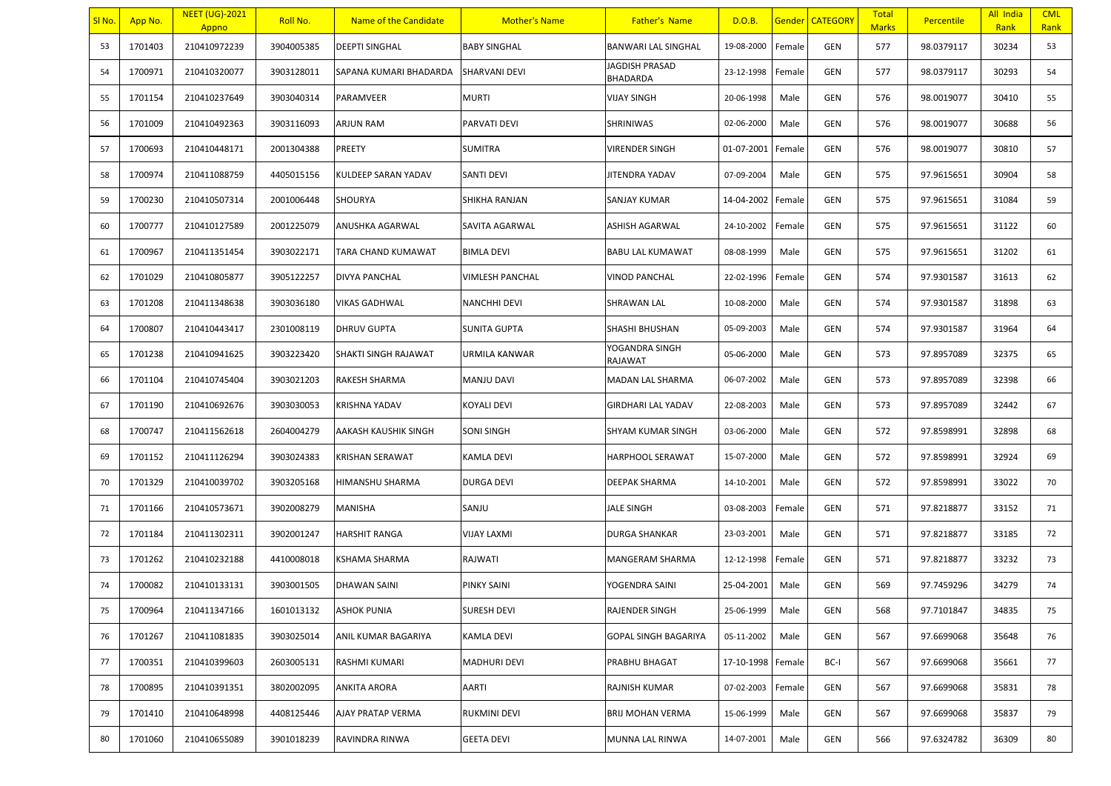| SI No. | App No. | <b>NEET (UG)-2021</b><br>Appno | Roll No.   | Name of the Candidate  | <b>Mother's Name</b>   | <b>Father's Name</b>        | D.O.B.     |        | <b>Gender CATEGORY</b> | <b>Total</b><br><b>Marks</b> | Percentile | All India<br>Rank | <b>CML</b><br>Rank |
|--------|---------|--------------------------------|------------|------------------------|------------------------|-----------------------------|------------|--------|------------------------|------------------------------|------------|-------------------|--------------------|
| 53     | 1701403 | 210410972239                   | 3904005385 | <b>DEEPTI SINGHAL</b>  | <b>BABY SINGHAL</b>    | BANWARI LAL SINGHAL         | 19-08-2000 | Female | GEN                    | 577                          | 98.0379117 | 30234             | 53                 |
| 54     | 1700971 | 210410320077                   | 3903128011 | SAPANA KUMARI BHADARDA | <b>SHARVANI DEVI</b>   | JAGDISH PRASAD<br>BHADARDA  | 23-12-1998 | Female | GEN                    | 577                          | 98.0379117 | 30293             | 54                 |
| 55     | 1701154 | 210410237649                   | 3903040314 | PARAMVEER              | <b>MURTI</b>           | VIJAY SINGH                 | 20-06-1998 | Male   | GEN                    | 576                          | 98.0019077 | 30410             | 55                 |
| 56     | 1701009 | 210410492363                   | 3903116093 | ARJUN RAM              | PARVATI DEVI           | SHRINIWAS                   | 02-06-2000 | Male   | GEN                    | 576                          | 98.0019077 | 30688             | 56                 |
| 57     | 1700693 | 210410448171                   | 2001304388 | PREETY                 | <b>SUMITRA</b>         | <b>VIRENDER SINGH</b>       | 01-07-2001 | Female | GEN                    | 576                          | 98.0019077 | 30810             | 57                 |
| 58     | 1700974 | 210411088759                   | 4405015156 | KULDEEP SARAN YADAV    | <b>SANTI DEVI</b>      | JITENDRA YADAV              | 07-09-2004 | Male   | GEN                    | 575                          | 97.9615651 | 30904             | 58                 |
| 59     | 1700230 | 210410507314                   | 2001006448 | <b>SHOURYA</b>         | SHIKHA RANJAN          | SANJAY KUMAR                | 14-04-2002 | Female | GEN                    | 575                          | 97.9615651 | 31084             | 59                 |
| 60     | 1700777 | 210410127589                   | 2001225079 | ANUSHKA AGARWAL        | SAVITA AGARWAL         | ASHISH AGARWAL              | 24-10-2002 | Female | GEN                    | 575                          | 97.9615651 | 31122             | 60                 |
| 61     | 1700967 | 210411351454                   | 3903022171 | TARA CHAND KUMAWAT     | <b>BIMLA DEVI</b>      | <b>BABU LAL KUMAWAT</b>     | 08-08-1999 | Male   | GEN                    | 575                          | 97.9615651 | 31202             | 61                 |
| 62     | 1701029 | 210410805877                   | 3905122257 | <b>DIVYA PANCHAL</b>   | <b>VIMLESH PANCHAL</b> | <b>VINOD PANCHAL</b>        | 22-02-1996 | Female | GEN                    | 574                          | 97.9301587 | 31613             | 62                 |
| 63     | 1701208 | 210411348638                   | 3903036180 | <b>VIKAS GADHWAL</b>   | <b>NANCHHI DEVI</b>    | SHRAWAN LAL                 | 10-08-2000 | Male   | GEN                    | 574                          | 97.9301587 | 31898             | 63                 |
| 64     | 1700807 | 210410443417                   | 2301008119 | <b>DHRUV GUPTA</b>     | <b>SUNITA GUPTA</b>    | SHASHI BHUSHAN              | 05-09-2003 | Male   | GEN                    | 574                          | 97.9301587 | 31964             | 64                 |
| 65     | 1701238 | 210410941625                   | 3903223420 | SHAKTI SINGH RAJAWAT   | URMILA KANWAR          | YOGANDRA SINGH<br>RAJAWAT   | 05-06-2000 | Male   | GEN                    | 573                          | 97.8957089 | 32375             | 65                 |
| 66     | 1701104 | 210410745404                   | 3903021203 | <b>RAKESH SHARMA</b>   | <b>MANJU DAVI</b>      | MADAN LAL SHARMA            | 06-07-2002 | Male   | GEN                    | 573                          | 97.8957089 | 32398             | 66                 |
| 67     | 1701190 | 210410692676                   | 3903030053 | <b>KRISHNA YADAV</b>   | <b>KOYALI DEVI</b>     | <b>GIRDHARI LAL YADAV</b>   | 22-08-2003 | Male   | GEN                    | 573                          | 97.8957089 | 32442             | 67                 |
| 68     | 1700747 | 210411562618                   | 2604004279 | AAKASH KAUSHIK SINGH   | <b>SONI SINGH</b>      | SHYAM KUMAR SINGH           | 03-06-2000 | Male   | GEN                    | 572                          | 97.8598991 | 32898             | 68                 |
| 69     | 1701152 | 210411126294                   | 3903024383 | <b>KRISHAN SERAWAT</b> | <b>KAMLA DEVI</b>      | HARPHOOL SERAWAT            | 15-07-2000 | Male   | GEN                    | 572                          | 97.8598991 | 32924             | 69                 |
| 70     | 1701329 | 210410039702                   | 3903205168 | <b>HIMANSHU SHARMA</b> | <b>DURGA DEVI</b>      | DEEPAK SHARMA               | 14-10-2001 | Male   | GEN                    | 572                          | 97.8598991 | 33022             | 70                 |
| 71     | 1701166 | 210410573671                   | 3902008279 | <b>MANISHA</b>         | SANJU                  | JALE SINGH                  | 03-08-2003 | Female | GEN                    | 571                          | 97.8218877 | 33152             | 71                 |
| 72     | 1701184 | 210411302311                   | 3902001247 | <b>HARSHIT RANGA</b>   | <b>VIJAY LAXMI</b>     | <b>DURGA SHANKAR</b>        | 23-03-2001 | Male   | GEN                    | 571                          | 97.8218877 | 33185             | 72                 |
| 73     | 1701262 | 210410232188                   | 4410008018 | KSHAMA SHARMA          | RAJWATI                | MANGERAM SHARMA             | 12-12-1998 | Female | GEN                    | 571                          | 97.8218877 | 33232             | 73                 |
| 74     | 1700082 | 210410133131                   | 3903001505 | <b>DHAWAN SAINI</b>    | <b>PINKY SAINI</b>     | YOGENDRA SAINI              | 25-04-2001 | Male   | GEN                    | 569                          | 97.7459296 | 34279             | 74                 |
| 75     | 1700964 | 210411347166                   | 1601013132 | <b>ASHOK PUNIA</b>     | <b>SURESH DEVI</b>     | RAJENDER SINGH              | 25-06-1999 | Male   | GEN                    | 568                          | 97.7101847 | 34835             | 75                 |
| 76     | 1701267 | 210411081835                   | 3903025014 | ANIL KUMAR BAGARIYA    | <b>KAMLA DEVI</b>      | <b>GOPAL SINGH BAGARIYA</b> | 05-11-2002 | Male   | GEN                    | 567                          | 97.6699068 | 35648             | 76                 |
| 77     | 1700351 | 210410399603                   | 2603005131 | RASHMI KUMARI          | <b>MADHURI DEVI</b>    | PRABHU BHAGAT               | 17-10-1998 | Female | BC-I                   | 567                          | 97.6699068 | 35661             | 77                 |
| 78     | 1700895 | 210410391351                   | 3802002095 | ANKITA ARORA           | <b>AARTI</b>           | RAJNISH KUMAR               | 07-02-2003 | Female | GEN                    | 567                          | 97.6699068 | 35831             | 78                 |
| 79     | 1701410 | 210410648998                   | 4408125446 | AJAY PRATAP VERMA      | <b>RUKMINI DEVI</b>    | BRIJ MOHAN VERMA            | 15-06-1999 | Male   | GEN                    | 567                          | 97.6699068 | 35837             | 79                 |
| 80     | 1701060 | 210410655089                   | 3901018239 | RAVINDRA RINWA         | <b>GEETA DEVI</b>      | MUNNA LAL RINWA             | 14-07-2001 | Male   | GEN                    | 566                          | 97.6324782 | 36309             | 80                 |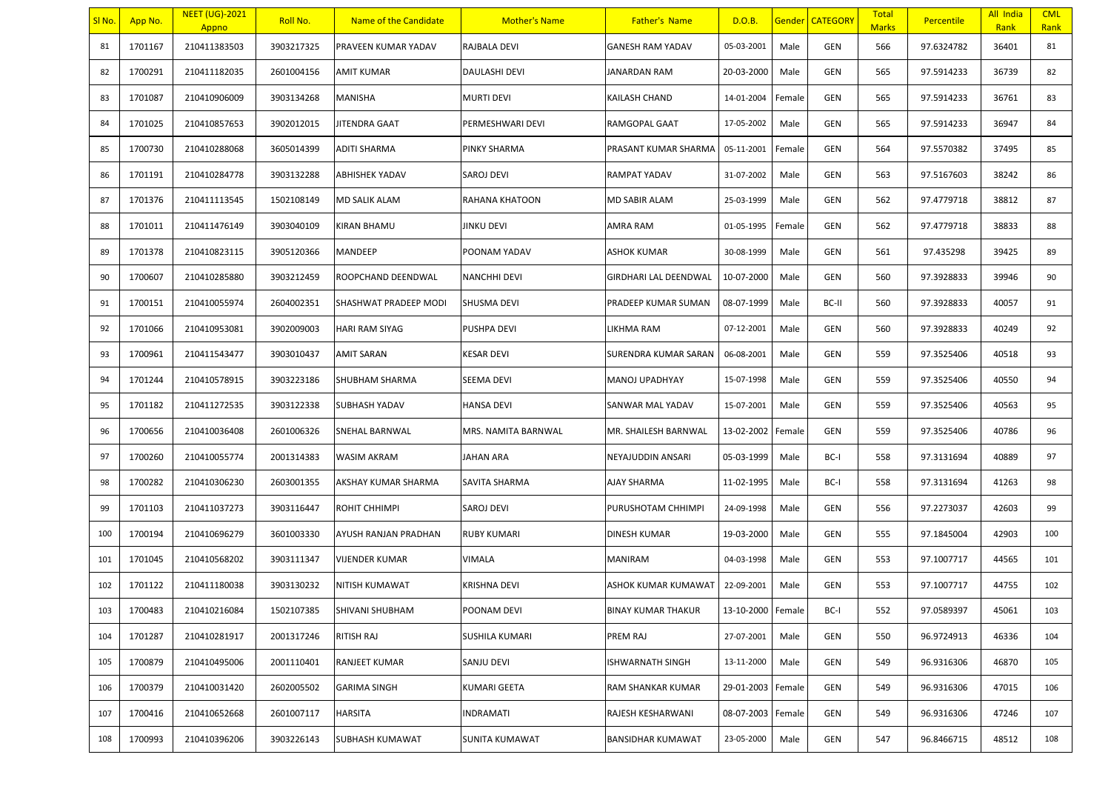| SI No. | App No. | <b>NEET (UG)-2021</b><br>Appno | Roll No.   | Name of the Candidate | <b>Mother's Name</b>  | <b>Father's Name</b>      | D.O.B.            |        | <b>Gender CATEGORY</b> | <b>Total</b><br><b>Marks</b> | Percentile | All India<br>Rank | <b>CML</b><br>Rank |
|--------|---------|--------------------------------|------------|-----------------------|-----------------------|---------------------------|-------------------|--------|------------------------|------------------------------|------------|-------------------|--------------------|
| 81     | 1701167 | 210411383503                   | 3903217325 | PRAVEEN KUMAR YADAV   | RAJBALA DEVI          | <b>GANESH RAM YADAV</b>   | 05-03-2001        | Male   | GEN                    | 566                          | 97.6324782 | 36401             | 81                 |
| 82     | 1700291 | 210411182035                   | 2601004156 | AMIT KUMAR            | <b>DAULASHI DEVI</b>  | JANARDAN RAM              | 20-03-2000        | Male   | GEN                    | 565                          | 97.5914233 | 36739             | 82                 |
| 83     | 1701087 | 210410906009                   | 3903134268 | <b>MANISHA</b>        | <b>MURTI DEVI</b>     | KAILASH CHAND             | 14-01-2004        | Female | GEN                    | 565                          | 97.5914233 | 36761             | 83                 |
| 84     | 1701025 | 210410857653                   | 3902012015 | JITENDRA GAAT         | PERMESHWARI DEVI      | RAMGOPAL GAAT             | 17-05-2002        | Male   | GEN                    | 565                          | 97.5914233 | 36947             | 84                 |
| 85     | 1700730 | 210410288068                   | 3605014399 | <b>ADITI SHARMA</b>   | <b>PINKY SHARMA</b>   | PRASANT KUMAR SHARMA      | 05-11-2001        | Female | GEN                    | 564                          | 97.5570382 | 37495             | 85                 |
| 86     | 1701191 | 210410284778                   | 3903132288 | ABHISHEK YADAV        | SAROJ DEVI            | RAMPAT YADAV              | 31-07-2002        | Male   | GEN                    | 563                          | 97.5167603 | 38242             | 86                 |
| 87     | 1701376 | 210411113545                   | 1502108149 | <b>MD SALIK ALAM</b>  | RAHANA KHATOON        | MD SABIR ALAM             | 25-03-1999        | Male   | GEN                    | 562                          | 97.4779718 | 38812             | 87                 |
| 88     | 1701011 | 210411476149                   | 3903040109 | KIRAN BHAMU           | <b>JINKU DEVI</b>     | AMRA RAM                  | 01-05-1995        | Female | GEN                    | 562                          | 97.4779718 | 38833             | 88                 |
| 89     | 1701378 | 210410823115                   | 3905120366 | MANDEEP               | POONAM YADAV          | ASHOK KUMAR               | 30-08-1999        | Male   | GEN                    | 561                          | 97.435298  | 39425             | 89                 |
| 90     | 1700607 | 210410285880                   | 3903212459 | ROOPCHAND DEENDWAL    | <b>NANCHHI DEVI</b>   | GIRDHARI LAL DEENDWAL     | 10-07-2000        | Male   | GEN                    | 560                          | 97.3928833 | 39946             | 90                 |
| 91     | 1700151 | 210410055974                   | 2604002351 | SHASHWAT PRADEEP MODI | SHUSMA DEVI           | PRADEEP KUMAR SUMAN       | 08-07-1999        | Male   | BC-II                  | 560                          | 97.3928833 | 40057             | 91                 |
| 92     | 1701066 | 210410953081                   | 3902009003 | <b>HARI RAM SIYAG</b> | <b>PUSHPA DEVI</b>    | LIKHMA RAM                | 07-12-2001        | Male   | GEN                    | 560                          | 97.3928833 | 40249             | 92                 |
| 93     | 1700961 | 210411543477                   | 3903010437 | <b>AMIT SARAN</b>     | <b>KESAR DEVI</b>     | SURENDRA KUMAR SARAN      | 06-08-2001        | Male   | GEN                    | 559                          | 97.3525406 | 40518             | 93                 |
| 94     | 1701244 | 210410578915                   | 3903223186 | SHUBHAM SHARMA        | <b>SEEMA DEVI</b>     | MANOJ UPADHYAY            | 15-07-1998        | Male   | GEN                    | 559                          | 97.3525406 | 40550             | 94                 |
| 95     | 1701182 | 210411272535                   | 3903122338 | SUBHASH YADAV         | <b>HANSA DEVI</b>     | SANWAR MAL YADAV          | 15-07-2001        | Male   | GEN                    | 559                          | 97.3525406 | 40563             | 95                 |
| 96     | 1700656 | 210410036408                   | 2601006326 | SNEHAL BARNWAL        | MRS. NAMITA BARNWAL   | MR. SHAILESH BARNWAL      | 13-02-2002        | Female | GEN                    | 559                          | 97.3525406 | 40786             | 96                 |
| 97     | 1700260 | 210410055774                   | 2001314383 | WASIM AKRAM           | <b>JAHAN ARA</b>      | NEYAJUDDIN ANSARI         | 05-03-1999        | Male   | BC-I                   | 558                          | 97.3131694 | 40889             | 97                 |
| 98     | 1700282 | 210410306230                   | 2603001355 | AKSHAY KUMAR SHARMA   | <b>SAVITA SHARMA</b>  | AJAY SHARMA               | 11-02-1995        | Male   | BC-I                   | 558                          | 97.3131694 | 41263             | 98                 |
| 99     | 1701103 | 210411037273                   | 3903116447 | ROHIT CHHIMPI         | SAROJ DEVI            | PURUSHOTAM CHHIMPI        | 24-09-1998        | Male   | GEN                    | 556                          | 97.2273037 | 42603             | 99                 |
| 100    | 1700194 | 210410696279                   | 3601003330 | AYUSH RANJAN PRADHAN  | <b>RUBY KUMARI</b>    | DINESH KUMAR              | 19-03-2000        | Male   | GEN                    | 555                          | 97.1845004 | 42903             | 100                |
| 101    | 1701045 | 210410568202                   | 3903111347 | <b>VIJENDER KUMAR</b> | <b>VIMALA</b>         | MANIRAM                   | 04-03-1998        | Male   | GEN                    | 553                          | 97.1007717 | 44565             | 101                |
| 102    | 1701122 | 210411180038                   | 3903130232 | NITISH KUMAWAT        | <b>KRISHNA DEVI</b>   | ASHOK KUMAR KUMAWAT       | 22-09-2001        | Male   | GEN                    | 553                          | 97.1007717 | 44755             | 102                |
| 103    | 1700483 | 210410216084                   | 1502107385 | SHIVANI SHUBHAM       | POONAM DEVI           | <b>BINAY KUMAR THAKUR</b> | 13-10-2000 Female |        | BC-I                   | 552                          | 97.0589397 | 45061             | 103                |
| 104    | 1701287 | 210410281917                   | 2001317246 | RITISH RAJ            | <b>SUSHILA KUMARI</b> | PREM RAJ                  | 27-07-2001        | Male   | GEN                    | 550                          | 96.9724913 | 46336             | 104                |
| 105    | 1700879 | 210410495006                   | 2001110401 | RANJEET KUMAR         | <b>SANJU DEVI</b>     | SHWARNATH SINGH           | 13-11-2000        | Male   | GEN                    | 549                          | 96.9316306 | 46870             | 105                |
| 106    | 1700379 | 210410031420                   | 2602005502 | <b>GARIMA SINGH</b>   | <b>KUMARI GEETA</b>   | RAM SHANKAR KUMAR         | 29-01-2003        | Female | GEN                    | 549                          | 96.9316306 | 47015             | 106                |
| 107    | 1700416 | 210410652668                   | 2601007117 | HARSITA               | <b>INDRAMATI</b>      | RAJESH KESHARWANI         | 08-07-2003        | Female | GEN                    | 549                          | 96.9316306 | 47246             | 107                |
| 108    | 1700993 | 210410396206                   | 3903226143 | SUBHASH KUMAWAT       | SUNITA KUMAWAT        | BANSIDHAR KUMAWAT         | 23-05-2000        | Male   | GEN                    | 547                          | 96.8466715 | 48512             | 108                |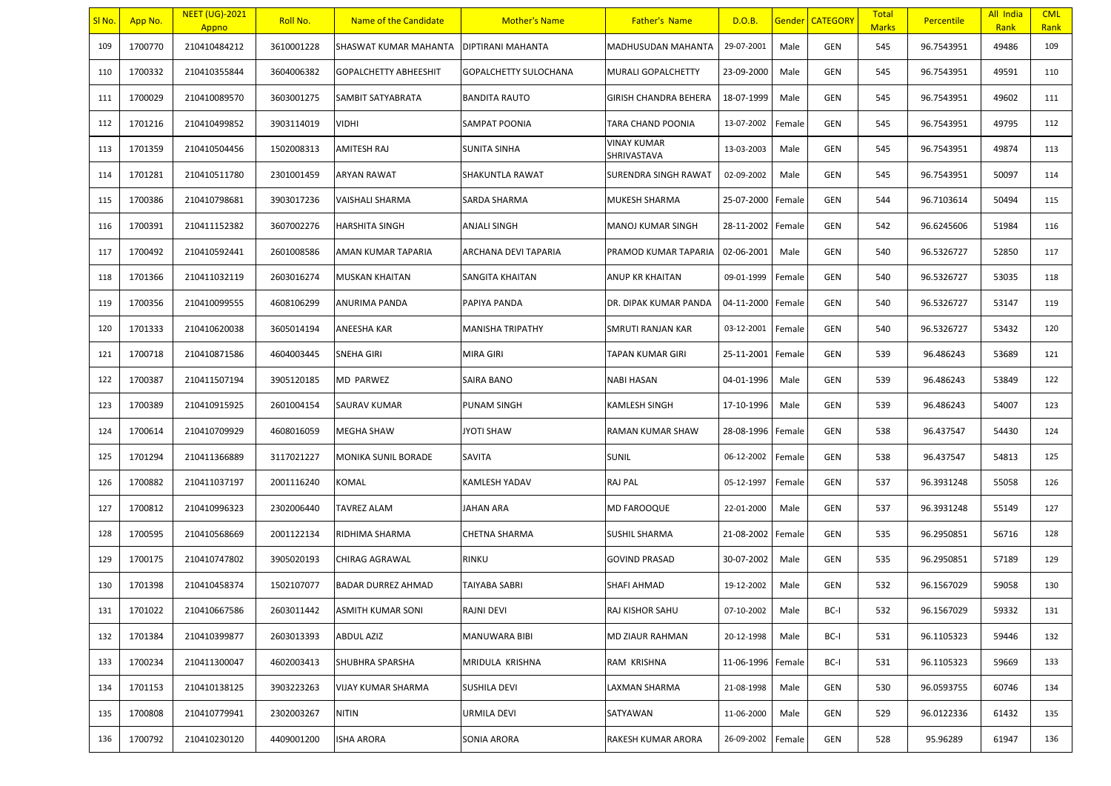| SI No. | App No. | <b>NEET (UG)-2021</b><br>Appno | Roll No.   | Name of the Candidate        | <b>Mother's Name</b>     | <b>Father's Name</b>       | D.O.B.     |        | <b>Gender   CATEGORY</b> | <b>Total</b><br><b>Marks</b> | <b>Percentile</b> | All India<br>Rank | <b>CML</b><br>Rank |
|--------|---------|--------------------------------|------------|------------------------------|--------------------------|----------------------------|------------|--------|--------------------------|------------------------------|-------------------|-------------------|--------------------|
| 109    | 1700770 | 210410484212                   | 3610001228 | SHASWAT KUMAR MAHANTA        | <b>DIPTIRANI MAHANTA</b> | MADHUSUDAN MAHANTA         | 29-07-2001 | Male   | GEN                      | 545                          | 96.7543951        | 49486             | 109                |
| 110    | 1700332 | 210410355844                   | 3604006382 | <b>GOPALCHETTY ABHEESHIT</b> | GOPALCHETTY SULOCHANA    | MURALI GOPALCHETTY         | 23-09-2000 | Male   | GEN                      | 545                          | 96.7543951        | 49591             | 110                |
| 111    | 1700029 | 210410089570                   | 3603001275 | SAMBIT SATYABRATA            | <b>BANDITA RAUTO</b>     | GIRISH CHANDRA BEHERA      | 18-07-1999 | Male   | GEN                      | 545                          | 96.7543951        | 49602             | 111                |
| 112    | 1701216 | 210410499852                   | 3903114019 | VIDHI                        | <b>SAMPAT POONIA</b>     | TARA CHAND POONIA          | 13-07-2002 | Female | GEN                      | 545                          | 96.7543951        | 49795             | 112                |
| 113    | 1701359 | 210410504456                   | 1502008313 | AMITESH RAJ                  | <b>SUNITA SINHA</b>      | VINAY KUMAR<br>SHRIVASTAVA | 13-03-2003 | Male   | GEN                      | 545                          | 96.7543951        | 49874             | 113                |
| 114    | 1701281 | 210410511780                   | 2301001459 | ARYAN RAWAT                  | SHAKUNTLA RAWAT          | SURENDRA SINGH RAWAT       | 02-09-2002 | Male   | GEN                      | 545                          | 96.7543951        | 50097             | 114                |
| 115    | 1700386 | 210410798681                   | 3903017236 | VAISHALI SHARMA              | SARDA SHARMA             | MUKESH SHARMA              | 25-07-2000 | Female | GEN                      | 544                          | 96.7103614        | 50494             | 115                |
| 116    | 1700391 | 210411152382                   | 3607002276 | <b>HARSHITA SINGH</b>        | <b>ANJALI SINGH</b>      | MANOJ KUMAR SINGH          | 28-11-2002 | Female | GEN                      | 542                          | 96.6245606        | 51984             | 116                |
| 117    | 1700492 | 210410592441                   | 2601008586 | AMAN KUMAR TAPARIA           | ARCHANA DEVI TAPARIA     | PRAMOD KUMAR TAPARIA       | 02-06-2001 | Male   | GEN                      | 540                          | 96.5326727        | 52850             | 117                |
| 118    | 1701366 | 210411032119                   | 2603016274 | <b>MUSKAN KHAITAN</b>        | SANGITA KHAITAN          | ANUP KR KHAITAN            | 09-01-1999 | Female | GEN                      | 540                          | 96.5326727        | 53035             | 118                |
| 119    | 1700356 | 210410099555                   | 4608106299 | ANURIMA PANDA                | PAPIYA PANDA             | DR. DIPAK KUMAR PANDA      | 04-11-2000 | Female | GEN                      | 540                          | 96.5326727        | 53147             | 119                |
| 120    | 1701333 | 210410620038                   | 3605014194 | ANEESHA KAR                  | <b>MANISHA TRIPATHY</b>  | SMRUTI RANJAN KAR          | 03-12-2001 | Female | GEN                      | 540                          | 96.5326727        | 53432             | 120                |
| 121    | 1700718 | 210410871586                   | 4604003445 | <b>SNEHA GIRI</b>            | MIRA GIRI                | TAPAN KUMAR GIRI           | 25-11-2001 | Female | GEN                      | 539                          | 96.486243         | 53689             | 121                |
| 122    | 1700387 | 210411507194                   | 3905120185 | <b>MD PARWEZ</b>             | <b>SAIRA BANO</b>        | NABI HASAN                 | 04-01-1996 | Male   | GEN                      | 539                          | 96.486243         | 53849             | 122                |
| 123    | 1700389 | 210410915925                   | 2601004154 | SAURAV KUMAR                 | <b>PUNAM SINGH</b>       | KAMLESH SINGH              | 17-10-1996 | Male   | GEN                      | 539                          | 96.486243         | 54007             | 123                |
| 124    | 1700614 | 210410709929                   | 4608016059 | MEGHA SHAW                   | <b>JYOTI SHAW</b>        | RAMAN KUMAR SHAW           | 28-08-1996 | Female | GEN                      | 538                          | 96.437547         | 54430             | 124                |
| 125    | 1701294 | 210411366889                   | 3117021227 | <b>MONIKA SUNIL BORADE</b>   | <b>SAVITA</b>            | <b>SUNIL</b>               | 06-12-2002 | Female | GEN                      | 538                          | 96.437547         | 54813             | 125                |
| 126    | 1700882 | 210411037197                   | 2001116240 | KOMAL                        | <b>KAMLESH YADAV</b>     | RAJ PAL                    | 05-12-1997 | Female | GEN                      | 537                          | 96.3931248        | 55058             | 126                |
| 127    | 1700812 | 210410996323                   | 2302006440 | TAVREZ ALAM                  | JAHAN ARA                | MD FAROOQUE                | 22-01-2000 | Male   | GEN                      | 537                          | 96.3931248        | 55149             | 127                |
| 128    | 1700595 | 210410568669                   | 2001122134 | RIDHIMA SHARMA               | <b>CHETNA SHARMA</b>     | SUSHIL SHARMA              | 21-08-2002 | Female | GEN                      | 535                          | 96.2950851        | 56716             | 128                |
| 129    | 1700175 | 210410747802                   | 3905020193 | <b>CHIRAG AGRAWAL</b>        | <b>RINKU</b>             | <b>GOVIND PRASAD</b>       | 30-07-2002 | Male   | GEN                      | 535                          | 96.2950851        | 57189             | 129                |
| 130    | 1701398 | 210410458374                   | 1502107077 | <b>BADAR DURREZ AHMAD</b>    | <b>TAIYABA SABRI</b>     | SHAFI AHMAD                | 19-12-2002 | Male   | GEN                      | 532                          | 96.1567029        | 59058             | 130                |
| 131    | 1701022 | 210410667586                   | 2603011442 | ASMITH KUMAR SONI            | RAJNI DEVI               | RAJ KISHOR SAHU            | 07-10-2002 | Male   | BC-I                     | 532                          | 96.1567029        | 59332             | 131                |
| 132    | 1701384 | 210410399877                   | 2603013393 | <b>ABDUL AZIZ</b>            | MANUWARA BIBI            | MD ZIAUR RAHMAN            | 20-12-1998 | Male   | BC-I                     | 531                          | 96.1105323        | 59446             | 132                |
| 133    | 1700234 | 210411300047                   | 4602003413 | SHUBHRA SPARSHA              | MRIDULA KRISHNA          | RAM KRISHNA                | 11-06-1996 | Female | BC-I                     | 531                          | 96.1105323        | 59669             | 133                |
| 134    | 1701153 | 210410138125                   | 3903223263 | VIJAY KUMAR SHARMA           | <b>SUSHILA DEVI</b>      | LAXMAN SHARMA              | 21-08-1998 | Male   | GEN                      | 530                          | 96.0593755        | 60746             | 134                |
| 135    | 1700808 | 210410779941                   | 2302003267 | <b>NITIN</b>                 | URMILA DEVI              | SATYAWAN                   | 11-06-2000 | Male   | GEN                      | 529                          | 96.0122336        | 61432             | 135                |
| 136    | 1700792 | 210410230120                   | 4409001200 | ISHA ARORA                   | SONIA ARORA              | RAKESH KUMAR ARORA         | 26-09-2002 | Female | GEN                      | 528                          | 95.96289          | 61947             | 136                |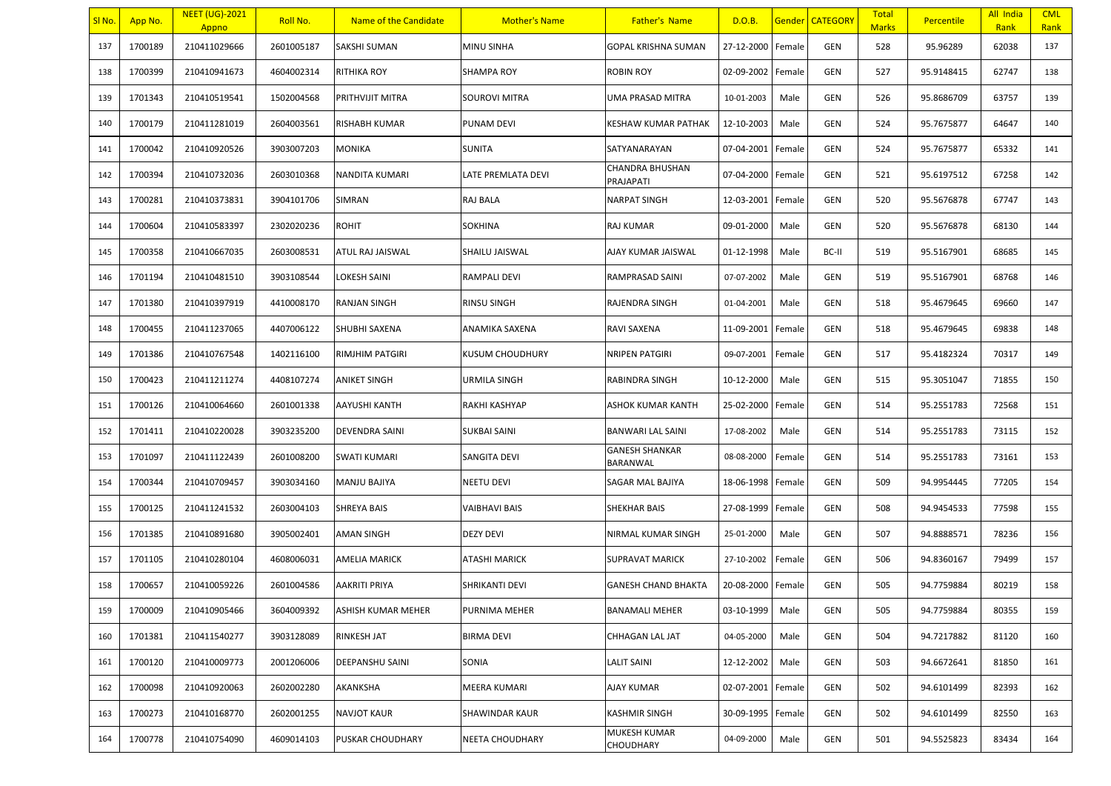| SI No. | App No. | <b>NEET (UG)-2021</b><br>Appno | Roll No.   | Name of the Candidate | <b>Mother's Name</b>   | <b>Father's Name</b>              | D.O.B.     |        | <b>Gender CATEGORY</b> | <b>Total</b><br><b>Marks</b> | Percentile | All India<br>Rank | <b>CML</b><br>Rank |
|--------|---------|--------------------------------|------------|-----------------------|------------------------|-----------------------------------|------------|--------|------------------------|------------------------------|------------|-------------------|--------------------|
| 137    | 1700189 | 210411029666                   | 2601005187 | SAKSHI SUMAN          | <b>MINU SINHA</b>      | <b>GOPAL KRISHNA SUMAN</b>        | 27-12-2000 | Female | GEN                    | 528                          | 95.96289   | 62038             | 137                |
| 138    | 1700399 | 210410941673                   | 4604002314 | RITHIKA ROY           | <b>SHAMPA ROY</b>      | ROBIN ROY                         | 02-09-2002 | Female | GEN                    | 527                          | 95.9148415 | 62747             | 138                |
| 139    | 1701343 | 210410519541                   | 1502004568 | PRITHVIJIT MITRA      | <b>SOUROVI MITRA</b>   | UMA PRASAD MITRA                  | 10-01-2003 | Male   | GEN                    | 526                          | 95.8686709 | 63757             | 139                |
| 140    | 1700179 | 210411281019                   | 2604003561 | RISHABH KUMAR         | PUNAM DEVI             | KESHAW KUMAR PATHAK               | 12-10-2003 | Male   | GEN                    | 524                          | 95.7675877 | 64647             | 140                |
| 141    | 1700042 | 210410920526                   | 3903007203 | MONIKA                | <b>SUNITA</b>          | SATYANARAYAN                      | 07-04-2001 | Female | GEN                    | 524                          | 95.7675877 | 65332             | 141                |
| 142    | 1700394 | 210410732036                   | 2603010368 | NANDITA KUMARI        | LATE PREMLATA DEVI     | CHANDRA BHUSHAN<br>PRAJAPATI      | 07-04-2000 | Female | GEN                    | 521                          | 95.6197512 | 67258             | 142                |
| 143    | 1700281 | 210410373831                   | 3904101706 | SIMRAN                | <b>RAJ BALA</b>        | NARPAT SINGH                      | 12-03-2001 | Female | GEN                    | 520                          | 95.5676878 | 67747             | 143                |
| 144    | 1700604 | 210410583397                   | 2302020236 | <b>ROHIT</b>          | <b>SOKHINA</b>         | RAJ KUMAR                         | 09-01-2000 | Male   | GEN                    | 520                          | 95.5676878 | 68130             | 144                |
| 145    | 1700358 | 210410667035                   | 2603008531 | ATUL RAJ JAISWAL      | SHAILU JAISWAL         | AJAY KUMAR JAISWAL                | 01-12-1998 | Male   | BC-II                  | 519                          | 95.5167901 | 68685             | 145                |
| 146    | 1701194 | 210410481510                   | 3903108544 | LOKESH SAINI          | <b>RAMPALI DEVI</b>    | RAMPRASAD SAINI                   | 07-07-2002 | Male   | GEN                    | 519                          | 95.5167901 | 68768             | 146                |
| 147    | 1701380 | 210410397919                   | 4410008170 | RANJAN SINGH          | <b>RINSU SINGH</b>     | RAJENDRA SINGH                    | 01-04-2001 | Male   | GEN                    | 518                          | 95.4679645 | 69660             | 147                |
| 148    | 1700455 | 210411237065                   | 4407006122 | SHUBHI SAXENA         | ANAMIKA SAXENA         | RAVI SAXENA                       | 11-09-2001 | Female | GEN                    | 518                          | 95.4679645 | 69838             | 148                |
| 149    | 1701386 | 210410767548                   | 1402116100 | RIMJHIM PATGIRI       | <b>KUSUM CHOUDHURY</b> | NRIPEN PATGIRI                    | 09-07-2001 | Female | GEN                    | 517                          | 95.4182324 | 70317             | 149                |
| 150    | 1700423 | 210411211274                   | 4408107274 | <b>ANIKET SINGH</b>   | <b>URMILA SINGH</b>    | RABINDRA SINGH                    | 10-12-2000 | Male   | GEN                    | 515                          | 95.3051047 | 71855             | 150                |
| 151    | 1700126 | 210410064660                   | 2601001338 | AAYUSHI KANTH         | RAKHI KASHYAP          | ASHOK KUMAR KANTH                 | 25-02-2000 | Female | GEN                    | 514                          | 95.2551783 | 72568             | 151                |
| 152    | 1701411 | 210410220028                   | 3903235200 | DEVENDRA SAINI        | <b>SUKBAI SAINI</b>    | BANWARI LAL SAINI                 | 17-08-2002 | Male   | GEN                    | 514                          | 95.2551783 | 73115             | 152                |
| 153    | 1701097 | 210411122439                   | 2601008200 | <b>SWATI KUMARI</b>   | <b>SANGITA DEVI</b>    | <b>GANESH SHANKAR</b><br>BARANWAL | 08-08-2000 | Female | GEN                    | 514                          | 95.2551783 | 73161             | 153                |
| 154    | 1700344 | 210410709457                   | 3903034160 | <b>MANJU BAJIYA</b>   | <b>NEETU DEVI</b>      | SAGAR MAL BAJIYA                  | 18-06-1998 | Female | GEN                    | 509                          | 94.9954445 | 77205             | 154                |
| 155    | 1700125 | 210411241532                   | 2603004103 | SHREYA BAIS           | VAIBHAVI BAIS          | SHEKHAR BAIS                      | 27-08-1999 | Female | GEN                    | 508                          | 94.9454533 | 77598             | 155                |
| 156    | 1701385 | 210410891680                   | 3905002401 | <b>AMAN SINGH</b>     | <b>DEZY DEVI</b>       | NIRMAL KUMAR SINGH                | 25-01-2000 | Male   | GEN                    | 507                          | 94.8888571 | 78236             | 156                |
| 157    | 1701105 | 210410280104                   | 4608006031 | <b>AMELIA MARICK</b>  | <b>ATASHI MARICK</b>   | <b>SUPRAVAT MARICK</b>            | 27-10-2002 | Female | GEN                    | 506                          | 94.8360167 | 79499             | 157                |
| 158    | 1700657 | 210410059226                   | 2601004586 | AAKRITI PRIYA         | SHRIKANTI DEVI         | <b>GANESH CHAND BHAKTA</b>        | 20-08-2000 | Female | GEN                    | 505                          | 94.7759884 | 80219             | 158                |
| 159    | 1700009 | 210410905466                   | 3604009392 | ASHISH KUMAR MEHER    | PURNIMA MEHER          | <b>BANAMALI MEHER</b>             | 03-10-1999 | Male   | GEN                    | 505                          | 94.7759884 | 80355             | 159                |
| 160    | 1701381 | 210411540277                   | 3903128089 | RINKESH JAT           | <b>BIRMA DEVI</b>      | CHHAGAN LAL JAT                   | 04-05-2000 | Male   | GEN                    | 504                          | 94.7217882 | 81120             | 160                |
| 161    | 1700120 | 210410009773                   | 2001206006 | DEEPANSHU SAINI       | SONIA                  | LALIT SAINI                       | 12-12-2002 | Male   | GEN                    | 503                          | 94.6672641 | 81850             | 161                |
| 162    | 1700098 | 210410920063                   | 2602002280 | AKANKSHA              | <b>MEERA KUMARI</b>    | AJAY KUMAR                        | 02-07-2001 | Female | GEN                    | 502                          | 94.6101499 | 82393             | 162                |
| 163    | 1700273 | 210410168770                   | 2602001255 | NAVJOT KAUR           | <b>SHAWINDAR KAUR</b>  | KASHMIR SINGH                     | 30-09-1995 | Female | GEN                    | 502                          | 94.6101499 | 82550             | 163                |
| 164    | 1700778 | 210410754090                   | 4609014103 | PUSKAR CHOUDHARY      | <b>NEETA CHOUDHARY</b> | MUKESH KUMAR<br>CHOUDHARY         | 04-09-2000 | Male   | GEN                    | 501                          | 94.5525823 | 83434             | 164                |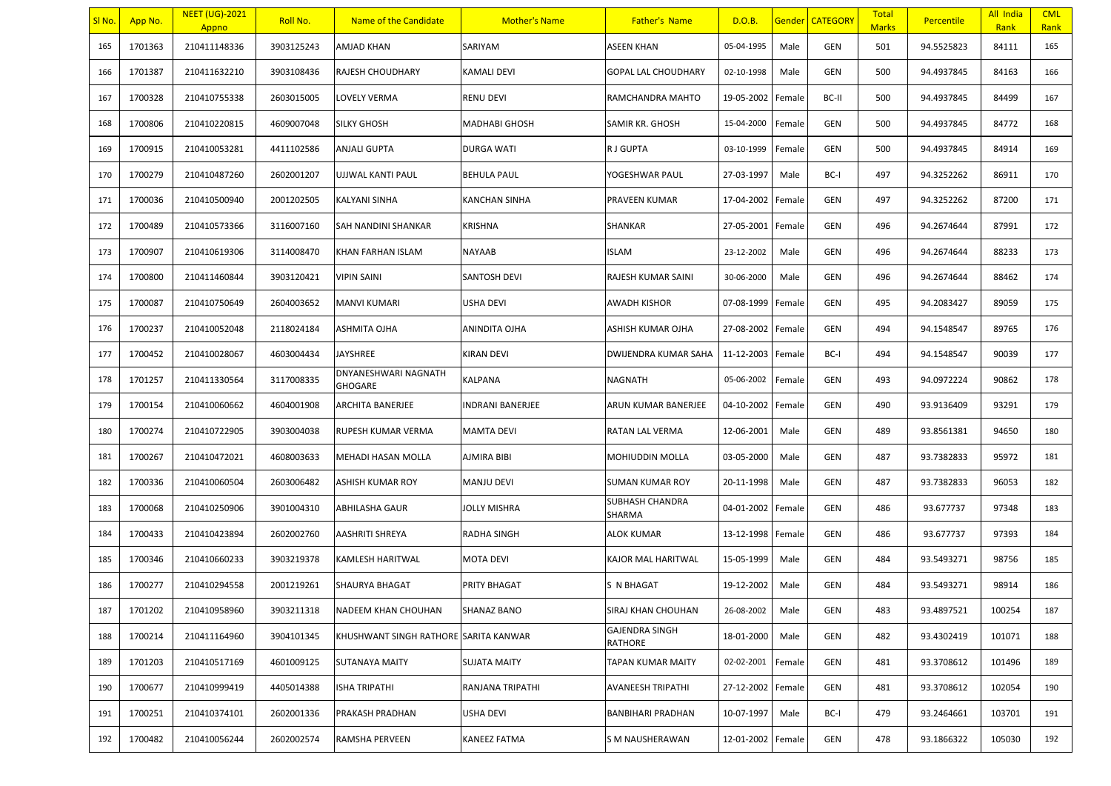| SI No. | App No. | <b>NEET (UG)-2021</b><br>Appno | Roll No.   | Name of the Candidate                 | <b>Mother's Name</b> | <b>Father's Name</b>             | D.O.B.     |        | Gender   CATEGORY | <b>Total</b><br><b>Marks</b> | <b>Percentile</b> | All India<br>Rank | <b>CML</b><br>Rank |
|--------|---------|--------------------------------|------------|---------------------------------------|----------------------|----------------------------------|------------|--------|-------------------|------------------------------|-------------------|-------------------|--------------------|
| 165    | 1701363 | 210411148336                   | 3903125243 | AMJAD KHAN                            | SARIYAM              | ASEEN KHAN                       | 05-04-1995 | Male   | GEN               | 501                          | 94.5525823        | 84111             | 165                |
| 166    | 1701387 | 210411632210                   | 3903108436 | RAJESH CHOUDHARY                      | KAMALI DEVI          | <b>GOPAL LAL CHOUDHARY</b>       | 02-10-1998 | Male   | <b>GEN</b>        | 500                          | 94.4937845        | 84163             | 166                |
| 167    | 1700328 | 210410755338                   | 2603015005 | LOVELY VERMA                          | RENU DEVI            | RAMCHANDRA MAHTO                 | 19-05-2002 | Female | BC-II             | 500                          | 94.4937845        | 84499             | 167                |
| 168    | 1700806 | 210410220815                   | 4609007048 | <b>SILKY GHOSH</b>                    | MADHABI GHOSH        | SAMIR KR. GHOSH                  | 15-04-2000 | Female | GEN               | 500                          | 94.4937845        | 84772             | 168                |
| 169    | 1700915 | 210410053281                   | 4411102586 | <b>ANJALI GUPTA</b>                   | <b>DURGA WATI</b>    | R J GUPTA                        | 03-10-1999 | Female | GEN               | 500                          | 94.4937845        | 84914             | 169                |
| 170    | 1700279 | 210410487260                   | 2602001207 | UJJWAL KANTI PAUL                     | <b>BEHULA PAUL</b>   | YOGESHWAR PAUL                   | 27-03-1997 | Male   | BC-I              | 497                          | 94.3252262        | 86911             | 170                |
| 171    | 1700036 | 210410500940                   | 2001202505 | KALYANI SINHA                         | KANCHAN SINHA        | PRAVEEN KUMAR                    | 17-04-2002 | Female | GEN               | 497                          | 94.3252262        | 87200             | 171                |
| 172    | 1700489 | 210410573366                   | 3116007160 | SAH NANDINI SHANKAR                   | KRISHNA              | SHANKAR                          | 27-05-2001 | Female | GEN               | 496                          | 94.2674644        | 87991             | 172                |
| 173    | 1700907 | 210410619306                   | 3114008470 | KHAN FARHAN ISLAM                     | NAYAAB               | <b>ISLAM</b>                     | 23-12-2002 | Male   | GEN               | 496                          | 94.2674644        | 88233             | 173                |
| 174    | 1700800 | 210411460844                   | 3903120421 | <b>VIPIN SAINI</b>                    | SANTOSH DEVI         | RAJESH KUMAR SAINI               | 30-06-2000 | Male   | GEN               | 496                          | 94.2674644        | 88462             | 174                |
| 175    | 1700087 | 210410750649                   | 2604003652 | MANVI KUMARI                          | USHA DEVI            | AWADH KISHOR                     | 07-08-1999 | Female | GEN               | 495                          | 94.2083427        | 89059             | 175                |
| 176    | 1700237 | 210410052048                   | 2118024184 | ASHMITA OJHA                          | ANINDITA OJHA        | ASHISH KUMAR OJHA                | 27-08-2002 | Female | GEN               | 494                          | 94.1548547        | 89765             | 176                |
| 177    | 1700452 | 210410028067                   | 4603004434 | <b>JAYSHREE</b>                       | KIRAN DEVI           | DWIJENDRA KUMAR SAHA             | 11-12-2003 | Female | BC-I              | 494                          | 94.1548547        | 90039             | 177                |
| 178    | 1701257 | 210411330564                   | 3117008335 | DNYANESHWARI NAGNATH<br>GHOGARE       | KALPANA              | NAGNATH                          | 05-06-2002 | Female | GEN               | 493                          | 94.0972224        | 90862             | 178                |
| 179    | 1700154 | 210410060662                   | 4604001908 | ARCHITA BANERJEE                      | INDRANI BANERJEE     | ARUN KUMAR BANERJEE              | 04-10-2002 | Female | <b>GEN</b>        | 490                          | 93.9136409        | 93291             | 179                |
| 180    | 1700274 | 210410722905                   | 3903004038 | RUPESH KUMAR VERMA                    | MAMTA DEVI           | RATAN LAL VERMA                  | 12-06-2001 | Male   | GEN               | 489                          | 93.8561381        | 94650             | 180                |
| 181    | 1700267 | 210410472021                   | 4608003633 | MEHADI HASAN MOLLA                    | <b>AJMIRA BIBI</b>   | MOHIUDDIN MOLLA                  | 03-05-2000 | Male   | GEN               | 487                          | 93.7382833        | 95972             | 181                |
| 182    | 1700336 | 210410060504                   | 2603006482 | ASHISH KUMAR ROY                      | <b>MANJU DEVI</b>    | <b>SUMAN KUMAR ROY</b>           | 20-11-1998 | Male   | GEN               | 487                          | 93.7382833        | 96053             | 182                |
| 183    | 1700068 | 210410250906                   | 3901004310 | ABHILASHA GAUR                        | JOLLY MISHRA         | SUBHASH CHANDRA<br>SHARMA        | 04-01-2002 | Female | GEN               | 486                          | 93.677737         | 97348             | 183                |
| 184    | 1700433 | 210410423894                   | 2602002760 | AASHRITI SHREYA                       | RADHA SINGH          | ALOK KUMAR                       | 13-12-1998 | Female | GEN               | 486                          | 93.677737         | 97393             | 184                |
| 185    | 1700346 | 210410660233                   | 3903219378 | KAMLESH HARITWAL                      | MOTA DEVI            | KAJOR MAL HARITWAL               | 15-05-1999 | Male   | GEN               | 484                          | 93.5493271        | 98756             | 185                |
| 186    | 1700277 | 210410294558                   | 2001219261 | SHAURYA BHAGAT                        | PRITY BHAGAT         | S N BHAGAT                       | 19-12-2002 | Male   | GEN               | 484                          | 93.5493271        | 98914             | 186                |
| 187    | 1701202 | 210410958960                   | 3903211318 | NADEEM KHAN CHOUHAN                   | <b>SHANAZ BANO</b>   | SIRAJ KHAN CHOUHAN               | 26-08-2002 | Male   | <b>GEN</b>        | 483                          | 93.4897521        | 100254            | 187                |
| 188    | 1700214 | 210411164960                   | 3904101345 | KHUSHWANT SINGH RATHORE SARITA KANWAR |                      | <b>GAJENDRA SINGH</b><br>RATHORE | 18-01-2000 | Male   | GEN               | 482                          | 93.4302419        | 101071            | 188                |
| 189    | 1701203 | 210410517169                   | 4601009125 | <b>SUTANAYA MAITY</b>                 | <b>SUJATA MAITY</b>  | TAPAN KUMAR MAITY                | 02-02-2001 | Female | GEN               | 481                          | 93.3708612        | 101496            | 189                |
| 190    | 1700677 | 210410999419                   | 4405014388 | ISHA TRIPATHI                         | RANJANA TRIPATHI     | <b>AVANEESH TRIPATHI</b>         | 27-12-2002 | Female | GEN               | 481                          | 93.3708612        | 102054            | 190                |
| 191    | 1700251 | 210410374101                   | 2602001336 | PRAKASH PRADHAN                       | USHA DEVI            | BANBIHARI PRADHAN                | 10-07-1997 | Male   | BC-I              | 479                          | 93.2464661        | 103701            | 191                |
| 192    | 1700482 | 210410056244                   | 2602002574 | RAMSHA PERVEEN                        | KANEEZ FATMA         | S M NAUSHERAWAN                  | 12-01-2002 | Female | GEN               | 478                          | 93.1866322        | 105030            | 192                |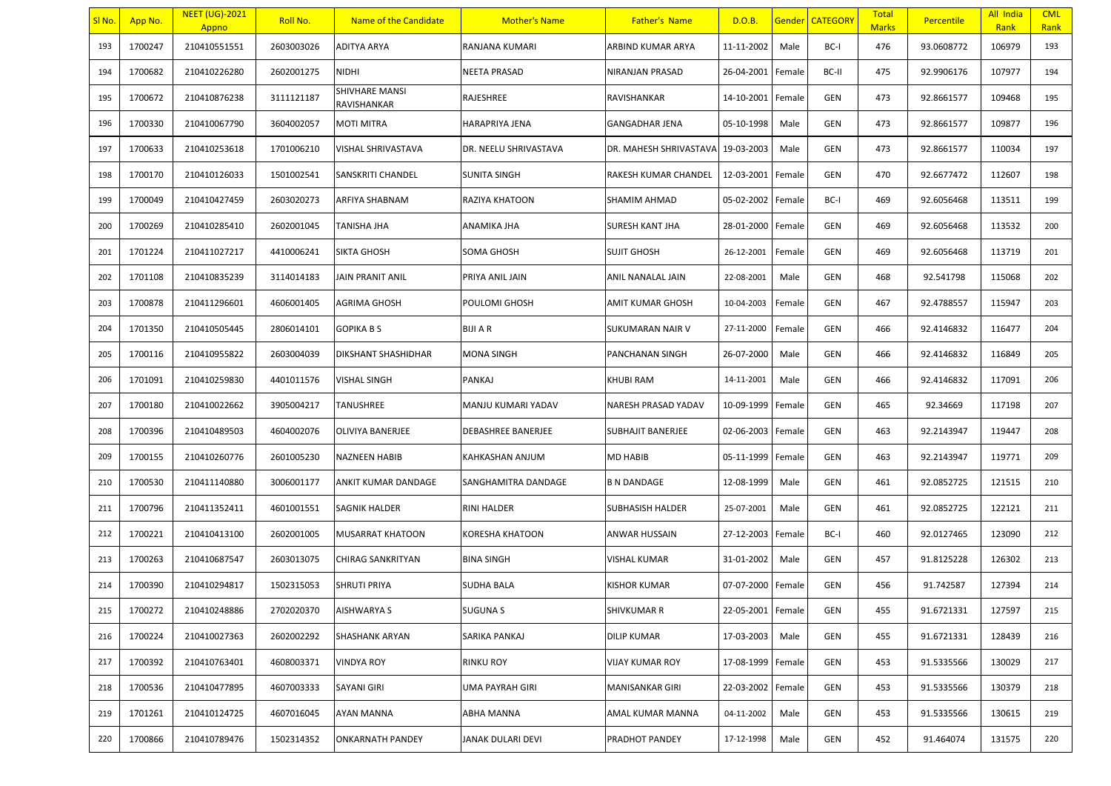| <u>SI No.</u> | App No. | <b>NEET (UG)-2021</b><br>Appno | Roll No.   | Name of the Candidate         | <b>Mother's Name</b>      | <b>Father's Name</b>     | D.O.B.            |        | <b>Gender CATEGORY</b> | <b>Total</b><br><b>Marks</b> | Percentile | All India<br>Rank | <b>CML</b><br>Rank |
|---------------|---------|--------------------------------|------------|-------------------------------|---------------------------|--------------------------|-------------------|--------|------------------------|------------------------------|------------|-------------------|--------------------|
| 193           | 1700247 | 210410551551                   | 2603003026 | ADITYA ARYA                   | RANJANA KUMARI            | ARBIND KUMAR ARYA        | 11-11-2002        | Male   | BC-I                   | 476                          | 93.0608772 | 106979            | 193                |
| 194           | 1700682 | 210410226280                   | 2602001275 | <b>NIDHI</b>                  | <b>NEETA PRASAD</b>       | NIRANJAN PRASAD          | 26-04-2001        | Female | BC-II                  | 475                          | 92.9906176 | 107977            | 194                |
| 195           | 1700672 | 210410876238                   | 3111121187 | SHIVHARE MANSI<br>RAVISHANKAR | RAJESHREE                 | RAVISHANKAR              | 14-10-2001        | Female | GEN                    | 473                          | 92.8661577 | 109468            | 195                |
| 196           | 1700330 | 210410067790                   | 3604002057 | MOTI MITRA                    | <b>HARAPRIYA JENA</b>     | <b>GANGADHAR JENA</b>    | 05-10-1998        | Male   | GEN                    | 473                          | 92.8661577 | 109877            | 196                |
| 197           | 1700633 | 210410253618                   | 1701006210 | VISHAL SHRIVASTAVA            | DR. NEELU SHRIVASTAVA     | DR. MAHESH SHRIVASTAVA   | 19-03-2003        | Male   | GEN                    | 473                          | 92.8661577 | 110034            | 197                |
| 198           | 1700170 | 210410126033                   | 1501002541 | SANSKRITI CHANDEL             | <b>SUNITA SINGH</b>       | RAKESH KUMAR CHANDEL     | 12-03-2001        | Female | GEN                    | 470                          | 92.6677472 | 112607            | 198                |
| 199           | 1700049 | 210410427459                   | 2603020273 | ARFIYA SHABNAM                | <b>RAZIYA KHATOON</b>     | SHAMIM AHMAD             | 05-02-2002        | Female | BC-I                   | 469                          | 92.6056468 | 113511            | 199                |
| 200           | 1700269 | 210410285410                   | 2602001045 | TANISHA JHA                   | ANAMIKA JHA               | SURESH KANT JHA          | 28-01-2000        | Female | GEN                    | 469                          | 92.6056468 | 113532            | 200                |
| 201           | 1701224 | 210411027217                   | 4410006241 | <b>SIKTA GHOSH</b>            | <b>SOMA GHOSH</b>         | <b>SUJIT GHOSH</b>       | 26-12-2001        | Female | GEN                    | 469                          | 92.6056468 | 113719            | 201                |
| 202           | 1701108 | 210410835239                   | 3114014183 | <b>JAIN PRANIT ANIL</b>       | PRIYA ANIL JAIN           | ANIL NANALAL JAIN        | 22-08-2001        | Male   | GEN                    | 468                          | 92.541798  | 115068            | 202                |
| 203           | 1700878 | 210411296601                   | 4606001405 | AGRIMA GHOSH                  | POULOMI GHOSH             | AMIT KUMAR GHOSH         | 10-04-2003        | Female | GEN                    | 467                          | 92.4788557 | 115947            | 203                |
| 204           | 1701350 | 210410505445                   | 2806014101 | <b>GOPIKA B S</b>             | <b>BIJI A R</b>           | SUKUMARAN NAIR V         | 27-11-2000        | Female | GEN                    | 466                          | 92.4146832 | 116477            | 204                |
| 205           | 1700116 | 210410955822                   | 2603004039 | DIKSHANT SHASHIDHAR           | <b>MONA SINGH</b>         | PANCHANAN SINGH          | 26-07-2000        | Male   | GEN                    | 466                          | 92.4146832 | 116849            | 205                |
| 206           | 1701091 | 210410259830                   | 4401011576 | <b>VISHAL SINGH</b>           | PANKAJ                    | KHUBI RAM                | 14-11-2001        | Male   | GEN                    | 466                          | 92.4146832 | 117091            | 206                |
| 207           | 1700180 | 210410022662                   | 3905004217 | TANUSHREE                     | MANJU KUMARI YADAV        | NARESH PRASAD YADAV      | 10-09-1999        | Female | GEN                    | 465                          | 92.34669   | 117198            | 207                |
| 208           | 1700396 | 210410489503                   | 4604002076 | OLIVIYA BANERJEE              | <b>DEBASHREE BANERJEE</b> | <b>SUBHAJIT BANERJEE</b> | 02-06-2003        | Female | GEN                    | 463                          | 92.2143947 | 119447            | 208                |
| 209           | 1700155 | 210410260776                   | 2601005230 | <b>NAZNEEN HABIB</b>          | KAHKASHAN ANJUM           | MD HABIB                 | 05-11-1999        | Female | GEN                    | 463                          | 92.2143947 | 119771            | 209                |
| 210           | 1700530 | 210411140880                   | 3006001177 | ANKIT KUMAR DANDAGE           | SANGHAMITRA DANDAGE       | <b>B N DANDAGE</b>       | 12-08-1999        | Male   | GEN                    | 461                          | 92.0852725 | 121515            | 210                |
| 211           | 1700796 | 210411352411                   | 4601001551 | SAGNIK HALDER                 | <b>RINI HALDER</b>        | SUBHASISH HALDER         | 25-07-2001        | Male   | GEN                    | 461                          | 92.0852725 | 122121            | 211                |
| 212           | 1700221 | 210410413100                   | 2602001005 | <b>MUSARRAT KHATOON</b>       | KORESHA KHATOON           | ANWAR HUSSAIN            | 27-12-2003        | Female | BC-I                   | 460                          | 92.0127465 | 123090            | 212                |
| 213           | 1700263 | 210410687547                   | 2603013075 | CHIRAG SANKRITYAN             | <b>BINA SINGH</b>         | VISHAL KUMAR             | 31-01-2002        | Male   | GEN                    | 457                          | 91.8125228 | 126302            | 213                |
| 214           | 1700390 | 210410294817                   | 1502315053 | SHRUTI PRIYA                  | <b>SUDHA BALA</b>         | KISHOR KUMAR             | 07-07-2000        | Female | GEN                    | 456                          | 91.742587  | 127394            | 214                |
| 215           | 1700272 | 210410248886                   | 2702020370 | <b>AISHWARYA S</b>            | <b>SUGUNA S</b>           | <b>SHIVKUMAR R</b>       | 22-05-2001 Female |        | GEN                    | 455                          | 91.6721331 | 127597            | 215                |
| 216           | 1700224 | 210410027363                   | 2602002292 | SHASHANK ARYAN                | SARIKA PANKAJ             | DILIP KUMAR              | 17-03-2003        | Male   | GEN                    | 455                          | 91.6721331 | 128439            | 216                |
| 217           | 1700392 | 210410763401                   | 4608003371 | <b>VINDYA ROY</b>             | <b>RINKU ROY</b>          | VIJAY KUMAR ROY          | 17-08-1999        | Female | GEN                    | 453                          | 91.5335566 | 130029            | 217                |
| 218           | 1700536 | 210410477895                   | 4607003333 | SAYANI GIRI                   | <b>UMA PAYRAH GIRI</b>    | MANISANKAR GIRI          | 22-03-2002        | Female | GEN                    | 453                          | 91.5335566 | 130379            | 218                |
| 219           | 1701261 | 210410124725                   | 4607016045 | AYAN MANNA                    | <b>ABHA MANNA</b>         | AMAL KUMAR MANNA         | 04-11-2002        | Male   | GEN                    | 453                          | 91.5335566 | 130615            | 219                |
| 220           | 1700866 | 210410789476                   | 1502314352 | <b>ONKARNATH PANDEY</b>       | JANAK DULARI DEVI         | PRADHOT PANDEY           | 17-12-1998        | Male   | GEN                    | 452                          | 91.464074  | 131575            | 220                |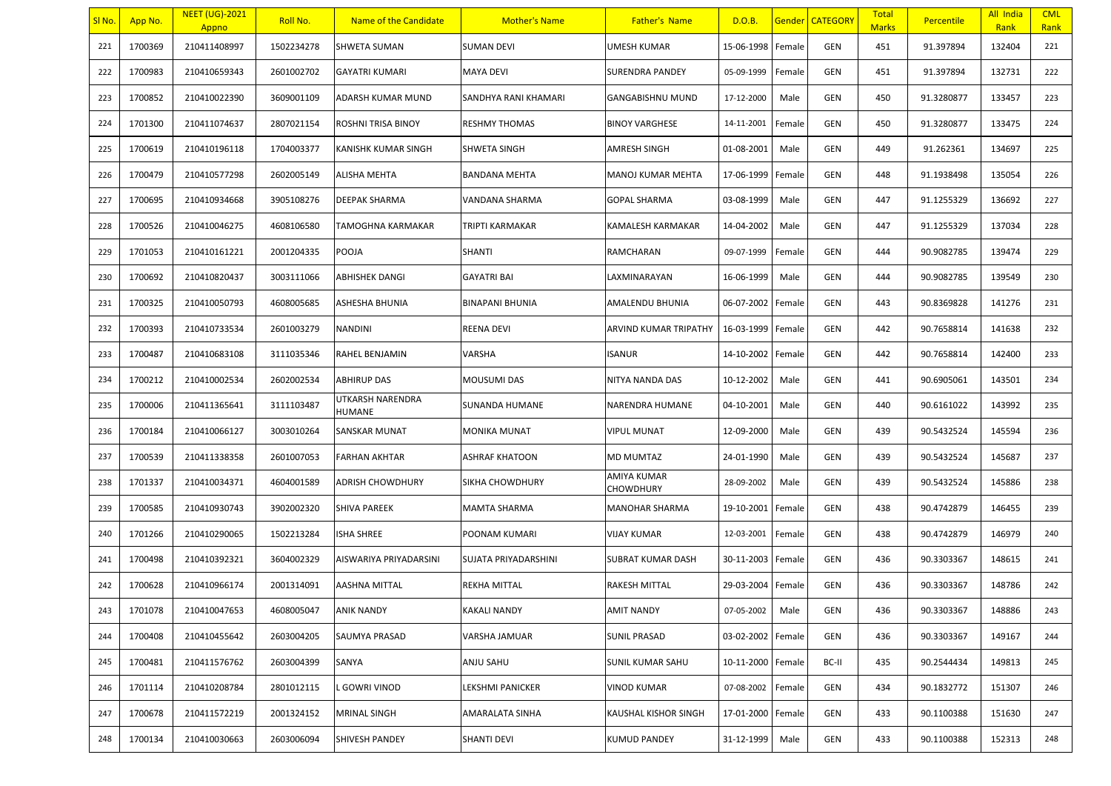| SI No. | App No. | <b>NEET (UG)-2021</b><br>Appno | Roll No.   | Name of the Candidate      | <b>Mother's Name</b>   | <b>Father's Name</b>     | D.O.B.     |        | Gender   CATEGORY | <b>Total</b><br><b>Marks</b> | <b>Percentile</b> | All India<br>Rank | <b>CML</b><br>Rank |
|--------|---------|--------------------------------|------------|----------------------------|------------------------|--------------------------|------------|--------|-------------------|------------------------------|-------------------|-------------------|--------------------|
| 221    | 1700369 | 210411408997                   | 1502234278 | <b>SHWETA SUMAN</b>        | <b>SUMAN DEVI</b>      | UMESH KUMAR              | 15-06-1998 | Female | <b>GEN</b>        | 451                          | 91.397894         | 132404            | 221                |
| 222    | 1700983 | 210410659343                   | 2601002702 | <b>GAYATRI KUMARI</b>      | <b>MAYA DEVI</b>       | SURENDRA PANDEY          | 05-09-1999 | Female | <b>GEN</b>        | 451                          | 91.397894         | 132731            | 222                |
| 223    | 1700852 | 210410022390                   | 3609001109 | ADARSH KUMAR MUND          | SANDHYA RANI KHAMARI   | GANGABISHNU MUND         | 17-12-2000 | Male   | GEN               | 450                          | 91.3280877        | 133457            | 223                |
| 224    | 1701300 | 210411074637                   | 2807021154 | ROSHNI TRISA BINOY         | RESHMY THOMAS          | BINOY VARGHESE           | 14-11-2001 | Female | GEN               | 450                          | 91.3280877        | 133475            | 224                |
| 225    | 1700619 | 210410196118                   | 1704003377 | <b>KANISHK KUMAR SINGH</b> | SHWETA SINGH           | AMRESH SINGH             | 01-08-2001 | Male   | GEN               | 449                          | 91.262361         | 134697            | 225                |
| 226    | 1700479 | 210410577298                   | 2602005149 | <b>ALISHA MEHTA</b>        | <b>BANDANA MEHTA</b>   | <b>MANOJ KUMAR MEHTA</b> | 17-06-1999 | Female | GEN               | 448                          | 91.1938498        | 135054            | 226                |
| 227    | 1700695 | 210410934668                   | 3905108276 | DEEPAK SHARMA              | VANDANA SHARMA         | GOPAL SHARMA             | 03-08-1999 | Male   | <b>GEN</b>        | 447                          | 91.1255329        | 136692            | 227                |
| 228    | 1700526 | 210410046275                   | 4608106580 | TAMOGHNA KARMAKAR          | TRIPTI KARMAKAR        | KAMALESH KARMAKAR        | 14-04-2002 | Male   | GEN               | 447                          | 91.1255329        | 137034            | 228                |
| 229    | 1701053 | 210410161221                   | 2001204335 | POOJA                      | <b>SHANTI</b>          | RAMCHARAN                | 09-07-1999 | Female | GEN               | 444                          | 90.9082785        | 139474            | 229                |
| 230    | 1700692 | 210410820437                   | 3003111066 | ABHISHEK DANGI             | <b>GAYATRI BAI</b>     | LAXMINARAYAN             | 16-06-1999 | Male   | GEN               | 444                          | 90.9082785        | 139549            | 230                |
| 231    | 1700325 | 210410050793                   | 4608005685 | ASHESHA BHUNIA             | <b>BINAPANI BHUNIA</b> | AMALENDU BHUNIA          | 06-07-2002 | Female | GEN               | 443                          | 90.8369828        | 141276            | 231                |
| 232    | 1700393 | 210410733534                   | 2601003279 | <b>NANDINI</b>             | REENA DEVI             | ARVIND KUMAR TRIPATHY    | 16-03-1999 | Female | GEN               | 442                          | 90.7658814        | 141638            | 232                |
| 233    | 1700487 | 210410683108                   | 3111035346 | RAHEL BENJAMIN             | VARSHA                 | <b>ISANUR</b>            | 14-10-2002 | Female | GEN               | 442                          | 90.7658814        | 142400            | 233                |
| 234    | 1700212 | 210410002534                   | 2602002534 | <b>ABHIRUP DAS</b>         | MOUSUMI DAS            | NITYA NANDA DAS          | 10-12-2002 | Male   | GEN               | 441                          | 90.6905061        | 143501            | 234                |
| 235    | 1700006 | 210411365641                   | 3111103487 | UTKARSH NARENDRA<br>HUMANE | SUNANDA HUMANE         | NARENDRA HUMANE          | 04-10-2001 | Male   | <b>GEN</b>        | 440                          | 90.6161022        | 143992            | 235                |
| 236    | 1700184 | 210410066127                   | 3003010264 | <b>SANSKAR MUNAT</b>       | MONIKA MUNAT           | <b>VIPUL MUNAT</b>       | 12-09-2000 | Male   | GEN               | 439                          | 90.5432524        | 145594            | 236                |
| 237    | 1700539 | 210411338358                   | 2601007053 | <b>FARHAN AKHTAR</b>       | ASHRAF KHATOON         | MD MUMTAZ                | 24-01-1990 | Male   | GEN               | 439                          | 90.5432524        | 145687            | 237                |
| 238    | 1701337 | 210410034371                   | 4604001589 | <b>ADRISH CHOWDHURY</b>    | SIKHA CHOWDHURY        | AMIYA KUMAR<br>CHOWDHURY | 28-09-2002 | Male   | GEN               | 439                          | 90.5432524        | 145886            | 238                |
| 239    | 1700585 | 210410930743                   | 3902002320 | <b>SHIVA PAREEK</b>        | MAMTA SHARMA           | MANOHAR SHARMA           | 19-10-2001 | Female | <b>GEN</b>        | 438                          | 90.4742879        | 146455            | 239                |
| 240    | 1701266 | 210410290065                   | 1502213284 | <b>ISHA SHREE</b>          | POONAM KUMARI          | VIJAY KUMAR              | 12-03-2001 | Female | GEN               | 438                          | 90.4742879        | 146979            | 240                |
| 241    | 1700498 | 210410392321                   | 3604002329 | AISWARIYA PRIYADARSINI     | SUJATA PRIYADARSHINI   | SUBRAT KUMAR DASH        | 30-11-2003 | Female | GEN               | 436                          | 90.3303367        | 148615            | 241                |
| 242    | 1700628 | 210410966174                   | 2001314091 | <b>AASHNA MITTAL</b>       | REKHA MITTAL           | RAKESH MITTAL            | 29-03-2004 | Female | GEN               | 436                          | 90.3303367        | 148786            | 242                |
| 243    | 1701078 | 210410047653                   | 4608005047 | <b>ANIK NANDY</b>          | <b>KAKALI NANDY</b>    | <b>AMIT NANDY</b>        | 07-05-2002 | Male   | <b>GEN</b>        | 436                          | 90.3303367        | 148886            | 243                |
| 244    | 1700408 | 210410455642                   | 2603004205 | SAUMYA PRASAD              | VARSHA JAMUAR          | <b>SUNIL PRASAD</b>      | 03-02-2002 | Female | GEN               | 436                          | 90.3303367        | 149167            | 244                |
| 245    | 1700481 | 210411576762                   | 2603004399 | SANYA                      | ANJU SAHU              | SUNIL KUMAR SAHU         | 10-11-2000 | Female | BC-II             | 435                          | 90.2544434        | 149813            | 245                |
| 246    | 1701114 | 210410208784                   | 2801012115 | L GOWRI VINOD              | LEKSHMI PANICKER       | VINOD KUMAR              | 07-08-2002 | Female | GEN               | 434                          | 90.1832772        | 151307            | 246                |
| 247    | 1700678 | 210411572219                   | 2001324152 | MRINAL SINGH               | AMARALATA SINHA        | KAUSHAL KISHOR SINGH     | 17-01-2000 | Female | GEN               | 433                          | 90.1100388        | 151630            | 247                |
| 248    | 1700134 | 210410030663                   | 2603006094 | SHIVESH PANDEY             | SHANTI DEVI            | KUMUD PANDEY             | 31-12-1999 | Male   | GEN               | 433                          | 90.1100388        | 152313            | 248                |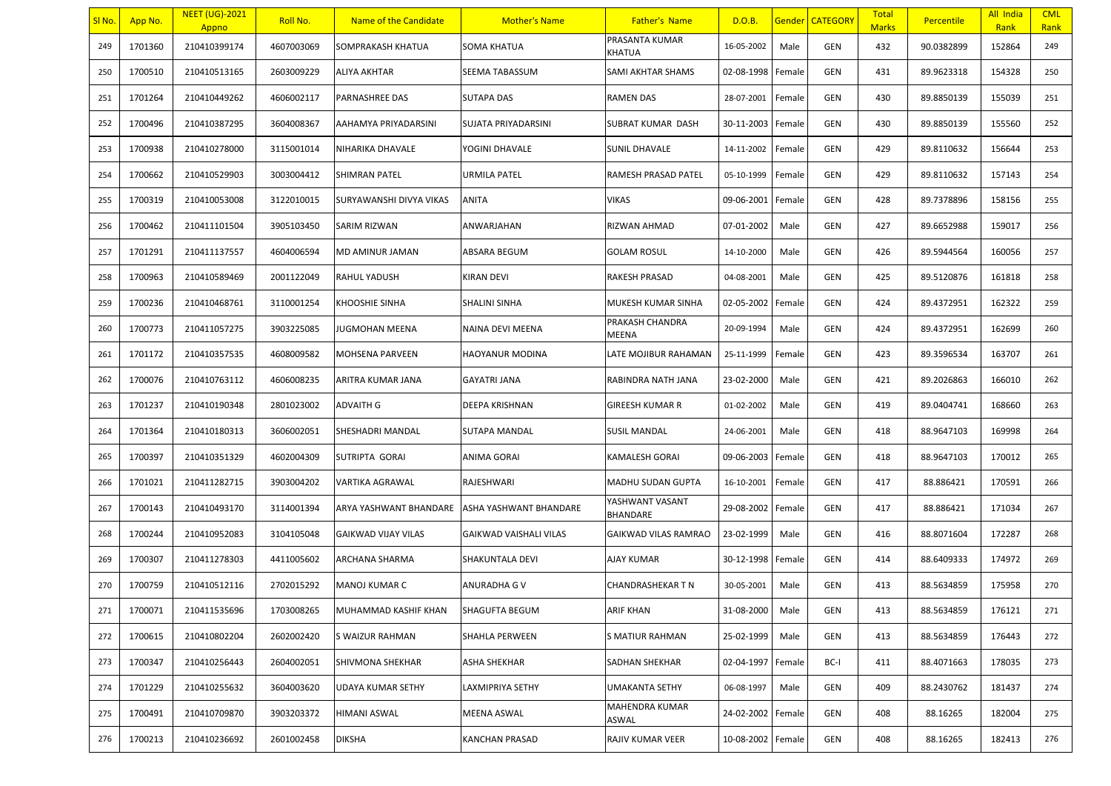| <u>SI No.</u> | App No. | <b>NEET (UG)-2021</b><br>Appno | Roll No.   | Name of the Candidate      | <b>Mother's Name</b>   | <b>Father's Name</b>        | D.O.B.            |        | <b>Gender CATEGORY</b> | <b>Total</b><br><b>Marks</b> | <b>Percentile</b> | All India<br>Rank | <b>CML</b><br>Rank |
|---------------|---------|--------------------------------|------------|----------------------------|------------------------|-----------------------------|-------------------|--------|------------------------|------------------------------|-------------------|-------------------|--------------------|
| 249           | 1701360 | 210410399174                   | 4607003069 | SOMPRAKASH KHATUA          | <b>SOMA KHATUA</b>     | PRASANTA KUMAR<br>KHATUA    | 16-05-2002        | Male   | GEN                    | 432                          | 90.0382899        | 152864            | 249                |
| 250           | 1700510 | 210410513165                   | 2603009229 | <b>ALIYA AKHTAR</b>        | SEEMA TABASSUM         | SAMI AKHTAR SHAMS           | 02-08-1998        | Female | <b>GEN</b>             | 431                          | 89.9623318        | 154328            | 250                |
| 251           | 1701264 | 210410449262                   | 4606002117 | <b>PARNASHREE DAS</b>      | <b>SUTAPA DAS</b>      | <b>RAMEN DAS</b>            | 28-07-2001        | Female | GEN                    | 430                          | 89.8850139        | 155039            | 251                |
| 252           | 1700496 | 210410387295                   | 3604008367 | AAHAMYA PRIYADARSINI       | SUJATA PRIYADARSINI    | SUBRAT KUMAR DASH           | 30-11-2003        | Female | GEN                    | 430                          | 89.8850139        | 155560            | 252                |
| 253           | 1700938 | 210410278000                   | 3115001014 | NIHARIKA DHAVALE           | YOGINI DHAVALE         | <b>SUNIL DHAVALE</b>        | 14-11-2002        | Female | GEN                    | 429                          | 89.8110632        | 156644            | 253                |
| 254           | 1700662 | 210410529903                   | 3003004412 | <b>SHIMRAN PATEL</b>       | URMILA PATEL           | RAMESH PRASAD PATEL         | 05-10-1999        | Female | <b>GEN</b>             | 429                          | 89.8110632        | 157143            | 254                |
| 255           | 1700319 | 210410053008                   | 3122010015 | SURYAWANSHI DIVYA VIKAS    | <b>ANITA</b>           | VIKAS                       | 09-06-2001        | Female | <b>GEN</b>             | 428                          | 89.7378896        | 158156            | 255                |
| 256           | 1700462 | 210411101504                   | 3905103450 | SARIM RIZWAN               | ANWARJAHAN             | RIZWAN AHMAD                | 07-01-2002        | Male   | <b>GEN</b>             | 427                          | 89.6652988        | 159017            | 256                |
| 257           | 1701291 | 210411137557                   | 4604006594 | MD AMINUR JAMAN            | ABSARA BEGUM           | <b>GOLAM ROSUL</b>          | 14-10-2000        | Male   | <b>GEN</b>             | 426                          | 89.5944564        | 160056            | 257                |
| 258           | 1700963 | 210410589469                   | 2001122049 | <b>RAHUL YADUSH</b>        | <b>KIRAN DEVI</b>      | RAKESH PRASAD               | 04-08-2001        | Male   | <b>GEN</b>             | 425                          | 89.5120876        | 161818            | 258                |
| 259           | 1700236 | 210410468761                   | 3110001254 | <b>KHOOSHIE SINHA</b>      | <b>SHALINI SINHA</b>   | MUKESH KUMAR SINHA          | 02-05-2002        | Female | <b>GEN</b>             | 424                          | 89.4372951        | 162322            | 259                |
| 260           | 1700773 | 210411057275                   | 3903225085 | <b>JUGMOHAN MEENA</b>      | NAINA DEVI MEENA       | PRAKASH CHANDRA<br>MEENA    | 20-09-1994        | Male   | <b>GEN</b>             | 424                          | 89.4372951        | 162699            | 260                |
| 261           | 1701172 | 210410357535                   | 4608009582 | <b>MOHSENA PARVEEN</b>     | <b>HAOYANUR MODINA</b> | LATE MOJIBUR RAHAMAN        | 25-11-1999        | Female | GEN                    | 423                          | 89.3596534        | 163707            | 261                |
| 262           | 1700076 | 210410763112                   | 4606008235 | ARITRA KUMAR JANA          | <b>GAYATRI JANA</b>    | RABINDRA NATH JANA          | 23-02-2000        | Male   | GEN                    | 421                          | 89.2026863        | 166010            | 262                |
| 263           | 1701237 | 210410190348                   | 2801023002 | <b>ADVAITH G</b>           | DEEPA KRISHNAN         | GIREESH KUMAR R             | 01-02-2002        | Male   | <b>GEN</b>             | 419                          | 89.0404741        | 168660            | 263                |
| 264           | 1701364 | 210410180313                   | 3606002051 | SHESHADRI MANDAL           | <b>SUTAPA MANDAL</b>   | <b>SUSIL MANDAL</b>         | 24-06-2001        | Male   | <b>GEN</b>             | 418                          | 88.9647103        | 169998            | 264                |
| 265           | 1700397 | 210410351329                   | 4602004309 | SUTRIPTA GORAI             | <b>ANIMA GORAI</b>     | <b>KAMALESH GORAI</b>       | 09-06-2003        | Female | GEN                    | 418                          | 88.9647103        | 170012            | 265                |
| 266           | 1701021 | 210411282715                   | 3903004202 | VARTIKA AGRAWAL            | RAJESHWARI             | <b>MADHU SUDAN GUPTA</b>    | 16-10-2001        | Female | <b>GEN</b>             | 417                          | 88.886421         | 170591            | 266                |
| 267           | 1700143 | 210410493170                   | 3114001394 | ARYA YASHWANT BHANDARE     | ASHA YASHWANT BHANDARE | YASHWANT VASANT<br>BHANDARE | 29-08-2002 Female |        | GEN                    | 417                          | 88.886421         | 171034            | 267                |
| 268           | 1700244 | 210410952083                   | 3104105048 | <b>GAIKWAD VIJAY VILAS</b> | GAIKWAD VAISHALI VILAS | GAIKWAD VILAS RAMRAO        | 23-02-1999        | Male   | GEN                    | 416                          | 88.8071604        | 172287            | 268                |
| 269           | 1700307 | 210411278303                   | 4411005602 | ARCHANA SHARMA             | <b>SHAKUNTALA DEVI</b> | AJAY KUMAR                  | 30-12-1998        | Female | <b>GEN</b>             | 414                          | 88.6409333        | 174972            | 269                |
| 270           | 1700759 | 210410512116                   | 2702015292 | <b>MANOJ KUMAR C</b>       | ANURADHA G V           | CHANDRASHEKAR T N           | 30-05-2001        | Male   | GEN                    | 413                          | 88.5634859        | 175958            | 270                |
| 271           | 1700071 | 210411535696                   | 1703008265 | MUHAMMAD KASHIF KHAN       | <b>SHAGUFTA BEGUM</b>  | ARIF KHAN                   | 31-08-2000        | Male   | GEN                    | 413                          | 88.5634859        | 176121            | 271                |
| 272           | 1700615 | 210410802204                   | 2602002420 | S WAIZUR RAHMAN            | SHAHLA PERWEEN         | <b>S MATIUR RAHMAN</b>      | 25-02-1999        | Male   | GEN                    | 413                          | 88.5634859        | 176443            | 272                |
| 273           | 1700347 | 210410256443                   | 2604002051 | <b>SHIVMONA SHEKHAR</b>    | <b>ASHA SHEKHAR</b>    | SADHAN SHEKHAR              | 02-04-1997        | Female | BC-I                   | 411                          | 88.4071663        | 178035            | 273                |
| 274           | 1701229 | 210410255632                   | 3604003620 | <b>UDAYA KUMAR SETHY</b>   | LAXMIPRIYA SETHY       | <b>UMAKANTA SETHY</b>       | 06-08-1997        | Male   | GEN                    | 409                          | 88.2430762        | 181437            | 274                |
| 275           | 1700491 | 210410709870                   | 3903203372 | <b>HIMANI ASWAL</b>        | MEENA ASWAL            | MAHENDRA KUMAR<br>ASWAL     | 24-02-2002 Female |        | GEN                    | 408                          | 88.16265          | 182004            | 275                |
| 276           | 1700213 | 210410236692                   | 2601002458 | <b>DIKSHA</b>              | KANCHAN PRASAD         | RAJIV KUMAR VEER            | 10-08-2002 Female |        | GEN                    | 408                          | 88.16265          | 182413            | 276                |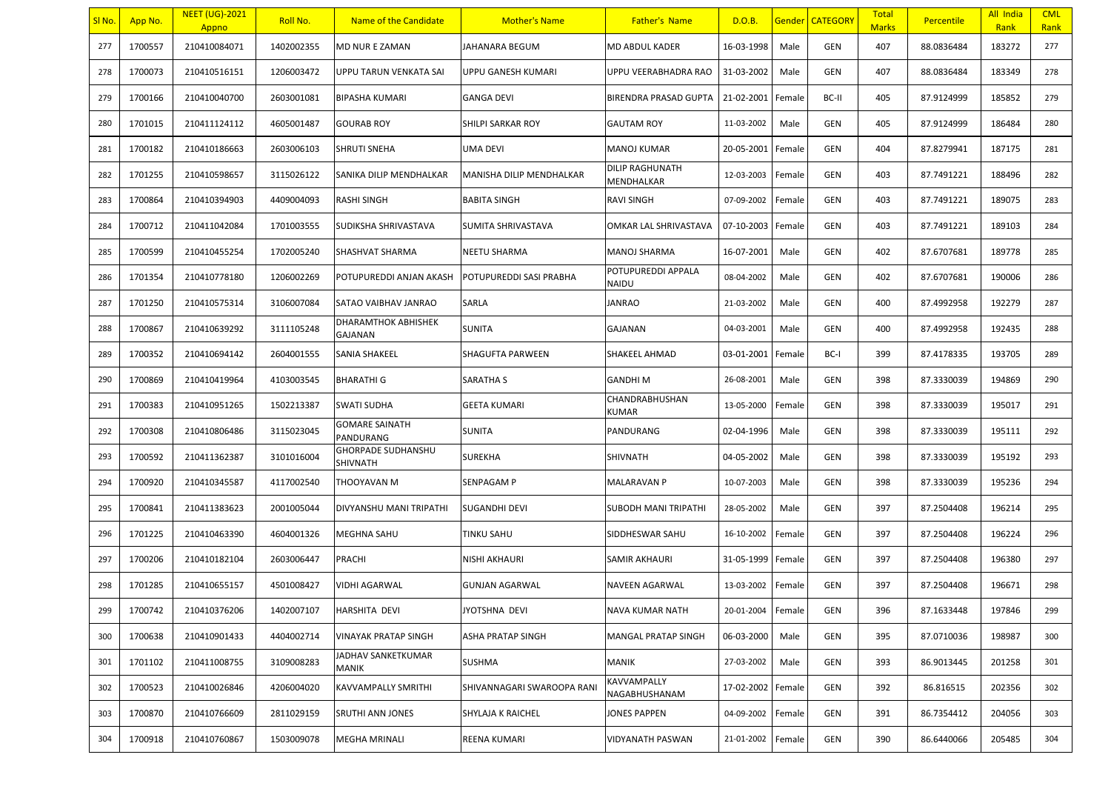| <u>SI No.</u> | App No. | <b>NEET (UG)-2021</b><br>Appno | <b>Roll No.</b> | Name of the Candidate                 | <b>Mother's Name</b>       | <b>Father's Name</b>          | D.O.B.            |        | <b>Gender CATEGORY</b> | <b>Total</b><br><b>Marks</b> | <b>Percentile</b> | All India<br>Rank | <b>CML</b><br>Rank |
|---------------|---------|--------------------------------|-----------------|---------------------------------------|----------------------------|-------------------------------|-------------------|--------|------------------------|------------------------------|-------------------|-------------------|--------------------|
| 277           | 1700557 | 210410084071                   | 1402002355      | MD NUR E ZAMAN                        | JAHANARA BEGUM             | <b>MD ABDUL KADER</b>         | 16-03-1998        | Male   | GEN                    | 407                          | 88.0836484        | 183272            | 277                |
| 278           | 1700073 | 210410516151                   | 1206003472      | UPPU TARUN VENKATA SAI                | UPPU GANESH KUMARI         | UPPU VEERABHADRA RAO          | 31-03-2002        | Male   | GEN                    | 407                          | 88.0836484        | 183349            | 278                |
| 279           | 1700166 | 210410040700                   | 2603001081      | <b>BIPASHA KUMARI</b>                 | <b>GANGA DEVI</b>          | BIRENDRA PRASAD GUPTA         | 21-02-2001        | Female | BC-II                  | 405                          | 87.9124999        | 185852            | 279                |
| 280           | 1701015 | 210411124112                   | 4605001487      | <b>GOURAB ROY</b>                     | SHILPI SARKAR ROY          | <b>GAUTAM ROY</b>             | 11-03-2002        | Male   | GEN                    | 405                          | 87.9124999        | 186484            | 280                |
| 281           | 1700182 | 210410186663                   | 2603006103      | <b>SHRUTI SNEHA</b>                   | UMA DEVI                   | MANOJ KUMAR                   | 20-05-2001        | Female | GEN                    | 404                          | 87.8279941        | 187175            | 281                |
| 282           | 1701255 | 210410598657                   | 3115026122      | SANIKA DILIP MENDHALKAR               | MANISHA DILIP MENDHALKAR   | DILIP RAGHUNATH<br>MENDHALKAR | 12-03-2003        | Female | GEN                    | 403                          | 87.7491221        | 188496            | 282                |
| 283           | 1700864 | 210410394903                   | 4409004093      | RASHI SINGH                           | <b>BABITA SINGH</b>        | RAVI SINGH                    | 07-09-2002        | Female | GEN                    | 403                          | 87.7491221        | 189075            | 283                |
| 284           | 1700712 | 210411042084                   | 1701003555      | SUDIKSHA SHRIVASTAVA                  | SUMITA SHRIVASTAVA         | OMKAR LAL SHRIVASTAVA         | 07-10-2003        | Female | GEN                    | 403                          | 87.7491221        | 189103            | 284                |
| 285           | 1700599 | 210410455254                   | 1702005240      | SHASHVAT SHARMA                       | <b>NEETU SHARMA</b>        | MANOJ SHARMA                  | 16-07-2001        | Male   | GEN                    | 402                          | 87.6707681        | 189778            | 285                |
| 286           | 1701354 | 210410778180                   | 1206002269      | POTUPUREDDI ANJAN AKASH               | POTUPUREDDI SASI PRABHA    | POTUPUREDDI APPALA<br>NAIDU   | 08-04-2002        | Male   | GEN                    | 402                          | 87.6707681        | 190006            | 286                |
| 287           | 1701250 | 210410575314                   | 3106007084      | SATAO VAIBHAV JANRAO                  | <b>SARLA</b>               | JANRAO                        | 21-03-2002        | Male   | GEN                    | 400                          | 87.4992958        | 192279            | 287                |
| 288           | 1700867 | 210410639292                   | 3111105248      | DHARAMTHOK ABHISHEK<br>GAJANAN        | <b>SUNITA</b>              | GAJANAN                       | 04-03-2001        | Male   | GEN                    | 400                          | 87.4992958        | 192435            | 288                |
| 289           | 1700352 | 210410694142                   | 2604001555      | <b>SANIA SHAKEEL</b>                  | <b>SHAGUFTA PARWEEN</b>    | SHAKEEL AHMAD                 | 03-01-2001        | Female | BC-I                   | 399                          | 87.4178335        | 193705            | 289                |
| 290           | 1700869 | 210410419964                   | 4103003545      | <b>BHARATHI G</b>                     | <b>SARATHA S</b>           | <b>GANDHIM</b>                | 26-08-2001        | Male   | GEN                    | 398                          | 87.3330039        | 194869            | 290                |
| 291           | 1700383 | 210410951265                   | 1502213387      | <b>SWATI SUDHA</b>                    | <b>GEETA KUMARI</b>        | CHANDRABHUSHAN<br>KUMAR       | 13-05-2000        | Female | GEN                    | 398                          | 87.3330039        | 195017            | 291                |
| 292           | 1700308 | 210410806486                   | 3115023045      | <b>GOMARE SAINATH</b><br>PANDURANG    | <b>SUNITA</b>              | PANDURANG                     | 02-04-1996        | Male   | GEN                    | 398                          | 87.3330039        | 195111            | 292                |
| 293           | 1700592 | 210411362387                   | 3101016004      | <b>GHORPADE SUDHANSHU</b><br>SHIVNATH | <b>SUREKHA</b>             | <b>SHIVNATH</b>               | 04-05-2002        | Male   | GEN                    | 398                          | 87.3330039        | 195192            | 293                |
| 294           | 1700920 | 210410345587                   | 4117002540      | THOOYAVAN M                           | <b>SENPAGAM P</b>          | MALARAVAN P                   | 10-07-2003        | Male   | GEN                    | 398                          | 87.3330039        | 195236            | 294                |
| 295           | 1700841 | 210411383623                   | 2001005044      | DIVYANSHU MANI TRIPATHI               | <b>SUGANDHI DEVI</b>       | SUBODH MANI TRIPATHI          | 28-05-2002        | Male   | GEN                    | 397                          | 87.2504408        | 196214            | 295                |
| 296           | 1701225 | 210410463390                   | 4604001326      | MEGHNA SAHU                           | <b>TINKU SAHU</b>          | SIDDHESWAR SAHU               | 16-10-2002        | Female | GEN                    | 397                          | 87.2504408        | 196224            | 296                |
| 297           | 1700206 | 210410182104                   | 2603006447      | PRACHI                                | <b>NISHI AKHAURI</b>       | SAMIR AKHAURI                 | 31-05-1999        | Female | GEN                    | 397                          | 87.2504408        | 196380            | 297                |
| 298           | 1701285 | 210410655157                   | 4501008427      | VIDHI AGARWAL                         | <b>GUNJAN AGARWAL</b>      | NAVEEN AGARWAL                | 13-03-2002        | Female | GEN                    | 397                          | 87.2504408        | 196671            | 298                |
| 299           | 1700742 | 210410376206                   | 1402007107      | <b>HARSHITA DEVI</b>                  | JYOTSHNA DEVI              | NAVA KUMAR NATH               | 20-01-2004 Female |        | GEN                    | 396                          | 87.1633448        | 197846            | 299                |
| 300           | 1700638 | 210410901433                   | 4404002714      | <b>VINAYAK PRATAP SINGH</b>           | ASHA PRATAP SINGH          | MANGAL PRATAP SINGH           | 06-03-2000        | Male   | GEN                    | 395                          | 87.0710036        | 198987            | 300                |
| 301           | 1701102 | 210411008755                   | 3109008283      | JADHAV SANKETKUMAR<br>MANIK           | <b>SUSHMA</b>              | MANIK                         | 27-03-2002        | Male   | GEN                    | 393                          | 86.9013445        | 201258            | 301                |
| 302           | 1700523 | 210410026846                   | 4206004020      | <b>KAVVAMPALLY SMRITHI</b>            | SHIVANNAGARI SWAROOPA RANI | KAVVAMPALLY<br>NAGABHUSHANAM  | 17-02-2002        | Female | GEN                    | 392                          | 86.816515         | 202356            | 302                |
| 303           | 1700870 | 210410766609                   | 2811029159      | SRUTHI ANN JONES                      | <b>SHYLAJA K RAICHEL</b>   | JONES PAPPEN                  | 04-09-2002        | Female | GEN                    | 391                          | 86.7354412        | 204056            | 303                |
| 304           | 1700918 | 210410760867                   | 1503009078      | MEGHA MRINALI                         | REENA KUMARI               | VIDYANATH PASWAN              | 21-01-2002        | Female | GEN                    | 390                          | 86.6440066        | 205485            | 304                |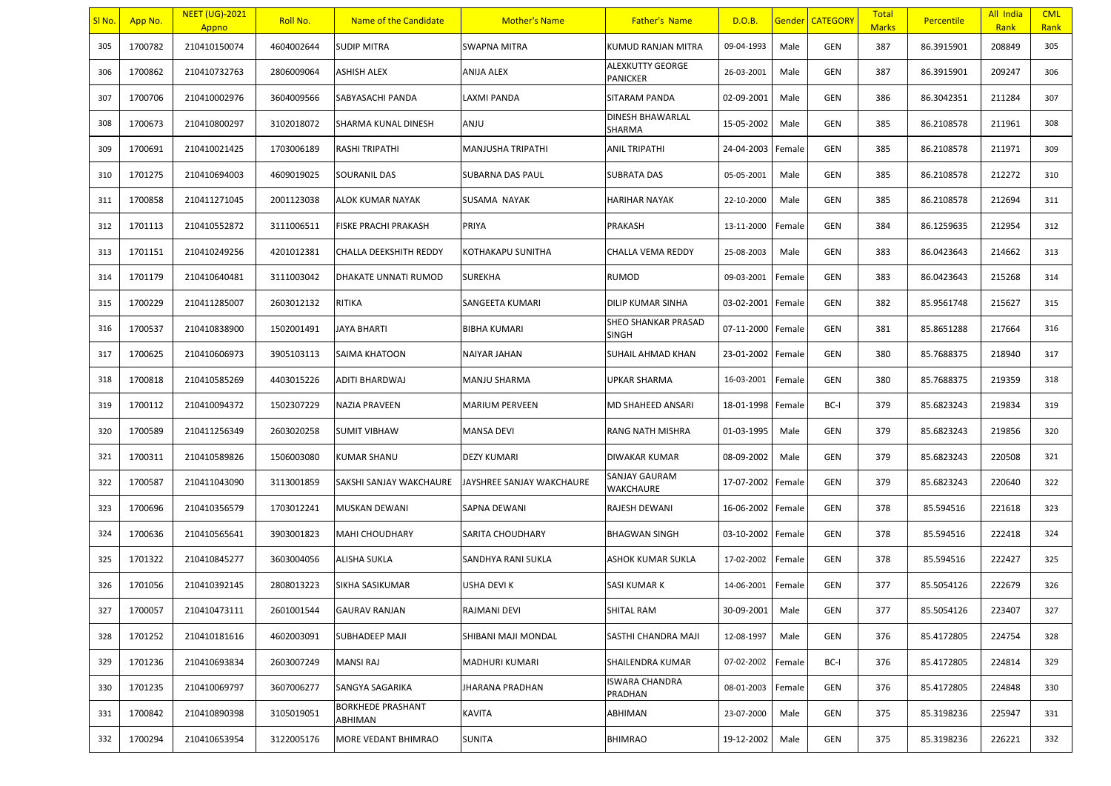| SI No. | App No. | <b>NEET (UG)-2021</b><br>Appno | Roll No.   | Name of the Candidate        | <b>Mother's Name</b>      | <b>Father's Name</b>                | D.O.B.     |        | Gender   CATEGORY | <b>Total</b><br><b>Marks</b> | <b>Percentile</b> | All India<br>Rank | <b>CML</b><br>Rank |
|--------|---------|--------------------------------|------------|------------------------------|---------------------------|-------------------------------------|------------|--------|-------------------|------------------------------|-------------------|-------------------|--------------------|
| 305    | 1700782 | 210410150074                   | 4604002644 | <b>SUDIP MITRA</b>           | <b>SWAPNA MITRA</b>       | <b>KUMUD RANJAN MITRA</b>           | 09-04-1993 | Male   | GEN               | 387                          | 86.3915901        | 208849            | 305                |
| 306    | 1700862 | 210410732763                   | 2806009064 | <b>ASHISH ALEX</b>           | <b>ANIJA ALEX</b>         | ALEXKUTTY GEORGE<br><b>PANICKER</b> | 26-03-2001 | Male   | GEN               | 387                          | 86.3915901        | 209247            | 306                |
| 307    | 1700706 | 210410002976                   | 3604009566 | SABYASACHI PANDA             | LAXMI PANDA               | SITARAM PANDA                       | 02-09-2001 | Male   | GEN               | 386                          | 86.3042351        | 211284            | 307                |
| 308    | 1700673 | 210410800297                   | 3102018072 | SHARMA KUNAL DINESH          | UlMA                      | DINESH BHAWARLAL<br>SHARMA          | 15-05-2002 | Male   | GEN               | 385                          | 86.2108578        | 211961            | 308                |
| 309    | 1700691 | 210410021425                   | 1703006189 | <b>RASHI TRIPATHI</b>        | MANJUSHA TRIPATHI         | <b>ANIL TRIPATHI</b>                | 24-04-2003 | Female | GEN               | 385                          | 86.2108578        | 211971            | 309                |
| 310    | 1701275 | 210410694003                   | 4609019025 | <b>SOURANIL DAS</b>          | SUBARNA DAS PAUL          | <b>SUBRATA DAS</b>                  | 05-05-2001 | Male   | GEN               | 385                          | 86.2108578        | 212272            | 310                |
| 311    | 1700858 | 210411271045                   | 2001123038 | ALOK KUMAR NAYAK             | SUSAMA NAYAK              | HARIHAR NAYAK                       | 22-10-2000 | Male   | GEN               | 385                          | 86.2108578        | 212694            | 311                |
| 312    | 1701113 | 210410552872                   | 3111006511 | FISKE PRACHI PRAKASH         | PRIYA                     | PRAKASH                             | 13-11-2000 | Female | GEN               | 384                          | 86.1259635        | 212954            | 312                |
| 313    | 1701151 | 210410249256                   | 4201012381 | CHALLA DEEKSHITH REDDY       | KOTHAKAPU SUNITHA         | CHALLA VEMA REDDY                   | 25-08-2003 | Male   | GEN               | 383                          | 86.0423643        | 214662            | 313                |
| 314    | 1701179 | 210410640481                   | 3111003042 | <b>DHAKATE UNNATI RUMOD</b>  | <b>SUREKHA</b>            | <b>RUMOD</b>                        | 09-03-2001 | Female | GEN               | 383                          | 86.0423643        | 215268            | 314                |
| 315    | 1700229 | 210411285007                   | 2603012132 | RITIKA                       | SANGEETA KUMARI           | DILIP KUMAR SINHA                   | 03-02-2001 | Female | GEN               | 382                          | 85.9561748        | 215627            | 315                |
| 316    | 1700537 | 210410838900                   | 1502001491 | JAYA BHARTI                  | <b>BIBHA KUMARI</b>       | SHEO SHANKAR PRASAD<br>SINGH        | 07-11-2000 | Female | GEN               | 381                          | 85.8651288        | 217664            | 316                |
| 317    | 1700625 | 210410606973                   | 3905103113 | <b>SAIMA KHATOON</b>         | NAIYAR JAHAN              | SUHAIL AHMAD KHAN                   | 23-01-2002 | Female | GEN               | 380                          | 85.7688375        | 218940            | 317                |
| 318    | 1700818 | 210410585269                   | 4403015226 | <b>ADITI BHARDWAJ</b>        | MANJU SHARMA              | <b>UPKAR SHARMA</b>                 | 16-03-2001 | Female | GEN               | 380                          | 85.7688375        | 219359            | 318                |
| 319    | 1700112 | 210410094372                   | 1502307229 | NAZIA PRAVEEN                | <b>MARIUM PERVEEN</b>     | MD SHAHEED ANSARI                   | 18-01-1998 | Female | BC-I              | 379                          | 85.6823243        | 219834            | 319                |
| 320    | 1700589 | 210411256349                   | 2603020258 | <b>SUMIT VIBHAW</b>          | MANSA DEVI                | RANG NATH MISHRA                    | 01-03-1995 | Male   | GEN               | 379                          | 85.6823243        | 219856            | 320                |
| 321    | 1700311 | 210410589826                   | 1506003080 | <b>KUMAR SHANU</b>           | <b>DEZY KUMARI</b>        | DIWAKAR KUMAR                       | 08-09-2002 | Male   | GEN               | 379                          | 85.6823243        | 220508            | 321                |
| 322    | 1700587 | 210411043090                   | 3113001859 | SAKSHI SANJAY WAKCHAURE      | JAYSHREE SANJAY WAKCHAURE | SANJAY GAURAM<br>WAKCHAURE          | 17-07-2002 | Female | GEN               | 379                          | 85.6823243        | 220640            | 322                |
| 323    | 1700696 | 210410356579                   | 1703012241 | MUSKAN DEWANI                | SAPNA DEWANI              | RAJESH DEWANI                       | 16-06-2002 | Female | GEN               | 378                          | 85.594516         | 221618            | 323                |
| 324    | 1700636 | 210410565641                   | 3903001823 | MAHI CHOUDHARY               | SARITA CHOUDHARY          | <b>BHAGWAN SINGH</b>                | 03-10-2002 | Female | GEN               | 378                          | 85.594516         | 222418            | 324                |
| 325    | 1701322 | 210410845277                   | 3603004056 | <b>ALISHA SUKLA</b>          | SANDHYA RANI SUKLA        | ASHOK KUMAR SUKLA                   | 17-02-2002 | Female | GEN               | 378                          | 85.594516         | 222427            | 325                |
| 326    | 1701056 | 210410392145                   | 2808013223 | SIKHA SASIKUMAR              | USHA DEVI K               | SASI KUMAR K                        | 14-06-2001 | Female | GEN               | 377                          | 85.5054126        | 222679            | 326                |
| 327    | 1700057 | 210410473111                   | 2601001544 | <b>GAURAV RANJAN</b>         | RAJMANI DEVI              | SHITAL RAM                          | 30-09-2001 | Male   | <b>GEN</b>        | 377                          | 85.5054126        | 223407            | 327                |
| 328    | 1701252 | 210410181616                   | 4602003091 | <b>SUBHADEEP MAJI</b>        | SHIBANI MAJI MONDAL       | SASTHI CHANDRA MAJI                 | 12-08-1997 | Male   | GEN               | 376                          | 85.4172805        | 224754            | 328                |
| 329    | 1701236 | 210410693834                   | 2603007249 | <b>MANSI RAJ</b>             | MADHURI KUMARI            | SHAILENDRA KUMAR                    | 07-02-2002 | Female | BC-I              | 376                          | 85.4172805        | 224814            | 329                |
| 330    | 1701235 | 210410069797                   | 3607006277 | SANGYA SAGARIKA              | JHARANA PRADHAN           | <b>ISWARA CHANDRA</b><br>PRADHAN    | 08-01-2003 | Female | GEN               | 376                          | 85.4172805        | 224848            | 330                |
| 331    | 1700842 | 210410890398                   | 3105019051 | BORKHEDE PRASHANT<br>ABHIMAN | KAVITA                    | ABHIMAN                             | 23-07-2000 | Male   | GEN               | 375                          | 85.3198236        | 225947            | 331                |
| 332    | 1700294 | 210410653954                   | 3122005176 | MORE VEDANT BHIMRAO          | <b>SUNITA</b>             | <b>BHIMRAO</b>                      | 19-12-2002 | Male   | GEN               | 375                          | 85.3198236        | 226221            | 332                |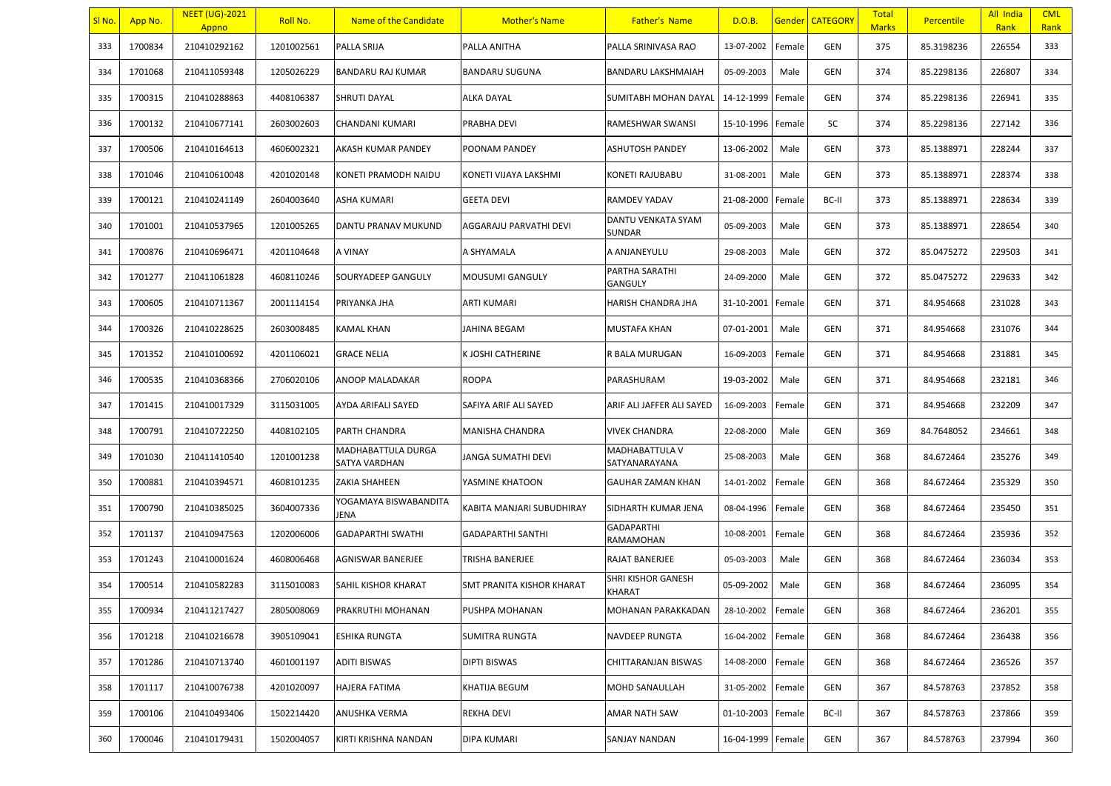| <u>SI No.</u> | App No. | <b>NEET (UG)-2021</b><br>Appno | <b>Roll No.</b> | Name of the Candidate               | <b>Mother's Name</b>             | <b>Father's Name</b>            | D.O.B.            |        | <b>Gender   CATEGORY</b> | <b>Total</b><br><b>Marks</b> | <b>Percentile</b> | All India<br>Rank | <b>CML</b><br>Rank |
|---------------|---------|--------------------------------|-----------------|-------------------------------------|----------------------------------|---------------------------------|-------------------|--------|--------------------------|------------------------------|-------------------|-------------------|--------------------|
| 333           | 1700834 | 210410292162                   | 1201002561      | PALLA SRIJA                         | PALLA ANITHA                     | PALLA SRINIVASA RAO             | 13-07-2002        | Female | GEN                      | 375                          | 85.3198236        | 226554            | 333                |
| 334           | 1701068 | 210411059348                   | 1205026229      | BANDARU RAJ KUMAR                   | <b>BANDARU SUGUNA</b>            | BANDARU LAKSHMAIAH              | 05-09-2003        | Male   | GEN                      | 374                          | 85.2298136        | 226807            | 334                |
| 335           | 1700315 | 210410288863                   | 4408106387      | SHRUTI DAYAL                        | <b>ALKA DAYAL</b>                | SUMITABH MOHAN DAYAL            | 14-12-1999        | Female | GEN                      | 374                          | 85.2298136        | 226941            | 335                |
| 336           | 1700132 | 210410677141                   | 2603002603      | CHANDANI KUMARI                     | <b>PRABHA DEVI</b>               | RAMESHWAR SWANSI                | 15-10-1996        | Female | SC                       | 374                          | 85.2298136        | 227142            | 336                |
| 337           | 1700506 | 210410164613                   | 4606002321      | AKASH KUMAR PANDEY                  | POONAM PANDEY                    | ASHUTOSH PANDEY                 | 13-06-2002        | Male   | GEN                      | 373                          | 85.1388971        | 228244            | 337                |
| 338           | 1701046 | 210410610048                   | 4201020148      | KONETI PRAMODH NAIDU                | KONETI VIJAYA LAKSHMI            | KONETI RAJUBABU                 | 31-08-2001        | Male   | GEN                      | 373                          | 85.1388971        | 228374            | 338                |
| 339           | 1700121 | 210410241149                   | 2604003640      | ASHA KUMARI                         | <b>GEETA DEVI</b>                | RAMDEV YADAV                    | 21-08-2000        | Female | BC-II                    | 373                          | 85.1388971        | 228634            | 339                |
| 340           | 1701001 | 210410537965                   | 1201005265      | DANTU PRANAV MUKUND                 | AGGARAJU PARVATHI DEVI           | DANTU VENKATA SYAM<br>SUNDAR    | 05-09-2003        | Male   | GEN                      | 373                          | 85.1388971        | 228654            | 340                |
| 341           | 1700876 | 210410696471                   | 4201104648      | A VINAY                             | A SHYAMALA                       | A ANJANEYULU                    | 29-08-2003        | Male   | GEN                      | 372                          | 85.0475272        | 229503            | 341                |
| 342           | 1701277 | 210411061828                   | 4608110246      | SOURYADEEP GANGULY                  | <b>MOUSUMI GANGULY</b>           | PARTHA SARATHI<br>GANGULY       | 24-09-2000        | Male   | GEN                      | 372                          | 85.0475272        | 229633            | 342                |
| 343           | 1700605 | 210410711367                   | 2001114154      | PRIYANKA JHA                        | ARTI KUMARI                      | HARISH CHANDRA JHA              | 31-10-2001        | Female | GEN                      | 371                          | 84.954668         | 231028            | 343                |
| 344           | 1700326 | 210410228625                   | 2603008485      | KAMAL KHAN                          | JAHINA BEGAM                     | MUSTAFA KHAN                    | 07-01-2001        | Male   | GEN                      | 371                          | 84.954668         | 231076            | 344                |
| 345           | 1701352 | 210410100692                   | 4201106021      | <b>GRACE NELIA</b>                  | K JOSHI CATHERINE                | R BALA MURUGAN                  | 16-09-2003        | Female | GEN                      | 371                          | 84.954668         | 231881            | 345                |
| 346           | 1700535 | 210410368366                   | 2706020106      | ANOOP MALADAKAR                     | <b>ROOPA</b>                     | PARASHURAM                      | 19-03-2002        | Male   | GEN                      | 371                          | 84.954668         | 232181            | 346                |
| 347           | 1701415 | 210410017329                   | 3115031005      | AYDA ARIFALI SAYED                  | SAFIYA ARIF ALI SAYED            | ARIF ALI JAFFER ALI SAYED       | 16-09-2003        | Female | GEN                      | 371                          | 84.954668         | 232209            | 347                |
| 348           | 1700791 | 210410722250                   | 4408102105      | PARTH CHANDRA                       | <b>MANISHA CHANDRA</b>           | VIVEK CHANDRA                   | 22-08-2000        | Male   | GEN                      | 369                          | 84.7648052        | 234661            | 348                |
| 349           | 1701030 | 210411410540                   | 1201001238      | MADHABATTULA DURGA<br>SATYA VARDHAN | JANGA SUMATHI DEVI               | MADHABATTULA V<br>SATYANARAYANA | 25-08-2003        | Male   | GEN                      | 368                          | 84.672464         | 235276            | 349                |
| 350           | 1700881 | 210410394571                   | 4608101235      | <b>ZAKIA SHAHEEN</b>                | YASMINE KHATOON                  | <b>GAUHAR ZAMAN KHAN</b>        | 14-01-2002        | Female | GEN                      | 368                          | 84.672464         | 235329            | 350                |
| 351           | 1700790 | 210410385025                   | 3604007336      | YOGAMAYA BISWABANDITA<br>JENA       | KABITA MANJARI SUBUDHIRAY        | SIDHARTH KUMAR JENA             | 08-04-1996        | Female | GEN                      | 368                          | 84.672464         | 235450            | 351                |
| 352           | 1701137 | 210410947563                   | 1202006006      | <b>GADAPARTHI SWATHI</b>            | <b>GADAPARTHI SANTHI</b>         | <b>GADAPARTHI</b><br>RAMAMOHAN  | 10-08-2001        | Female | GEN                      | 368                          | 84.672464         | 235936            | 352                |
| 353           | 1701243 | 210410001624                   | 4608006468      | AGNISWAR BANERJEE                   | <b>TRISHA BANERJEE</b>           | RAJAT BANERJEE                  | 05-03-2003        | Male   | GEN                      | 368                          | 84.672464         | 236034            | 353                |
| 354           | 1700514 | 210410582283                   | 3115010083      | SAHIL KISHOR KHARAT                 | <b>SMT PRANITA KISHOR KHARAT</b> | SHRI KISHOR GANESH<br>KHARAT    | 05-09-2002        | Male   | GEN                      | 368                          | 84.672464         | 236095            | 354                |
| 355           | 1700934 | 210411217427                   | 2805008069      | PRAKRUTHI MOHANAN                   | PUSHPA MOHANAN                   | MOHANAN PARAKKADAN              | 28-10-2002 Female |        | GEN                      | 368                          | 84.672464         | 236201            | 355                |
| 356           | 1701218 | 210410216678                   | 3905109041      | <b>ESHIKA RUNGTA</b>                | <b>SUMITRA RUNGTA</b>            | NAVDEEP RUNGTA                  | 16-04-2002        | Female | GEN                      | 368                          | 84.672464         | 236438            | 356                |
| 357           | 1701286 | 210410713740                   | 4601001197      | <b>ADITI BISWAS</b>                 | <b>DIPTI BISWAS</b>              | CHITTARANJAN BISWAS             | 14-08-2000        | Female | GEN                      | 368                          | 84.672464         | 236526            | 357                |
| 358           | 1701117 | 210410076738                   | 4201020097      | <b>HAJERA FATIMA</b>                | KHATIJA BEGUM                    | MOHD SANAULLAH                  | 31-05-2002        | Female | GEN                      | 367                          | 84.578763         | 237852            | 358                |
| 359           | 1700106 | 210410493406                   | 1502214420      | ANUSHKA VERMA                       | <b>REKHA DEVI</b>                | AMAR NATH SAW                   | 01-10-2003 Female |        | BC-II                    | 367                          | 84.578763         | 237866            | 359                |
| 360           | 1700046 | 210410179431                   | 1502004057      | KIRTI KRISHNA NANDAN                | <b>DIPA KUMARI</b>               | SANJAY NANDAN                   | 16-04-1999        | Female | GEN                      | 367                          | 84.578763         | 237994            | 360                |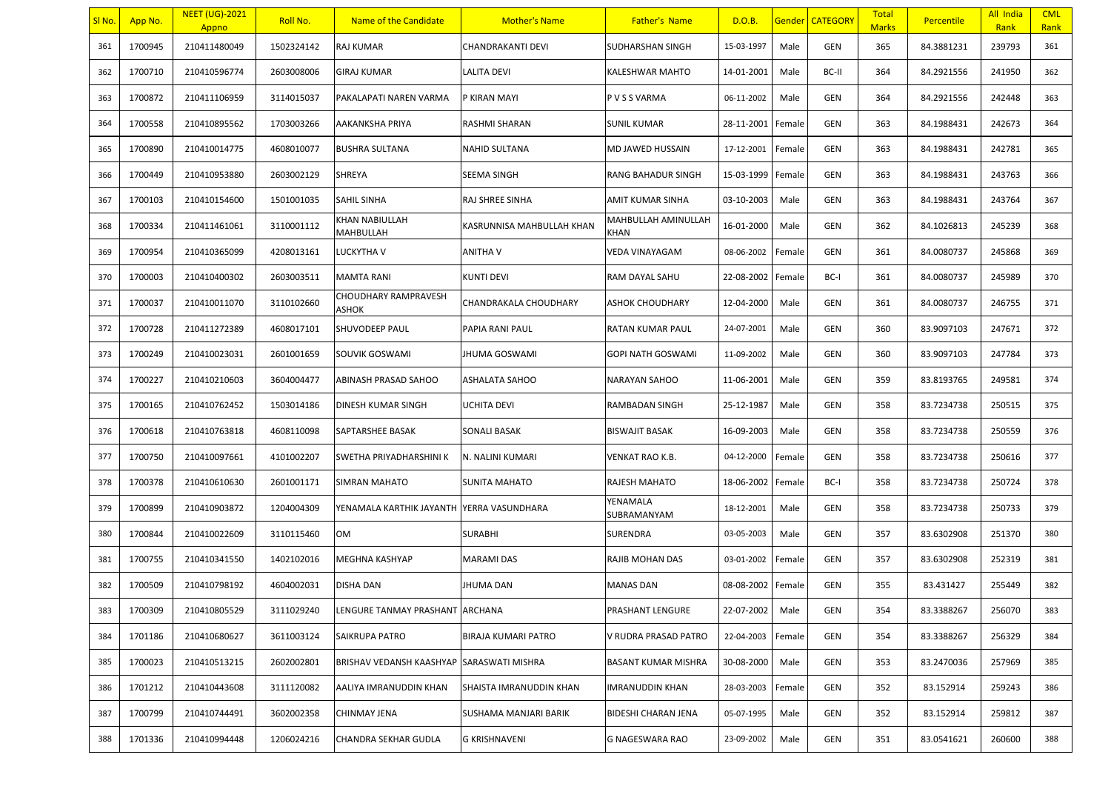| SI No. | App No. | <b>NEET (UG)-2021</b><br>Appno | Roll No.   | Name of the Candidate           | <b>Mother's Name</b>      | <b>Father's Name</b>        | D.O.B.     |        | Gender   CATEGORY | <b>Total</b><br><b>Marks</b> | <b>Percentile</b> | All India<br>Rank | <b>CML</b><br>Rank |
|--------|---------|--------------------------------|------------|---------------------------------|---------------------------|-----------------------------|------------|--------|-------------------|------------------------------|-------------------|-------------------|--------------------|
| 361    | 1700945 | 210411480049                   | 1502324142 | RAJ KUMAR                       | CHANDRAKANTI DEVI         | SUDHARSHAN SINGH            | 15-03-1997 | Male   | <b>GEN</b>        | 365                          | 84.3881231        | 239793            | 361                |
| 362    | 1700710 | 210410596774                   | 2603008006 | <b>GIRAJ KUMAR</b>              | LALITA DEVI               | KALESHWAR MAHTO             | 14-01-2001 | Male   | BC-II             | 364                          | 84.2921556        | 241950            | 362                |
| 363    | 1700872 | 210411106959                   | 3114015037 | PAKALAPATI NAREN VARMA          | P KIRAN MAYI              | P V S S VARMA               | 06-11-2002 | Male   | GEN               | 364                          | 84.2921556        | 242448            | 363                |
| 364    | 1700558 | 210410895562                   | 1703003266 | AAKANKSHA PRIYA                 | RASHMI SHARAN             | SUNIL KUMAR                 | 28-11-2001 | Female | GEN               | 363                          | 84.1988431        | 242673            | 364                |
| 365    | 1700890 | 210410014775                   | 4608010077 | <b>BUSHRA SULTANA</b>           | NAHID SULTANA             | MD JAWED HUSSAIN            | 17-12-2001 | Female | <b>GEN</b>        | 363                          | 84.1988431        | 242781            | 365                |
| 366    | 1700449 | 210410953880                   | 2603002129 | <b>SHREYA</b>                   | <b>SEEMA SINGH</b>        | <b>RANG BAHADUR SINGH</b>   | 15-03-1999 | Female | GEN               | 363                          | 84.1988431        | 243763            | 366                |
| 367    | 1700103 | 210410154600                   | 1501001035 | <b>SAHIL SINHA</b>              | RAJ SHREE SINHA           | AMIT KUMAR SINHA            | 03-10-2003 | Male   | GEN               | 363                          | 84.1988431        | 243764            | 367                |
| 368    | 1700334 | 210411461061                   | 3110001112 | KHAN NABIULLAH<br>MAHBULLAH     | KASRUNNISA MAHBULLAH KHAN | MAHBULLAH AMINULLAH<br>KHAN | 16-01-2000 | Male   | GEN               | 362                          | 84.1026813        | 245239            | 368                |
| 369    | 1700954 | 210410365099                   | 4208013161 | <b>LUCKYTHA V</b>               | ANITHA V                  | VEDA VINAYAGAM              | 08-06-2002 | Female | GEN               | 361                          | 84.0080737        | 245868            | 369                |
| 370    | 1700003 | 210410400302                   | 2603003511 | <b>MAMTA RANI</b>               | <b>KUNTI DEVI</b>         | RAM DAYAL SAHU              | 22-08-2002 | Female | BC-I              | 361                          | 84.0080737        | 245989            | 370                |
| 371    | 1700037 | 210410011070                   | 3110102660 | CHOUDHARY RAMPRAVESH<br>ASHOK   | CHANDRAKALA CHOUDHARY     | ASHOK CHOUDHARY             | 12-04-2000 | Male   | GEN               | 361                          | 84.0080737        | 246755            | 371                |
| 372    | 1700728 | 210411272389                   | 4608017101 | <b>SHUVODEEP PAUL</b>           | PAPIA RANI PAUL           | RATAN KUMAR PAUL            | 24-07-2001 | Male   | GEN               | 360                          | 83.9097103        | 247671            | 372                |
| 373    | 1700249 | 210410023031                   | 2601001659 | SOUVIK GOSWAMI                  | <b>JHUMA GOSWAMI</b>      | <b>GOPI NATH GOSWAMI</b>    | 11-09-2002 | Male   | GEN               | 360                          | 83.9097103        | 247784            | 373                |
| 374    | 1700227 | 210410210603                   | 3604004477 | <b>ABINASH PRASAD SAHOO</b>     | ASHALATA SAHOO            | NARAYAN SAHOO               | 11-06-2001 | Male   | GEN               | 359                          | 83.8193765        | 249581            | 374                |
| 375    | 1700165 | 210410762452                   | 1503014186 | DINESH KUMAR SINGH              | UCHITA DEVI               | RAMBADAN SINGH              | 25-12-1987 | Male   | GEN               | 358                          | 83.7234738        | 250515            | 375                |
| 376    | 1700618 | 210410763818                   | 4608110098 | SAPTARSHEE BASAK                | SONALI BASAK              | <b>BISWAJIT BASAK</b>       | 16-09-2003 | Male   | GEN               | 358                          | 83.7234738        | 250559            | 376                |
| 377    | 1700750 | 210410097661                   | 4101002207 | SWETHA PRIYADHARSHINI K         | N. NALINI KUMARI          | VENKAT RAO K.B.             | 04-12-2000 | Female | GEN               | 358                          | 83.7234738        | 250616            | 377                |
| 378    | 1700378 | 210410610630                   | 2601001171 | <b>SIMRAN MAHATO</b>            | SUNITA MAHATO             | RAJESH MAHATO               | 18-06-2002 | Female | BC-I              | 358                          | 83.7234738        | 250724            | 378                |
| 379    | 1700899 | 210410903872                   | 1204004309 | YENAMALA KARTHIK JAYANTH        | YERRA VASUNDHARA          | YENAMALA<br>SUBRAMANYAM     | 18-12-2001 | Male   | GEN               | 358                          | 83.7234738        | 250733            | 379                |
| 380    | 1700844 | 210410022609                   | 3110115460 | OM                              | <b>SURABHI</b>            | SURENDRA                    | 03-05-2003 | Male   | GEN               | 357                          | 83.6302908        | 251370            | 380                |
| 381    | 1700755 | 210410341550                   | 1402102016 | MEGHNA KASHYAP                  | MARAMI DAS                | RAJIB MOHAN DAS             | 03-01-2002 | Female | GEN               | 357                          | 83.6302908        | 252319            | 381                |
| 382    | 1700509 | 210410798192                   | 4604002031 | <b>DISHA DAN</b>                | <b>JHUMA DAN</b>          | <b>MANAS DAN</b>            | 08-08-2002 | Female | GEN               | 355                          | 83.431427         | 255449            | 382                |
| 383    | 1700309 | 210410805529                   | 3111029240 | LENGURE TANMAY PRASHANT ARCHANA |                           | PRASHANT LENGURE            | 22-07-2002 | Male   | <b>GEN</b>        | 354                          | 83.3388267        | 256070            | 383                |
| 384    | 1701186 | 210410680627                   | 3611003124 | <b>SAIKRUPA PATRO</b>           | BIRAJA KUMARI PATRO       | V RUDRA PRASAD PATRO        | 22-04-2003 | Female | GEN               | 354                          | 83.3388267        | 256329            | 384                |
| 385    | 1700023 | 210410513215                   | 2602002801 | BRISHAV VEDANSH KAASHYAP        | SARASWATI MISHRA          | BASANT KUMAR MISHRA         | 30-08-2000 | Male   | GEN               | 353                          | 83.2470036        | 257969            | 385                |
| 386    | 1701212 | 210410443608                   | 3111120082 | AALIYA IMRANUDDIN KHAN          | SHAISTA IMRANUDDIN KHAN   | IMRANUDDIN KHAN             | 28-03-2003 | Female | GEN               | 352                          | 83.152914         | 259243            | 386                |
| 387    | 1700799 | 210410744491                   | 3602002358 | CHINMAY JENA                    | SUSHAMA MANJARI BARIK     | BIDESHI CHARAN JENA         | 05-07-1995 | Male   | GEN               | 352                          | 83.152914         | 259812            | 387                |
| 388    | 1701336 | 210410994448                   | 1206024216 | CHANDRA SEKHAR GUDLA            | <b>G KRISHNAVENI</b>      | G NAGESWARA RAO             | 23-09-2002 | Male   | GEN               | 351                          | 83.0541621        | 260600            | 388                |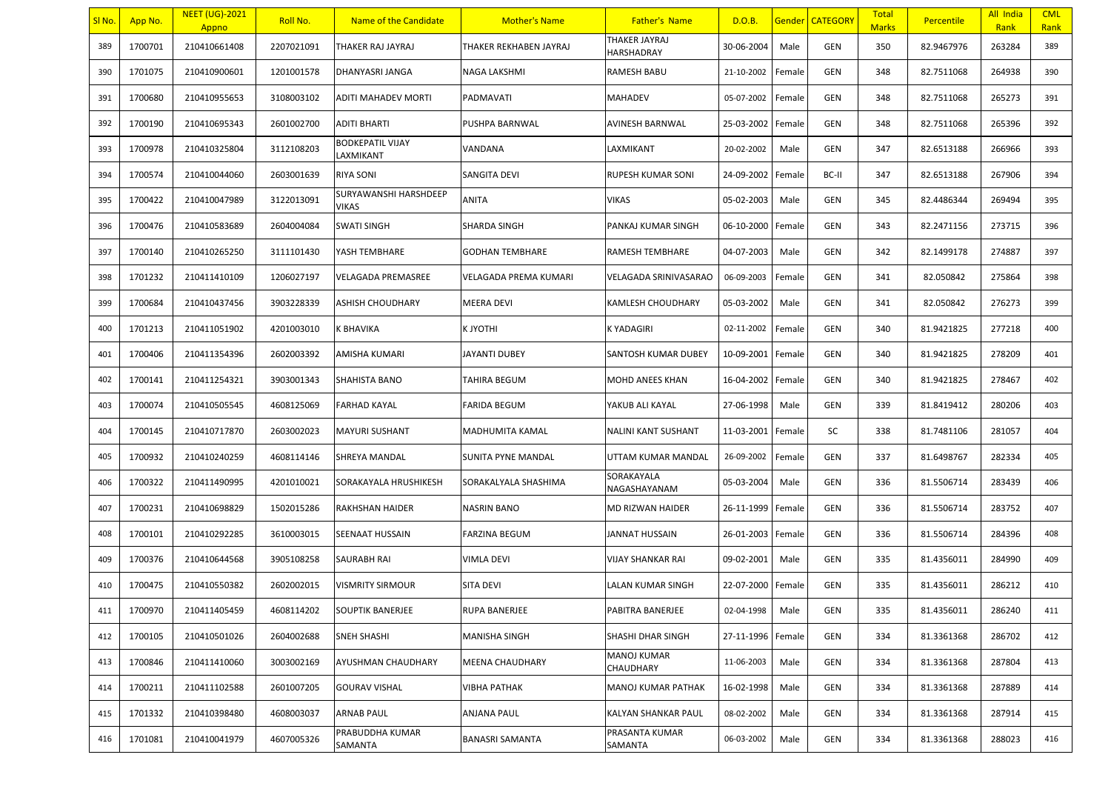| <u>SI No.</u> | App No. | <b>NEET (UG)-2021</b><br>Appno | Roll No.   | Name of the Candidate                 | <b>Mother's Name</b>         | <b>Father's Name</b>        | D.O.B.     |        | <b>Gender CATEGORY</b> | <b>Total</b><br><b>Marks</b> | <b>Percentile</b> | All India<br>Rank | <b>CML</b><br>Rank |
|---------------|---------|--------------------------------|------------|---------------------------------------|------------------------------|-----------------------------|------------|--------|------------------------|------------------------------|-------------------|-------------------|--------------------|
| 389           | 1700701 | 210410661408                   | 2207021091 | THAKER RAJ JAYRAJ                     | THAKER REKHABEN JAYRAJ       | THAKER JAYRAJ<br>HARSHADRAY | 30-06-2004 | Male   | GEN                    | 350                          | 82.9467976        | 263284            | 389                |
| 390           | 1701075 | 210410900601                   | 1201001578 | DHANYASRI JANGA                       | NAGA LAKSHMI                 | RAMESH BABU                 | 21-10-2002 | Female | GEN                    | 348                          | 82.7511068        | 264938            | 390                |
| 391           | 1700680 | 210410955653                   | 3108003102 | ADITI MAHADEV MORTI                   | <b>PADMAVATI</b>             | MAHADEV                     | 05-07-2002 | Female | GEN                    | 348                          | 82.7511068        | 265273            | 391                |
| 392           | 1700190 | 210410695343                   | 2601002700 | <b>ADITI BHARTI</b>                   | PUSHPA BARNWAL               | AVINESH BARNWAL             | 25-03-2002 | Female | GEN                    | 348                          | 82.7511068        | 265396            | 392                |
| 393           | 1700978 | 210410325804                   | 3112108203 | <b>BODKEPATIL VIJAY</b><br>LAXMIKANT  | VANDANA                      | LAXMIKANT                   | 20-02-2002 | Male   | GEN                    | 347                          | 82.6513188        | 266966            | 393                |
| 394           | 1700574 | 210410044060                   | 2603001639 | <b>RIYA SONI</b>                      | SANGITA DEVI                 | RUPESH KUMAR SONI           | 24-09-2002 | Female | BC-II                  | 347                          | 82.6513188        | 267906            | 394                |
| 395           | 1700422 | 210410047989                   | 3122013091 | SURYAWANSHI HARSHDEEP<br><b>VIKAS</b> | <b>ANITA</b>                 | VIKAS                       | 05-02-2003 | Male   | GEN                    | 345                          | 82.4486344        | 269494            | 395                |
| 396           | 1700476 | 210410583689                   | 2604004084 | <b>SWATI SINGH</b>                    | <b>SHARDA SINGH</b>          | PANKAJ KUMAR SINGH          | 06-10-2000 | Female | GEN                    | 343                          | 82.2471156        | 273715            | 396                |
| 397           | 1700140 | 210410265250                   | 3111101430 | YASH TEMBHARE                         | <b>GODHAN TEMBHARE</b>       | RAMESH TEMBHARE             | 04-07-2003 | Male   | GEN                    | 342                          | 82.1499178        | 274887            | 397                |
| 398           | 1701232 | 210411410109                   | 1206027197 | <b>VELAGADA PREMASREE</b>             | <b>VELAGADA PREMA KUMARI</b> | VELAGADA SRINIVASARAO       | 06-09-2003 | Female | GEN                    | 341                          | 82.050842         | 275864            | 398                |
| 399           | 1700684 | 210410437456                   | 3903228339 | <b>ASHISH CHOUDHARY</b>               | <b>MEERA DEVI</b>            | KAMLESH CHOUDHARY           | 05-03-2002 | Male   | GEN                    | 341                          | 82.050842         | 276273            | 399                |
| 400           | 1701213 | 210411051902                   | 4201003010 | K BHAVIKA                             | <b>KJYOTHI</b>               | K YADAGIRI                  | 02-11-2002 | Female | GEN                    | 340                          | 81.9421825        | 277218            | 400                |
| 401           | 1700406 | 210411354396                   | 2602003392 | AMISHA KUMARI                         | <b>JAYANTI DUBEY</b>         | SANTOSH KUMAR DUBEY         | 10-09-2001 | Female | GEN                    | 340                          | 81.9421825        | 278209            | 401                |
| 402           | 1700141 | 210411254321                   | 3903001343 | <b>SHAHISTA BANO</b>                  | <b>TAHIRA BEGUM</b>          | MOHD ANEES KHAN             | 16-04-2002 | Female | GEN                    | 340                          | 81.9421825        | 278467            | 402                |
| 403           | 1700074 | 210410505545                   | 4608125069 | <b>FARHAD KAYAL</b>                   | <b>FARIDA BEGUM</b>          | YAKUB ALI KAYAL             | 27-06-1998 | Male   | GEN                    | 339                          | 81.8419412        | 280206            | 403                |
| 404           | 1700145 | 210410717870                   | 2603002023 | <b>MAYURI SUSHANT</b>                 | MADHUMITA KAMAL              | NALINI KANT SUSHANT         | 11-03-2001 | Female | SC                     | 338                          | 81.7481106        | 281057            | 404                |
| 405           | 1700932 | 210410240259                   | 4608114146 | SHREYA MANDAL                         | SUNITA PYNE MANDAL           | UTTAM KUMAR MANDAL          | 26-09-2002 | Female | GEN                    | 337                          | 81.6498767        | 282334            | 405                |
| 406           | 1700322 | 210411490995                   | 4201010021 | SORAKAYALA HRUSHIKESH                 | SORAKALYALA SHASHIMA         | SORAKAYALA<br>NAGASHAYANAM  | 05-03-2004 | Male   | GEN                    | 336                          | 81.5506714        | 283439            | 406                |
| 407           | 1700231 | 210410698829                   | 1502015286 | <b>RAKHSHAN HAIDER</b>                | <b>NASRIN BANO</b>           | MD RIZWAN HAIDER            | 26-11-1999 | Female | GEN                    | 336                          | 81.5506714        | 283752            | 407                |
| 408           | 1700101 | 210410292285                   | 3610003015 | SEENAAT HUSSAIN                       | <b>FARZINA BEGUM</b>         | JANNAT HUSSAIN              | 26-01-2003 | Female | GEN                    | 336                          | 81.5506714        | 284396            | 408                |
| 409           | 1700376 | 210410644568                   | 3905108258 | SAURABH RAI                           | <b>VIMLA DEVI</b>            | VIJAY SHANKAR RAI           | 09-02-2001 | Male   | GEN                    | 335                          | 81.4356011        | 284990            | 409                |
| 410           | 1700475 | 210410550382                   | 2602002015 | <b>VISMRITY SIRMOUR</b>               | <b>SITA DEVI</b>             | LALAN KUMAR SINGH           | 22-07-2000 | Female | GEN                    | 335                          | 81.4356011        | 286212            | 410                |
| 411           | 1700970 | 210411405459                   | 4608114202 | <b>SOUPTIK BANERJEE</b>               | <b>RUPA BANERJEE</b>         | PABITRA BANERJEE            | 02-04-1998 | Male   | GEN                    | 335                          | 81.4356011        | 286240            | 411                |
| 412           | 1700105 | 210410501026                   | 2604002688 | SNEH SHASHI                           | <b>MANISHA SINGH</b>         | SHASHI DHAR SINGH           | 27-11-1996 | Female | GEN                    | 334                          | 81.3361368        | 286702            | 412                |
| 413           | 1700846 | 210411410060                   | 3003002169 | AYUSHMAN CHAUDHARY                    | <b>MEENA CHAUDHARY</b>       | MANOJ KUMAR<br>CHAUDHARY    | 11-06-2003 | Male   | GEN                    | 334                          | 81.3361368        | 287804            | 413                |
| 414           | 1700211 | 210411102588                   | 2601007205 | <b>GOURAV VISHAL</b>                  | <b>VIBHA PATHAK</b>          | MANOJ KUMAR PATHAK          | 16-02-1998 | Male   | GEN                    | 334                          | 81.3361368        | 287889            | 414                |
| 415           | 1701332 | 210410398480                   | 4608003037 | ARNAB PAUL                            | <b>ANJANA PAUL</b>           | KALYAN SHANKAR PAUL         | 08-02-2002 | Male   | GEN                    | 334                          | 81.3361368        | 287914            | 415                |
| 416           | 1701081 | 210410041979                   | 4607005326 | PRABUDDHA KUMAR<br>SAMANTA            | <b>BANASRI SAMANTA</b>       | PRASANTA KUMAR<br>SAMANTA   | 06-03-2002 | Male   | GEN                    | 334                          | 81.3361368        | 288023            | 416                |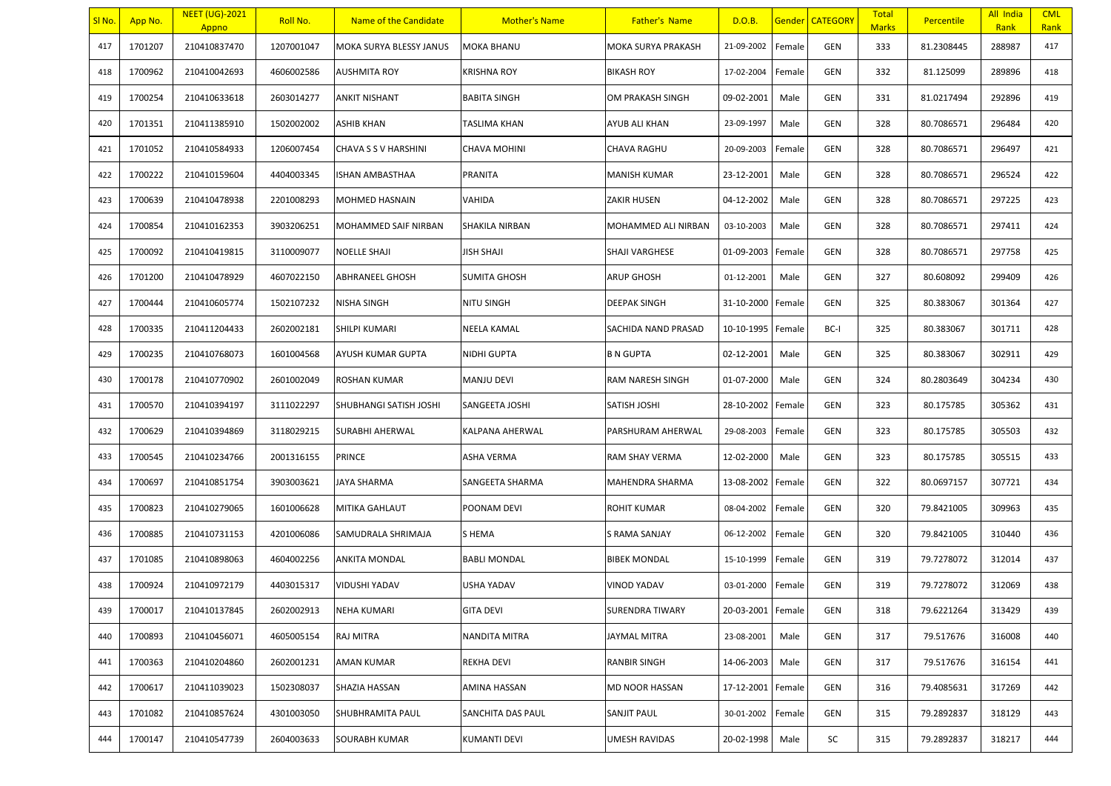| SI No. | App No. | <b>NEET (UG)-2021</b><br>Appno | Roll No.   | Name of the Candidate    | <b>Mother's Name</b> | <b>Father's Name</b> | D.O.B.            |        | Gender   CATEGORY | <b>Total</b><br><b>Marks</b> | <b>Percentile</b> | All India<br>Rank | <b>CML</b><br>Rank |
|--------|---------|--------------------------------|------------|--------------------------|----------------------|----------------------|-------------------|--------|-------------------|------------------------------|-------------------|-------------------|--------------------|
| 417    | 1701207 | 210410837470                   | 1207001047 | MOKA SURYA BLESSY JANUS  | MOKA BHANU           | MOKA SURYA PRAKASH   | 21-09-2002        | Female | GEN               | 333                          | 81.2308445        | 288987            | 417                |
| 418    | 1700962 | 210410042693                   | 4606002586 | AUSHMITA ROY             | KRISHNA ROY          | <b>BIKASH ROY</b>    | 17-02-2004        | Female | <b>GEN</b>        | 332                          | 81.125099         | 289896            | 418                |
| 419    | 1700254 | 210410633618                   | 2603014277 | <b>ANKIT NISHANT</b>     | BABITA SINGH         | OM PRAKASH SINGH     | 09-02-2001        | Male   | GEN               | 331                          | 81.0217494        | 292896            | 419                |
| 420    | 1701351 | 210411385910                   | 1502002002 | ASHIB KHAN               | TASLIMA KHAN         | AYUB ALI KHAN        | 23-09-1997        | Male   | GEN               | 328                          | 80.7086571        | 296484            | 420                |
| 421    | 1701052 | 210410584933                   | 1206007454 | CHAVA S S V HARSHINI     | <b>CHAVA MOHINI</b>  | CHAVA RAGHU          | 20-09-2003        | Female | GEN               | 328                          | 80.7086571        | 296497            | 421                |
| 422    | 1700222 | 210410159604                   | 4404003345 | ISHAN AMBASTHAA          | PRANITA              | <b>MANISH KUMAR</b>  | 23-12-2001        | Male   | <b>GEN</b>        | 328                          | 80.7086571        | 296524            | 422                |
| 423    | 1700639 | 210410478938                   | 2201008293 | MOHMED HASNAIN           | VAHIDA               | ZAKIR HUSEN          | 04-12-2002        | Male   | GEN               | 328                          | 80.7086571        | 297225            | 423                |
| 424    | 1700854 | 210410162353                   | 3903206251 | MOHAMMED SAIF NIRBAN     | SHAKILA NIRBAN       | MOHAMMED ALI NIRBAN  | 03-10-2003        | Male   | GEN               | 328                          | 80.7086571        | 297411            | 424                |
| 425    | 1700092 | 210410419815                   | 3110009077 | <b>NOELLE SHAJI</b>      | <b>JISH SHAJI</b>    | SHAJI VARGHESE       | 01-09-2003        | Female | GEN               | 328                          | 80.7086571        | 297758            | 425                |
| 426    | 1701200 | 210410478929                   | 4607022150 | ABHRANEEL GHOSH          | <b>SUMITA GHOSH</b>  | ARUP GHOSH           | 01-12-2001        | Male   | <b>GEN</b>        | 327                          | 80.608092         | 299409            | 426                |
| 427    | 1700444 | 210410605774                   | 1502107232 | NISHA SINGH              | NITU SINGH           | <b>DEEPAK SINGH</b>  | 31-10-2000        | Female | GEN               | 325                          | 80.383067         | 301364            | 427                |
| 428    | 1700335 | 210411204433                   | 2602002181 | SHILPI KUMARI            | NEELA KAMAL          | SACHIDA NAND PRASAD  | 10-10-1995        | Female | BC-I              | 325                          | 80.383067         | 301711            | 428                |
| 429    | 1700235 | 210410768073                   | 1601004568 | <b>AYUSH KUMAR GUPTA</b> | NIDHI GUPTA          | <b>B N GUPTA</b>     | 02-12-2001        | Male   | <b>GEN</b>        | 325                          | 80.383067         | 302911            | 429                |
| 430    | 1700178 | 210410770902                   | 2601002049 | ROSHAN KUMAR             | MANJU DEVI           | RAM NARESH SINGH     | 01-07-2000        | Male   | GEN               | 324                          | 80.2803649        | 304234            | 430                |
| 431    | 1700570 | 210410394197                   | 3111022297 | SHUBHANGI SATISH JOSHI   | SANGEETA JOSHI       | SATISH JOSHI         | 28-10-2002        | Female | <b>GEN</b>        | 323                          | 80.175785         | 305362            | 431                |
| 432    | 1700629 | 210410394869                   | 3118029215 | SURABHI AHERWAL          | KALPANA AHERWAL      | PARSHURAM AHERWAL    | 29-08-2003        | Female | GEN               | 323                          | 80.175785         | 305503            | 432                |
| 433    | 1700545 | 210410234766                   | 2001316155 | <b>PRINCE</b>            | ASHA VERMA           | RAM SHAY VERMA       | 12-02-2000        | Male   | GEN               | 323                          | 80.175785         | 305515            | 433                |
| 434    | 1700697 | 210410851754                   | 3903003621 | <b>JAYA SHARMA</b>       | SANGEETA SHARMA      | MAHENDRA SHARMA      | 13-08-2002        | Female | GEN               | 322                          | 80.0697157        | 307721            | 434                |
| 435    | 1700823 | 210410279065                   | 1601006628 | <b>MITIKA GAHLAUT</b>    | POONAM DEVI          | ROHIT KUMAR          | 08-04-2002        | Female | GEN               | 320                          | 79.8421005        | 309963            | 435                |
| 436    | 1700885 | 210410731153                   | 4201006086 | SAMUDRALA SHRIMAJA       | S HEMA               | S RAMA SANJAY        | 06-12-2002        | Female | GEN               | 320                          | 79.8421005        | 310440            | 436                |
| 437    | 1701085 | 210410898063                   | 4604002256 | ANKITA MONDAL            | <b>BABLI MONDAL</b>  | <b>BIBEK MONDAL</b>  | 15-10-1999        | Female | GEN               | 319                          | 79.7278072        | 312014            | 437                |
| 438    | 1700924 | 210410972179                   | 4403015317 | <b>VIDUSHI YADAV</b>     | USHA YADAV           | VINOD YADAV          | 03-01-2000        | Female | GEN               | 319                          | 79.7278072        | 312069            | 438                |
| 439    | 1700017 | 210410137845                   | 2602002913 | NEHA KUMARI              | <b>GITA DEVI</b>     | SURENDRA TIWARY      | 20-03-2001 Female |        | GEN               | 318                          | 79.6221264        | 313429            | 439                |
| 440    | 1700893 | 210410456071                   | 4605005154 | RAJ MITRA                | NANDITA MITRA        | JAYMAL MITRA         | 23-08-2001        | Male   | GEN               | 317                          | 79.517676         | 316008            | 440                |
| 441    | 1700363 | 210410204860                   | 2602001231 | AMAN KUMAR               | REKHA DEVI           | <b>RANBIR SINGH</b>  | 14-06-2003        | Male   | GEN               | 317                          | 79.517676         | 316154            | 441                |
| 442    | 1700617 | 210411039023                   | 1502308037 | SHAZIA HASSAN            | AMINA HASSAN         | MD NOOR HASSAN       | 17-12-2001        | Female | GEN               | 316                          | 79.4085631        | 317269            | 442                |
| 443    | 1701082 | 210410857624                   | 4301003050 | SHUBHRAMITA PAUL         | SANCHITA DAS PAUL    | SANJIT PAUL          | 30-01-2002        | Female | GEN               | 315                          | 79.2892837        | 318129            | 443                |
| 444    | 1700147 | 210410547739                   | 2604003633 | SOURABH KUMAR            | KUMANTI DEVI         | UMESH RAVIDAS        | 20-02-1998        | Male   | SC                | 315                          | 79.2892837        | 318217            | 444                |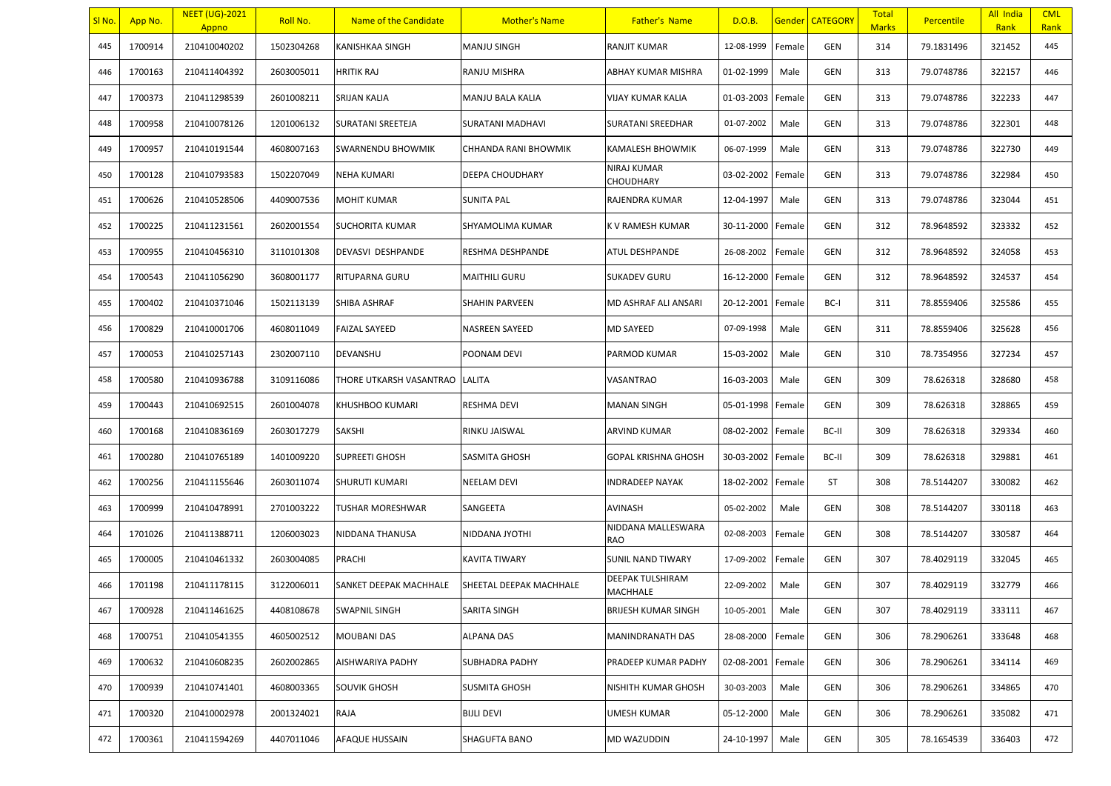| SI No. | App No. | <b>NEET (UG)-2021</b><br>Appno | Roll No.   | Name of the Candidate    | <b>Mother's Name</b>    | <b>Father's Name</b>             | D.O.B.     |        | Gender   CATEGORY | <b>Total</b><br><b>Marks</b> | <b>Percentile</b> | All India<br>Rank | <b>CML</b><br>Rank |
|--------|---------|--------------------------------|------------|--------------------------|-------------------------|----------------------------------|------------|--------|-------------------|------------------------------|-------------------|-------------------|--------------------|
| 445    | 1700914 | 210410040202                   | 1502304268 | KANISHKAA SINGH          | MANJU SINGH             | RANJIT KUMAR                     | 12-08-1999 | Female | <b>GEN</b>        | 314                          | 79.1831496        | 321452            | 445                |
| 446    | 1700163 | 210411404392                   | 2603005011 | <b>HRITIK RAJ</b>        | RANJU MISHRA            | ABHAY KUMAR MISHRA               | 01-02-1999 | Male   | <b>GEN</b>        | 313                          | 79.0748786        | 322157            | 446                |
| 447    | 1700373 | 210411298539                   | 2601008211 | <b>SRIJAN KALIA</b>      | MANJU BALA KALIA        | VIJAY KUMAR KALIA                | 01-03-2003 | Female | GEN               | 313                          | 79.0748786        | 322233            | 447                |
| 448    | 1700958 | 210410078126                   | 1201006132 | SURATANI SREETEJA        | SURATANI MADHAVI        | SURATANI SREEDHAR                | 01-07-2002 | Male   | GEN               | 313                          | 79.0748786        | 322301            | 448                |
| 449    | 1700957 | 210410191544                   | 4608007163 | <b>SWARNENDU BHOWMIK</b> | CHHANDA RANI BHOWMIK    | KAMALESH BHOWMIK                 | 06-07-1999 | Male   | GEN               | 313                          | 79.0748786        | 322730            | 449                |
| 450    | 1700128 | 210410793583                   | 1502207049 | NEHA KUMARI              | DEEPA CHOUDHARY         | NIRAJ KUMAR<br>CHOUDHARY         | 03-02-2002 | Female | <b>GEN</b>        | 313                          | 79.0748786        | 322984            | 450                |
| 451    | 1700626 | 210410528506                   | 4409007536 | MOHIT KUMAR              | <b>SUNITA PAL</b>       | RAJENDRA KUMAR                   | 12-04-1997 | Male   | <b>GEN</b>        | 313                          | 79.0748786        | 323044            | 451                |
| 452    | 1700225 | 210411231561                   | 2602001554 | <b>SUCHORITA KUMAR</b>   | SHYAMOLIMA KUMAR        | K V RAMESH KUMAR                 | 30-11-2000 | Female | <b>GEN</b>        | 312                          | 78.9648592        | 323332            | 452                |
| 453    | 1700955 | 210410456310                   | 3110101308 | DEVASVI DESHPANDE        | RESHMA DESHPANDE        | ATUL DESHPANDE                   | 26-08-2002 | Female | <b>GEN</b>        | 312                          | 78.9648592        | 324058            | 453                |
| 454    | 1700543 | 210411056290                   | 3608001177 | RITUPARNA GURU           | MAITHILI GURU           | <b>SUKADEV GURU</b>              | 16-12-2000 | Female | GEN               | 312                          | 78.9648592        | 324537            | 454                |
| 455    | 1700402 | 210410371046                   | 1502113139 | SHIBA ASHRAF             | SHAHIN PARVEEN          | MD ASHRAF ALI ANSARI             | 20-12-2001 | Female | BC-I              | 311                          | 78.8559406        | 325586            | 455                |
| 456    | 1700829 | 210410001706                   | 4608011049 | <b>FAIZAL SAYEED</b>     | NASREEN SAYEED          | <b>MD SAYEED</b>                 | 07-09-1998 | Male   | GEN               | 311                          | 78.8559406        | 325628            | 456                |
| 457    | 1700053 | 210410257143                   | 2302007110 | DEVANSHU                 | POONAM DEVI             | PARMOD KUMAR                     | 15-03-2002 | Male   | <b>GEN</b>        | 310                          | 78.7354956        | 327234            | 457                |
| 458    | 1700580 | 210410936788                   | 3109116086 | THORE UTKARSH VASANTRAO  | LALITA                  | VASANTRAO                        | 16-03-2003 | Male   | GEN               | 309                          | 78.626318         | 328680            | 458                |
| 459    | 1700443 | 210410692515                   | 2601004078 | KHUSHBOO KUMARI          | RESHMA DEVI             | MANAN SINGH                      | 05-01-1998 | Female | <b>GEN</b>        | 309                          | 78.626318         | 328865            | 459                |
| 460    | 1700168 | 210410836169                   | 2603017279 | SAKSHI                   | RINKU JAISWAL           | ARVIND KUMAR                     | 08-02-2002 | Female | BC-II             | 309                          | 78.626318         | 329334            | 460                |
| 461    | 1700280 | 210410765189                   | 1401009220 | <b>SUPREETI GHOSH</b>    | SASMITA GHOSH           | GOPAL KRISHNA GHOSH              | 30-03-2002 | Female | BC-II             | 309                          | 78.626318         | 329881            | 461                |
| 462    | 1700256 | 210411155646                   | 2603011074 | <b>SHURUTI KUMARI</b>    | <b>NEELAM DEVI</b>      | <b>INDRADEEP NAYAK</b>           | 18-02-2002 | Female | <b>ST</b>         | 308                          | 78.5144207        | 330082            | 462                |
| 463    | 1700999 | 210410478991                   | 2701003222 | TUSHAR MORESHWAR         | SANGEETA                | AVINASH                          | 05-02-2002 | Male   | <b>GEN</b>        | 308                          | 78.5144207        | 330118            | 463                |
| 464    | 1701026 | 210411388711                   | 1206003023 | NIDDANA THANUSA          | NIDDANA JYOTHI          | NIDDANA MALLESWARA<br><b>RAO</b> | 02-08-2003 | Female | GEN               | 308                          | 78.5144207        | 330587            | 464                |
| 465    | 1700005 | 210410461332                   | 2603004085 | PRACHI                   | KAVITA TIWARY           | <b>SUNIL NAND TIWARY</b>         | 17-09-2002 | Female | <b>GEN</b>        | 307                          | 78.4029119        | 332045            | 465                |
| 466    | 1701198 | 210411178115                   | 3122006011 | SANKET DEEPAK MACHHALE   | SHEETAL DEEPAK MACHHALE | DEEPAK TULSHIRAM<br>MACHHALE     | 22-09-2002 | Male   | GEN               | 307                          | 78.4029119        | 332779            | 466                |
| 467    | 1700928 | 210411461625                   | 4408108678 | <b>SWAPNIL SINGH</b>     | SARITA SINGH            | <b>BRIJESH KUMAR SINGH</b>       | 10-05-2001 | Male   | <b>GEN</b>        | 307                          | 78.4029119        | 333111            | 467                |
| 468    | 1700751 | 210410541355                   | 4605002512 | MOUBANI DAS              | ALPANA DAS              | MANINDRANATH DAS                 | 28-08-2000 | Female | GEN               | 306                          | 78.2906261        | 333648            | 468                |
| 469    | 1700632 | 210410608235                   | 2602002865 | AISHWARIYA PADHY         | SUBHADRA PADHY          | PRADEEP KUMAR PADHY              | 02-08-2001 | Female | GEN               | 306                          | 78.2906261        | 334114            | 469                |
| 470    | 1700939 | 210410741401                   | 4608003365 | <b>SOUVIK GHOSH</b>      | <b>SUSMITA GHOSH</b>    | NISHITH KUMAR GHOSH              | 30-03-2003 | Male   | GEN               | 306                          | 78.2906261        | 334865            | 470                |
| 471    | 1700320 | 210410002978                   | 2001324021 | <b>RAJA</b>              | <b>BIJLI DEVI</b>       | <b>UMESH KUMAR</b>               | 05-12-2000 | Male   | GEN               | 306                          | 78.2906261        | 335082            | 471                |
| 472    | 1700361 | 210411594269                   | 4407011046 | AFAQUE HUSSAIN           | SHAGUFTA BANO           | MD WAZUDDIN                      | 24-10-1997 | Male   | GEN               | 305                          | 78.1654539        | 336403            | 472                |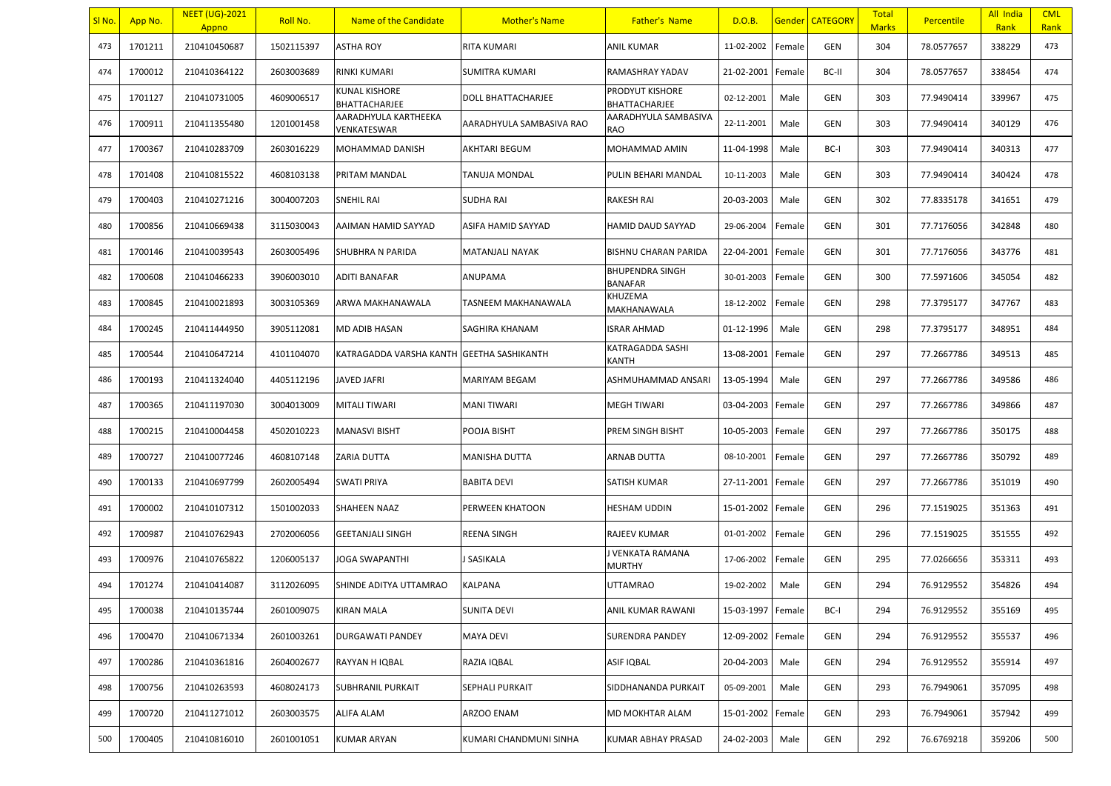| SI No. | <mark>App No.</mark> | <b>NEET (UG)-2021</b><br>Appno | Roll No.   | Name of the Candidate               | <b>Mother's Name</b>     | <b>Father's Name</b>                     | D.O.B.            |        | <b>Gender CATEGORY</b> | <b>Total</b><br><b>Marks</b> | <b>Percentile</b> | All India<br>Rank | <b>CML</b><br>Rank |
|--------|----------------------|--------------------------------|------------|-------------------------------------|--------------------------|------------------------------------------|-------------------|--------|------------------------|------------------------------|-------------------|-------------------|--------------------|
| 473    | 1701211              | 210410450687                   | 1502115397 | ASTHA ROY                           | RITA KUMARI              | <b>ANIL KUMAR</b>                        | 11-02-2002        | Female | <b>GEN</b>             | 304                          | 78.0577657        | 338229            | 473                |
| 474    | 1700012              | 210410364122                   | 2603003689 | RINKI KUMARI                        | SUMITRA KUMARI           | RAMASHRAY YADAV                          | 21-02-2001        | Female | BC-II                  | 304                          | 78.0577657        | 338454            | 474                |
| 475    | 1701127              | 210410731005                   | 4609006517 | KUNAL KISHORE<br>BHATTACHARJEE      | DOLL BHATTACHARJEE       | PRODYUT KISHORE<br>BHATTACHARJEE         | 02-12-2001        | Male   | GEN                    | 303                          | 77.9490414        | 339967            | 475                |
| 476    | 1700911              | 210411355480                   | 1201001458 | AARADHYULA KARTHEEKA<br>VENKATESWAR | AARADHYULA SAMBASIVA RAO | AARADHYULA SAMBASIVA<br>RAO              | 22-11-2001        | Male   | GEN                    | 303                          | 77.9490414        | 340129            | 476                |
| 477    | 1700367              | 210410283709                   | 2603016229 | MOHAMMAD DANISH                     | <b>AKHTARI BEGUM</b>     | MOHAMMAD AMIN                            | 11-04-1998        | Male   | BC-I                   | 303                          | 77.9490414        | 340313            | 477                |
| 478    | 1701408              | 210410815522                   | 4608103138 | PRITAM MANDAL                       | TANUJA MONDAL            | PULIN BEHARI MANDAL                      | 10-11-2003        | Male   | GEN                    | 303                          | 77.9490414        | 340424            | 478                |
| 479    | 1700403              | 210410271216                   | 3004007203 | <b>SNEHIL RAI</b>                   | <b>SUDHA RAI</b>         | <b>RAKESH RAI</b>                        | 20-03-2003        | Male   | <b>GEN</b>             | 302                          | 77.8335178        | 341651            | 479                |
| 480    | 1700856              | 210410669438                   | 3115030043 | AAIMAN HAMID SAYYAD                 | ASIFA HAMID SAYYAD       | HAMID DAUD SAYYAD                        | 29-06-2004        | Female | GEN                    | 301                          | 77.7176056        | 342848            | 480                |
| 481    | 1700146              | 210410039543                   | 2603005496 | <b>SHUBHRA N PARIDA</b>             | MATANJALI NAYAK          | BISHNU CHARAN PARIDA                     | 22-04-2001        | Female | GEN                    | 301                          | 77.7176056        | 343776            | 481                |
| 482    | 1700608              | 210410466233                   | 3906003010 | ADITI BANAFAR                       | ANUPAMA                  | <b>BHUPENDRA SINGH</b><br><b>BANAFAR</b> | 30-01-2003        | Female | GEN                    | 300                          | 77.5971606        | 345054            | 482                |
| 483    | 1700845              | 210410021893                   | 3003105369 | ARWA MAKHANAWALA                    | TASNEEM MAKHANAWALA      | KHUZEMA<br>MAKHANAWALA                   | 18-12-2002        | Female | <b>GEN</b>             | 298                          | 77.3795177        | 347767            | 483                |
| 484    | 1700245              | 210411444950                   | 3905112081 | MD ADIB HASAN                       | SAGHIRA KHANAM           | <b>ISRAR AHMAD</b>                       | 01-12-1996        | Male   | GEN                    | 298                          | 77.3795177        | 348951            | 484                |
| 485    | 1700544              | 210410647214                   | 4101104070 | KATRAGADDA VARSHA KANTH             | <b>GEETHA SASHIKANTH</b> | KATRAGADDA SASHI<br>KANTH                | 13-08-2001        | Female | <b>GEN</b>             | 297                          | 77.2667786        | 349513            | 485                |
| 486    | 1700193              | 210411324040                   | 4405112196 | <b>JAVED JAFRI</b>                  | MARIYAM BEGAM            | ASHMUHAMMAD ANSARI                       | 13-05-1994        | Male   | GEN                    | 297                          | 77.2667786        | 349586            | 486                |
| 487    | 1700365              | 210411197030                   | 3004013009 | MITALI TIWARI                       | <b>MANI TIWARI</b>       | <b>MEGH TIWARI</b>                       | 03-04-2003        | Female | <b>GEN</b>             | 297                          | 77.2667786        | 349866            | 487                |
| 488    | 1700215              | 210410004458                   | 4502010223 | <b>MANASVI BISHT</b>                | POOJA BISHT              | PREM SINGH BISHT                         | 10-05-2003        | Female | GEN                    | 297                          | 77.2667786        | 350175            | 488                |
| 489    | 1700727              | 210410077246                   | 4608107148 | <b>ZARIA DUTTA</b>                  | MANISHA DUTTA            | ARNAB DUTTA                              | 08-10-2001        | Female | GEN                    | 297                          | 77.2667786        | 350792            | 489                |
| 490    | 1700133              | 210410697799                   | 2602005494 | <b>SWATI PRIYA</b>                  | <b>BABITA DEVI</b>       | SATISH KUMAR                             | 27-11-2001        | Female | <b>GEN</b>             | 297                          | 77.2667786        | 351019            | 490                |
| 491    | 1700002              | 210410107312                   | 1501002033 | <b>SHAHEEN NAAZ</b>                 | PERWEEN KHATOON          | HESHAM UDDIN                             | 15-01-2002        | Female | <b>GEN</b>             | 296                          | 77.1519025        | 351363            | 491                |
| 492    | 1700987              | 210410762943                   | 2702006056 | <b>GEETANJALI SINGH</b>             | REENA SINGH              | RAJEEV KUMAR                             | 01-01-2002        | Female | GEN                    | 296                          | 77.1519025        | 351555            | 492                |
| 493    | 1700976              | 210410765822                   | 1206005137 | <b>JOGA SWAPANTHI</b>               | I SASIKALA               | <b>VENKATA RAMANA</b><br><b>MURTHY</b>   | 17-06-2002        | Female | GEN                    | 295                          | 77.0266656        | 353311            | 493                |
| 494    | 1701274              | 210410414087                   | 3112026095 | SHINDE ADITYA UTTAMRAO              | KALPANA                  | <b>UTTAMRAO</b>                          | 19-02-2002        | Male   | GEN                    | 294                          | 76.9129552        | 354826            | 494                |
| 495    | 1700038              | 210410135744                   | 2601009075 | <b>KIRAN MALA</b>                   | <b>SUNITA DEVI</b>       | ANIL KUMAR RAWANI                        | 15-03-1997 Female |        | BC-I                   | 294                          | 76.9129552        | 355169            | 495                |
| 496    | 1700470              | 210410671334                   | 2601003261 | DURGAWATI PANDEY                    | MAYA DEVI                | SURENDRA PANDEY                          | 12-09-2002        | Female | GEN                    | 294                          | 76.9129552        | 355537            | 496                |
| 497    | 1700286              | 210410361816                   | 2604002677 | RAYYAN H IQBAL                      | RAZIA IQBAL              | ASIF IQBAL                               | 20-04-2003        | Male   | GEN                    | 294                          | 76.9129552        | 355914            | 497                |
| 498    | 1700756              | 210410263593                   | 4608024173 | <b>SUBHRANIL PURKAIT</b>            | SEPHALI PURKAIT          | SIDDHANANDA PURKAIT                      | 05-09-2001        | Male   | GEN                    | 293                          | 76.7949061        | 357095            | 498                |
| 499    | 1700720              | 210411271012                   | 2603003575 | ALIFA ALAM                          | ARZOO ENAM               | MD MOKHTAR ALAM                          | 15-01-2002        | Female | GEN                    | 293                          | 76.7949061        | 357942            | 499                |
| 500    | 1700405              | 210410816010                   | 2601001051 | KUMAR ARYAN                         | KUMARI CHANDMUNI SINHA   | KUMAR ABHAY PRASAD                       | 24-02-2003        | Male   | GEN                    | 292                          | 76.6769218        | 359206            | 500                |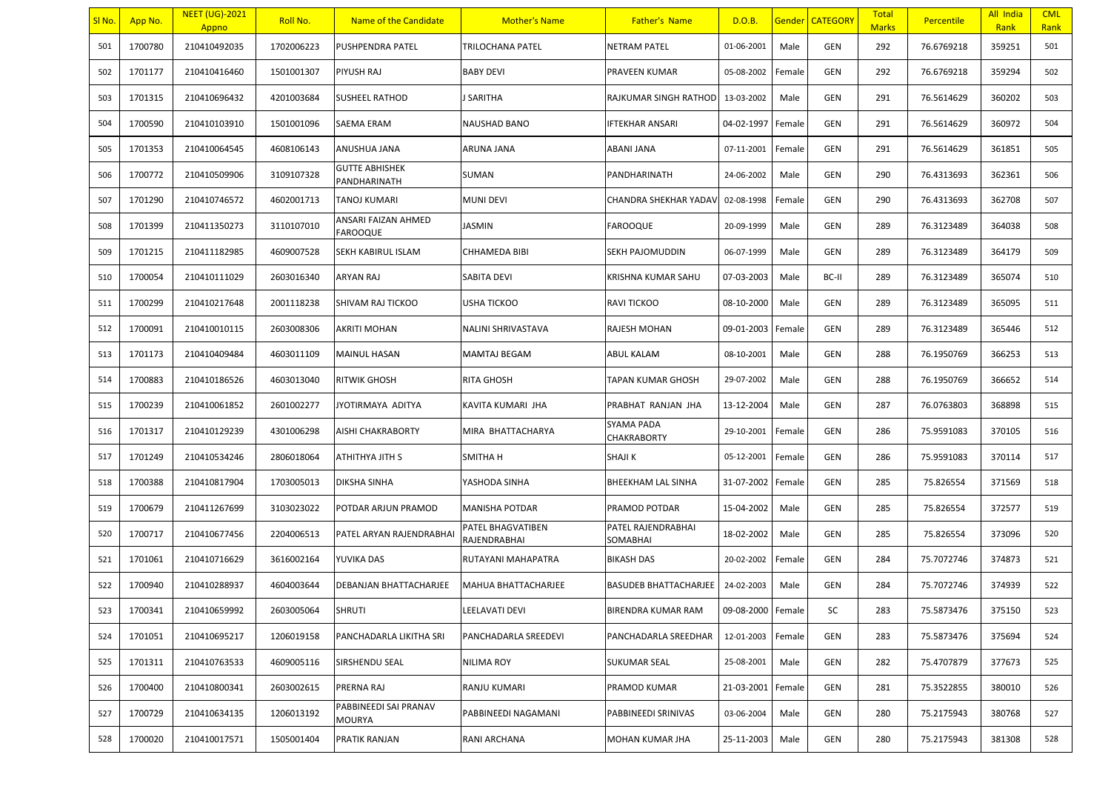| SI <sub>No</sub> . | App No. | <b>NEET (UG)-2021</b><br>Appno | Roll No.   | Name of the Candidate                  | <b>Mother's Name</b>              | <b>Father's Name</b>           | D.O.B.            |        | Gender   CATEGORY | <b>Total</b><br><b>Marks</b> | <b>Percentile</b> | All India<br>Rank | <b>CML</b><br>Rank |
|--------------------|---------|--------------------------------|------------|----------------------------------------|-----------------------------------|--------------------------------|-------------------|--------|-------------------|------------------------------|-------------------|-------------------|--------------------|
| 501                | 1700780 | 210410492035                   | 1702006223 | PUSHPENDRA PATEL                       | <b>TRILOCHANA PATEL</b>           | <b>NETRAM PATEL</b>            | 01-06-2001        | Male   | <b>GEN</b>        | 292                          | 76.6769218        | 359251            | 501                |
| 502                | 1701177 | 210410416460                   | 1501001307 | PIYUSH RAJ                             | <b>BABY DEVI</b>                  | PRAVEEN KUMAR                  | 05-08-2002        | Female | <b>GEN</b>        | 292                          | 76.6769218        | 359294            | 502                |
| 503                | 1701315 | 210410696432                   | 4201003684 | SUSHEEL RATHOD                         | SARITHA                           | RAJKUMAR SINGH RATHOD          | 13-03-2002        | Male   | GEN               | 291                          | 76.5614629        | 360202            | 503                |
| 504                | 1700590 | 210410103910                   | 1501001096 | SAEMA ERAM                             | NAUSHAD BANO                      | IFTEKHAR ANSARI                | 04-02-1997        | Female | GEN               | 291                          | 76.5614629        | 360972            | 504                |
| 505                | 1701353 | 210410064545                   | 4608106143 | ANUSHUA JANA                           | ARUNA JANA                        | ABANI JANA                     | 07-11-2001        | Female | <b>GEN</b>        | 291                          | 76.5614629        | 361851            | 505                |
| 506                | 1700772 | 210410509906                   | 3109107328 | <b>GUTTE ABHISHEK</b><br>PANDHARINATH  | SUMAN                             | PANDHARINATH                   | 24-06-2002        | Male   | <b>GEN</b>        | 290                          | 76.4313693        | 362361            | 506                |
| 507                | 1701290 | 210410746572                   | 4602001713 | TANOJ KUMARI                           | <b>MUNI DEVI</b>                  | CHANDRA SHEKHAR YADAV          | 02-08-1998        | Female | <b>GEN</b>        | 290                          | 76.4313693        | 362708            | 507                |
| 508                | 1701399 | 210411350273                   | 3110107010 | ANSARI FAIZAN AHMED<br><b>FAROOQUE</b> | JASMIN                            | <b>FAROOQUE</b>                | 20-09-1999        | Male   | <b>GEN</b>        | 289                          | 76.3123489        | 364038            | 508                |
| 509                | 1701215 | 210411182985                   | 4609007528 | SEKH KABIRUL ISLAM                     | CHHAMEDA BIBI                     | SEKH PAJOMUDDIN                | 06-07-1999        | Male   | <b>GEN</b>        | 289                          | 76.3123489        | 364179            | 509                |
| 510                | 1700054 | 210410111029                   | 2603016340 | ARYAN RAJ                              | <b>SABITA DEVI</b>                | KRISHNA KUMAR SAHU             | 07-03-2003        | Male   | BC-II             | 289                          | 76.3123489        | 365074            | 510                |
| 511                | 1700299 | 210410217648                   | 2001118238 | SHIVAM RAJ TICKOO                      | USHA TICKOO                       | RAVI TICKOO                    | 08-10-2000        | Male   | GEN               | 289                          | 76.3123489        | 365095            | 511                |
| 512                | 1700091 | 210410010115                   | 2603008306 | AKRITI MOHAN                           | NALINI SHRIVASTAVA                | RAJESH MOHAN                   | 09-01-2003        | Female | GEN               | 289                          | 76.3123489        | 365446            | 512                |
| 513                | 1701173 | 210410409484                   | 4603011109 | <b>MAINUL HASAN</b>                    | <b>MAMTAJ BEGAM</b>               | ABUL KALAM                     | 08-10-2001        | Male   | <b>GEN</b>        | 288                          | 76.1950769        | 366253            | 513                |
| 514                | 1700883 | 210410186526                   | 4603013040 | <b>RITWIK GHOSH</b>                    | <b>RITA GHOSH</b>                 | <b>TAPAN KUMAR GHOSH</b>       | 29-07-2002        | Male   | GEN               | 288                          | 76.1950769        | 366652            | 514                |
| 515                | 1700239 | 210410061852                   | 2601002277 | JYOTIRMAYA ADITYA                      | KAVITA KUMARI JHA                 | PRABHAT RANJAN JHA             | 13-12-2004        | Male   | <b>GEN</b>        | 287                          | 76.0763803        | 368898            | 515                |
| 516                | 1701317 | 210410129239                   | 4301006298 | AISHI CHAKRABORTY                      | MIRA BHATTACHARYA                 | SYAMA PADA<br>CHAKRABORTY      | 29-10-2001        | Female | GEN               | 286                          | 75.9591083        | 370105            | 516                |
| 517                | 1701249 | 210410534246                   | 2806018064 | ATHITHYA JITH S                        | SMITHA H                          | <b>SHAJI K</b>                 | 05-12-2001        | Female | <b>GEN</b>        | 286                          | 75.9591083        | 370114            | 517                |
| 518                | 1700388 | 210410817904                   | 1703005013 | <b>DIKSHA SINHA</b>                    | YASHODA SINHA                     | BHEEKHAM LAL SINHA             | 31-07-2002        | Female | GEN               | 285                          | 75.826554         | 371569            | 518                |
| 519                | 1700679 | 210411267699                   | 3103023022 | POTDAR ARJUN PRAMOD                    | MANISHA POTDAR                    | PRAMOD POTDAR                  | 15-04-2002        | Male   | GEN               | 285                          | 75.826554         | 372577            | 519                |
| 520                | 1700717 | 210410677456                   | 2204006513 | PATEL ARYAN RAJENDRABHAI               | PATEL BHAGVATIBEN<br>RAJENDRABHAI | PATEL RAJENDRABHAI<br>SOMABHAI | 18-02-2002        | Male   | GEN               | 285                          | 75.826554         | 373096            | 520                |
| 521                | 1701061 | 210410716629                   | 3616002164 | YUVIKA DAS                             | RUTAYANI MAHAPATRA                | <b>BIKASH DAS</b>              | 20-02-2002        | Female | <b>GEN</b>        | 284                          | 75.7072746        | 374873            | 521                |
| 522                | 1700940 | 210410288937                   | 4604003644 | DEBANJAN BHATTACHARJEE                 | MAHUA BHATTACHARJEE               | <b>BASUDEB BHATTACHARJEE</b>   | 24-02-2003        | Male   | GEN               | 284                          | 75.7072746        | 374939            | 522                |
| 523                | 1700341 | 210410659992                   | 2603005064 | <b>SHRUTI</b>                          | LEELAVATI DEVI                    | BIRENDRA KUMAR RAM             | 09-08-2000 Female |        | SC                | 283                          | 75.5873476        | 375150            | 523                |
| 524                | 1701051 | 210410695217                   | 1206019158 | PANCHADARLA LIKITHA SRI                | PANCHADARLA SREEDEVI              | PANCHADARLA SREEDHAR           | 12-01-2003        | Female | GEN               | 283                          | 75.5873476        | 375694            | 524                |
| 525                | 1701311 | 210410763533                   | 4609005116 | SIRSHENDU SEAL                         | NILIMA ROY                        | <b>SUKUMAR SEAL</b>            | 25-08-2001        | Male   | GEN               | 282                          | 75.4707879        | 377673            | 525                |
| 526                | 1700400 | 210410800341                   | 2603002615 | PRERNA RAJ                             | RANJU KUMARI                      | PRAMOD KUMAR                   | 21-03-2001        | Female | GEN               | 281                          | 75.3522855        | 380010            | 526                |
| 527                | 1700729 | 210410634135                   | 1206013192 | PABBINEEDI SAI PRANAV<br>MOURYA        | PABBINEEDI NAGAMANI               | PABBINEEDI SRINIVAS            | 03-06-2004        | Male   | GEN               | 280                          | 75.2175943        | 380768            | 527                |
| 528                | 1700020 | 210410017571                   | 1505001404 | PRATIK RANJAN                          | RANI ARCHANA                      | MOHAN KUMAR JHA                | 25-11-2003        | Male   | GEN               | 280                          | 75.2175943        | 381308            | 528                |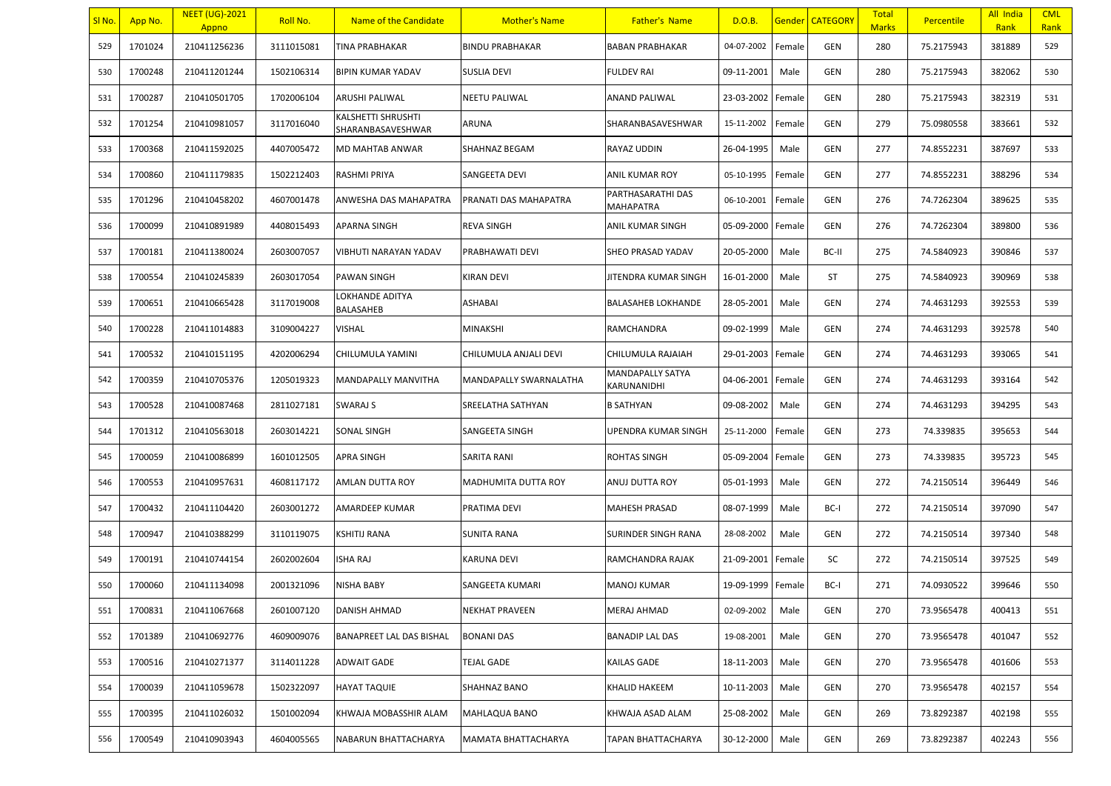| <u>SI No.</u> | App No. | <b>NEET (UG)-2021</b><br>Appno | Roll No.   | Name of the Candidate                   | <b>Mother's Name</b>   | <b>Father's Name</b>            | D.O.B.     |        | <b>Gender CATEGORY</b> | <b>Total</b><br><b>Marks</b> | <b>Percentile</b> | All India<br>Rank | <b>CML</b><br>Rank |
|---------------|---------|--------------------------------|------------|-----------------------------------------|------------------------|---------------------------------|------------|--------|------------------------|------------------------------|-------------------|-------------------|--------------------|
| 529           | 1701024 | 210411256236                   | 3111015081 | TINA PRABHAKAR                          | <b>BINDU PRABHAKAR</b> | <b>BABAN PRABHAKAR</b>          | 04-07-2002 | Female | GEN                    | 280                          | 75.2175943        | 381889            | 529                |
| 530           | 1700248 | 210411201244                   | 1502106314 | <b>BIPIN KUMAR YADAV</b>                | <b>SUSLIA DEVI</b>     | FULDEV RAI                      | 09-11-2001 | Male   | GEN                    | 280                          | 75.2175943        | 382062            | 530                |
| 531           | 1700287 | 210410501705                   | 1702006104 | ARUSHI PALIWAL                          | <b>NEETU PALIWAL</b>   | ANAND PALIWAL                   | 23-03-2002 | Female | GEN                    | 280                          | 75.2175943        | 382319            | 531                |
| 532           | 1701254 | 210410981057                   | 3117016040 | KALSHETTI SHRUSHTI<br>SHARANBASAVESHWAR | ARUNA                  | SHARANBASAVESHWAR               | 15-11-2002 | Female | GEN                    | 279                          | 75.0980558        | 383661            | 532                |
| 533           | 1700368 | 210411592025                   | 4407005472 | MD MAHTAB ANWAR                         | <b>SHAHNAZ BEGAM</b>   | RAYAZ UDDIN                     | 26-04-1995 | Male   | GEN                    | 277                          | 74.8552231        | 387697            | 533                |
| 534           | 1700860 | 210411179835                   | 1502212403 | RASHMI PRIYA                            | SANGEETA DEVI          | ANIL KUMAR ROY                  | 05-10-1995 | Female | GEN                    | 277                          | 74.8552231        | 388296            | 534                |
| 535           | 1701296 | 210410458202                   | 4607001478 | ANWESHA DAS MAHAPATRA                   | PRANATI DAS MAHAPATRA  | PARTHASARATHI DAS<br>MAHAPATRA  | 06-10-2001 | Female | GEN                    | 276                          | 74.7262304        | 389625            | 535                |
| 536           | 1700099 | 210410891989                   | 4408015493 | APARNA SINGH                            | <b>REVA SINGH</b>      | ANIL KUMAR SINGH                | 05-09-2000 | Female | GEN                    | 276                          | 74.7262304        | 389800            | 536                |
| 537           | 1700181 | 210411380024                   | 2603007057 | VIBHUTI NARAYAN YADAV                   | PRABHAWATI DEVI        | SHEO PRASAD YADAV               | 20-05-2000 | Male   | BC-II                  | 275                          | 74.5840923        | 390846            | 537                |
| 538           | 1700554 | 210410245839                   | 2603017054 | <b>PAWAN SINGH</b>                      | <b>KIRAN DEVI</b>      | JITENDRA KUMAR SINGH            | 16-01-2000 | Male   | <b>ST</b>              | 275                          | 74.5840923        | 390969            | 538                |
| 539           | 1700651 | 210410665428                   | 3117019008 | LOKHANDE ADITYA<br>BALASAHEB            | <b>ASHABAI</b>         | BALASAHEB LOKHANDE              | 28-05-2001 | Male   | GEN                    | 274                          | 74.4631293        | 392553            | 539                |
| 540           | 1700228 | 210411014883                   | 3109004227 | <b>VISHAL</b>                           | <b>MINAKSHI</b>        | RAMCHANDRA                      | 09-02-1999 | Male   | GEN                    | 274                          | 74.4631293        | 392578            | 540                |
| 541           | 1700532 | 210410151195                   | 4202006294 | CHILUMULA YAMINI                        | CHILUMULA ANJALI DEVI  | CHILUMULA RAJAIAH               | 29-01-2003 | Female | GEN                    | 274                          | 74.4631293        | 393065            | 541                |
| 542           | 1700359 | 210410705376                   | 1205019323 | <b>MANDAPALLY MANVITHA</b>              | MANDAPALLY SWARNALATHA | MANDAPALLY SATYA<br>KARUNANIDHI | 04-06-2001 | Female | GEN                    | 274                          | 74.4631293        | 393164            | 542                |
| 543           | 1700528 | 210410087468                   | 2811027181 | SWARAJ S                                | SREELATHA SATHYAN      | <b>B SATHYAN</b>                | 09-08-2002 | Male   | GEN                    | 274                          | 74.4631293        | 394295            | 543                |
| 544           | 1701312 | 210410563018                   | 2603014221 | SONAL SINGH                             | SANGEETA SINGH         | UPENDRA KUMAR SINGH             | 25-11-2000 | Female | GEN                    | 273                          | 74.339835         | 395653            | 544                |
| 545           | 1700059 | 210410086899                   | 1601012505 | <b>APRA SINGH</b>                       | SARITA RANI            | ROHTAS SINGH                    | 05-09-2004 | Female | GEN                    | 273                          | 74.339835         | 395723            | 545                |
| 546           | 1700553 | 210410957631                   | 4608117172 | AMLAN DUTTA ROY                         | MADHUMITA DUTTA ROY    | ANUJ DUTTA ROY                  | 05-01-1993 | Male   | GEN                    | 272                          | 74.2150514        | 396449            | 546                |
| 547           | 1700432 | 210411104420                   | 2603001272 | AMARDEEP KUMAR                          | <b>PRATIMA DEVI</b>    | MAHESH PRASAD                   | 08-07-1999 | Male   | BC-I                   | 272                          | 74.2150514        | 397090            | 547                |
| 548           | 1700947 | 210410388299                   | 3110119075 | KSHITIJ RANA                            | <b>SUNITA RANA</b>     | SURINDER SINGH RANA             | 28-08-2002 | Male   | GEN                    | 272                          | 74.2150514        | 397340            | 548                |
| 549           | 1700191 | 210410744154                   | 2602002604 | <b>ISHA RAJ</b>                         | <b>KARUNA DEVI</b>     | RAMCHANDRA RAJAK                | 21-09-2001 | Female | SC                     | 272                          | 74.2150514        | 397525            | 549                |
| 550           | 1700060 | 210411134098                   | 2001321096 | <b>NISHA BABY</b>                       | SANGEETA KUMARI        | MANOJ KUMAR                     | 19-09-1999 | Female | BC-I                   | 271                          | 74.0930522        | 399646            | 550                |
| 551           | 1700831 | 210411067668                   | 2601007120 | DANISH AHMAD                            | <b>NEKHAT PRAVEEN</b>  | MERAJ AHMAD                     | 02-09-2002 | Male   | GEN                    | 270                          | 73.9565478        | 400413            | 551                |
| 552           | 1701389 | 210410692776                   | 4609009076 | BANAPREET LAL DAS BISHAL                | <b>BONANI DAS</b>      | <b>BANADIP LAL DAS</b>          | 19-08-2001 | Male   | GEN                    | 270                          | 73.9565478        | 401047            | 552                |
| 553           | 1700516 | 210410271377                   | 3114011228 | <b>ADWAIT GADE</b>                      | <b>TEJAL GADE</b>      | KAILAS GADE                     | 18-11-2003 | Male   | GEN                    | 270                          | 73.9565478        | 401606            | 553                |
| 554           | 1700039 | 210411059678                   | 1502322097 | <b>HAYAT TAQUIE</b>                     | SHAHNAZ BANO           | KHALID HAKEEM                   | 10-11-2003 | Male   | GEN                    | 270                          | 73.9565478        | 402157            | 554                |
| 555           | 1700395 | 210411026032                   | 1501002094 | KHWAJA MOBASSHIR ALAM                   | MAHLAQUA BANO          | KHWAJA ASAD ALAM                | 25-08-2002 | Male   | GEN                    | 269                          | 73.8292387        | 402198            | 555                |
| 556           | 1700549 | 210410903943                   | 4604005565 | NABARUN BHATTACHARYA                    | MAMATA BHATTACHARYA    | TAPAN BHATTACHARYA              | 30-12-2000 | Male   | GEN                    | 269                          | 73.8292387        | 402243            | 556                |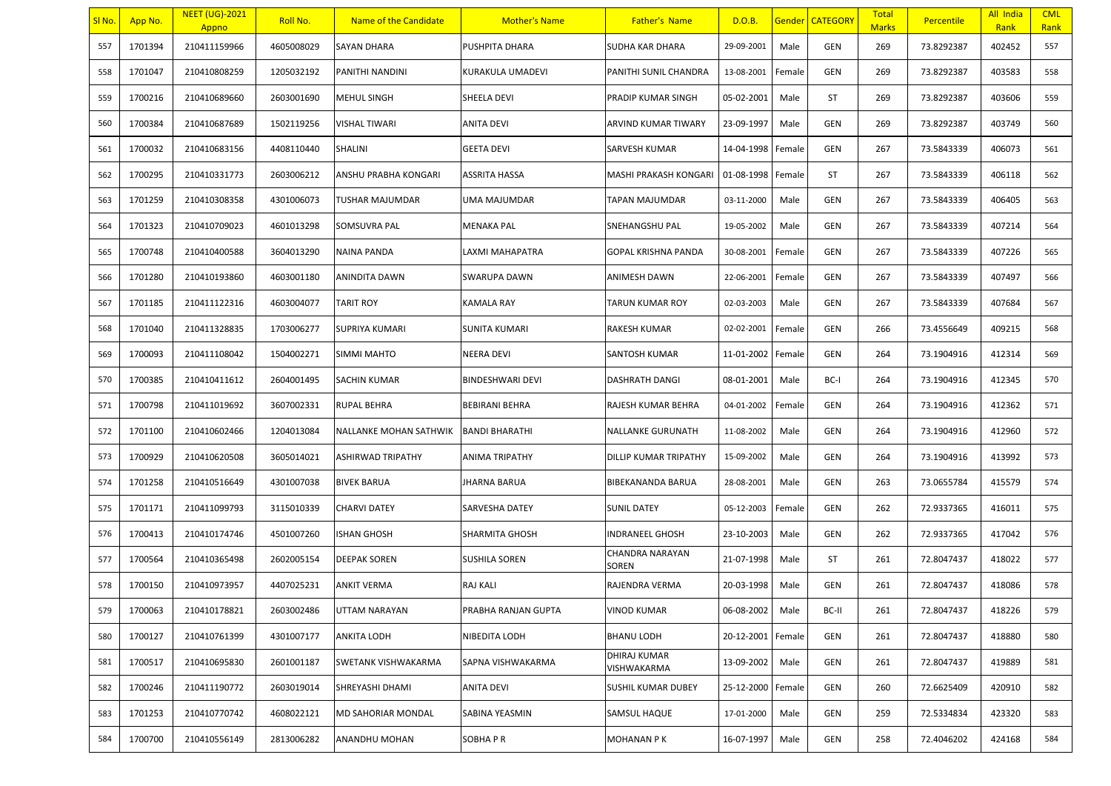| SI No. | App No. | <b>NEET (UG)-2021</b><br>Appno | Roll No.   | Name of the Candidate  | <b>Mother's Name</b>    | <b>Father's Name</b>        | D.O.B.     |        | <b>Gender CATEGORY</b> | <b>Total</b><br><b>Marks</b> | <b>Percentile</b> | All India<br>Rank | <b>CML</b><br>Rank |
|--------|---------|--------------------------------|------------|------------------------|-------------------------|-----------------------------|------------|--------|------------------------|------------------------------|-------------------|-------------------|--------------------|
| 557    | 1701394 | 210411159966                   | 4605008029 | SAYAN DHARA            | PUSHPITA DHARA          | SUDHA KAR DHARA             | 29-09-2001 | Male   | GEN                    | 269                          | 73.8292387        | 402452            | 557                |
| 558    | 1701047 | 210410808259                   | 1205032192 | PANITHI NANDINI        | KURAKULA UMADEVI        | PANITHI SUNIL CHANDRA       | 13-08-2001 | Female | GEN                    | 269                          | 73.8292387        | 403583            | 558                |
| 559    | 1700216 | 210410689660                   | 2603001690 | MEHUL SINGH            | SHEELA DEVI             | PRADIP KUMAR SINGH          | 05-02-2001 | Male   | ST                     | 269                          | 73.8292387        | 403606            | 559                |
| 560    | 1700384 | 210410687689                   | 1502119256 | VISHAL TIWARI          | <b>ANITA DEVI</b>       | ARVIND KUMAR TIWARY         | 23-09-1997 | Male   | GEN                    | 269                          | 73.8292387        | 403749            | 560                |
| 561    | 1700032 | 210410683156                   | 4408110440 | SHALINI                | <b>GEETA DEVI</b>       | SARVESH KUMAR               | 14-04-1998 | Female | GEN                    | 267                          | 73.5843339        | 406073            | 561                |
| 562    | 1700295 | 210410331773                   | 2603006212 | ANSHU PRABHA KONGARI   | <b>ASSRITA HASSA</b>    | MASHI PRAKASH KONGARI       | 01-08-1998 | Female | ST                     | 267                          | 73.5843339        | 406118            | 562                |
| 563    | 1701259 | 210410308358                   | 4301006073 | TUSHAR MAJUMDAR        | UMA MAJUMDAR            | TAPAN MAJUMDAR              | 03-11-2000 | Male   | GEN                    | 267                          | 73.5843339        | 406405            | 563                |
| 564    | 1701323 | 210410709023                   | 4601013298 | SOMSUVRA PAL           | <b>MENAKA PAL</b>       | SNEHANGSHU PAL              | 19-05-2002 | Male   | GEN                    | 267                          | 73.5843339        | 407214            | 564                |
| 565    | 1700748 | 210410400588                   | 3604013290 | NAINA PANDA            | LAXMI MAHAPATRA         | GOPAL KRISHNA PANDA         | 30-08-2001 | Female | GEN                    | 267                          | 73.5843339        | 407226            | 565                |
| 566    | 1701280 | 210410193860                   | 4603001180 | ANINDITA DAWN          | <b>SWARUPA DAWN</b>     | ANIMESH DAWN                | 22-06-2001 | Female | GEN                    | 267                          | 73.5843339        | 407497            | 566                |
| 567    | 1701185 | 210411122316                   | 4603004077 | <b>TARIT ROY</b>       | <b>KAMALA RAY</b>       | TARUN KUMAR ROY             | 02-03-2003 | Male   | GEN                    | 267                          | 73.5843339        | 407684            | 567                |
| 568    | 1701040 | 210411328835                   | 1703006277 | SUPRIYA KUMARI         | <b>SUNITA KUMARI</b>    | RAKESH KUMAR                | 02-02-2001 | Female | GEN                    | 266                          | 73.4556649        | 409215            | 568                |
| 569    | 1700093 | 210411108042                   | 1504002271 | SIMMI MAHTO            | <b>NEERA DEVI</b>       | SANTOSH KUMAR               | 11-01-2002 | Female | GEN                    | 264                          | 73.1904916        | 412314            | 569                |
| 570    | 1700385 | 210410411612                   | 2604001495 | SACHIN KUMAR           | <b>BINDESHWARI DEVI</b> | <b>DASHRATH DANGI</b>       | 08-01-2001 | Male   | BC-I                   | 264                          | 73.1904916        | 412345            | 570                |
| 571    | 1700798 | 210411019692                   | 3607002331 | <b>RUPAL BEHRA</b>     | <b>BEBIRANI BEHRA</b>   | RAJESH KUMAR BEHRA          | 04-01-2002 | Female | GEN                    | 264                          | 73.1904916        | 412362            | 571                |
| 572    | 1701100 | 210410602466                   | 1204013084 | NALLANKE MOHAN SATHWIK | <b>BANDI BHARATHI</b>   | NALLANKE GURUNATH           | 11-08-2002 | Male   | GEN                    | 264                          | 73.1904916        | 412960            | 572                |
| 573    | 1700929 | 210410620508                   | 3605014021 | ASHIRWAD TRIPATHY      | <b>ANIMA TRIPATHY</b>   | DILLIP KUMAR TRIPATHY       | 15-09-2002 | Male   | GEN                    | 264                          | 73.1904916        | 413992            | 573                |
| 574    | 1701258 | 210410516649                   | 4301007038 | <b>BIVEK BARUA</b>     | <b>JHARNA BARUA</b>     | BIBEKANANDA BARUA           | 28-08-2001 | Male   | GEN                    | 263                          | 73.0655784        | 415579            | 574                |
| 575    | 1701171 | 210411099793                   | 3115010339 | <b>CHARVI DATEY</b>    | <b>SARVESHA DATEY</b>   | <b>SUNIL DATEY</b>          | 05-12-2003 | Female | GEN                    | 262                          | 72.9337365        | 416011            | 575                |
| 576    | 1700413 | 210410174746                   | 4501007260 | <b>ISHAN GHOSH</b>     | <b>SHARMITA GHOSH</b>   | <b>NDRANEEL GHOSH</b>       | 23-10-2003 | Male   | GEN                    | 262                          | 72.9337365        | 417042            | 576                |
| 577    | 1700564 | 210410365498                   | 2602005154 | <b>DEEPAK SOREN</b>    | <b>SUSHILA SOREN</b>    | CHANDRA NARAYAN<br>SOREN    | 21-07-1998 | Male   | ST                     | 261                          | 72.8047437        | 418022            | 577                |
| 578    | 1700150 | 210410973957                   | 4407025231 | <b>ANKIT VERMA</b>     | <b>RAJ KALI</b>         | RAJENDRA VERMA              | 20-03-1998 | Male   | GEN                    | 261                          | 72.8047437        | 418086            | 578                |
| 579    | 1700063 | 210410178821                   | 2603002486 | UTTAM NARAYAN          | PRABHA RANJAN GUPTA     | <b>VINOD KUMAR</b>          | 06-08-2002 | Male   | BC-II                  | 261                          | 72.8047437        | 418226            | 579                |
| 580    | 1700127 | 210410761399                   | 4301007177 | ANKITA LODH            | NIBEDITA LODH           | BHANU LODH                  | 20-12-2001 | Female | GEN                    | 261                          | 72.8047437        | 418880            | 580                |
| 581    | 1700517 | 210410695830                   | 2601001187 | SWETANK VISHWAKARMA    | SAPNA VISHWAKARMA       | DHIRAJ KUMAR<br>VISHWAKARMA | 13-09-2002 | Male   | GEN                    | 261                          | 72.8047437        | 419889            | 581                |
| 582    | 1700246 | 210411190772                   | 2603019014 | SHREYASHI DHAMI        | <b>ANITA DEVI</b>       | SUSHIL KUMAR DUBEY          | 25-12-2000 | Female | GEN                    | 260                          | 72.6625409        | 420910            | 582                |
| 583    | 1701253 | 210410770742                   | 4608022121 | MD SAHORIAR MONDAL     | SABINA YEASMIN          | SAMSUL HAQUE                | 17-01-2000 | Male   | GEN                    | 259                          | 72.5334834        | 423320            | 583                |
| 584    | 1700700 | 210410556149                   | 2813006282 | ANANDHU MOHAN          | SOBHA PR                | MOHANAN P K                 | 16-07-1997 | Male   | GEN                    | 258                          | 72.4046202        | 424168            | 584                |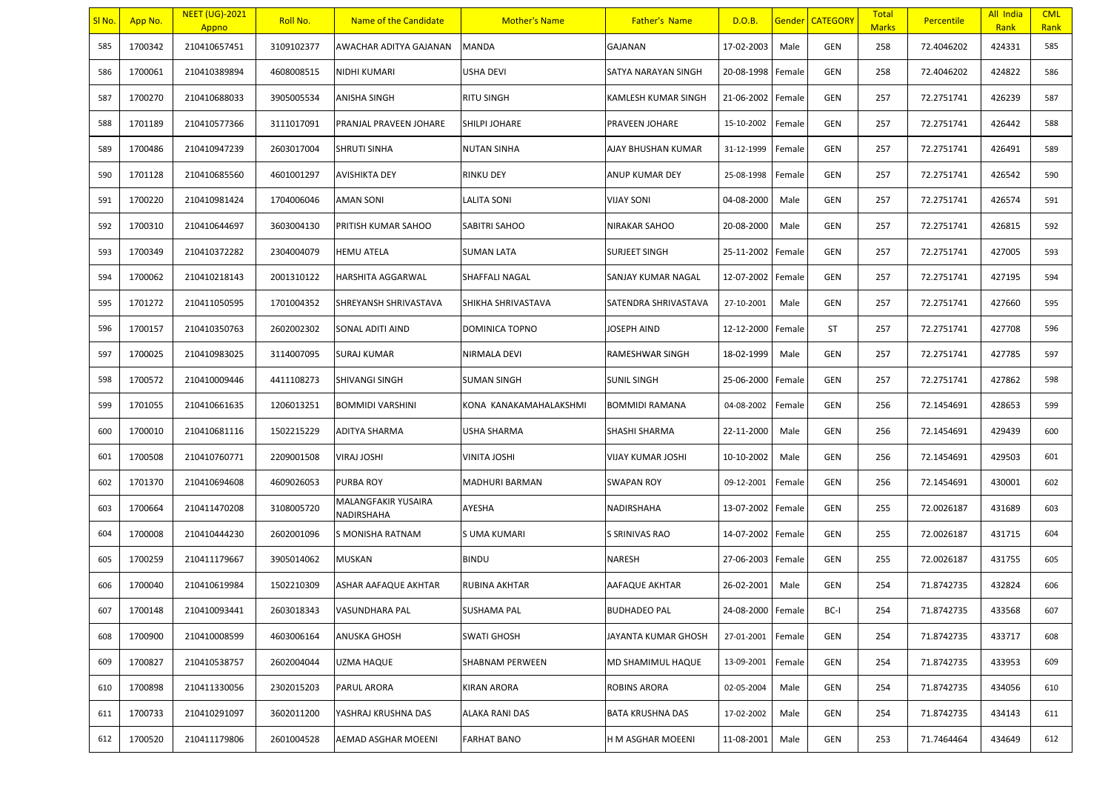| SI No. | App No. | <b>NEET (UG)-2021</b><br>Appno | Roll No.   | Name of the Candidate             | <b>Mother's Name</b>   | <b>Father's Name</b>    | D.O.B.            |        | <b>Gender CATEGORY</b> | <b>Total</b><br><b>Marks</b> | <b>Percentile</b> | All India<br>Rank | <b>CML</b><br>Rank |
|--------|---------|--------------------------------|------------|-----------------------------------|------------------------|-------------------------|-------------------|--------|------------------------|------------------------------|-------------------|-------------------|--------------------|
| 585    | 1700342 | 210410657451                   | 3109102377 | AWACHAR ADITYA GAJANAN            | <b>MANDA</b>           | GAJANAN                 | 17-02-2003        | Male   | GEN                    | 258                          | 72.4046202        | 424331            | 585                |
| 586    | 1700061 | 210410389894                   | 4608008515 | <b>NIDHI KUMARI</b>               | <b>USHA DEVI</b>       | SATYA NARAYAN SINGH     | 20-08-1998        | Female | GEN                    | 258                          | 72.4046202        | 424822            | 586                |
| 587    | 1700270 | 210410688033                   | 3905005534 | <b>ANISHA SINGH</b>               | <b>RITU SINGH</b>      | KAMLESH KUMAR SINGH     | 21-06-2002        | Female | GEN                    | 257                          | 72.2751741        | 426239            | 587                |
| 588    | 1701189 | 210410577366                   | 3111017091 | PRANJAL PRAVEEN JOHARE            | SHILPI JOHARE          | PRAVEEN JOHARE          | 15-10-2002        | Female | GEN                    | 257                          | 72.2751741        | 426442            | 588                |
| 589    | 1700486 | 210410947239                   | 2603017004 | <b>SHRUTI SINHA</b>               | <b>NUTAN SINHA</b>     | AJAY BHUSHAN KUMAR      | 31-12-1999        | Female | GEN                    | 257                          | 72.2751741        | 426491            | 589                |
| 590    | 1701128 | 210410685560                   | 4601001297 | <b>AVISHIKTA DEY</b>              | <b>RINKU DEY</b>       | ANUP KUMAR DEY          | 25-08-1998        | Female | GEN                    | 257                          | 72.2751741        | 426542            | 590                |
| 591    | 1700220 | 210410981424                   | 1704006046 | AMAN SONI                         | <b>LALITA SONI</b>     | VIJAY SONI              | 04-08-2000        | Male   | GEN                    | 257                          | 72.2751741        | 426574            | 591                |
| 592    | 1700310 | 210410644697                   | 3603004130 | PRITISH KUMAR SAHOO               | <b>SABITRI SAHOO</b>   | NIRAKAR SAHOO           | 20-08-2000        | Male   | GEN                    | 257                          | 72.2751741        | 426815            | 592                |
| 593    | 1700349 | 210410372282                   | 2304004079 | <b>HEMU ATELA</b>                 | <b>SUMAN LATA</b>      | <b>SURJEET SINGH</b>    | 25-11-2002        | Female | GEN                    | 257                          | 72.2751741        | 427005            | 593                |
| 594    | 1700062 | 210410218143                   | 2001310122 | <b>HARSHITA AGGARWAL</b>          | <b>SHAFFALI NAGAL</b>  | SANJAY KUMAR NAGAL      | 12-07-2002        | Female | GEN                    | 257                          | 72.2751741        | 427195            | 594                |
| 595    | 1701272 | 210411050595                   | 1701004352 | SHREYANSH SHRIVASTAVA             | SHIKHA SHRIVASTAVA     | SATENDRA SHRIVASTAVA    | 27-10-2001        | Male   | GEN                    | 257                          | 72.2751741        | 427660            | 595                |
| 596    | 1700157 | 210410350763                   | 2602002302 | SONAL ADITI AIND                  | DOMINICA TOPNO         | <b>OSEPH AIND</b>       | 12-12-2000        | Female | ST                     | 257                          | 72.2751741        | 427708            | 596                |
| 597    | 1700025 | 210410983025                   | 3114007095 | <b>SURAJ KUMAR</b>                | NIRMALA DEVI           | RAMESHWAR SINGH         | 18-02-1999        | Male   | GEN                    | 257                          | 72.2751741        | 427785            | 597                |
| 598    | 1700572 | 210410009446                   | 4411108273 | SHIVANGI SINGH                    | <b>SUMAN SINGH</b>     | <b>SUNIL SINGH</b>      | 25-06-2000        | Female | GEN                    | 257                          | 72.2751741        | 427862            | 598                |
| 599    | 1701055 | 210410661635                   | 1206013251 | <b>BOMMIDI VARSHINI</b>           | KONA KANAKAMAHALAKSHMI | <b>BOMMIDI RAMANA</b>   | 04-08-2002        | Female | GEN                    | 256                          | 72.1454691        | 428653            | 599                |
| 600    | 1700010 | 210410681116                   | 1502215229 | ADITYA SHARMA                     | <b>USHA SHARMA</b>     | SHASHI SHARMA           | 22-11-2000        | Male   | GEN                    | 256                          | 72.1454691        | 429439            | 600                |
| 601    | 1700508 | 210410760771                   | 2209001508 | VIRAJ JOSHI                       | <b>VINITA JOSHI</b>    | VIJAY KUMAR JOSHI       | 10-10-2002        | Male   | GEN                    | 256                          | 72.1454691        | 429503            | 601                |
| 602    | 1701370 | 210410694608                   | 4609026053 | PURBA ROY                         | MADHURI BARMAN         | <b>SWAPAN ROY</b>       | 09-12-2001        | Female | GEN                    | 256                          | 72.1454691        | 430001            | 602                |
| 603    | 1700664 | 210411470208                   | 3108005720 | MALANGFAKIR YUSAIRA<br>NADIRSHAHA | AYESHA                 | NADIRSHAHA              | 13-07-2002        | Female | GEN                    | 255                          | 72.0026187        | 431689            | 603                |
| 604    | 1700008 | 210410444230                   | 2602001096 | S MONISHA RATNAM                  | S UMA KUMARI           | S SRINIVAS RAO          | 14-07-2002        | Female | GEN                    | 255                          | 72.0026187        | 431715            | 604                |
| 605    | 1700259 | 210411179667                   | 3905014062 | MUSKAN                            | <b>BINDU</b>           | NARESH                  | 27-06-2003        | Female | GEN                    | 255                          | 72.0026187        | 431755            | 605                |
| 606    | 1700040 | 210410619984                   | 1502210309 | ASHAR AAFAQUE AKHTAR              | RUBINA AKHTAR          | AAFAQUE AKHTAR          | 26-02-2001        | Male   | GEN                    | 254                          | 71.8742735        | 432824            | 606                |
| 607    | 1700148 | 210410093441                   | 2603018343 | <b>VASUNDHARA PAL</b>             | <b>SUSHAMA PAL</b>     | <b>BUDHADEO PAL</b>     | 24-08-2000 Female |        | BC-I                   | 254                          | 71.8742735        | 433568            | 607                |
| 608    | 1700900 | 210410008599                   | 4603006164 | ANUSKA GHOSH                      | <b>SWATI GHOSH</b>     | JAYANTA KUMAR GHOSH     | 27-01-2001        | Female | GEN                    | 254                          | 71.8742735        | 433717            | 608                |
| 609    | 1700827 | 210410538757                   | 2602004044 | <b>UZMA HAQUE</b>                 | <b>SHABNAM PERWEEN</b> | MD SHAMIMUL HAQUE       | 13-09-2001        | Female | GEN                    | 254                          | 71.8742735        | 433953            | 609                |
| 610    | 1700898 | 210411330056                   | 2302015203 | PARUL ARORA                       | <b>KIRAN ARORA</b>     | ROBINS ARORA            | 02-05-2004        | Male   | GEN                    | 254                          | 71.8742735        | 434056            | 610                |
| 611    | 1700733 | 210410291097                   | 3602011200 | YASHRAJ KRUSHNA DAS               | <b>ALAKA RANI DAS</b>  | <b>BATA KRUSHNA DAS</b> | 17-02-2002        | Male   | GEN                    | 254                          | 71.8742735        | 434143            | 611                |
| 612    | 1700520 | 210411179806                   | 2601004528 | AEMAD ASGHAR MOEENI               | <b>FARHAT BANO</b>     | H M ASGHAR MOEENI       | 11-08-2001        | Male   | GEN                    | 253                          | 71.7464464        | 434649            | 612                |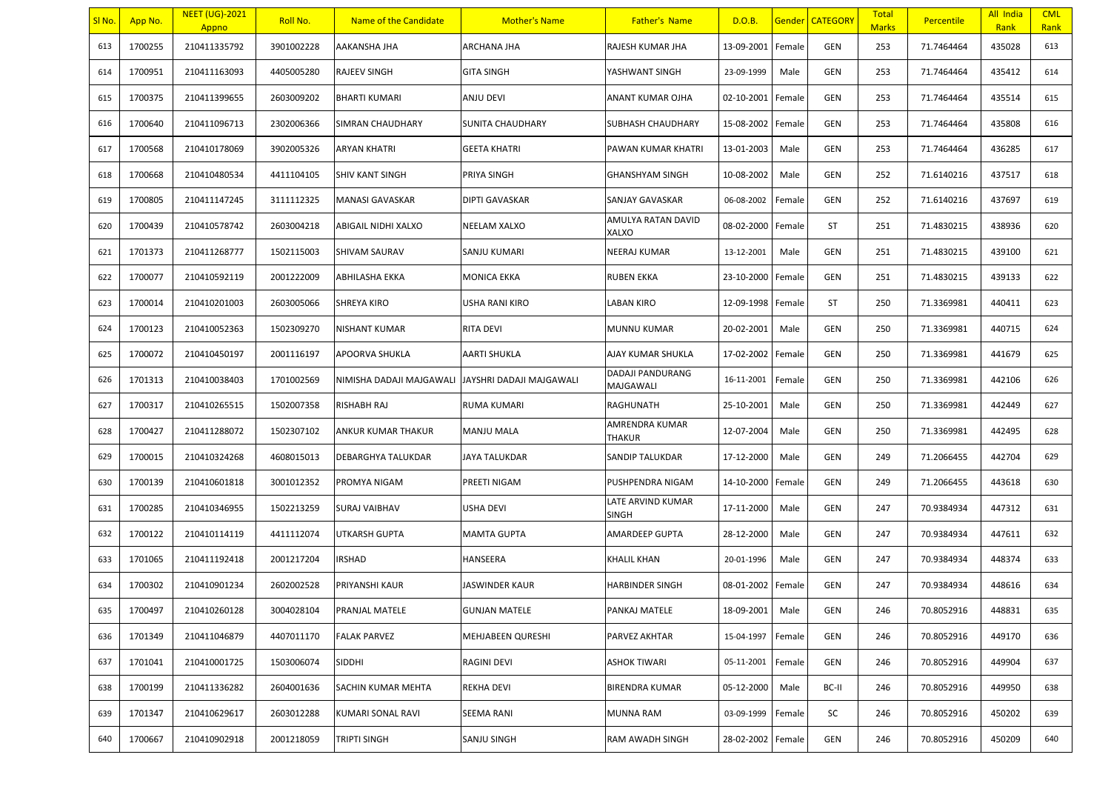| SI No. | App No. | <b>NEET (UG)-2021</b><br>Appno | Roll No.   | Name of the Candidate     | <b>Mother's Name</b>     | <b>Father's Name</b>              | D.O.B.     |        | Gender   CATEGORY | <b>Total</b><br><b>Marks</b> | <b>Percentile</b> | All India<br>Rank | <b>CML</b><br>Rank |
|--------|---------|--------------------------------|------------|---------------------------|--------------------------|-----------------------------------|------------|--------|-------------------|------------------------------|-------------------|-------------------|--------------------|
| 613    | 1700255 | 210411335792                   | 3901002228 | AAKANSHA JHA              | ARCHANA JHA              | RAJESH KUMAR JHA                  | 13-09-2001 | Female | <b>GEN</b>        | 253                          | 71.7464464        | 435028            | 613                |
| 614    | 1700951 | 210411163093                   | 4405005280 | RAJEEV SINGH              | <b>GITA SINGH</b>        | YASHWANT SINGH                    | 23-09-1999 | Male   | <b>GEN</b>        | 253                          | 71.7464464        | 435412            | 614                |
| 615    | 1700375 | 210411399655                   | 2603009202 | <b>BHARTI KUMARI</b>      | ANJU DEVI                | ANANT KUMAR OJHA                  | 02-10-2001 | Female | GEN               | 253                          | 71.7464464        | 435514            | 615                |
| 616    | 1700640 | 210411096713                   | 2302006366 | SIMRAN CHAUDHARY          | SUNITA CHAUDHARY         | SUBHASH CHAUDHARY                 | 15-08-2002 | Female | GEN               | 253                          | 71.7464464        | 435808            | 616                |
| 617    | 1700568 | 210410178069                   | 3902005326 | ARYAN KHATRI              | <b>GEETA KHATRI</b>      | PAWAN KUMAR KHATRI                | 13-01-2003 | Male   | GEN               | 253                          | 71.7464464        | 436285            | 617                |
| 618    | 1700668 | 210410480534                   | 4411104105 | <b>SHIV KANT SINGH</b>    | PRIYA SINGH              | <b>GHANSHYAM SINGH</b>            | 10-08-2002 | Male   | GEN               | 252                          | 71.6140216        | 437517            | 618                |
| 619    | 1700805 | 210411147245                   | 3111112325 | <b>MANASI GAVASKAR</b>    | DIPTI GAVASKAR           | SANJAY GAVASKAR                   | 06-08-2002 | Female | GEN               | 252                          | 71.6140216        | 437697            | 619                |
| 620    | 1700439 | 210410578742                   | 2603004218 | ABIGAIL NIDHI XALXO       | NEELAM XALXO             | AMULYA RATAN DAVID<br>XALXO       | 08-02-2000 | Female | ST                | 251                          | 71.4830215        | 438936            | 620                |
| 621    | 1701373 | 210411268777                   | 1502115003 | <b>SHIVAM SAURAV</b>      | SANJU KUMARI             | <b>NEERAJ KUMAR</b>               | 13-12-2001 | Male   | GEN               | 251                          | 71.4830215        | 439100            | 621                |
| 622    | 1700077 | 210410592119                   | 2001222009 | ABHILASHA EKKA            | <b>MONICA EKKA</b>       | <b>RUBEN EKKA</b>                 | 23-10-2000 | Female | GEN               | 251                          | 71.4830215        | 439133            | 622                |
| 623    | 1700014 | 210410201003                   | 2603005066 | <b>SHREYA KIRO</b>        | USHA RANI KIRO           | LABAN KIRO                        | 12-09-1998 | Female | ST                | 250                          | 71.3369981        | 440411            | 623                |
| 624    | 1700123 | 210410052363                   | 1502309270 | NISHANT KUMAR             | RITA DEVI                | MUNNU KUMAR                       | 20-02-2001 | Male   | GEN               | 250                          | 71.3369981        | 440715            | 624                |
| 625    | 1700072 | 210410450197                   | 2001116197 | <b>APOORVA SHUKLA</b>     | <b>AARTI SHUKLA</b>      | AJAY KUMAR SHUKLA                 | 17-02-2002 | Female | GEN               | 250                          | 71.3369981        | 441679            | 625                |
| 626    | 1701313 | 210410038403                   | 1701002569 | NIMISHA DADAJI MAJGAWALI  | JAYSHRI DADAJI MAJGAWALI | DADAJI PANDURANG<br>MAJGAWALI     | 16-11-2001 | Female | GEN               | 250                          | 71.3369981        | 442106            | 626                |
| 627    | 1700317 | 210410265515                   | 1502007358 | RISHABH RAJ               | RUMA KUMARI              | RAGHUNATH                         | 25-10-2001 | Male   | <b>GEN</b>        | 250                          | 71.3369981        | 442449            | 627                |
| 628    | 1700427 | 210411288072                   | 1502307102 | ANKUR KUMAR THAKUR        | MANJU MALA               | AMRENDRA KUMAR<br>THAKUR          | 12-07-2004 | Male   | GEN               | 250                          | 71.3369981        | 442495            | 628                |
| 629    | 1700015 | 210410324268                   | 4608015013 | DEBARGHYA TALUKDAR        | <b>JAYA TALUKDAR</b>     | SANDIP TALUKDAR                   | 17-12-2000 | Male   | GEN               | 249                          | 71.2066455        | 442704            | 629                |
| 630    | 1700139 | 210410601818                   | 3001012352 | PROMYA NIGAM              | PREETI NIGAM             | PUSHPENDRA NIGAM                  | 14-10-2000 | Female | GEN               | 249                          | 71.2066455        | 443618            | 630                |
| 631    | 1700285 | 210410346955                   | 1502213259 | <b>SURAJ VAIBHAV</b>      | USHA DEVI                | LATE ARVIND KUMAR<br><b>SINGH</b> | 17-11-2000 | Male   | <b>GEN</b>        | 247                          | 70.9384934        | 447312            | 631                |
| 632    | 1700122 | 210410114119                   | 4411112074 | UTKARSH GUPTA             | MAMTA GUPTA              | AMARDEEP GUPTA                    | 28-12-2000 | Male   | GEN               | 247                          | 70.9384934        | 447611            | 632                |
| 633    | 1701065 | 210411192418                   | 2001217204 | IRSHAD                    | HANSEERA                 | KHALIL KHAN                       | 20-01-1996 | Male   | GEN               | 247                          | 70.9384934        | 448374            | 633                |
| 634    | 1700302 | 210410901234                   | 2602002528 | PRIYANSHI KAUR            | JASWINDER KAUR           | <b>HARBINDER SINGH</b>            | 08-01-2002 | Female | GEN               | 247                          | 70.9384934        | 448616            | 634                |
| 635    | 1700497 | 210410260128                   | 3004028104 | PRANJAL MATELE            | <b>GUNJAN MATELE</b>     | PANKAJ MATELE                     | 18-09-2001 | Male   | <b>GEN</b>        | 246                          | 70.8052916        | 448831            | 635                |
| 636    | 1701349 | 210411046879                   | 4407011170 | <b>FALAK PARVEZ</b>       | MEHJABEEN QURESHI        | PARVEZ AKHTAR                     | 15-04-1997 | Female | GEN               | 246                          | 70.8052916        | 449170            | 636                |
| 637    | 1701041 | 210410001725                   | 1503006074 | <b>SIDDHI</b>             | RAGINI DEVI              | ASHOK TIWARI                      | 05-11-2001 | Female | GEN               | 246                          | 70.8052916        | 449904            | 637                |
| 638    | 1700199 | 210411336282                   | 2604001636 | <b>SACHIN KUMAR MEHTA</b> | REKHA DEVI               | <b>BIRENDRA KUMAR</b>             | 05-12-2000 | Male   | BC-II             | 246                          | 70.8052916        | 449950            | 638                |
| 639    | 1701347 | 210410629617                   | 2603012288 | KUMARI SONAL RAVI         | SEEMA RANI               | MUNNA RAM                         | 03-09-1999 | Female | SC                | 246                          | 70.8052916        | 450202            | 639                |
| 640    | 1700667 | 210410902918                   | 2001218059 | <b>TRIPTI SINGH</b>       | SANJU SINGH              | RAM AWADH SINGH                   | 28-02-2002 | Female | GEN               | 246                          | 70.8052916        | 450209            | 640                |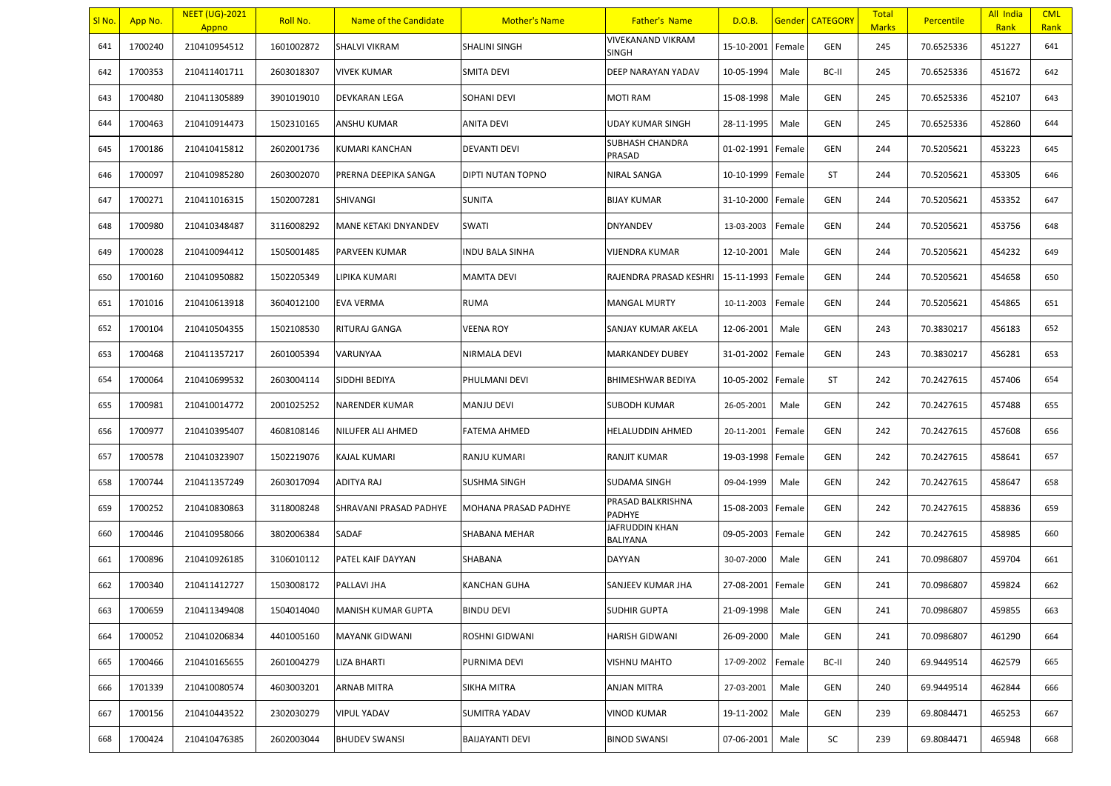| SI No. | App No. | <b>NEET (UG)-2021</b><br>Appno | Roll No.   | Name of the Candidate     | <b>Mother's Name</b>   | <b>Father's Name</b>        | D.O.B.            |        | <b>Gender CATEGORY</b> | <b>Total</b><br><b>Marks</b> | <b>Percentile</b> | All India<br>Rank | <b>CML</b><br>Rank |
|--------|---------|--------------------------------|------------|---------------------------|------------------------|-----------------------------|-------------------|--------|------------------------|------------------------------|-------------------|-------------------|--------------------|
| 641    | 1700240 | 210410954512                   | 1601002872 | SHALVI VIKRAM             | <b>SHALINI SINGH</b>   | VIVEKANAND VIKRAM<br>SINGH  | 15-10-2001        | Female | GEN                    | 245                          | 70.6525336        | 451227            | 641                |
| 642    | 1700353 | 210411401711                   | 2603018307 | <b>VIVEK KUMAR</b>        | <b>SMITA DEVI</b>      | DEEP NARAYAN YADAV          | 10-05-1994        | Male   | BC-II                  | 245                          | 70.6525336        | 451672            | 642                |
| 643    | 1700480 | 210411305889                   | 3901019010 | DEVKARAN LEGA             | SOHANI DEVI            | MOTI RAM                    | 15-08-1998        | Male   | GEN                    | 245                          | 70.6525336        | 452107            | 643                |
| 644    | 1700463 | 210410914473                   | 1502310165 | ANSHU KUMAR               | <b>ANITA DEVI</b>      | UDAY KUMAR SINGH            | 28-11-1995        | Male   | GEN                    | 245                          | 70.6525336        | 452860            | 644                |
| 645    | 1700186 | 210410415812                   | 2602001736 | KUMARI KANCHAN            | <b>DEVANTI DEVI</b>    | SUBHASH CHANDRA<br>PRASAD   | 01-02-1991        | Female | GEN                    | 244                          | 70.5205621        | 453223            | 645                |
| 646    | 1700097 | 210410985280                   | 2603002070 | PRERNA DEEPIKA SANGA      | DIPTI NUTAN TOPNO      | NIRAL SANGA                 | 10-10-1999        | Female | ST                     | 244                          | 70.5205621        | 453305            | 646                |
| 647    | 1700271 | 210411016315                   | 1502007281 | SHIVANGI                  | <b>SUNITA</b>          | <b>BIJAY KUMAR</b>          | 31-10-2000        | Female | GEN                    | 244                          | 70.5205621        | 453352            | 647                |
| 648    | 1700980 | 210410348487                   | 3116008292 | MANE KETAKI DNYANDEV      | SWATI                  | DNYANDEV                    | 13-03-2003        | Female | GEN                    | 244                          | 70.5205621        | 453756            | 648                |
| 649    | 1700028 | 210410094412                   | 1505001485 | PARVEEN KUMAR             | <b>INDU BALA SINHA</b> | VIJENDRA KUMAR              | 12-10-2001        | Male   | GEN                    | 244                          | 70.5205621        | 454232            | 649                |
| 650    | 1700160 | 210410950882                   | 1502205349 | LIPIKA KUMARI             | <b>MAMTA DEVI</b>      | RAJENDRA PRASAD KESHRI      | 15-11-1993        | Female | GEN                    | 244                          | 70.5205621        | 454658            | 650                |
| 651    | 1701016 | 210410613918                   | 3604012100 | EVA VERMA                 | <b>RUMA</b>            | <b>MANGAL MURTY</b>         | 10-11-2003        | Female | GEN                    | 244                          | 70.5205621        | 454865            | 651                |
| 652    | 1700104 | 210410504355                   | 1502108530 | RITURAJ GANGA             | VEENA ROY              | SANJAY KUMAR AKELA          | 12-06-2001        | Male   | GEN                    | 243                          | 70.3830217        | 456183            | 652                |
| 653    | 1700468 | 210411357217                   | 2601005394 | VARUNYAA                  | NIRMALA DEVI           | MARKANDEY DUBEY             | 31-01-2002        | Female | GEN                    | 243                          | 70.3830217        | 456281            | 653                |
| 654    | 1700064 | 210410699532                   | 2603004114 | SIDDHI BEDIYA             | PHULMANI DEVI          | BHIMESHWAR BEDIYA           | 10-05-2002        | Female | ST                     | 242                          | 70.2427615        | 457406            | 654                |
| 655    | 1700981 | 210410014772                   | 2001025252 | <b>NARENDER KUMAR</b>     | <b>MANJU DEVI</b>      | SUBODH KUMAR                | 26-05-2001        | Male   | GEN                    | 242                          | 70.2427615        | 457488            | 655                |
| 656    | 1700977 | 210410395407                   | 4608108146 | NILUFER ALI AHMED         | <b>FATEMA AHMED</b>    | HELALUDDIN AHMED            | 20-11-2001        | Female | GEN                    | 242                          | 70.2427615        | 457608            | 656                |
| 657    | 1700578 | 210410323907                   | 1502219076 | KAJAL KUMARI              | RANJU KUMARI           | RANJIT KUMAR                | 19-03-1998        | Female | GEN                    | 242                          | 70.2427615        | 458641            | 657                |
| 658    | 1700744 | 210411357249                   | 2603017094 | ADITYA RAJ                | <b>SUSHMA SINGH</b>    | <b>SUDAMA SINGH</b>         | 09-04-1999        | Male   | GEN                    | 242                          | 70.2427615        | 458647            | 658                |
| 659    | 1700252 | 210410830863                   | 3118008248 | SHRAVANI PRASAD PADHYE    | MOHANA PRASAD PADHYE   | PRASAD BALKRISHNA<br>PADHYE | 15-08-2003 Female |        | GEN                    | 242                          | 70.2427615        | 458836            | 659                |
| 660    | 1700446 | 210410958066                   | 3802006384 | SADAF                     | SHABANA MEHAR          | JAFRUDDIN KHAN<br>BALIYANA  | 09-05-2003        | Female | GEN                    | 242                          | 70.2427615        | 458985            | 660                |
| 661    | 1700896 | 210410926185                   | 3106010112 | PATEL KAIF DAYYAN         | SHABANA                | DAYYAN                      | 30-07-2000        | Male   | GEN                    | 241                          | 70.0986807        | 459704            | 661                |
| 662    | 1700340 | 210411412727                   | 1503008172 | PALLAVI JHA               | <b>KANCHAN GUHA</b>    | SANJEEV KUMAR JHA           | 27-08-2001        | Female | GEN                    | 241                          | 70.0986807        | 459824            | 662                |
| 663    | 1700659 | 210411349408                   | 1504014040 | <b>MANISH KUMAR GUPTA</b> | <b>BINDU DEVI</b>      | <b>SUDHIR GUPTA</b>         | 21-09-1998        | Male   | GEN                    | 241                          | 70.0986807        | 459855            | 663                |
| 664    | 1700052 | 210410206834                   | 4401005160 | <b>MAYANK GIDWANI</b>     | ROSHNI GIDWANI         | HARISH GIDWANI              | 26-09-2000        | Male   | GEN                    | 241                          | 70.0986807        | 461290            | 664                |
| 665    | 1700466 | 210410165655                   | 2601004279 | <b>LIZA BHARTI</b>        | PURNIMA DEVI           | <b>VISHNU MAHTO</b>         | 17-09-2002        | Female | BC-II                  | 240                          | 69.9449514        | 462579            | 665                |
| 666    | 1701339 | 210410080574                   | 4603003201 | ARNAB MITRA               | SIKHA MITRA            | ANJAN MITRA                 | 27-03-2001        | Male   | GEN                    | 240                          | 69.9449514        | 462844            | 666                |
| 667    | 1700156 | 210410443522                   | 2302030279 | <b>VIPUL YADAV</b>        | <b>SUMITRA YADAV</b>   | VINOD KUMAR                 | 19-11-2002        | Male   | GEN                    | 239                          | 69.8084471        | 465253            | 667                |
| 668    | 1700424 | 210410476385                   | 2602003044 | <b>BHUDEV SWANSI</b>      | <b>BAIJAYANTI DEVI</b> | <b>BINOD SWANSI</b>         | 07-06-2001        | Male   | SC                     | 239                          | 69.8084471        | 465948            | 668                |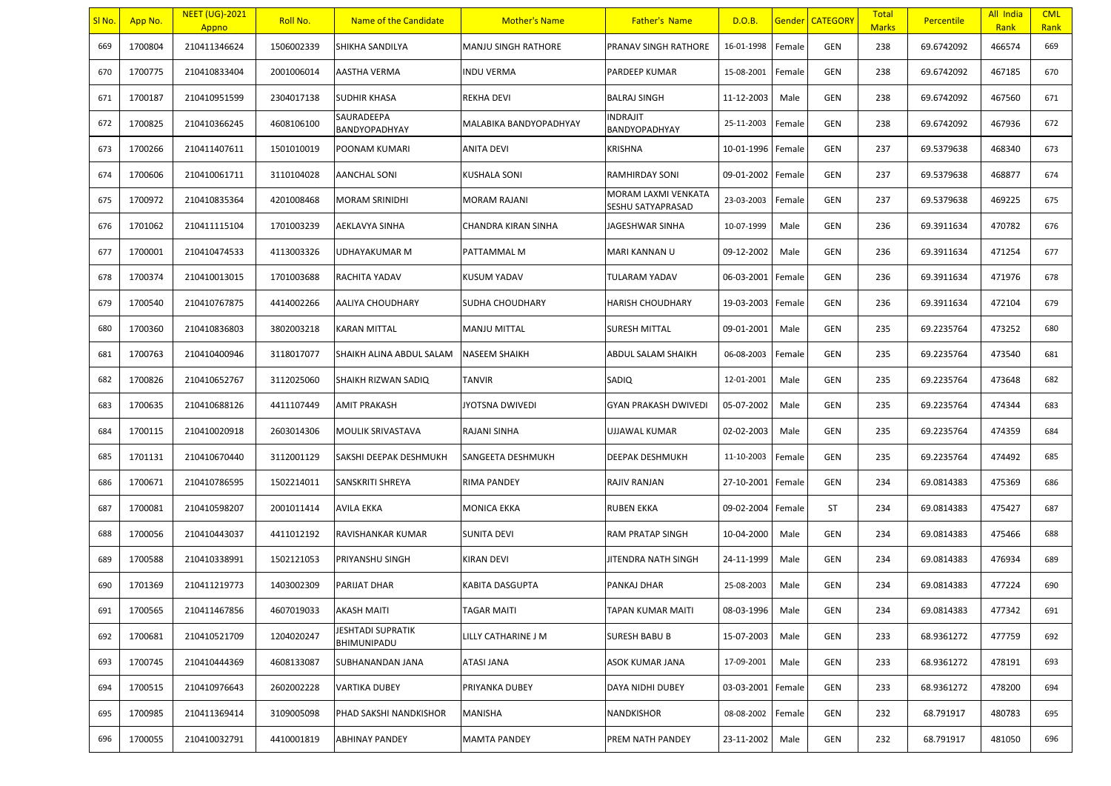| SI No. | App No. | <b>NEET (UG)-2021</b><br>Appno | Roll No.   | Name of the Candidate            | <b>Mother's Name</b>       | <b>Father's Name</b>                     | D.O.B.     |        | Gender   CATEGORY | <b>Total</b><br><b>Marks</b> | <b>Percentile</b> | All India<br>Rank | <b>CML</b><br>Rank |
|--------|---------|--------------------------------|------------|----------------------------------|----------------------------|------------------------------------------|------------|--------|-------------------|------------------------------|-------------------|-------------------|--------------------|
| 669    | 1700804 | 210411346624                   | 1506002339 | SHIKHA SANDILYA                  | <b>MANJU SINGH RATHORE</b> | PRANAV SINGH RATHORE                     | 16-01-1998 | Female | <b>GEN</b>        | 238                          | 69.6742092        | 466574            | 669                |
| 670    | 1700775 | 210410833404                   | 2001006014 | AASTHA VERMA                     | INDU VERMA                 | PARDEEP KUMAR                            | 15-08-2001 | Female | <b>GEN</b>        | 238                          | 69.6742092        | 467185            | 670                |
| 671    | 1700187 | 210410951599                   | 2304017138 | <b>SUDHIR KHASA</b>              | REKHA DEVI                 | <b>BALRAJ SINGH</b>                      | 11-12-2003 | Male   | GEN               | 238                          | 69.6742092        | 467560            | 671                |
| 672    | 1700825 | 210410366245                   | 4608106100 | SAURADEEPA<br>BANDYOPADHYAY      | MALABIKA BANDYOPADHYAY     | <b>INDRAJIT</b><br>BANDYOPADHYAY         | 25-11-2003 | Female | GEN               | 238                          | 69.6742092        | 467936            | 672                |
| 673    | 1700266 | 210411407611                   | 1501010019 | POONAM KUMARI                    | <b>ANITA DEVI</b>          | KRISHNA                                  | 10-01-1996 | Female | <b>GEN</b>        | 237                          | 69.5379638        | 468340            | 673                |
| 674    | 1700606 | 210410061711                   | 3110104028 | <b>AANCHAL SONI</b>              | KUSHALA SONI               | RAMHIRDAY SONI                           | 09-01-2002 | Female | GEN               | 237                          | 69.5379638        | 468877            | 674                |
| 675    | 1700972 | 210410835364                   | 4201008468 | <b>MORAM SRINIDHI</b>            | <b>MORAM RAJANI</b>        | MORAM LAXMI VENKATA<br>SESHU SATYAPRASAD | 23-03-2003 | Female | <b>GEN</b>        | 237                          | 69.5379638        | 469225            | 675                |
| 676    | 1701062 | 210411115104                   | 1701003239 | AEKLAVYA SINHA                   | CHANDRA KIRAN SINHA        | JAGESHWAR SINHA                          | 10-07-1999 | Male   | GEN               | 236                          | 69.3911634        | 470782            | 676                |
| 677    | 1700001 | 210410474533                   | 4113003326 | UDHAYAKUMAR M                    | PATTAMMAL M                | MARI KANNAN U                            | 09-12-2002 | Male   | GEN               | 236                          | 69.3911634        | 471254            | 677                |
| 678    | 1700374 | 210410013015                   | 1701003688 | RACHITA YADAV                    | KUSUM YADAV                | TULARAM YADAV                            | 06-03-2001 | Female | GEN               | 236                          | 69.3911634        | 471976            | 678                |
| 679    | 1700540 | 210410767875                   | 4414002266 | AALIYA CHOUDHARY                 | SUDHA CHOUDHARY            | <b>HARISH CHOUDHARY</b>                  | 19-03-2003 | Female | GEN               | 236                          | 69.3911634        | 472104            | 679                |
| 680    | 1700360 | 210410836803                   | 3802003218 | <b>KARAN MITTAL</b>              | MANJU MITTAL               | SURESH MITTAL                            | 09-01-2001 | Male   | GEN               | 235                          | 69.2235764        | 473252            | 680                |
| 681    | 1700763 | 210410400946                   | 3118017077 | SHAIKH ALINA ABDUL SALAM         | NASEEM SHAIKH              | ABDUL SALAM SHAIKH                       | 06-08-2003 | Female | GEN               | 235                          | 69.2235764        | 473540            | 681                |
| 682    | 1700826 | 210410652767                   | 3112025060 | SHAIKH RIZWAN SADIQ              | <b>TANVIR</b>              | SADIQ                                    | 12-01-2001 | Male   | GEN               | 235                          | 69.2235764        | 473648            | 682                |
| 683    | 1700635 | 210410688126                   | 4411107449 | <b>AMIT PRAKASH</b>              | JYOTSNA DWIVEDI            | GYAN PRAKASH DWIVEDI                     | 05-07-2002 | Male   | GEN               | 235                          | 69.2235764        | 474344            | 683                |
| 684    | 1700115 | 210410020918                   | 2603014306 | MOULIK SRIVASTAVA                | RAJANI SINHA               | UJJAWAL KUMAR                            | 02-02-2003 | Male   | GEN               | 235                          | 69.2235764        | 474359            | 684                |
| 685    | 1701131 | 210410670440                   | 3112001129 | SAKSHI DEEPAK DESHMUKH           | SANGEETA DESHMUKH          | DEEPAK DESHMUKH                          | 11-10-2003 | Female | GEN               | 235                          | 69.2235764        | 474492            | 685                |
| 686    | 1700671 | 210410786595                   | 1502214011 | SANSKRITI SHREYA                 | RIMA PANDEY                | RAJIV RANJAN                             | 27-10-2001 | Female | <b>GEN</b>        | 234                          | 69.0814383        | 475369            | 686                |
| 687    | 1700081 | 210410598207                   | 2001011414 | AVILA EKKA                       | <b>MONICA EKKA</b>         | <b>RUBEN EKKA</b>                        | 09-02-2004 | Female | ST                | 234                          | 69.0814383        | 475427            | 687                |
| 688    | 1700056 | 210410443037                   | 4411012192 | RAVISHANKAR KUMAR                | <b>SUNITA DEVI</b>         | RAM PRATAP SINGH                         | 10-04-2000 | Male   | GEN               | 234                          | 69.0814383        | 475466            | 688                |
| 689    | 1700588 | 210410338991                   | 1502121053 | PRIYANSHU SINGH                  | KIRAN DEVI                 | JITENDRA NATH SINGH                      | 24-11-1999 | Male   | GEN               | 234                          | 69.0814383        | 476934            | 689                |
| 690    | 1701369 | 210411219773                   | 1403002309 | PARIJAT DHAR                     | KABITA DASGUPTA            | PANKAJ DHAR                              | 25-08-2003 | Male   | GEN               | 234                          | 69.0814383        | 477224            | 690                |
| 691    | 1700565 | 210411467856                   | 4607019033 | <b>AKASH MAITI</b>               | <b>TAGAR MAITI</b>         | TAPAN KUMAR MAITI                        | 08-03-1996 | Male   | <b>GEN</b>        | 234                          | 69.0814383        | 477342            | 691                |
| 692    | 1700681 | 210410521709                   | 1204020247 | JESHTADI SUPRATIK<br>BHIMUNIPADU | LILLY CATHARINE J M        | SURESH BABU B                            | 15-07-2003 | Male   | GEN               | 233                          | 68.9361272        | 477759            | 692                |
| 693    | 1700745 | 210410444369                   | 4608133087 | SUBHANANDAN JANA                 | ATASI JANA                 | ASOK KUMAR JANA                          | 17-09-2001 | Male   | GEN               | 233                          | 68.9361272        | 478191            | 693                |
| 694    | 1700515 | 210410976643                   | 2602002228 | <b>VARTIKA DUBEY</b>             | PRIYANKA DUBEY             | DAYA NIDHI DUBEY                         | 03-03-2001 | Female | GEN               | 233                          | 68.9361272        | 478200            | 694                |
| 695    | 1700985 | 210411369414                   | 3109005098 | PHAD SAKSHI NANDKISHOR           | <b>MANISHA</b>             | NANDKISHOR                               | 08-08-2002 | Female | GEN               | 232                          | 68.791917         | 480783            | 695                |
| 696    | 1700055 | 210410032791                   | 4410001819 | ABHINAY PANDEY                   | MAMTA PANDEY               | PREM NATH PANDEY                         | 23-11-2002 | Male   | GEN               | 232                          | 68.791917         | 481050            | 696                |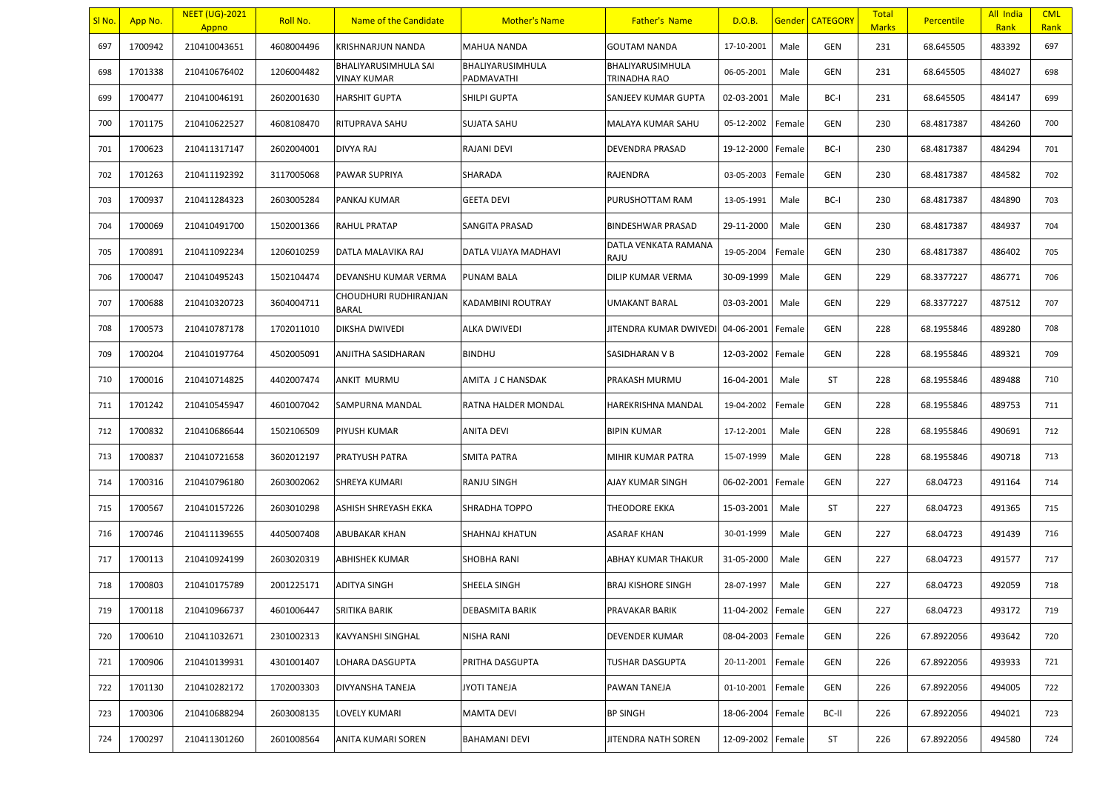| SI No. | App No. | <b>NEET (UG)-2021</b><br>Appno | Roll No.   | Name of the Candidate               | <b>Mother's Name</b>           | <b>Father's Name</b>                    | D.O.B.            |        | <b>Gender   CATEGORY</b> | Total<br><b>Marks</b> | <b>Percentile</b> | All India<br>Rank | <b>CML</b><br>Rank |
|--------|---------|--------------------------------|------------|-------------------------------------|--------------------------------|-----------------------------------------|-------------------|--------|--------------------------|-----------------------|-------------------|-------------------|--------------------|
| 697    | 1700942 | 210410043651                   | 4608004496 | <b>KRISHNARJUN NANDA</b>            | MAHUA NANDA                    | <b>GOUTAM NANDA</b>                     | 17-10-2001        | Male   | GEN                      | 231                   | 68.645505         | 483392            | 697                |
| 698    | 1701338 | 210410676402                   | 1206004482 | BHALIYARUSIMHULA SAI<br>VINAY KUMAR | BHALIYARUSIMHULA<br>PADMAVATHI | BHALIYARUSIMHULA<br><b>TRINADHA RAO</b> | 06-05-2001        | Male   | GEN                      | 231                   | 68.645505         | 484027            | 698                |
| 699    | 1700477 | 210410046191                   | 2602001630 | <b>HARSHIT GUPTA</b>                | SHILPI GUPTA                   | SANJEEV KUMAR GUPTA                     | 02-03-2001        | Male   | BC-I                     | 231                   | 68.645505         | 484147            | 699                |
| 700    | 1701175 | 210410622527                   | 4608108470 | RITUPRAVA SAHU                      | SUJATA SAHU                    | MALAYA KUMAR SAHU                       | 05-12-2002        | Female | GEN                      | 230                   | 68.4817387        | 484260            | 700                |
| 701    | 1700623 | 210411317147                   | 2602004001 | <b>DIVYA RAJ</b>                    | RAJANI DEVI                    | DEVENDRA PRASAD                         | 19-12-2000        | Female | BC-I                     | 230                   | 68.4817387        | 484294            | 701                |
| 702    | 1701263 | 210411192392                   | 3117005068 | PAWAR SUPRIYA                       | SHARADA                        | RAJENDRA                                | 03-05-2003        | Female | GEN                      | 230                   | 68.4817387        | 484582            | 702                |
| 703    | 1700937 | 210411284323                   | 2603005284 | PANKAJ KUMAR                        | <b>GEETA DEVI</b>              | PURUSHOTTAM RAM                         | 13-05-1991        | Male   | BC-I                     | 230                   | 68.4817387        | 484890            | 703                |
| 704    | 1700069 | 210410491700                   | 1502001366 | <b>RAHUL PRATAP</b>                 | SANGITA PRASAD                 | <b>BINDESHWAR PRASAD</b>                | 29-11-2000        | Male   | GEN                      | 230                   | 68.4817387        | 484937            | 704                |
| 705    | 1700891 | 210411092234                   | 1206010259 | DATLA MALAVIKA RAJ                  | DATLA VIJAYA MADHAVI           | DATLA VENKATA RAMANA<br>RAJU            | 19-05-2004        | Female | GEN                      | 230                   | 68.4817387        | 486402            | 705                |
| 706    | 1700047 | 210410495243                   | 1502104474 | DEVANSHU KUMAR VERMA                | PUNAM BALA                     | DILIP KUMAR VERMA                       | 30-09-1999        | Male   | <b>GEN</b>               | 229                   | 68.3377227        | 486771            | 706                |
| 707    | 1700688 | 210410320723                   | 3604004711 | CHOUDHURI RUDHIRANJAN<br>BARAL      | KADAMBINI ROUTRAY              | UMAKANT BARAL                           | 03-03-2001        | Male   | GEN                      | 229                   | 68.3377227        | 487512            | 707                |
| 708    | 1700573 | 210410787178                   | 1702011010 | DIKSHA DWIVEDI                      | <b>ALKA DWIVEDI</b>            | JITENDRA KUMAR DWIVEDI                  | 04-06-2001        | Female | GEN                      | 228                   | 68.1955846        | 489280            | 708                |
| 709    | 1700204 | 210410197764                   | 4502005091 | ANJITHA SASIDHARAN                  | <b>BINDHU</b>                  | SASIDHARAN V B                          | 12-03-2002        | Female | <b>GEN</b>               | 228                   | 68.1955846        | 489321            | 709                |
| 710    | 1700016 | 210410714825                   | 4402007474 | ANKIT MURMU                         | AMITA J C HANSDAK              | PRAKASH MURMU                           | 16-04-2001        | Male   | ST                       | 228                   | 68.1955846        | 489488            | 710                |
| 711    | 1701242 | 210410545947                   | 4601007042 | SAMPURNA MANDAL                     | RATNA HALDER MONDAL            | HAREKRISHNA MANDAL                      | 19-04-2002        | Female | GEN                      | 228                   | 68.1955846        | 489753            | 711                |
| 712    | 1700832 | 210410686644                   | 1502106509 | PIYUSH KUMAR                        | ANITA DEVI                     | <b>BIPIN KUMAR</b>                      | 17-12-2001        | Male   | GEN                      | 228                   | 68.1955846        | 490691            | 712                |
| 713    | 1700837 | 210410721658                   | 3602012197 | PRATYUSH PATRA                      | SMITA PATRA                    | MIHIR KUMAR PATRA                       | 15-07-1999        | Male   | GEN                      | 228                   | 68.1955846        | 490718            | 713                |
| 714    | 1700316 | 210410796180                   | 2603002062 | <b>SHREYA KUMARI</b>                | RANJU SINGH                    | AJAY KUMAR SINGH                        | 06-02-2001        | Female | <b>GEN</b>               | 227                   | 68.04723          | 491164            | 714                |
| 715    | 1700567 | 210410157226                   | 2603010298 | ASHISH SHREYASH EKKA                | SHRADHA TOPPO                  | THEODORE EKKA                           | 15-03-2001        | Male   | ST                       | 227                   | 68.04723          | 491365            | 715                |
| 716    | 1700746 | 210411139655                   | 4405007408 | ABUBAKAR KHAN                       | SHAHNAJ KHATUN                 | ASARAF KHAN                             | 30-01-1999        | Male   | GEN                      | 227                   | 68.04723          | 491439            | 716                |
| 717    | 1700113 | 210410924199                   | 2603020319 | <b>ABHISHEK KUMAR</b>               | SHOBHA RANI                    | ABHAY KUMAR THAKUR                      | 31-05-2000        | Male   | <b>GEN</b>               | 227                   | 68.04723          | 491577            | 717                |
| 718    | 1700803 | 210410175789                   | 2001225171 | <b>ADITYA SINGH</b>                 | SHEELA SINGH                   | <b>BRAJ KISHORE SINGH</b>               | 28-07-1997        | Male   | GEN                      | 227                   | 68.04723          | 492059            | 718                |
| 719    | 1700118 | 210410966737                   | 4601006447 | SRITIKA BARIK                       | <b>DEBASMITA BARIK</b>         | PRAVAKAR BARIK                          | 11-04-2002 Female |        | GEN                      | 227                   | 68.04723          | 493172            | 719                |
| 720    | 1700610 | 210411032671                   | 2301002313 | KAVYANSHI SINGHAL                   | NISHA RANI                     | DEVENDER KUMAR                          | 08-04-2003        | Female | GEN                      | 226                   | 67.8922056        | 493642            | 720                |
| 721    | 1700906 | 210410139931                   | 4301001407 | LOHARA DASGUPTA                     | PRITHA DASGUPTA                | TUSHAR DASGUPTA                         | 20-11-2001        | Female | GEN                      | 226                   | 67.8922056        | 493933            | 721                |
| 722    | 1701130 | 210410282172                   | 1702003303 | DIVYANSHA TANEJA                    | <b>JYOTI TANEJA</b>            | PAWAN TANEJA                            | 01-10-2001        | Female | GEN                      | 226                   | 67.8922056        | 494005            | 722                |
| 723    | 1700306 | 210410688294                   | 2603008135 | LOVELY KUMARI                       | <b>MAMTA DEVI</b>              | <b>BP SINGH</b>                         | 18-06-2004        | Female | BC-II                    | 226                   | 67.8922056        | 494021            | 723                |
| 724    | 1700297 | 210411301260                   | 2601008564 | ANITA KUMARI SOREN                  | <b>BAHAMANI DEVI</b>           | JITENDRA NATH SOREN                     | 12-09-2002        | Female | ST                       | 226                   | 67.8922056        | 494580            | 724                |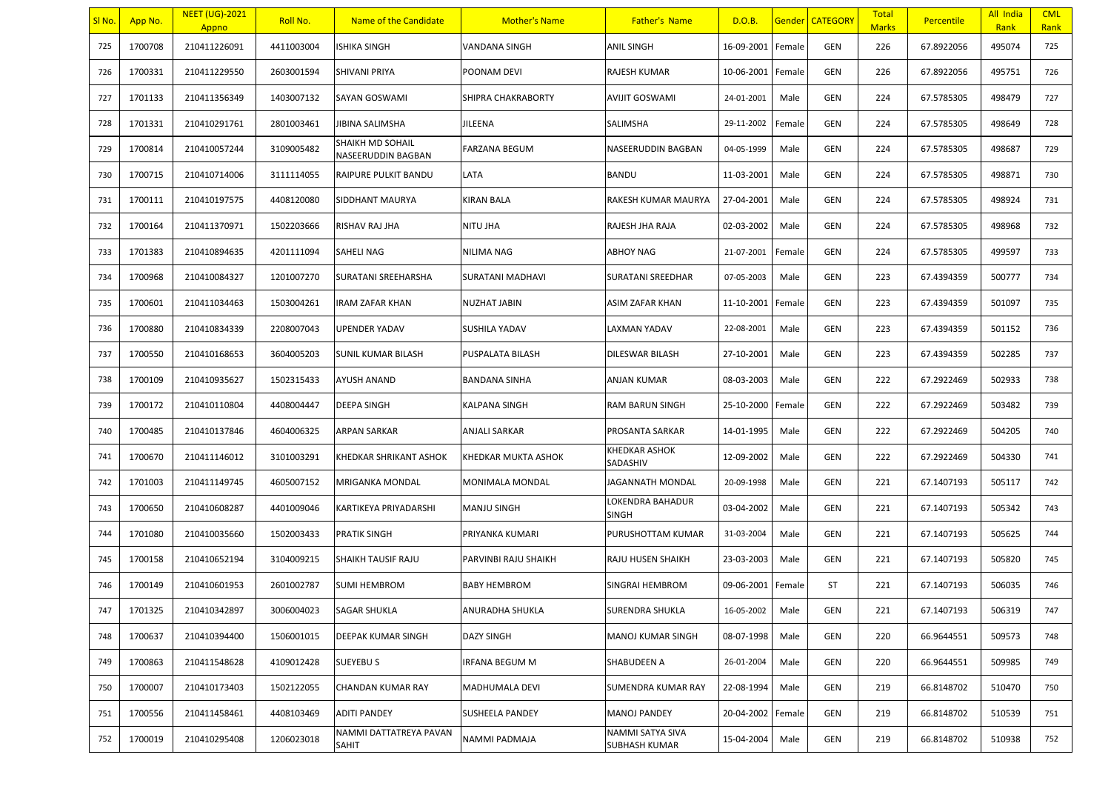| SI No. | App No. | <b>NEET (UG)-2021</b><br>Appno | Roll No.   | Name of the Candidate                         | <b>Mother's Name</b>   | <b>Father's Name</b>              | D.O.B.            |        | <b>Gender CATEGORY</b> | <b>Total</b><br><b>Marks</b> | <b>Percentile</b> | All India<br>Rank | <b>CML</b><br>Rank |
|--------|---------|--------------------------------|------------|-----------------------------------------------|------------------------|-----------------------------------|-------------------|--------|------------------------|------------------------------|-------------------|-------------------|--------------------|
| 725    | 1700708 | 210411226091                   | 4411003004 | <b>ISHIKA SINGH</b>                           | <b>VANDANA SINGH</b>   | <b>ANIL SINGH</b>                 | 16-09-2001        | Female | GEN                    | 226                          | 67.8922056        | 495074            | 725                |
| 726    | 1700331 | 210411229550                   | 2603001594 | SHIVANI PRIYA                                 | POONAM DEVI            | RAJESH KUMAR                      | 10-06-2001        | Female | <b>GEN</b>             | 226                          | 67.8922056        | 495751            | 726                |
| 727    | 1701133 | 210411356349                   | 1403007132 | SAYAN GOSWAMI                                 | SHIPRA CHAKRABORTY     | AVIJIT GOSWAMI                    | 24-01-2001        | Male   | GEN                    | 224                          | 67.5785305        | 498479            | 727                |
| 728    | 1701331 | 210410291761                   | 2801003461 | JIBINA SALIMSHA                               | JILEENA                | SALIMSHA                          | 29-11-2002        | Female | <b>GEN</b>             | 224                          | 67.5785305        | 498649            | 728                |
| 729    | 1700814 | 210410057244                   | 3109005482 | <b>SHAIKH MD SOHAIL</b><br>NASEERUDDIN BAGBAN | FARZANA BEGUM          | NASEERUDDIN BAGBAN                | 04-05-1999        | Male   | <b>GEN</b>             | 224                          | 67.5785305        | 498687            | 729                |
| 730    | 1700715 | 210410714006                   | 3111114055 | RAIPURE PULKIT BANDU                          | LATA                   | <b>BANDU</b>                      | 11-03-2001        | Male   | <b>GEN</b>             | 224                          | 67.5785305        | 498871            | 730                |
| 731    | 1700111 | 210410197575                   | 4408120080 | SIDDHANT MAURYA                               | <b>KIRAN BALA</b>      | RAKESH KUMAR MAURYA               | 27-04-2001        | Male   | <b>GEN</b>             | 224                          | 67.5785305        | 498924            | 731                |
| 732    | 1700164 | 210411370971                   | 1502203666 | RISHAV RAJ JHA                                | <b>NITU JHA</b>        | RAJESH JHA RAJA                   | 02-03-2002        | Male   | <b>GEN</b>             | 224                          | 67.5785305        | 498968            | 732                |
| 733    | 1701383 | 210410894635                   | 4201111094 | <b>SAHELI NAG</b>                             | NILIMA NAG             | <b>ABHOY NAG</b>                  | 21-07-2001        | Female | <b>GEN</b>             | 224                          | 67.5785305        | 499597            | 733                |
| 734    | 1700968 | 210410084327                   | 1201007270 | SURATANI SREEHARSHA                           | SURATANI MADHAVI       | <b>SURATANI SREEDHAR</b>          | 07-05-2003        | Male   | <b>GEN</b>             | 223                          | 67.4394359        | 500777            | 734                |
| 735    | 1700601 | 210411034463                   | 1503004261 | <b>IRAM ZAFAR KHAN</b>                        | NUZHAT JABIN           | ASIM ZAFAR KHAN                   | 11-10-2001        | Female | <b>GEN</b>             | 223                          | 67.4394359        | 501097            | 735                |
| 736    | 1700880 | 210410834339                   | 2208007043 | <b>UPENDER YADAV</b>                          | <b>SUSHILA YADAV</b>   | LAXMAN YADAV                      | 22-08-2001        | Male   | <b>GEN</b>             | 223                          | 67.4394359        | 501152            | 736                |
| 737    | 1700550 | 210410168653                   | 3604005203 | <b>SUNIL KUMAR BILASH</b>                     | PUSPALATA BILASH       | DILESWAR BILASH                   | 27-10-2001        | Male   | GEN                    | 223                          | 67.4394359        | 502285            | 737                |
| 738    | 1700109 | 210410935627                   | 1502315433 | <b>AYUSH ANAND</b>                            | <b>BANDANA SINHA</b>   | ANJAN KUMAR                       | 08-03-2003        | Male   | <b>GEN</b>             | 222                          | 67.2922469        | 502933            | 738                |
| 739    | 1700172 | 210410110804                   | 4408004447 | <b>DEEPA SINGH</b>                            | KALPANA SINGH          | RAM BARUN SINGH                   | 25-10-2000        | Female | <b>GEN</b>             | 222                          | 67.2922469        | 503482            | 739                |
| 740    | 1700485 | 210410137846                   | 4604006325 | ARPAN SARKAR                                  | ANJALI SARKAR          | PROSANTA SARKAR                   | 14-01-1995        | Male   | <b>GEN</b>             | 222                          | 67.2922469        | 504205            | 740                |
| 741    | 1700670 | 210411146012                   | 3101003291 | KHEDKAR SHRIKANT ASHOK                        | KHEDKAR MUKTA ASHOK    | <b>KHEDKAR ASHOK</b><br>SADASHIV  | 12-09-2002        | Male   | <b>GEN</b>             | 222                          | 67.2922469        | 504330            | 741                |
| 742    | 1701003 | 210411149745                   | 4605007152 | <b>MRIGANKA MONDAL</b>                        | <b>MONIMALA MONDAL</b> | JAGANNATH MONDAL                  | 20-09-1998        | Male   | <b>GEN</b>             | 221                          | 67.1407193        | 505117            | 742                |
| 743    | 1700650 | 210410608287                   | 4401009046 | KARTIKEYA PRIYADARSHI                         | <b>MANJU SINGH</b>     | LOKENDRA BAHADUR<br><b>SINGH</b>  | 03-04-2002        | Male   | <b>GEN</b>             | 221                          | 67.1407193        | 505342            | 743                |
| 744    | 1701080 | 210410035660                   | 1502003433 | <b>PRATIK SINGH</b>                           | PRIYANKA KUMARI        | PURUSHOTTAM KUMAR                 | 31-03-2004        | Male   | <b>GEN</b>             | 221                          | 67.1407193        | 505625            | 744                |
| 745    | 1700158 | 210410652194                   | 3104009215 | <b>SHAIKH TAUSIF RAJU</b>                     | PARVINBI RAJU SHAIKH   | RAJU HUSEN SHAIKH                 | 23-03-2003        | Male   | <b>GEN</b>             | 221                          | 67.1407193        | 505820            | 745                |
| 746    | 1700149 | 210410601953                   | 2601002787 | <b>SUMI HEMBROM</b>                           | <b>BABY HEMBROM</b>    | SINGRAI HEMBROM                   | 09-06-2001        | Female | ST                     | 221                          | 67.1407193        | 506035            | 746                |
| 747    | 1701325 | 210410342897                   | 3006004023 | <b>SAGAR SHUKLA</b>                           | ANURADHA SHUKLA        | <b>SURENDRA SHUKLA</b>            | 16-05-2002        | Male   | GEN                    | 221                          | 67.1407193        | 506319            | 747                |
| 748    | 1700637 | 210410394400                   | 1506001015 | <b>DEEPAK KUMAR SINGH</b>                     | <b>DAZY SINGH</b>      | MANOJ KUMAR SINGH                 | 08-07-1998        | Male   | GEN                    | 220                          | 66.9644551        | 509573            | 748                |
| 749    | 1700863 | 210411548628                   | 4109012428 | <b>SUEYEBUS</b>                               | <b>IRFANA BEGUM M</b>  | SHABUDEEN A                       | 26-01-2004        | Male   | GEN                    | 220                          | 66.9644551        | 509985            | 749                |
| 750    | 1700007 | 210410173403                   | 1502122055 | CHANDAN KUMAR RAY                             | MADHUMALA DEVI         | SUMENDRA KUMAR RAY                | 22-08-1994        | Male   | GEN                    | 219                          | 66.8148702        | 510470            | 750                |
| 751    | 1700556 | 210411458461                   | 4408103469 | <b>ADITI PANDEY</b>                           | <b>SUSHEELA PANDEY</b> | <b>MANOJ PANDEY</b>               | 20-04-2002 Female |        | GEN                    | 219                          | 66.8148702        | 510539            | 751                |
| 752    | 1700019 | 210410295408                   | 1206023018 | NAMMI DATTATREYA PAVAN<br>SAHIT               | NAMMI PADMAJA          | NAMMI SATYA SIVA<br>SUBHASH KUMAR | 15-04-2004        | Male   | GEN                    | 219                          | 66.8148702        | 510938            | 752                |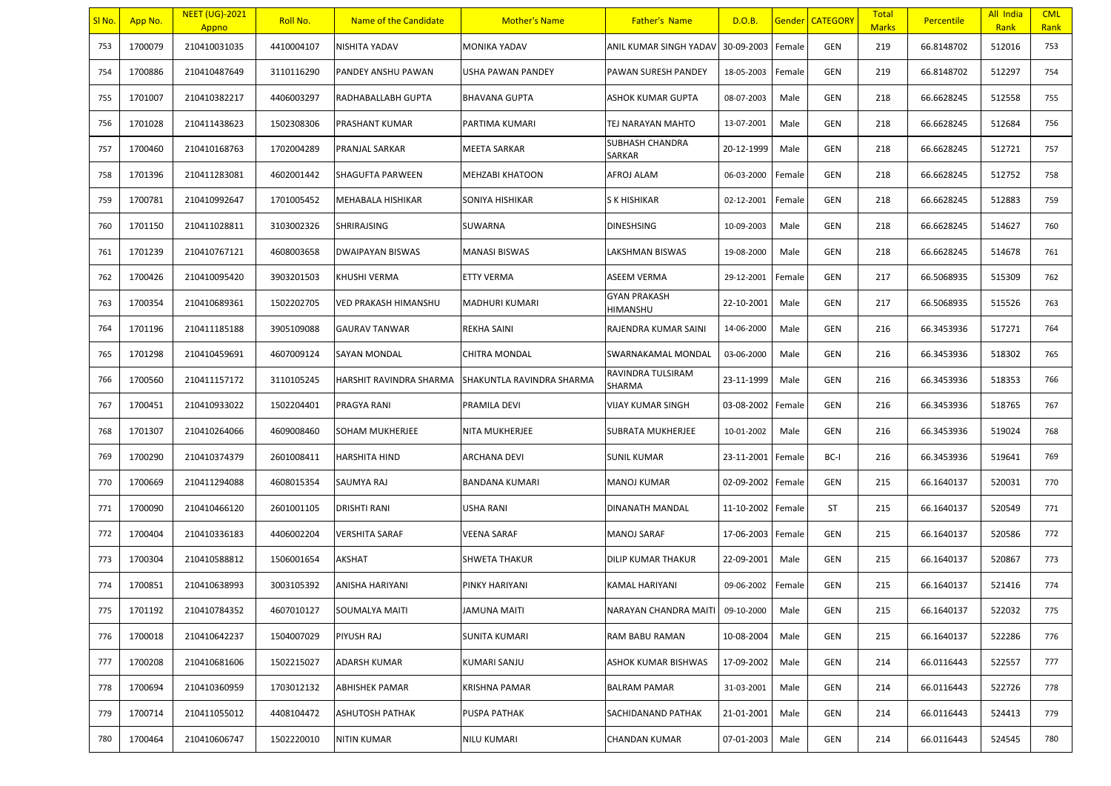| <u>SI No.</u> | App No. | <b>NEET (UG)-2021</b><br>Appno | Roll No.   | Name of the Candidate       | <b>Mother's Name</b>      | <b>Father's Name</b>             | D.O.B.     |        | <b>Gender CATEGORY</b> | <b>Total</b><br><b>Marks</b> | <b>Percentile</b> | All India<br>Rank | <b>CML</b><br>Rank |
|---------------|---------|--------------------------------|------------|-----------------------------|---------------------------|----------------------------------|------------|--------|------------------------|------------------------------|-------------------|-------------------|--------------------|
| 753           | 1700079 | 210410031035                   | 4410004107 | NISHITA YADAV               | <b>MONIKA YADAV</b>       | ANIL KUMAR SINGH YADAV           | 30-09-2003 | Female | GEN                    | 219                          | 66.8148702        | 512016            | 753                |
| 754           | 1700886 | 210410487649                   | 3110116290 | PANDEY ANSHU PAWAN          | USHA PAWAN PANDEY         | PAWAN SURESH PANDEY              | 18-05-2003 | Female | GEN                    | 219                          | 66.8148702        | 512297            | 754                |
| 755           | 1701007 | 210410382217                   | 4406003297 | RADHABALLABH GUPTA          | <b>BHAVANA GUPTA</b>      | ASHOK KUMAR GUPTA                | 08-07-2003 | Male   | GEN                    | 218                          | 66.6628245        | 512558            | 755                |
| 756           | 1701028 | 210411438623                   | 1502308306 | PRASHANT KUMAR              | PARTIMA KUMARI            | TEJ NARAYAN MAHTO                | 13-07-2001 | Male   | GEN                    | 218                          | 66.6628245        | 512684            | 756                |
| 757           | 1700460 | 210410168763                   | 1702004289 | PRANJAL SARKAR              | <b>MEETA SARKAR</b>       | <b>SUBHASH CHANDRA</b><br>SARKAR | 20-12-1999 | Male   | GEN                    | 218                          | 66.6628245        | 512721            | 757                |
| 758           | 1701396 | 210411283081                   | 4602001442 | SHAGUFTA PARWEEN            | <b>MEHZABI KHATOON</b>    | AFROJ ALAM                       | 06-03-2000 | Female | GEN                    | 218                          | 66.6628245        | 512752            | 758                |
| 759           | 1700781 | 210410992647                   | 1701005452 | <b>MEHABALA HISHIKAR</b>    | SONIYA HISHIKAR           | S K HISHIKAR                     | 02-12-2001 | Female | GEN                    | 218                          | 66.6628245        | 512883            | 759                |
| 760           | 1701150 | 210411028811                   | 3103002326 | SHRIRAJSING                 | <b>SUWARNA</b>            | DINESHSING                       | 10-09-2003 | Male   | GEN                    | 218                          | 66.6628245        | 514627            | 760                |
| 761           | 1701239 | 210410767121                   | 4608003658 | <b>DWAIPAYAN BISWAS</b>     | <b>MANASI BISWAS</b>      | LAKSHMAN BISWAS                  | 19-08-2000 | Male   | GEN                    | 218                          | 66.6628245        | 514678            | 761                |
| 762           | 1700426 | 210410095420                   | 3903201503 | <b>KHUSHI VERMA</b>         | <b>ETTY VERMA</b>         | ASEEM VERMA                      | 29-12-2001 | Female | GEN                    | 217                          | 66.5068935        | 515309            | 762                |
| 763           | 1700354 | 210410689361                   | 1502202705 | <b>VED PRAKASH HIMANSHU</b> | MADHURI KUMARI            | <b>GYAN PRAKASH</b><br>HIMANSHU  | 22-10-2001 | Male   | GEN                    | 217                          | 66.5068935        | 515526            | 763                |
| 764           | 1701196 | 210411185188                   | 3905109088 | <b>GAURAV TANWAR</b>        | <b>REKHA SAINI</b>        | RAJENDRA KUMAR SAINI             | 14-06-2000 | Male   | GEN                    | 216                          | 66.3453936        | 517271            | 764                |
| 765           | 1701298 | 210410459691                   | 4607009124 | SAYAN MONDAL                | <b>CHITRA MONDAL</b>      | SWARNAKAMAL MONDAL               | 03-06-2000 | Male   | GEN                    | 216                          | 66.3453936        | 518302            | 765                |
| 766           | 1700560 | 210411157172                   | 3110105245 | HARSHIT RAVINDRA SHARMA     | SHAKUNTLA RAVINDRA SHARMA | RAVINDRA TULSIRAM<br>SHARMA      | 23-11-1999 | Male   | GEN                    | 216                          | 66.3453936        | 518353            | 766                |
| 767           | 1700451 | 210410933022                   | 1502204401 | PRAGYA RANI                 | PRAMILA DEVI              | VIJAY KUMAR SINGH                | 03-08-2002 | Female | GEN                    | 216                          | 66.3453936        | 518765            | 767                |
| 768           | 1701307 | 210410264066                   | 4609008460 | SOHAM MUKHERJEE             | <b>NITA MUKHERJEE</b>     | SUBRATA MUKHERJEE                | 10-01-2002 | Male   | GEN                    | 216                          | 66.3453936        | 519024            | 768                |
| 769           | 1700290 | 210410374379                   | 2601008411 | <b>HARSHITA HIND</b>        | <b>ARCHANA DEVI</b>       | <b>SUNIL KUMAR</b>               | 23-11-2001 | Female | BC-I                   | 216                          | 66.3453936        | 519641            | 769                |
| 770           | 1700669 | 210411294088                   | 4608015354 | <b>SAUMYA RAJ</b>           | <b>BANDANA KUMARI</b>     | <b>MANOJ KUMAR</b>               | 02-09-2002 | Female | GEN                    | 215                          | 66.1640137        | 520031            | 770                |
| 771           | 1700090 | 210410466120                   | 2601001105 | <b>DRISHTI RANI</b>         | <b>USHA RANI</b>          | DINANATH MANDAL                  | 11-10-2002 | Female | ST                     | 215                          | 66.1640137        | 520549            | 771                |
| 772           | 1700404 | 210410336183                   | 4406002204 | VERSHITA SARAF              | <b>VEENA SARAF</b>        | MANOJ SARAF                      | 17-06-2003 | Female | GEN                    | 215                          | 66.1640137        | 520586            | 772                |
| 773           | 1700304 | 210410588812                   | 1506001654 | AKSHAT                      | <b>SHWETA THAKUR</b>      | DILIP KUMAR THAKUR               | 22-09-2001 | Male   | GEN                    | 215                          | 66.1640137        | 520867            | 773                |
| 774           | 1700851 | 210410638993                   | 3003105392 | ANISHA HARIYANI             | PINKY HARIYANI            | KAMAL HARIYANI                   | 09-06-2002 | Female | GEN                    | 215                          | 66.1640137        | 521416            | 774                |
| 775           | 1701192 | 210410784352                   | 4607010127 | SOUMALYA MAITI              | <b>JAMUNA MAITI</b>       | NARAYAN CHANDRA MAITI            | 09-10-2000 | Male   | GEN                    | 215                          | 66.1640137        | 522032            | 775                |
| 776           | 1700018 | 210410642237                   | 1504007029 | PIYUSH RAJ                  | <b>SUNITA KUMARI</b>      | RAM BABU RAMAN                   | 10-08-2004 | Male   | GEN                    | 215                          | 66.1640137        | 522286            | 776                |
| 777           | 1700208 | 210410681606                   | 1502215027 | ADARSH KUMAR                | <b>KUMARI SANJU</b>       | ASHOK KUMAR BISHWAS              | 17-09-2002 | Male   | GEN                    | 214                          | 66.0116443        | 522557            | 777                |
| 778           | 1700694 | 210410360959                   | 1703012132 | <b>ABHISHEK PAMAR</b>       | <b>KRISHNA PAMAR</b>      | <b>BALRAM PAMAR</b>              | 31-03-2001 | Male   | GEN                    | 214                          | 66.0116443        | 522726            | 778                |
| 779           | 1700714 | 210411055012                   | 4408104472 | <b>ASHUTOSH PATHAK</b>      | <b>PUSPA PATHAK</b>       | SACHIDANAND PATHAK               | 21-01-2001 | Male   | GEN                    | 214                          | 66.0116443        | 524413            | 779                |
| 780           | 1700464 | 210410606747                   | 1502220010 | <b>NITIN KUMAR</b>          | <b>NILU KUMARI</b>        | CHANDAN KUMAR                    | 07-01-2003 | Male   | GEN                    | 214                          | 66.0116443        | 524545            | 780                |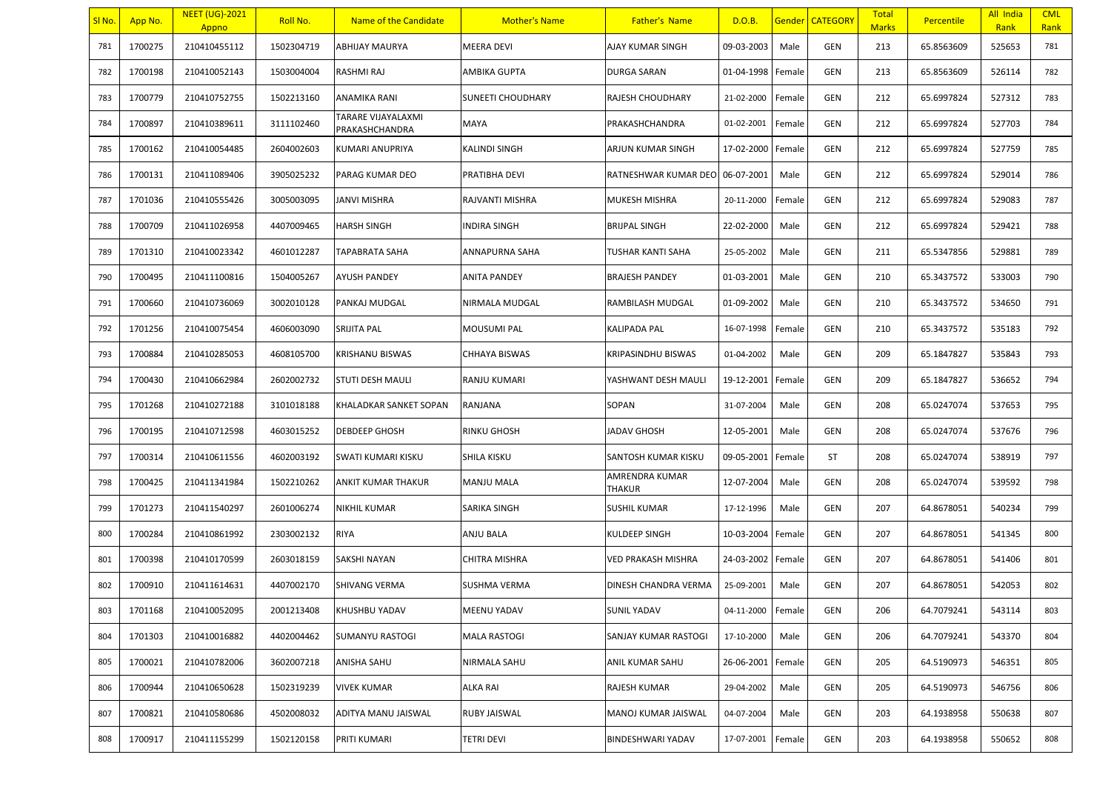| SI No. | App No. | <b>NEET (UG)-2021</b><br>Appno | Roll No.   | Name of the Candidate                | <b>Mother's Name</b>     | <b>Father's Name</b>     | D.O.B.            |        | <b>Gender CATEGORY</b> | <b>Total</b><br><b>Marks</b> | Percentile | All India<br>Rank | <b>CML</b><br>Rank |
|--------|---------|--------------------------------|------------|--------------------------------------|--------------------------|--------------------------|-------------------|--------|------------------------|------------------------------|------------|-------------------|--------------------|
| 781    | 1700275 | 210410455112                   | 1502304719 | <b>ABHIJAY MAURYA</b>                | <b>MEERA DEVI</b>        | AJAY KUMAR SINGH         | 09-03-2003        | Male   | GEN                    | 213                          | 65.8563609 | 525653            | 781                |
| 782    | 1700198 | 210410052143                   | 1503004004 | RASHMI RAJ                           | AMBIKA GUPTA             | DURGA SARAN              | 01-04-1998        | Female | GEN                    | 213                          | 65.8563609 | 526114            | 782                |
| 783    | 1700779 | 210410752755                   | 1502213160 | ANAMIKA RANI                         | <b>SUNEETI CHOUDHARY</b> | RAJESH CHOUDHARY         | 21-02-2000        | Female | GEN                    | 212                          | 65.6997824 | 527312            | 783                |
| 784    | 1700897 | 210410389611                   | 3111102460 | TARARE VIJAYALAXMI<br>PRAKASHCHANDRA | MAYA                     | PRAKASHCHANDRA           | 01-02-2001        | Female | GEN                    | 212                          | 65.6997824 | 527703            | 784                |
| 785    | 1700162 | 210410054485                   | 2604002603 | KUMARI ANUPRIYA                      | <b>KALINDI SINGH</b>     | ARJUN KUMAR SINGH        | 17-02-2000        | Female | GEN                    | 212                          | 65.6997824 | 527759            | 785                |
| 786    | 1700131 | 210411089406                   | 3905025232 | PARAG KUMAR DEO                      | PRATIBHA DEVI            | RATNESHWAR KUMAR DEO     | 06-07-2001        | Male   | GEN                    | 212                          | 65.6997824 | 529014            | 786                |
| 787    | 1701036 | 210410555426                   | 3005003095 | JANVI MISHRA                         | RAJVANTI MISHRA          | MUKESH MISHRA            | 20-11-2000        | Female | GEN                    | 212                          | 65.6997824 | 529083            | 787                |
| 788    | 1700709 | 210411026958                   | 4407009465 | <b>HARSH SINGH</b>                   | <b>INDIRA SINGH</b>      | <b>BRIJPAL SINGH</b>     | 22-02-2000        | Male   | GEN                    | 212                          | 65.6997824 | 529421            | 788                |
| 789    | 1701310 | 210410023342                   | 4601012287 | TAPABRATA SAHA                       | <b>ANNAPURNA SAHA</b>    | TUSHAR KANTI SAHA        | 25-05-2002        | Male   | GEN                    | 211                          | 65.5347856 | 529881            | 789                |
| 790    | 1700495 | 210411100816                   | 1504005267 | <b>AYUSH PANDEY</b>                  | <b>ANITA PANDEY</b>      | <b>BRAJESH PANDEY</b>    | 01-03-2001        | Male   | GEN                    | 210                          | 65.3437572 | 533003            | 790                |
| 791    | 1700660 | 210410736069                   | 3002010128 | PANKAJ MUDGAL                        | NIRMALA MUDGAL           | RAMBILASH MUDGAL         | 01-09-2002        | Male   | GEN                    | 210                          | 65.3437572 | 534650            | 791                |
| 792    | 1701256 | 210410075454                   | 4606003090 | SRIJITA PAL                          | <b>MOUSUMI PAL</b>       | KALIPADA PAL             | 16-07-1998        | Female | GEN                    | 210                          | 65.3437572 | 535183            | 792                |
| 793    | 1700884 | 210410285053                   | 4608105700 | <b>KRISHANU BISWAS</b>               | <b>CHHAYA BISWAS</b>     | KRIPASINDHU BISWAS       | 01-04-2002        | Male   | GEN                    | 209                          | 65.1847827 | 535843            | 793                |
| 794    | 1700430 | 210410662984                   | 2602002732 | <b>STUTI DESH MAULI</b>              | <b>RANJU KUMARI</b>      | YASHWANT DESH MAULI      | 19-12-2001        | Female | GEN                    | 209                          | 65.1847827 | 536652            | 794                |
| 795    | 1701268 | 210410272188                   | 3101018188 | KHALADKAR SANKET SOPAN               | RANJANA                  | SOPAN                    | 31-07-2004        | Male   | GEN                    | 208                          | 65.0247074 | 537653            | 795                |
| 796    | 1700195 | 210410712598                   | 4603015252 | <b>DEBDEEP GHOSH</b>                 | <b>RINKU GHOSH</b>       | JADAV GHOSH              | 12-05-2001        | Male   | GEN                    | 208                          | 65.0247074 | 537676            | 796                |
| 797    | 1700314 | 210410611556                   | 4602003192 | SWATI KUMARI KISKU                   | <b>SHILA KISKU</b>       | SANTOSH KUMAR KISKU      | 09-05-2001        | Female | ST                     | 208                          | 65.0247074 | 538919            | 797                |
| 798    | 1700425 | 210411341984                   | 1502210262 | ANKIT KUMAR THAKUR                   | <b>MANJU MALA</b>        | AMRENDRA KUMAR<br>THAKUR | 12-07-2004        | Male   | GEN                    | 208                          | 65.0247074 | 539592            | 798                |
| 799    | 1701273 | 210411540297                   | 2601006274 | <b>NIKHIL KUMAR</b>                  | SARIKA SINGH             | <b>SUSHIL KUMAR</b>      | 17-12-1996        | Male   | GEN                    | 207                          | 64.8678051 | 540234            | 799                |
| 800    | 1700284 | 210410861992                   | 2303002132 | <b>RIYA</b>                          | <b>ANJU BALA</b>         | KULDEEP SINGH            | 10-03-2004        | Female | GEN                    | 207                          | 64.8678051 | 541345            | 800                |
| 801    | 1700398 | 210410170599                   | 2603018159 | SAKSHI NAYAN                         | <b>CHITRA MISHRA</b>     | VED PRAKASH MISHRA       | 24-03-2002        | Female | GEN                    | 207                          | 64.8678051 | 541406            | 801                |
| 802    | 1700910 | 210411614631                   | 4407002170 | <b>SHIVANG VERMA</b>                 | SUSHMA VERMA             | DINESH CHANDRA VERMA     | 25-09-2001        | Male   | GEN                    | 207                          | 64.8678051 | 542053            | 802                |
| 803    | 1701168 | 210410052095                   | 2001213408 | KHUSHBU YADAV                        | <b>MEENU YADAV</b>       | <b>SUNIL YADAV</b>       | 04-11-2000 Female |        | GEN                    | 206                          | 64.7079241 | 543114            | 803                |
| 804    | 1701303 | 210410016882                   | 4402004462 | SUMANYU RASTOGI                      | <b>MALA RASTOGI</b>      | SANJAY KUMAR RASTOGI     | 17-10-2000        | Male   | GEN                    | 206                          | 64.7079241 | 543370            | 804                |
| 805    | 1700021 | 210410782006                   | 3602007218 | ANISHA SAHU                          | NIRMALA SAHU             | ANIL KUMAR SAHU          | 26-06-2001        | Female | GEN                    | 205                          | 64.5190973 | 546351            | 805                |
| 806    | 1700944 | 210410650628                   | 1502319239 | <b>VIVEK KUMAR</b>                   | <b>ALKA RAI</b>          | RAJESH KUMAR             | 29-04-2002        | Male   | GEN                    | 205                          | 64.5190973 | 546756            | 806                |
| 807    | 1700821 | 210410580686                   | 4502008032 | ADITYA MANU JAISWAL                  | RUBY JAISWAL             | MANOJ KUMAR JAISWAL      | 04-07-2004        | Male   | GEN                    | 203                          | 64.1938958 | 550638            | 807                |
| 808    | 1700917 | 210411155299                   | 1502120158 | PRITI KUMARI                         | <b>TETRI DEVI</b>        | BINDESHWARI YADAV        | 17-07-2001        | Female | GEN                    | 203                          | 64.1938958 | 550652            | 808                |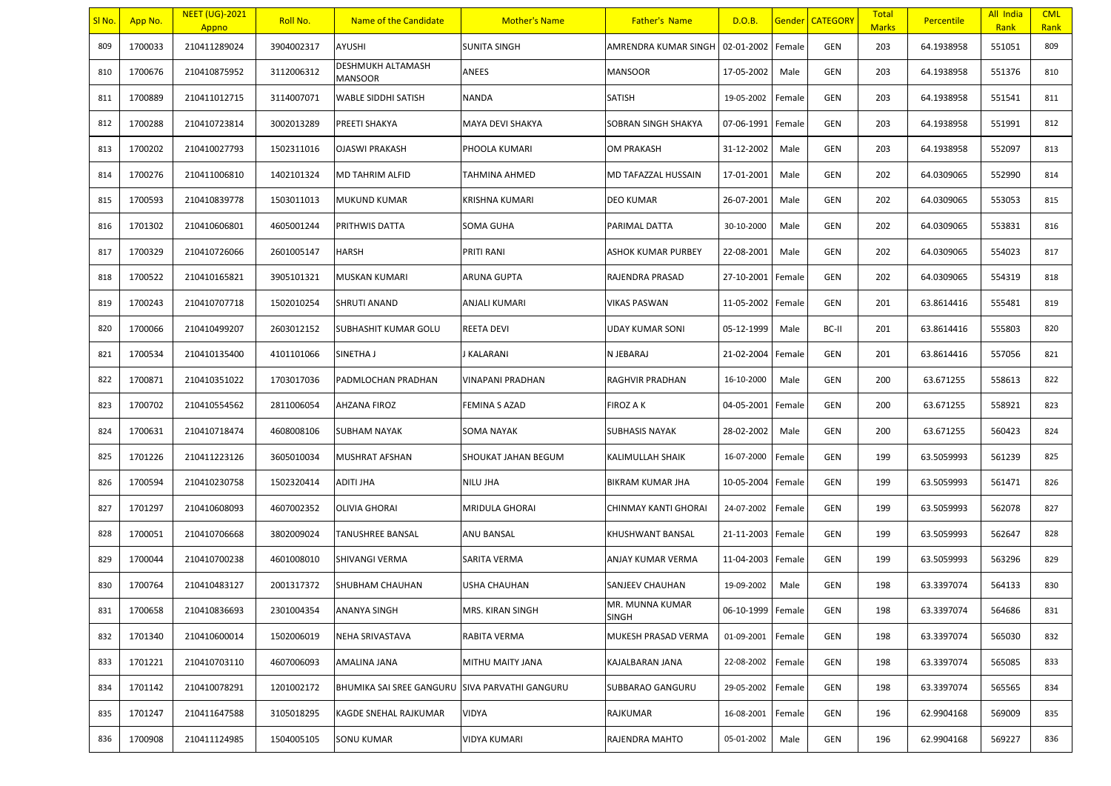| SI No. | App No. | <b>NEET (UG)-2021</b><br>Appno | Roll No.   | Name of the Candidate               | <b>Mother's Name</b>  | <b>Father's Name</b>            | D.O.B.            |        | Gender   CATEGORY | <b>Total</b><br><b>Marks</b> | <b>Percentile</b> | All India<br>Rank | <b>CML</b><br>Rank |
|--------|---------|--------------------------------|------------|-------------------------------------|-----------------------|---------------------------------|-------------------|--------|-------------------|------------------------------|-------------------|-------------------|--------------------|
| 809    | 1700033 | 210411289024                   | 3904002317 | AYUSHI                              | <b>SUNITA SINGH</b>   | AMRENDRA KUMAR SINGH            | 02-01-2002        | Female | GEN               | 203                          | 64.1938958        | 551051            | 809                |
| 810    | 1700676 | 210410875952                   | 3112006312 | DESHMUKH ALTAMASH<br><b>MANSOOR</b> | ANEES                 | <b>MANSOOR</b>                  | 17-05-2002        | Male   | <b>GEN</b>        | 203                          | 64.1938958        | 551376            | 810                |
| 811    | 1700889 | 210411012715                   | 3114007071 | WABLE SIDDHI SATISH                 | NANDA                 | SATISH                          | 19-05-2002        | Female | GEN               | 203                          | 64.1938958        | 551541            | 811                |
| 812    | 1700288 | 210410723814                   | 3002013289 | PREETI SHAKYA                       | MAYA DEVI SHAKYA      | SOBRAN SINGH SHAKYA             | 07-06-1991        | Female | GEN               | 203                          | 64.1938958        | 551991            | 812                |
| 813    | 1700202 | 210410027793                   | 1502311016 | <b>OJASWI PRAKASH</b>               | PHOOLA KUMARI         | OM PRAKASH                      | 31-12-2002        | Male   | GEN               | 203                          | 64.1938958        | 552097            | 813                |
| 814    | 1700276 | 210411006810                   | 1402101324 | MD TAHRIM ALFID                     | TAHMINA AHMED         | MD TAFAZZAL HUSSAIN             | 17-01-2001        | Male   | GEN               | 202                          | 64.0309065        | 552990            | 814                |
| 815    | 1700593 | 210410839778                   | 1503011013 | <b>MUKUND KUMAR</b>                 | KRISHNA KUMARI        | <b>DEO KUMAR</b>                | 26-07-2001        | Male   | GEN               | 202                          | 64.0309065        | 553053            | 815                |
| 816    | 1701302 | 210410606801                   | 4605001244 | PRITHWIS DATTA                      | SOMA GUHA             | PARIMAL DATTA                   | 30-10-2000        | Male   | GEN               | 202                          | 64.0309065        | 553831            | 816                |
| 817    | 1700329 | 210410726066                   | 2601005147 | <b>HARSH</b>                        | PRITI RANI            | ASHOK KUMAR PURBEY              | 22-08-2001        | Male   | GEN               | 202                          | 64.0309065        | 554023            | 817                |
| 818    | 1700522 | 210410165821                   | 3905101321 | MUSKAN KUMARI                       | ARUNA GUPTA           | RAJENDRA PRASAD                 | 27-10-2001        | Female | GEN               | 202                          | 64.0309065        | 554319            | 818                |
| 819    | 1700243 | 210410707718                   | 1502010254 | <b>SHRUTI ANAND</b>                 | ANJALI KUMARI         | <b>VIKAS PASWAN</b>             | 11-05-2002        | Female | GEN               | 201                          | 63.8614416        | 555481            | 819                |
| 820    | 1700066 | 210410499207                   | 2603012152 | <b>SUBHASHIT KUMAR GOLU</b>         | REETA DEVI            | UDAY KUMAR SONI                 | 05-12-1999        | Male   | BC-II             | 201                          | 63.8614416        | 555803            | 820                |
| 821    | 1700534 | 210410135400                   | 4101101066 | SINETHA J                           | J KALARANI            | N JEBARAJ                       | 21-02-2004        | Female | GEN               | 201                          | 63.8614416        | 557056            | 821                |
| 822    | 1700871 | 210410351022                   | 1703017036 | PADMLOCHAN PRADHAN                  | VINAPANI PRADHAN      | RAGHVIR PRADHAN                 | 16-10-2000        | Male   | GEN               | 200                          | 63.671255         | 558613            | 822                |
| 823    | 1700702 | 210410554562                   | 2811006054 | AHZANA FIROZ                        | FEMINA S AZAD         | <b>FIROZ A K</b>                | 04-05-2001        | Female | GEN               | 200                          | 63.671255         | 558921            | 823                |
| 824    | 1700631 | 210410718474                   | 4608008106 | SUBHAM NAYAK                        | SOMA NAYAK            | SUBHASIS NAYAK                  | 28-02-2002        | Male   | GEN               | 200                          | 63.671255         | 560423            | 824                |
| 825    | 1701226 | 210411223126                   | 3605010034 | MUSHRAT AFSHAN                      | SHOUKAT JAHAN BEGUM   | KALIMULLAH SHAIK                | 16-07-2000        | Female | GEN               | 199                          | 63.5059993        | 561239            | 825                |
| 826    | 1700594 | 210410230758                   | 1502320414 | ADITI JHA                           | NILU JHA              | BIKRAM KUMAR JHA                | 10-05-2004        | Female | GEN               | 199                          | 63.5059993        | 561471            | 826                |
| 827    | 1701297 | 210410608093                   | 4607002352 | OLIVIA GHORAI                       | MRIDULA GHORAI        | CHINMAY KANTI GHORAI            | 24-07-2002        | Female | <b>GEN</b>        | 199                          | 63.5059993        | 562078            | 827                |
| 828    | 1700051 | 210410706668                   | 3802009024 | TANUSHREE BANSAL                    | ANU BANSAL            | KHUSHWANT BANSAL                | 21-11-2003        | Female | GEN               | 199                          | 63.5059993        | 562647            | 828                |
| 829    | 1700044 | 210410700238                   | 4601008010 | SHIVANGI VERMA                      | SARITA VERMA          | ANJAY KUMAR VERMA               | 11-04-2003        | Female | GEN               | 199                          | 63.5059993        | 563296            | 829                |
| 830    | 1700764 | 210410483127                   | 2001317372 | <b>SHUBHAM CHAUHAN</b>              | USHA CHAUHAN          | SANJEEV CHAUHAN                 | 19-09-2002        | Male   | GEN               | 198                          | 63.3397074        | 564133            | 830                |
| 831    | 1700658 | 210410836693                   | 2301004354 | ANANYA SINGH                        | MRS. KIRAN SINGH      | MR. MUNNA KUMAR<br><b>SINGH</b> | 06-10-1999 Female |        | GEN               | 198                          | 63.3397074        | 564686            | 831                |
| 832    | 1701340 | 210410600014                   | 1502006019 | NEHA SRIVASTAVA                     | RABITA VERMA          | MUKESH PRASAD VERMA             | 01-09-2001        | Female | GEN               | 198                          | 63.3397074        | 565030            | 832                |
| 833    | 1701221 | 210410703110                   | 4607006093 | AMALINA JANA                        | MITHU MAITY JANA      | KAJALBARAN JANA                 | 22-08-2002        | Female | GEN               | 198                          | 63.3397074        | 565085            | 833                |
| 834    | 1701142 | 210410078291                   | 1201002172 | <b>BHUMIKA SAI SREE GANGURU</b>     | SIVA PARVATHI GANGURU | SUBBARAO GANGURU                | 29-05-2002        | Female | GEN               | 198                          | 63.3397074        | 565565            | 834                |
| 835    | 1701247 | 210411647588                   | 3105018295 | KAGDE SNEHAL RAJKUMAR               | VIDYA                 | RAJKUMAR                        | 16-08-2001        | Female | GEN               | 196                          | 62.9904168        | 569009            | 835                |
| 836    | 1700908 | 210411124985                   | 1504005105 | SONU KUMAR                          | VIDYA KUMARI          | RAJENDRA MAHTO                  | 05-01-2002        | Male   | GEN               | 196                          | 62.9904168        | 569227            | 836                |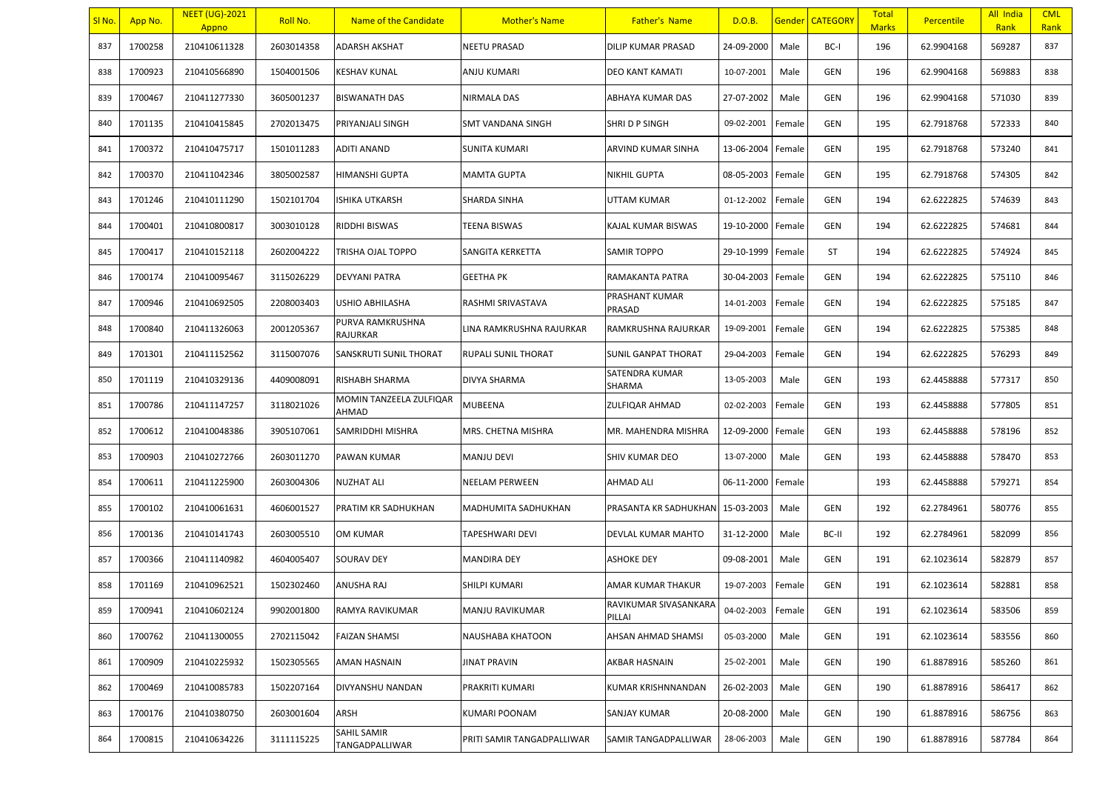| SI <sub>No</sub> . | App No. | <b>NEET (UG)-2021</b><br>Appno | Roll No.   | Name of the Candidate            | <b>Mother's Name</b>       | <b>Father's Name</b>            | D.O.B.     |        | Gender   CATEGORY | <b>Total</b><br><b>Marks</b> | <b>Percentile</b> | All India<br>Rank | <b>CML</b><br>Rank |
|--------------------|---------|--------------------------------|------------|----------------------------------|----------------------------|---------------------------------|------------|--------|-------------------|------------------------------|-------------------|-------------------|--------------------|
| 837                | 1700258 | 210410611328                   | 2603014358 | ADARSH AKSHAT                    | NEETU PRASAD               | DILIP KUMAR PRASAD              | 24-09-2000 | Male   | BC-I              | 196                          | 62.9904168        | 569287            | 837                |
| 838                | 1700923 | 210410566890                   | 1504001506 | <b>KESHAV KUNAL</b>              | ANJU KUMARI                | DEO KANT KAMATI                 | 10-07-2001 | Male   | <b>GEN</b>        | 196                          | 62.9904168        | 569883            | 838                |
| 839                | 1700467 | 210411277330                   | 3605001237 | BISWANATH DAS                    | NIRMALA DAS                | ABHAYA KUMAR DAS                | 27-07-2002 | Male   | GEN               | 196                          | 62.9904168        | 571030            | 839                |
| 840                | 1701135 | 210410415845                   | 2702013475 | PRIYANJALI SINGH                 | SMT VANDANA SINGH          | SHRI D P SINGH                  | 09-02-2001 | Female | GEN               | 195                          | 62.7918768        | 572333            | 840                |
| 841                | 1700372 | 210410475717                   | 1501011283 | <b>ADITI ANAND</b>               | <b>SUNITA KUMARI</b>       | ARVIND KUMAR SINHA              | 13-06-2004 | Female | <b>GEN</b>        | 195                          | 62.7918768        | 573240            | 841                |
| 842                | 1700370 | 210411042346                   | 3805002587 | HIMANSHI GUPTA                   | MAMTA GUPTA                | <b>NIKHIL GUPTA</b>             | 08-05-2003 | Female | <b>GEN</b>        | 195                          | 62.7918768        | 574305            | 842                |
| 843                | 1701246 | 210410111290                   | 1502101704 | ISHIKA UTKARSH                   | SHARDA SINHA               | UTTAM KUMAR                     | 01-12-2002 | Female | GEN               | 194                          | 62.6222825        | 574639            | 843                |
| 844                | 1700401 | 210410800817                   | 3003010128 | RIDDHI BISWAS                    | TEENA BISWAS               | KAJAL KUMAR BISWAS              | 19-10-2000 | Female | <b>GEN</b>        | 194                          | 62.6222825        | 574681            | 844                |
| 845                | 1700417 | 210410152118                   | 2602004222 | TRISHA OJAL TOPPO                | SANGITA KERKETTA           | <b>SAMIR TOPPO</b>              | 29-10-1999 | Female | <b>ST</b>         | 194                          | 62.6222825        | 574924            | 845                |
| 846                | 1700174 | 210410095467                   | 3115026229 | <b>DEVYANI PATRA</b>             | <b>GEETHA PK</b>           | RAMAKANTA PATRA                 | 30-04-2003 | Female | GEN               | 194                          | 62.6222825        | 575110            | 846                |
| 847                | 1700946 | 210410692505                   | 2208003403 | USHIO ABHILASHA                  | RASHMI SRIVASTAVA          | PRASHANT KUMAR<br>PRASAD        | 14-01-2003 | Female | GEN               | 194                          | 62.6222825        | 575185            | 847                |
| 848                | 1700840 | 210411326063                   | 2001205367 | PURVA RAMKRUSHNA<br>RAJURKAR     | LINA RAMKRUSHNA RAJURKAR   | RAMKRUSHNA RAJURKAR             | 19-09-2001 | Female | GEN               | 194                          | 62.6222825        | 575385            | 848                |
| 849                | 1701301 | 210411152562                   | 3115007076 | SANSKRUTI SUNIL THORAT           | RUPALI SUNIL THORAT        | SUNIL GANPAT THORAT             | 29-04-2003 | Female | <b>GEN</b>        | 194                          | 62.6222825        | 576293            | 849                |
| 850                | 1701119 | 210410329136                   | 4409008091 | RISHABH SHARMA                   | DIVYA SHARMA               | SATENDRA KUMAR<br>SHARMA        | 13-05-2003 | Male   | GEN               | 193                          | 62.4458888        | 577317            | 850                |
| 851                | 1700786 | 210411147257                   | 3118021026 | MOMIN TANZEELA ZULFIQAR<br>AHMAD | <b>MUBEENA</b>             | ZULFIQAR AHMAD                  | 02-02-2003 | Female | <b>GEN</b>        | 193                          | 62.4458888        | 577805            | 851                |
| 852                | 1700612 | 210410048386                   | 3905107061 | SAMRIDDHI MISHRA                 | MRS. CHETNA MISHRA         | MR. MAHENDRA MISHRA             | 12-09-2000 | Female | GEN               | 193                          | 62.4458888        | 578196            | 852                |
| 853                | 1700903 | 210410272766                   | 2603011270 | PAWAN KUMAR                      | MANJU DEVI                 | SHIV KUMAR DEO                  | 13-07-2000 | Male   | GEN               | 193                          | 62.4458888        | 578470            | 853                |
| 854                | 1700611 | 210411225900                   | 2603004306 | <b>NUZHAT ALI</b>                | NEELAM PERWEEN             | AHMAD ALI                       | 06-11-2000 | Female |                   | 193                          | 62.4458888        | 579271            | 854                |
| 855                | 1700102 | 210410061631                   | 4606001527 | PRATIM KR SADHUKHAN              | MADHUMITA SADHUKHAN        | PRASANTA KR SADHUKHAN           | 15-03-2003 | Male   | GEN               | 192                          | 62.2784961        | 580776            | 855                |
| 856                | 1700136 | 210410141743                   | 2603005510 | <b>OM KUMAR</b>                  | TAPESHWARI DEVI            | DEVLAL KUMAR MAHTO              | 31-12-2000 | Male   | BC-II             | 192                          | 62.2784961        | 582099            | 856                |
| 857                | 1700366 | 210411140982                   | 4604005407 | <b>SOURAV DEY</b>                | <b>MANDIRA DEY</b>         | ASHOKE DEY                      | 09-08-2001 | Male   | GEN               | 191                          | 62.1023614        | 582879            | 857                |
| 858                | 1701169 | 210410962521                   | 1502302460 | <b>ANUSHA RAJ</b>                | SHILPI KUMARI              | AMAR KUMAR THAKUR               | 19-07-2003 | Female | GEN               | 191                          | 62.1023614        | 582881            | 858                |
| 859                | 1700941 | 210410602124                   | 9902001800 | RAMYA RAVIKUMAR                  | MANJU RAVIKUMAR            | RAVIKUMAR SIVASANKARA<br>PILLAI | 04-02-2003 | Female | <b>GEN</b>        | 191                          | 62.1023614        | 583506            | 859                |
| 860                | 1700762 | 210411300055                   | 2702115042 | <b>FAIZAN SHAMSI</b>             | NAUSHABA KHATOON           | AHSAN AHMAD SHAMSI              | 05-03-2000 | Male   | GEN               | 191                          | 62.1023614        | 583556            | 860                |
| 861                | 1700909 | 210410225932                   | 1502305565 | AMAN HASNAIN                     | <b>JINAT PRAVIN</b>        | AKBAR HASNAIN                   | 25-02-2001 | Male   | GEN               | 190                          | 61.8878916        | 585260            | 861                |
| 862                | 1700469 | 210410085783                   | 1502207164 | DIVYANSHU NANDAN                 | PRAKRITI KUMARI            | KUMAR KRISHNNANDAN              | 26-02-2003 | Male   | GEN               | 190                          | 61.8878916        | 586417            | 862                |
| 863                | 1700176 | 210410380750                   | 2603001604 | ARSH                             | KUMARI POONAM              | SANJAY KUMAR                    | 20-08-2000 | Male   | GEN               | 190                          | 61.8878916        | 586756            | 863                |
| 864                | 1700815 | 210410634226                   | 3111115225 | SAHIL SAMIR<br>TANGADPALLIWAR    | PRITI SAMIR TANGADPALLIWAR | SAMIR TANGADPALLIWAR            | 28-06-2003 | Male   | GEN               | 190                          | 61.8878916        | 587784            | 864                |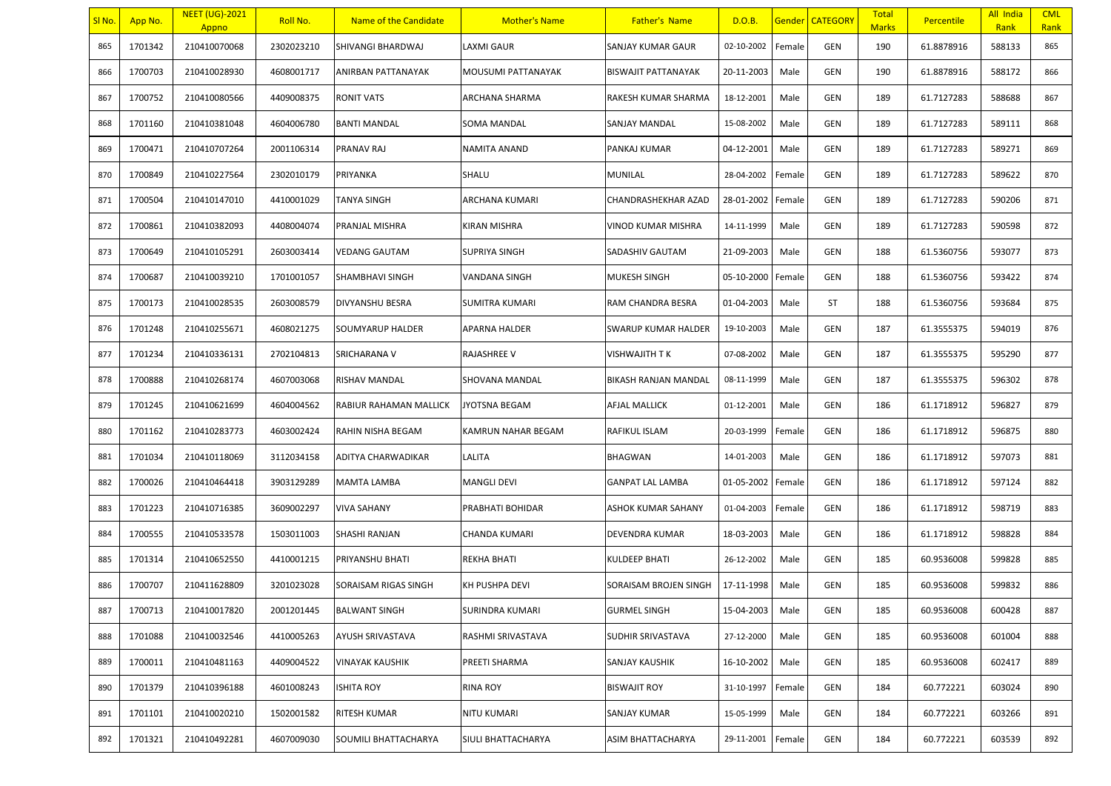| SI No. | App No. | <b>NEET (UG)-2021</b><br>Appno | Roll No.   | Name of the Candidate  | <b>Mother's Name</b>      | <b>Father's Name</b>       | D.O.B.     |        | <b>Gender CATEGORY</b> | <b>Total</b><br><b>Marks</b> | Percentile | All India<br>Rank | <b>CML</b><br>Rank |
|--------|---------|--------------------------------|------------|------------------------|---------------------------|----------------------------|------------|--------|------------------------|------------------------------|------------|-------------------|--------------------|
| 865    | 1701342 | 210410070068                   | 2302023210 | SHIVANGI BHARDWAJ      | <b>LAXMI GAUR</b>         | SANJAY KUMAR GAUR          | 02-10-2002 | Female | GEN                    | 190                          | 61.8878916 | 588133            | 865                |
| 866    | 1700703 | 210410028930                   | 4608001717 | ANIRBAN PATTANAYAK     | MOUSUMI PATTANAYAK        | <b>BISWAJIT PATTANAYAK</b> | 20-11-2003 | Male   | GEN                    | 190                          | 61.8878916 | 588172            | 866                |
| 867    | 1700752 | 210410080566                   | 4409008375 | <b>RONIT VATS</b>      | ARCHANA SHARMA            | RAKESH KUMAR SHARMA        | 18-12-2001 | Male   | GEN                    | 189                          | 61.7127283 | 588688            | 867                |
| 868    | 1701160 | 210410381048                   | 4604006780 | <b>BANTI MANDAL</b>    | <b>SOMA MANDAL</b>        | SANJAY MANDAL              | 15-08-2002 | Male   | GEN                    | 189                          | 61.7127283 | 589111            | 868                |
| 869    | 1700471 | 210410707264                   | 2001106314 | PRANAV RAJ             | NAMITA ANAND              | PANKAJ KUMAR               | 04-12-2001 | Male   | GEN                    | 189                          | 61.7127283 | 589271            | 869                |
| 870    | 1700849 | 210410227564                   | 2302010179 | PRIYANKA               | SHALU                     | MUNILAL                    | 28-04-2002 | Female | GEN                    | 189                          | 61.7127283 | 589622            | 870                |
| 871    | 1700504 | 210410147010                   | 4410001029 | TANYA SINGH            | ARCHANA KUMARI            | CHANDRASHEKHAR AZAD        | 28-01-2002 | Female | GEN                    | 189                          | 61.7127283 | 590206            | 871                |
| 872    | 1700861 | 210410382093                   | 4408004074 | PRANJAL MISHRA         | KIRAN MISHRA              | VINOD KUMAR MISHRA         | 14-11-1999 | Male   | GEN                    | 189                          | 61.7127283 | 590598            | 872                |
| 873    | 1700649 | 210410105291                   | 2603003414 | <b>VEDANG GAUTAM</b>   | <b>SUPRIYA SINGH</b>      | SADASHIV GAUTAM            | 21-09-2003 | Male   | GEN                    | 188                          | 61.5360756 | 593077            | 873                |
| 874    | 1700687 | 210410039210                   | 1701001057 | SHAMBHAVI SINGH        | VANDANA SINGH             | MUKESH SINGH               | 05-10-2000 | Female | GEN                    | 188                          | 61.5360756 | 593422            | 874                |
| 875    | 1700173 | 210410028535                   | 2603008579 | <b>DIVYANSHU BESRA</b> | SUMITRA KUMARI            | RAM CHANDRA BESRA          | 01-04-2003 | Male   | ST                     | 188                          | 61.5360756 | 593684            | 875                |
| 876    | 1701248 | 210410255671                   | 4608021275 | SOUMYARUP HALDER       | <b>APARNA HALDER</b>      | SWARUP KUMAR HALDER        | 19-10-2003 | Male   | GEN                    | 187                          | 61.3555375 | 594019            | 876                |
| 877    | 1701234 | 210410336131                   | 2702104813 | SRICHARANA V           | <b>RAJASHREE V</b>        | VISHWAJITH T K             | 07-08-2002 | Male   | GEN                    | 187                          | 61.3555375 | 595290            | 877                |
| 878    | 1700888 | 210410268174                   | 4607003068 | RISHAV MANDAL          | SHOVANA MANDAL            | BIKASH RANJAN MANDAL       | 08-11-1999 | Male   | GEN                    | 187                          | 61.3555375 | 596302            | 878                |
| 879    | 1701245 | 210410621699                   | 4604004562 | RABIUR RAHAMAN MALLICK | <b>JYOTSNA BEGAM</b>      | AFJAL MALLICK              | 01-12-2001 | Male   | GEN                    | 186                          | 61.1718912 | 596827            | 879                |
| 880    | 1701162 | 210410283773                   | 4603002424 | RAHIN NISHA BEGAM      | <b>KAMRUN NAHAR BEGAM</b> | RAFIKUL ISLAM              | 20-03-1999 | Female | GEN                    | 186                          | 61.1718912 | 596875            | 880                |
| 881    | 1701034 | 210410118069                   | 3112034158 | ADITYA CHARWADIKAR     | LALITA                    | BHAGWAN                    | 14-01-2003 | Male   | GEN                    | 186                          | 61.1718912 | 597073            | 881                |
| 882    | 1700026 | 210410464418                   | 3903129289 | <b>MAMTA LAMBA</b>     | <b>MANGLI DEVI</b>        | <b>GANPAT LAL LAMBA</b>    | 01-05-2002 | Female | GEN                    | 186                          | 61.1718912 | 597124            | 882                |
| 883    | 1701223 | 210410716385                   | 3609002297 | <b>VIVA SAHANY</b>     | <b>PRABHATI BOHIDAR</b>   | ASHOK KUMAR SAHANY         | 01-04-2003 | Female | GEN                    | 186                          | 61.1718912 | 598719            | 883                |
| 884    | 1700555 | 210410533578                   | 1503011003 | SHASHI RANJAN          | CHANDA KUMARI             | DEVENDRA KUMAR             | 18-03-2003 | Male   | GEN                    | 186                          | 61.1718912 | 598828            | 884                |
| 885    | 1701314 | 210410652550                   | 4410001215 | PRIYANSHU BHATI        | <b>REKHA BHATI</b>        | KULDEEP BHATI              | 26-12-2002 | Male   | GEN                    | 185                          | 60.9536008 | 599828            | 885                |
| 886    | 1700707 | 210411628809                   | 3201023028 | SORAISAM RIGAS SINGH   | KH PUSHPA DEVI            | SORAISAM BROJEN SINGH      | 17-11-1998 | Male   | GEN                    | 185                          | 60.9536008 | 599832            | 886                |
| 887    | 1700713 | 210410017820                   | 2001201445 | <b>BALWANT SINGH</b>   | <b>SURINDRA KUMARI</b>    | <b>GURMEL SINGH</b>        | 15-04-2003 | Male   | GEN                    | 185                          | 60.9536008 | 600428            | 887                |
| 888    | 1701088 | 210410032546                   | 4410005263 | AYUSH SRIVASTAVA       | RASHMI SRIVASTAVA         | SUDHIR SRIVASTAVA          | 27-12-2000 | Male   | GEN                    | 185                          | 60.9536008 | 601004            | 888                |
| 889    | 1700011 | 210410481163                   | 4409004522 | <b>VINAYAK KAUSHIK</b> | PREETI SHARMA             | SANJAY KAUSHIK             | 16-10-2002 | Male   | GEN                    | 185                          | 60.9536008 | 602417            | 889                |
| 890    | 1701379 | 210410396188                   | 4601008243 | <b>ISHITA ROY</b>      | <b>RINA ROY</b>           | <b>BISWAJIT ROY</b>        | 31-10-1997 | Female | GEN                    | 184                          | 60.772221  | 603024            | 890                |
| 891    | 1701101 | 210410020210                   | 1502001582 | RITESH KUMAR           | <b>NITU KUMARI</b>        | SANJAY KUMAR               | 15-05-1999 | Male   | GEN                    | 184                          | 60.772221  | 603266            | 891                |
| 892    | 1701321 | 210410492281                   | 4607009030 | SOUMILI BHATTACHARYA   | SIULI BHATTACHARYA        | ASIM BHATTACHARYA          | 29-11-2001 | Female | GEN                    | 184                          | 60.772221  | 603539            | 892                |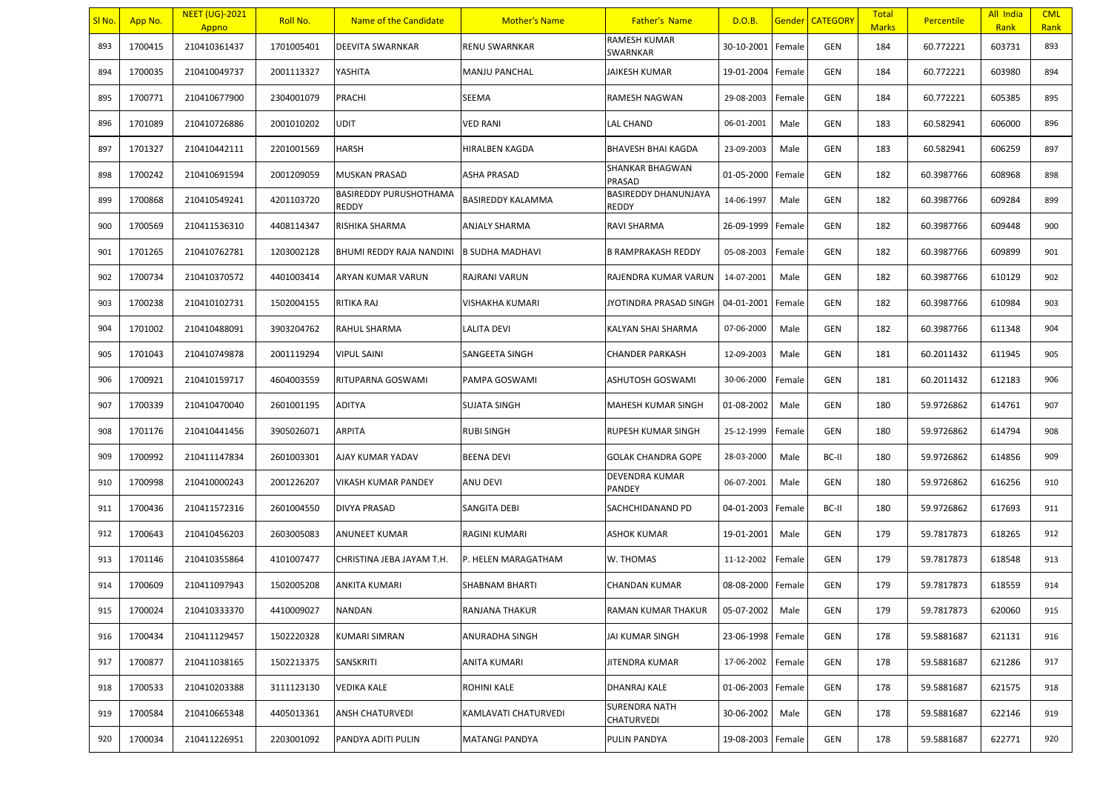| SI No. | App No. | <b>NEET (UG)-2021</b><br>Appno | Roll No.   | Name of the Candidate                  | <b>Mother's Name</b>   | <b>Father's Name</b>          | D.O.B.     |        | <b>Gender   CATEGORY</b> | <b>Total</b><br><b>Marks</b> | <b>Percentile</b> | All India<br>Rank | <b>CML</b><br>Rank |
|--------|---------|--------------------------------|------------|----------------------------------------|------------------------|-------------------------------|------------|--------|--------------------------|------------------------------|-------------------|-------------------|--------------------|
| 893    | 1700415 | 210410361437                   | 1701005401 | <b>DEEVITA SWARNKAR</b>                | <b>RENU SWARNKAR</b>   | RAMESH KUMAR<br>SWARNKAR      | 30-10-2001 | Female | GEN                      | 184                          | 60.772221         | 603731            | 893                |
| 894    | 1700035 | 210410049737                   | 2001113327 | YASHITA                                | <b>MANJU PANCHAL</b>   | JAIKESH KUMAR                 | 19-01-2004 | Female | GEN                      | 184                          | 60.772221         | 603980            | 894                |
| 895    | 1700771 | 210410677900                   | 2304001079 | PRACHI                                 | SEEMA                  | RAMESH NAGWAN                 | 29-08-2003 | Female | GEN                      | 184                          | 60.772221         | 605385            | 895                |
| 896    | 1701089 | 210410726886                   | 2001010202 | <b>UDIT</b>                            | <b>VED RANI</b>        | LAL CHAND                     | 06-01-2001 | Male   | GEN                      | 183                          | 60.582941         | 606000            | 896                |
| 897    | 1701327 | 210410442111                   | 2201001569 | <b>HARSH</b>                           | <b>HIRALBEN KAGDA</b>  | <b>BHAVESH BHAI KAGDA</b>     | 23-09-2003 | Male   | GEN                      | 183                          | 60.582941         | 606259            | 897                |
| 898    | 1700242 | 210410691594                   | 2001209059 | <b>MUSKAN PRASAD</b>                   | ASHA PRASAD            | SHANKAR BHAGWAN<br>PRASAD     | 01-05-2000 | Female | GEN                      | 182                          | 60.3987766        | 608968            | 898                |
| 899    | 1700868 | 210410549241                   | 4201103720 | BASIREDDY PURUSHOTHAMA<br><b>REDDY</b> | BASIREDDY KALAMMA      | BASIREDDY DHANUNJAYA<br>REDDY | 14-06-1997 | Male   | GEN                      | 182                          | 60.3987766        | 609284            | 899                |
| 900    | 1700569 | 210411536310                   | 4408114347 | RISHIKA SHARMA                         | <b>ANJALY SHARMA</b>   | RAVI SHARMA                   | 26-09-1999 | Female | GEN                      | 182                          | 60.3987766        | 609448            | 900                |
| 901    | 1701265 | 210410762781                   | 1203002128 | BHUMI REDDY RAJA NANDINI               | <b>B SUDHA MADHAVI</b> | B RAMPRAKASH REDDY            | 05-08-2003 | Female | GEN                      | 182                          | 60.3987766        | 609899            | 901                |
| 902    | 1700734 | 210410370572                   | 4401003414 | ARYAN KUMAR VARUN                      | RAJRANI VARUN          | RAJENDRA KUMAR VARUN          | 14-07-2001 | Male   | GEN                      | 182                          | 60.3987766        | 610129            | 902                |
| 903    | 1700238 | 210410102731                   | 1502004155 | RITIKA RAJ                             | VISHAKHA KUMARI        | IYOTINDRA PRASAD SINGH        | 04-01-2001 | Female | GEN                      | 182                          | 60.3987766        | 610984            | 903                |
| 904    | 1701002 | 210410488091                   | 3903204762 | RAHUL SHARMA                           | <b>LALITA DEVI</b>     | KALYAN SHAI SHARMA            | 07-06-2000 | Male   | GEN                      | 182                          | 60.3987766        | 611348            | 904                |
| 905    | 1701043 | 210410749878                   | 2001119294 | <b>VIPUL SAINI</b>                     | SANGEETA SINGH         | <b>CHANDER PARKASH</b>        | 12-09-2003 | Male   | GEN                      | 181                          | 60.2011432        | 611945            | 905                |
| 906    | 1700921 | 210410159717                   | 4604003559 | RITUPARNA GOSWAMI                      | PAMPA GOSWAMI          | ASHUTOSH GOSWAMI              | 30-06-2000 | Female | GEN                      | 181                          | 60.2011432        | 612183            | 906                |
| 907    | 1700339 | 210410470040                   | 2601001195 | <b>ADITYA</b>                          | <b>SUJATA SINGH</b>    | MAHESH KUMAR SINGH            | 01-08-2002 | Male   | GEN                      | 180                          | 59.9726862        | 614761            | 907                |
| 908    | 1701176 | 210410441456                   | 3905026071 | ARPITA                                 | <b>RUBI SINGH</b>      | RUPESH KUMAR SINGH            | 25-12-1999 | Female | GEN                      | 180                          | 59.9726862        | 614794            | 908                |
| 909    | 1700992 | 210411147834                   | 2601003301 | AJAY KUMAR YADAV                       | <b>BEENA DEVI</b>      | <b>GOLAK CHANDRA GOPE</b>     | 28-03-2000 | Male   | BC-II                    | 180                          | 59.9726862        | 614856            | 909                |
| 910    | 1700998 | 210410000243                   | 2001226207 | VIKASH KUMAR PANDEY                    | ANU DEVI               | DEVENDRA KUMAR<br>PANDEY      | 06-07-2001 | Male   | GEN                      | 180                          | 59.9726862        | 616256            | 910                |
| 911    | 1700436 | 210411572316                   | 2601004550 | <b>DIVYA PRASAD</b>                    | <b>SANGITA DEBI</b>    | SACHCHIDANAND PD              | 04-01-2003 | Female | BC-II                    | 180                          | 59.9726862        | 617693            | 911                |
| 912    | 1700643 | 210410456203                   | 2603005083 | <b>ANUNEET KUMAR</b>                   | <b>RAGINI KUMARI</b>   | ASHOK KUMAR                   | 19-01-2001 | Male   | GEN                      | 179                          | 59.7817873        | 618265            | 912                |
| 913    | 1701146 | 210410355864                   | 4101007477 | CHRISTINA JEBA JAYAM T.H.              | P. HELEN MARAGATHAM    | W. THOMAS                     | 11-12-2002 | Female | GEN                      | 179                          | 59.7817873        | 618548            | 913                |
| 914    | 1700609 | 210411097943                   | 1502005208 | ANKITA KUMARI                          | <b>SHABNAM BHARTI</b>  | <b>CHANDAN KUMAR</b>          | 08-08-2000 | Female | GEN                      | 179                          | 59.7817873        | 618559            | 914                |
| 915    | 1700024 | 210410333370                   | 4410009027 | <b>NANDAN</b>                          | <b>RANJANA THAKUR</b>  | RAMAN KUMAR THAKUR            | 05-07-2002 | Male   | GEN                      | 179                          | 59.7817873        | 620060            | 915                |
| 916    | 1700434 | 210411129457                   | 1502220328 | KUMARI SIMRAN                          | <b>ANURADHA SINGH</b>  | JAI KUMAR SINGH               | 23-06-1998 | Female | GEN                      | 178                          | 59.5881687        | 621131            | 916                |
| 917    | 1700877 | 210411038165                   | 1502213375 | SANSKRITI                              | <b>ANITA KUMARI</b>    | JITENDRA KUMAR                | 17-06-2002 | Female | GEN                      | 178                          | 59.5881687        | 621286            | 917                |
| 918    | 1700533 | 210410203388                   | 3111123130 | <b>VEDIKA KALE</b>                     | ROHINI KALE            | DHANRAJ KALE                  | 01-06-2003 | Female | GEN                      | 178                          | 59.5881687        | 621575            | 918                |
| 919    | 1700584 | 210410665348                   | 4405013361 | ANSH CHATURVEDI                        | KAMLAVATI CHATURVEDI   | SURENDRA NATH<br>CHATURVEDI   | 30-06-2002 | Male   | GEN                      | 178                          | 59.5881687        | 622146            | 919                |
| 920    | 1700034 | 210411226951                   | 2203001092 | PANDYA ADITI PULIN                     | <b>MATANGI PANDYA</b>  | PULIN PANDYA                  | 19-08-2003 | Female | GEN                      | 178                          | 59.5881687        | 622771            | 920                |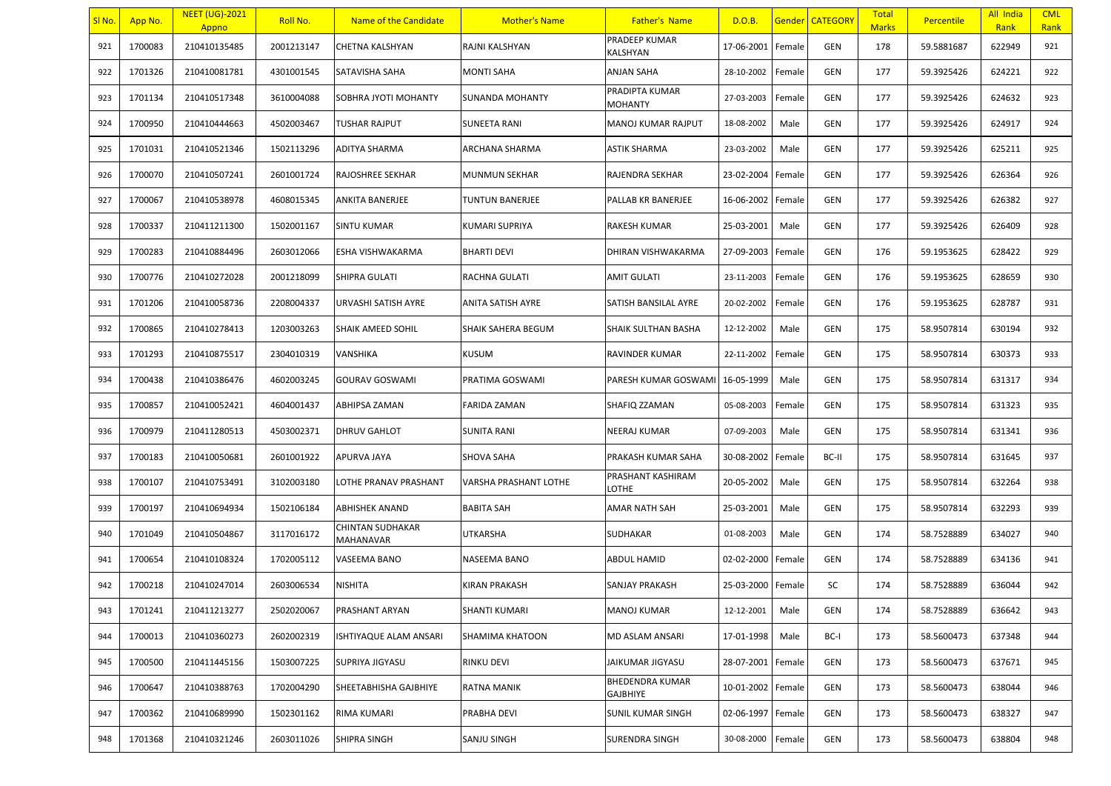| SI No. | App No. | <b>NEET (UG)-2021</b><br>Appno | Roll No.   | Name of the Candidate                       | <b>Mother's Name</b>  | <b>Father's Name</b>               | D.O.B.     |        | Gender   CATEGORY | <b>Total</b><br><b>Marks</b> | <b>Percentile</b> | All India<br>Rank | <b>CML</b><br>Rank |
|--------|---------|--------------------------------|------------|---------------------------------------------|-----------------------|------------------------------------|------------|--------|-------------------|------------------------------|-------------------|-------------------|--------------------|
| 921    | 1700083 | 210410135485                   | 2001213147 | <b>CHETNA KALSHYAN</b>                      | RAJNI KALSHYAN        | PRADEEP KUMAR<br>KALSHYAN          | 17-06-2001 | Female | <b>GEN</b>        | 178                          | 59.5881687        | 622949            | 921                |
| 922    | 1701326 | 210410081781                   | 4301001545 | SATAVISHA SAHA                              | <b>MONTI SAHA</b>     | ANJAN SAHA                         | 28-10-2002 | Female | <b>GEN</b>        | 177                          | 59.3925426        | 624221            | 922                |
| 923    | 1701134 | 210410517348                   | 3610004088 | SOBHRA JYOTI MOHANTY                        | SUNANDA MOHANTY       | PRADIPTA KUMAR<br><b>MOHANTY</b>   | 27-03-2003 | Female | GEN               | 177                          | 59.3925426        | 624632            | 923                |
| 924    | 1700950 | 210410444663                   | 4502003467 | TUSHAR RAJPUT                               | <b>SUNEETA RANI</b>   | MANOJ KUMAR RAJPUT                 | 18-08-2002 | Male   | GEN               | 177                          | 59.3925426        | 624917            | 924                |
| 925    | 1701031 | 210410521346                   | 1502113296 | ADITYA SHARMA                               | ARCHANA SHARMA        | ASTIK SHARMA                       | 23-03-2002 | Male   | GEN               | 177                          | 59.3925426        | 625211            | 925                |
| 926    | 1700070 | 210410507241                   | 2601001724 | RAJOSHREE SEKHAR                            | MUNMUN SEKHAR         | RAJENDRA SEKHAR                    | 23-02-2004 | Female | <b>GEN</b>        | 177                          | 59.3925426        | 626364            | 926                |
| 927    | 1700067 | 210410538978                   | 4608015345 | ANKITA BANERJEE                             | TUNTUN BANERJEE       | PALLAB KR BANERJEE                 | 16-06-2002 | Female | GEN               | 177                          | 59.3925426        | 626382            | 927                |
| 928    | 1700337 | 210411211300                   | 1502001167 | <b>SINTU KUMAR</b>                          | KUMARI SUPRIYA        | RAKESH KUMAR                       | 25-03-2001 | Male   | GEN               | 177                          | 59.3925426        | 626409            | 928                |
| 929    | 1700283 | 210410884496                   | 2603012066 | ESHA VISHWAKARMA                            | <b>BHARTI DEVI</b>    | DHIRAN VISHWAKARMA                 | 27-09-2003 | Female | <b>GEN</b>        | 176                          | 59.1953625        | 628422            | 929                |
| 930    | 1700776 | 210410272028                   | 2001218099 | SHIPRA GULATI                               | RACHNA GULATI         | <b>AMIT GULATI</b>                 | 23-11-2003 | Female | GEN               | 176                          | 59.1953625        | 628659            | 930                |
| 931    | 1701206 | 210410058736                   | 2208004337 | URVASHI SATISH AYRE                         | ANITA SATISH AYRE     | SATISH BANSILAL AYRE               | 20-02-2002 | Female | GEN               | 176                          | 59.1953625        | 628787            | 931                |
| 932    | 1700865 | 210410278413                   | 1203003263 | SHAIK AMEED SOHIL                           | SHAIK SAHERA BEGUM    | SHAIK SULTHAN BASHA                | 12-12-2002 | Male   | GEN               | 175                          | 58.9507814        | 630194            | 932                |
| 933    | 1701293 | 210410875517                   | 2304010319 | VANSHIKA                                    | KUSUM                 | RAVINDER KUMAR                     | 22-11-2002 | Female | <b>GEN</b>        | 175                          | 58.9507814        | 630373            | 933                |
| 934    | 1700438 | 210410386476                   | 4602003245 | <b>GOURAV GOSWAMI</b>                       | PRATIMA GOSWAMI       | PARESH KUMAR GOSWAMI               | 16-05-1999 | Male   | GEN               | 175                          | 58.9507814        | 631317            | 934                |
| 935    | 1700857 | 210410052421                   | 4604001437 | ABHIPSA ZAMAN                               | FARIDA ZAMAN          | SHAFIQ ZZAMAN                      | 05-08-2003 | Female | <b>GEN</b>        | 175                          | 58.9507814        | 631323            | 935                |
| 936    | 1700979 | 210411280513                   | 4503002371 | <b>DHRUV GAHLOT</b>                         | <b>SUNITA RANI</b>    | NEERAJ KUMAR                       | 07-09-2003 | Male   | GEN               | 175                          | 58.9507814        | 631341            | 936                |
| 937    | 1700183 | 210410050681                   | 2601001922 | APURVA JAYA                                 | <b>SHOVA SAHA</b>     | PRAKASH KUMAR SAHA                 | 30-08-2002 | Female | BC-II             | 175                          | 58.9507814        | 631645            | 937                |
| 938    | 1700107 | 210410753491                   | 3102003180 | LOTHE PRANAV PRASHANT                       | VARSHA PRASHANT LOTHE | PRASHANT KASHIRAM<br>LOTHE         | 20-05-2002 | Male   | GEN               | 175                          | 58.9507814        | 632264            | 938                |
| 939    | 1700197 | 210410694934                   | 1502106184 | <b>ABHISHEK ANAND</b>                       | <b>BABITA SAH</b>     | AMAR NATH SAH                      | 25-03-2001 | Male   | GEN               | 175                          | 58.9507814        | 632293            | 939                |
| 940    | 1701049 | 210410504867                   | 3117016172 | <b>CHINTAN SUDHAKAR</b><br><b>MAHANAVAR</b> | UTKARSHA              | <b>SUDHAKAR</b>                    | 01-08-2003 | Male   | GEN               | 174                          | 58.7528889        | 634027            | 940                |
| 941    | 1700654 | 210410108324                   | 1702005112 | <b>VASEEMA BANO</b>                         | NASEEMA BANO          | ABDUL HAMID                        | 02-02-2000 | Female | GEN               | 174                          | 58.7528889        | 634136            | 941                |
| 942    | 1700218 | 210410247014                   | 2603006534 | <b>NISHITA</b>                              | KIRAN PRAKASH         | SANJAY PRAKASH                     | 25-03-2000 | Female | SC                | 174                          | 58.7528889        | 636044            | 942                |
| 943    | 1701241 | 210411213277                   | 2502020067 | PRASHANT ARYAN                              | SHANTI KUMARI         | <b>MANOJ KUMAR</b>                 | 12-12-2001 | Male   | <b>GEN</b>        | 174                          | 58.7528889        | 636642            | 943                |
| 944    | 1700013 | 210410360273                   | 2602002319 | ISHTIYAQUE ALAM ANSARI                      | SHAMIMA KHATOON       | MD ASLAM ANSARI                    | 17-01-1998 | Male   | BC-I              | 173                          | 58.5600473        | 637348            | 944                |
| 945    | 1700500 | 210411445156                   | 1503007225 | SUPRIYA JIGYASU                             | RINKU DEVI            | JAIKUMAR JIGYASU                   | 28-07-2001 | Female | GEN               | 173                          | 58.5600473        | 637671            | 945                |
| 946    | 1700647 | 210410388763                   | 1702004290 | SHEETABHISHA GAJBHIYE                       | RATNA MANIK           | <b>BHEDENDRA KUMAR</b><br>GAJBHIYE | 10-01-2002 | Female | GEN               | 173                          | 58.5600473        | 638044            | 946                |
| 947    | 1700362 | 210410689990                   | 1502301162 | RIMA KUMARI                                 | PRABHA DEVI           | SUNIL KUMAR SINGH                  | 02-06-1997 | Female | GEN               | 173                          | 58.5600473        | 638327            | 947                |
| 948    | 1701368 | 210410321246                   | 2603011026 | SHIPRA SINGH                                | SANJU SINGH           | SURENDRA SINGH                     | 30-08-2000 | Female | GEN               | 173                          | 58.5600473        | 638804            | 948                |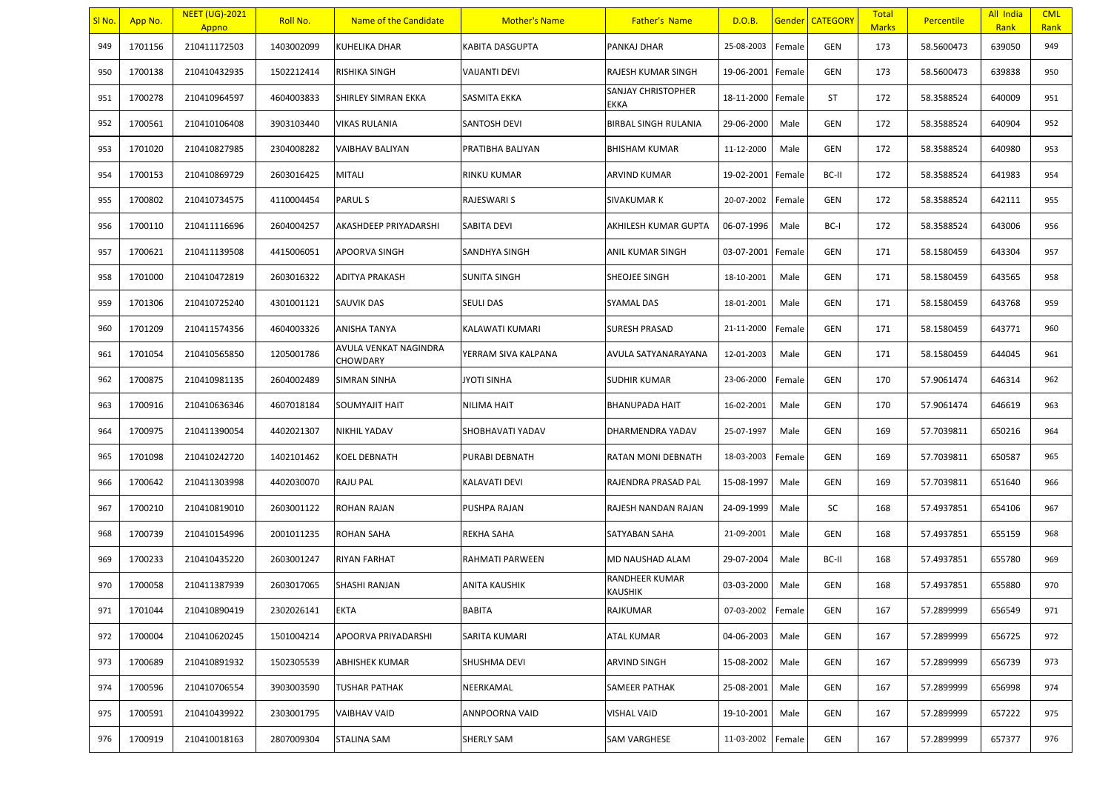| SI No. | App No. | <b>NEET (UG)-2021</b><br>Appno | Roll No.   | Name of the Candidate             | <b>Mother's Name</b>   | <b>Father's Name</b>       | D.O.B.            |        | <b>Gender CATEGORY</b> | <b>Total</b><br><b>Marks</b> | Percentile | All India<br>Rank | <b>CML</b><br>Rank |
|--------|---------|--------------------------------|------------|-----------------------------------|------------------------|----------------------------|-------------------|--------|------------------------|------------------------------|------------|-------------------|--------------------|
| 949    | 1701156 | 210411172503                   | 1403002099 | KUHELIKA DHAR                     | <b>KABITA DASGUPTA</b> | PANKAJ DHAR                | 25-08-2003        | Female | GEN                    | 173                          | 58.5600473 | 639050            | 949                |
| 950    | 1700138 | 210410432935                   | 1502212414 | RISHIKA SINGH                     | <b>VAIJANTI DEVI</b>   | RAJESH KUMAR SINGH         | 19-06-2001        | Female | GEN                    | 173                          | 58.5600473 | 639838            | 950                |
| 951    | 1700278 | 210410964597                   | 4604003833 | SHIRLEY SIMRAN EKKA               | SASMITA EKKA           | SANJAY CHRISTOPHER<br>EKKA | 18-11-2000        | Female | ST                     | 172                          | 58.3588524 | 640009            | 951                |
| 952    | 1700561 | 210410106408                   | 3903103440 | VIKAS RULANIA                     | <b>SANTOSH DEVI</b>    | BIRBAL SINGH RULANIA       | 29-06-2000        | Male   | GEN                    | 172                          | 58.3588524 | 640904            | 952                |
| 953    | 1701020 | 210410827985                   | 2304008282 | VAIBHAV BALIYAN                   | PRATIBHA BALIYAN       | BHISHAM KUMAR              | 11-12-2000        | Male   | GEN                    | 172                          | 58.3588524 | 640980            | 953                |
| 954    | 1700153 | 210410869729                   | 2603016425 | <b>MITALI</b>                     | <b>RINKU KUMAR</b>     | ARVIND KUMAR               | 19-02-2001        | Female | BC-II                  | 172                          | 58.3588524 | 641983            | 954                |
| 955    | 1700802 | 210410734575                   | 4110004454 | <b>PARULS</b>                     | RAJESWARI S            | SIVAKUMAR K                | 20-07-2002        | Female | GEN                    | 172                          | 58.3588524 | 642111            | 955                |
| 956    | 1700110 | 210411116696                   | 2604004257 | AKASHDEEP PRIYADARSHI             | SABITA DEVI            | AKHILESH KUMAR GUPTA       | 06-07-1996        | Male   | BC-I                   | 172                          | 58.3588524 | 643006            | 956                |
| 957    | 1700621 | 210411139508                   | 4415006051 | APOORVA SINGH                     | SANDHYA SINGH          | ANIL KUMAR SINGH           | 03-07-2001        | Female | GEN                    | 171                          | 58.1580459 | 643304            | 957                |
| 958    | 1701000 | 210410472819                   | 2603016322 | <b>ADITYA PRAKASH</b>             | <b>SUNITA SINGH</b>    | SHEOJEE SINGH              | 18-10-2001        | Male   | GEN                    | 171                          | 58.1580459 | 643565            | 958                |
| 959    | 1701306 | 210410725240                   | 4301001121 | SAUVIK DAS                        | <b>SEULI DAS</b>       | SYAMAL DAS                 | 18-01-2001        | Male   | GEN                    | 171                          | 58.1580459 | 643768            | 959                |
| 960    | 1701209 | 210411574356                   | 4604003326 | ANISHA TANYA                      | KALAWATI KUMARI        | <b>SURESH PRASAD</b>       | 21-11-2000        | Female | GEN                    | 171                          | 58.1580459 | 643771            | 960                |
| 961    | 1701054 | 210410565850                   | 1205001786 | AVULA VENKAT NAGINDRA<br>CHOWDARY | YERRAM SIVA KALPANA    | AVULA SATYANARAYANA        | 12-01-2003        | Male   | GEN                    | 171                          | 58.1580459 | 644045            | 961                |
| 962    | 1700875 | 210410981135                   | 2604002489 | SIMRAN SINHA                      | <b>JYOTI SINHA</b>     | <b>SUDHIR KUMAR</b>        | 23-06-2000        | Female | GEN                    | 170                          | 57.9061474 | 646314            | 962                |
| 963    | 1700916 | 210410636346                   | 4607018184 | SOUMYAJIT HAIT                    | <b>NILIMA HAIT</b>     | <b>BHANUPADA HAIT</b>      | 16-02-2001        | Male   | GEN                    | 170                          | 57.9061474 | 646619            | 963                |
| 964    | 1700975 | 210411390054                   | 4402021307 | <b>NIKHIL YADAV</b>               | SHOBHAVATI YADAV       | DHARMENDRA YADAV           | 25-07-1997        | Male   | GEN                    | 169                          | 57.7039811 | 650216            | 964                |
| 965    | 1701098 | 210410242720                   | 1402101462 | KOEL DEBNATH                      | PURABI DEBNATH         | RATAN MONI DEBNATH         | 18-03-2003        | Female | GEN                    | 169                          | 57.7039811 | 650587            | 965                |
| 966    | 1700642 | 210411303998                   | 4402030070 | <b>RAJU PAL</b>                   | <b>KALAVATI DEVI</b>   | RAJENDRA PRASAD PAL        | 15-08-1997        | Male   | GEN                    | 169                          | 57.7039811 | 651640            | 966                |
| 967    | 1700210 | 210410819010                   | 2603001122 | ROHAN RAJAN                       | PUSHPA RAJAN           | RAJESH NANDAN RAJAN        | 24-09-1999        | Male   | SC                     | 168                          | 57.4937851 | 654106            | 967                |
| 968    | 1700739 | 210410154996                   | 2001011235 | ROHAN SAHA                        | <b>REKHA SAHA</b>      | SATYABAN SAHA              | 21-09-2001        | Male   | GEN                    | 168                          | 57.4937851 | 655159            | 968                |
| 969    | 1700233 | 210410435220                   | 2603001247 | <b>RIYAN FARHAT</b>               | RAHMATI PARWEEN        | MD NAUSHAD ALAM            | 29-07-2004        | Male   | BC-II                  | 168                          | 57.4937851 | 655780            | 969                |
| 970    | 1700058 | 210411387939                   | 2603017065 | SHASHI RANJAN                     | <b>ANITA KAUSHIK</b>   | RANDHEER KUMAR<br>KAUSHIK  | 03-03-2000        | Male   | GEN                    | 168                          | 57.4937851 | 655880            | 970                |
| 971    | 1701044 | 210410890419                   | 2302026141 | <b>EKTA</b>                       | <b>BABITA</b>          | RAJKUMAR                   | 07-03-2002 Female |        | GEN                    | 167                          | 57.2899999 | 656549            | 971                |
| 972    | 1700004 | 210410620245                   | 1501004214 | APOORVA PRIYADARSHI               | SARITA KUMARI          | ATAL KUMAR                 | 04-06-2003        | Male   | GEN                    | 167                          | 57.2899999 | 656725            | 972                |
| 973    | 1700689 | 210410891932                   | 1502305539 | ABHISHEK KUMAR                    | SHUSHMA DEVI           | ARVIND SINGH               | 15-08-2002        | Male   | GEN                    | 167                          | 57.2899999 | 656739            | 973                |
| 974    | 1700596 | 210410706554                   | 3903003590 | TUSHAR PATHAK                     | NEERKAMAL              | <b>SAMEER PATHAK</b>       | 25-08-2001        | Male   | GEN                    | 167                          | 57.2899999 | 656998            | 974                |
| 975    | 1700591 | 210410439922                   | 2303001795 | VAIBHAV VAID                      | <b>ANNPOORNA VAID</b>  | VISHAL VAID                | 19-10-2001        | Male   | GEN                    | 167                          | 57.2899999 | 657222            | 975                |
| 976    | 1700919 | 210410018163                   | 2807009304 | STALINA SAM                       | <b>SHERLY SAM</b>      | SAM VARGHESE               | 11-03-2002        | Female | GEN                    | 167                          | 57.2899999 | 657377            | 976                |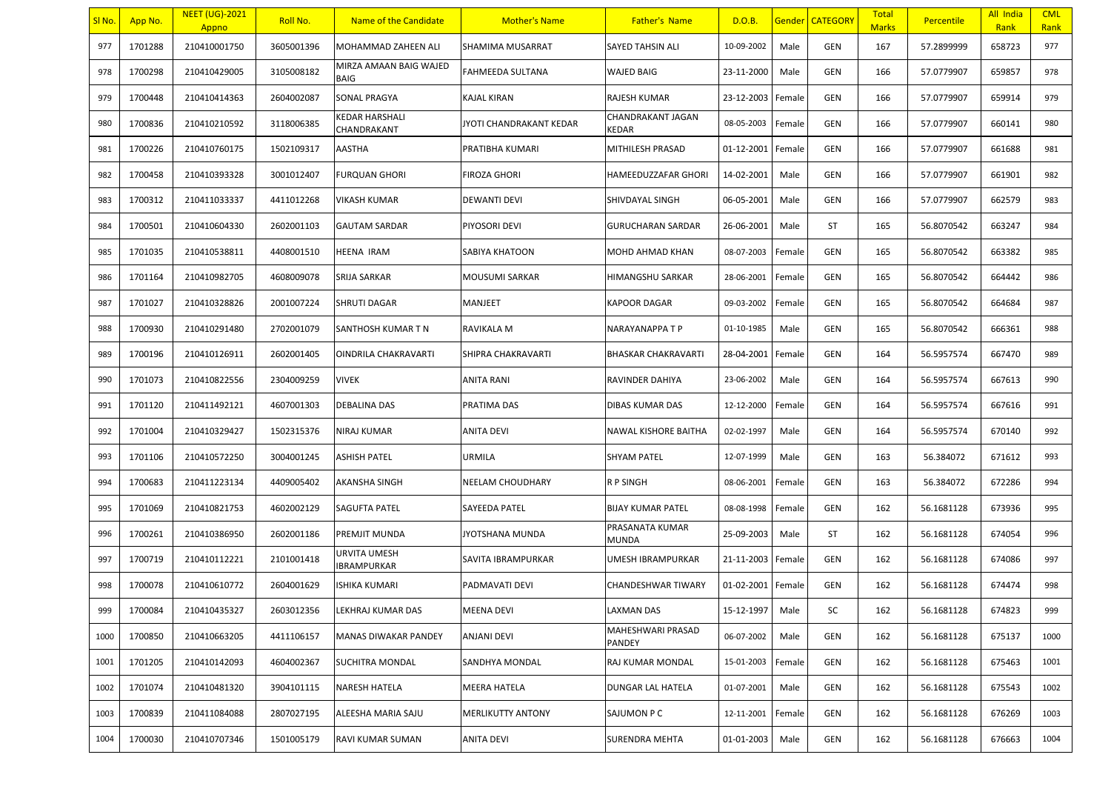| <u>SI No.</u> | App No. | <b>NEET (UG)-2021</b><br>Appno | Roll No.   | Name of the Candidate                     | <b>Mother's Name</b>     | <b>Father's Name</b>        | D.O.B.     |        | <b>Gender CATEGORY</b> | <b>Total</b><br><b>Marks</b> | <b>Percentile</b> | All India<br>Rank | <b>CML</b><br>Rank |
|---------------|---------|--------------------------------|------------|-------------------------------------------|--------------------------|-----------------------------|------------|--------|------------------------|------------------------------|-------------------|-------------------|--------------------|
| 977           | 1701288 | 210410001750                   | 3605001396 | MOHAMMAD ZAHEEN ALI                       | SHAMIMA MUSARRAT         | <b>SAYED TAHSIN ALI</b>     | 10-09-2002 | Male   | GEN                    | 167                          | 57.2899999        | 658723            | 977                |
| 978           | 1700298 | 210410429005                   | 3105008182 | MIRZA AMAAN BAIG WAJED<br><b>BAIG</b>     | FAHMEEDA SULTANA         | WAJED BAIG                  | 23-11-2000 | Male   | <b>GEN</b>             | 166                          | 57.0779907        | 659857            | 978                |
| 979           | 1700448 | 210410414363                   | 2604002087 | <b>SONAL PRAGYA</b>                       | KAJAL KIRAN              | RAJESH KUMAR                | 23-12-2003 | Female | GEN                    | 166                          | 57.0779907        | 659914            | 979                |
| 980           | 1700836 | 210410210592                   | 3118006385 | <b>KEDAR HARSHALI</b><br>CHANDRAKANT      | JYOTI CHANDRAKANT KEDAR  | CHANDRAKANT JAGAN<br>KEDAR  | 08-05-2003 | Female | GEN                    | 166                          | 57.0779907        | 660141            | 980                |
| 981           | 1700226 | 210410760175                   | 1502109317 | AASTHA                                    | PRATIBHA KUMARI          | MITHILESH PRASAD            | 01-12-2001 | Female | <b>GEN</b>             | 166                          | 57.0779907        | 661688            | 981                |
| 982           | 1700458 | 210410393328                   | 3001012407 | <b>FURQUAN GHORI</b>                      | <b>FIROZA GHORI</b>      | HAMEEDUZZAFAR GHORI         | 14-02-2001 | Male   | <b>GEN</b>             | 166                          | 57.0779907        | 661901            | 982                |
| 983           | 1700312 | 210411033337                   | 4411012268 | <b>VIKASH KUMAR</b>                       | <b>DEWANTI DEVI</b>      | SHIVDAYAL SINGH             | 06-05-2001 | Male   | <b>GEN</b>             | 166                          | 57.0779907        | 662579            | 983                |
| 984           | 1700501 | 210410604330                   | 2602001103 | <b>GAUTAM SARDAR</b>                      | PIYOSORI DEVI            | <b>GURUCHARAN SARDAR</b>    | 26-06-2001 | Male   | ST                     | 165                          | 56.8070542        | 663247            | 984                |
| 985           | 1701035 | 210410538811                   | 4408001510 | <b>HEENA IRAM</b>                         | <b>SABIYA KHATOON</b>    | MOHD AHMAD KHAN             | 08-07-2003 | Female | <b>GEN</b>             | 165                          | 56.8070542        | 663382            | 985                |
| 986           | 1701164 | 210410982705                   | 4608009078 | <b>SRIJA SARKAR</b>                       | MOUSUMI SARKAR           | HIMANGSHU SARKAR            | 28-06-2001 | Female | <b>GEN</b>             | 165                          | 56.8070542        | 664442            | 986                |
| 987           | 1701027 | 210410328826                   | 2001007224 | <b>SHRUTI DAGAR</b>                       | MANJEET                  | KAPOOR DAGAR                | 09-03-2002 | Female | <b>GEN</b>             | 165                          | 56.8070542        | 664684            | 987                |
| 988           | 1700930 | 210410291480                   | 2702001079 | SANTHOSH KUMAR T N                        | RAVIKALA M               | NARAYANAPPA T P             | 01-10-1985 | Male   | <b>GEN</b>             | 165                          | 56.8070542        | 666361            | 988                |
| 989           | 1700196 | 210410126911                   | 2602001405 | OINDRILA CHAKRAVARTI                      | SHIPRA CHAKRAVARTI       | <b>BHASKAR CHAKRAVARTI</b>  | 28-04-2001 | Female | GEN                    | 164                          | 56.5957574        | 667470            | 989                |
| 990           | 1701073 | 210410822556                   | 2304009259 | <b>VIVEK</b>                              | <b>ANITA RANI</b>        | <b>RAVINDER DAHIYA</b>      | 23-06-2002 | Male   | <b>GEN</b>             | 164                          | 56.5957574        | 667613            | 990                |
| 991           | 1701120 | 210411492121                   | 4607001303 | <b>DEBALINA DAS</b>                       | PRATIMA DAS              | DIBAS KUMAR DAS             | 12-12-2000 | Female | <b>GEN</b>             | 164                          | 56.5957574        | 667616            | 991                |
| 992           | 1701004 | 210410329427                   | 1502315376 | <b>NIRAJ KUMAR</b>                        | ANITA DEVI               | NAWAL KISHORE BAITHA        | 02-02-1997 | Male   | <b>GEN</b>             | 164                          | 56.5957574        | 670140            | 992                |
| 993           | 1701106 | 210410572250                   | 3004001245 | <b>ASHISH PATEL</b>                       | <b>URMILA</b>            | <b>SHYAM PATEL</b>          | 12-07-1999 | Male   | <b>GEN</b>             | 163                          | 56.384072         | 671612            | 993                |
| 994           | 1700683 | 210411223134                   | 4409005402 | <b>AKANSHA SINGH</b>                      | <b>NEELAM CHOUDHARY</b>  | R P SINGH                   | 08-06-2001 | Female | <b>GEN</b>             | 163                          | 56.384072         | 672286            | 994                |
| 995           | 1701069 | 210410821753                   | 4602002129 | <b>SAGUFTA PATEL</b>                      | <b>SAYEEDA PATEL</b>     | <b>BIJAY KUMAR PATEL</b>    | 08-08-1998 | Female | GEN                    | 162                          | 56.1681128        | 673936            | 995                |
| 996           | 1700261 | 210410386950                   | 2602001186 | <b>PREMJIT MUNDA</b>                      | JYOTSHANA MUNDA          | PRASANATA KUMAR<br>MUNDA    | 25-09-2003 | Male   | ST                     | 162                          | 56.1681128        | 674054            | 996                |
| 997           | 1700719 | 210410112221                   | 2101001418 | <b>URVITA UMESH</b><br><b>IBRAMPURKAR</b> | SAVITA IBRAMPURKAR       | UMESH IBRAMPURKAR           | 21-11-2003 | Female | <b>GEN</b>             | 162                          | 56.1681128        | 674086            | 997                |
| 998           | 1700078 | 210410610772                   | 2604001629 | <b>ISHIKA KUMARI</b>                      | PADMAVATI DEVI           | CHANDESHWAR TIWARY          | 01-02-2001 | Female | <b>GEN</b>             | 162                          | 56.1681128        | 674474            | 998                |
| 999           | 1700084 | 210410435327                   | 2603012356 | LEKHRAJ KUMAR DAS                         | <b>MEENA DEVI</b>        | <b>LAXMAN DAS</b>           | 15-12-1997 | Male   | SC                     | 162                          | 56.1681128        | 674823            | 999                |
| 1000          | 1700850 | 210410663205                   | 4411106157 | <b>MANAS DIWAKAR PANDEY</b>               | ANJANI DEVI              | MAHESHWARI PRASAD<br>PANDEY | 06-07-2002 | Male   | GEN                    | 162                          | 56.1681128        | 675137            | 1000               |
| 1001          | 1701205 | 210410142093                   | 4604002367 | <b>SUCHITRA MONDAL</b>                    | SANDHYA MONDAL           | RAJ KUMAR MONDAL            | 15-01-2003 | Female | GEN                    | 162                          | 56.1681128        | 675463            | 1001               |
| 1002          | 1701074 | 210410481320                   | 3904101115 | <b>NARESH HATELA</b>                      | <b>MEERA HATELA</b>      | DUNGAR LAL HATELA           | 01-07-2001 | Male   | GEN                    | 162                          | 56.1681128        | 675543            | 1002               |
| 1003          | 1700839 | 210411084088                   | 2807027195 | ALEESHA MARIA SAJU                        | <b>MERLIKUTTY ANTONY</b> | SAJUMON P C                 | 12-11-2001 | Female | GEN                    | 162                          | 56.1681128        | 676269            | 1003               |
| 1004          | 1700030 | 210410707346                   | 1501005179 | RAVI KUMAR SUMAN                          | <b>ANITA DEVI</b>        | SURENDRA MEHTA              | 01-01-2003 | Male   | GEN                    | 162                          | 56.1681128        | 676663            | 1004               |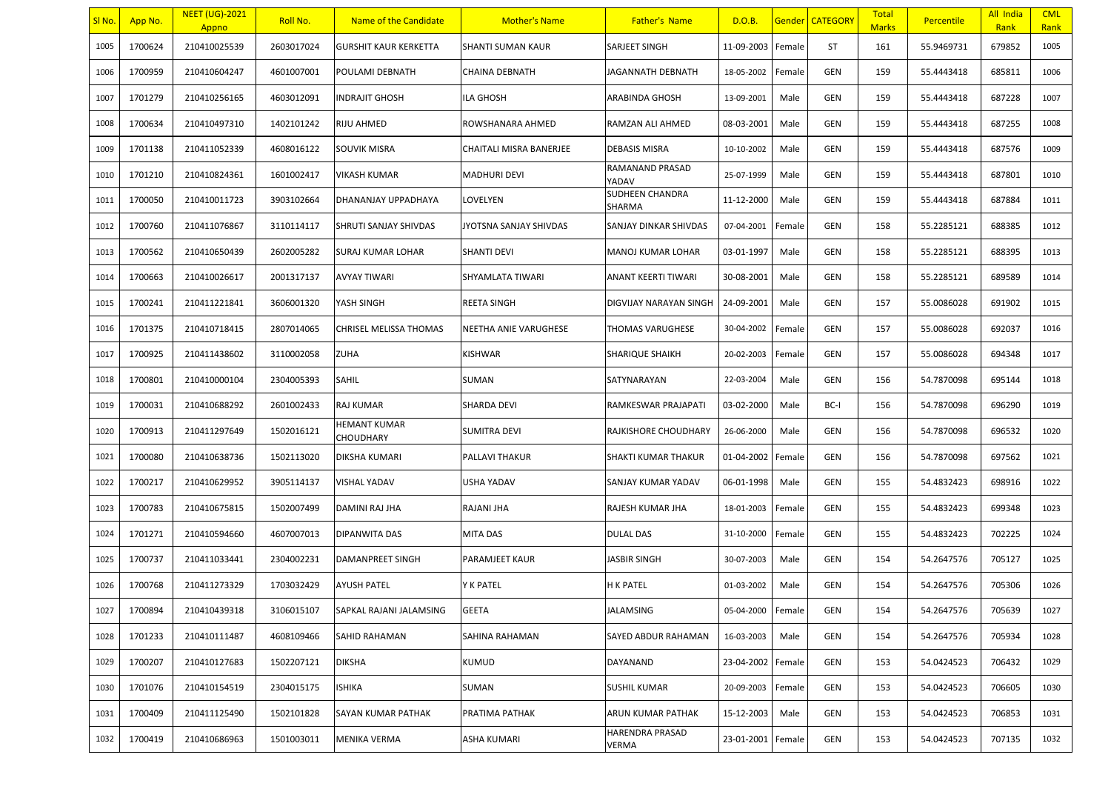| SI <sub>No</sub> . | App No. | <b>NEET (UG)-2021</b><br>Appno | Roll No.   | Name of the Candidate         | <b>Mother's Name</b>    | <b>Father's Name</b>       | D.O.B.     |        | Gender   CATEGORY | <b>Total</b><br><b>Marks</b> | <b>Percentile</b> | All India<br>Rank | <b>CML</b><br>Rank |
|--------------------|---------|--------------------------------|------------|-------------------------------|-------------------------|----------------------------|------------|--------|-------------------|------------------------------|-------------------|-------------------|--------------------|
| 1005               | 1700624 | 210410025539                   | 2603017024 | <b>GURSHIT KAUR KERKETTA</b>  | SHANTI SUMAN KAUR       | SARJEET SINGH              | 11-09-2003 | Female | ST                | 161                          | 55.9469731        | 679852            | 1005               |
| 1006               | 1700959 | 210410604247                   | 4601007001 | POULAMI DEBNATH               | CHAINA DEBNATH          | JAGANNATH DEBNATH          | 18-05-2002 | Female | <b>GEN</b>        | 159                          | 55.4443418        | 685811            | 1006               |
| 1007               | 1701279 | 210410256165                   | 4603012091 | <b>NDRAJIT GHOSH</b>          | ILA GHOSH               | ARABINDA GHOSH             | 13-09-2001 | Male   | GEN               | 159                          | 55.4443418        | 687228            | 1007               |
| 1008               | 1700634 | 210410497310                   | 1402101242 | RIJU AHMED                    | ROWSHANARA AHMED        | RAMZAN ALI AHMED           | 08-03-2001 | Male   | GEN               | 159                          | 55.4443418        | 687255            | 1008               |
| 1009               | 1701138 | 210411052339                   | 4608016122 | <b>SOUVIK MISRA</b>           | CHAITALI MISRA BANERJEE | DEBASIS MISRA              | 10-10-2002 | Male   | GEN               | 159                          | 55.4443418        | 687576            | 1009               |
| 1010               | 1701210 | 210410824361                   | 1601002417 | VIKASH KUMAR                  | MADHURI DEVI            | RAMANAND PRASAD<br>YADAV   | 25-07-1999 | Male   | <b>GEN</b>        | 159                          | 55.4443418        | 687801            | 1010               |
| 1011               | 1700050 | 210410011723                   | 3903102664 | DHANANJAY UPPADHAYA           | LOVELYEN                | SUDHEEN CHANDRA<br>SHARMA  | 11-12-2000 | Male   | GEN               | 159                          | 55.4443418        | 687884            | 1011               |
| 1012               | 1700760 | 210411076867                   | 3110114117 | <b>SHRUTI SANJAY SHIVDAS</b>  | JYOTSNA SANJAY SHIVDAS  | SANJAY DINKAR SHIVDAS      | 07-04-2001 | Female | GEN               | 158                          | 55.2285121        | 688385            | 1012               |
| 1013               | 1700562 | 210410650439                   | 2602005282 | <b>SURAJ KUMAR LOHAR</b>      | <b>SHANTI DEVI</b>      | MANOJ KUMAR LOHAR          | 03-01-1997 | Male   | GEN               | 158                          | 55.2285121        | 688395            | 1013               |
| 1014               | 1700663 | 210410026617                   | 2001317137 | <b>AVYAY TIWARI</b>           | SHYAMLATA TIWARI        | <b>ANANT KEERTI TIWARI</b> | 30-08-2001 | Male   | <b>GEN</b>        | 158                          | 55.2285121        | 689589            | 1014               |
| 1015               | 1700241 | 210411221841                   | 3606001320 | YASH SINGH                    | REETA SINGH             | DIGVIJAY NARAYAN SINGH     | 24-09-2001 | Male   | GEN               | 157                          | 55.0086028        | 691902            | 1015               |
| 1016               | 1701375 | 210410718415                   | 2807014065 | <b>CHRISEL MELISSA THOMAS</b> | NEETHA ANIE VARUGHESE   | THOMAS VARUGHESE           | 30-04-2002 | Female | GEN               | 157                          | 55.0086028        | 692037            | 1016               |
| 1017               | 1700925 | 210411438602                   | 3110002058 | <b>ZUHA</b>                   | KISHWAR                 | SHARIQUE SHAIKH            | 20-02-2003 | Female | <b>GEN</b>        | 157                          | 55.0086028        | 694348            | 1017               |
| 1018               | 1700801 | 210410000104                   | 2304005393 | SAHIL                         | SUMAN                   | SATYNARAYAN                | 22-03-2004 | Male   | GEN               | 156                          | 54.7870098        | 695144            | 1018               |
| 1019               | 1700031 | 210410688292                   | 2601002433 | <b>RAJ KUMAR</b>              | SHARDA DEVI             | RAMKESWAR PRAJAPATI        | 03-02-2000 | Male   | BC-I              | 156                          | 54.7870098        | 696290            | 1019               |
| 1020               | 1700913 | 210411297649                   | 1502016121 | HEMANT KUMAR<br>CHOUDHARY     | <b>SUMITRA DEVI</b>     | RAJKISHORE CHOUDHARY       | 26-06-2000 | Male   | GEN               | 156                          | 54.7870098        | 696532            | 1020               |
| 1021               | 1700080 | 210410638736                   | 1502113020 | DIKSHA KUMARI                 | PALLAVI THAKUR          | SHAKTI KUMAR THAKUR        | 01-04-2002 | Female | GEN               | 156                          | 54.7870098        | 697562            | 1021               |
| 1022               | 1700217 | 210410629952                   | 3905114137 | <b>VISHAL YADAV</b>           | USHA YADAV              | SANJAY KUMAR YADAV         | 06-01-1998 | Male   | GEN               | 155                          | 54.4832423        | 698916            | 1022               |
| 1023               | 1700783 | 210410675815                   | 1502007499 | DAMINI RAJ JHA                | RAJANI JHA              | RAJESH KUMAR JHA           | 18-01-2003 | Female | GEN               | 155                          | 54.4832423        | 699348            | 1023               |
| 1024               | 1701271 | 210410594660                   | 4607007013 | DIPANWITA DAS                 | MITA DAS                | DULAL DAS                  | 31-10-2000 | Female | GEN               | 155                          | 54.4832423        | 702225            | 1024               |
| 1025               | 1700737 | 210411033441                   | 2304002231 | DAMANPREET SINGH              | PARAMJEET KAUR          | JASBIR SINGH               | 30-07-2003 | Male   | GEN               | 154                          | 54.2647576        | 705127            | 1025               |
| 1026               | 1700768 | 210411273329                   | 1703032429 | <b>AYUSH PATEL</b>            | Y K PATEL               | H K PATEL                  | 01-03-2002 | Male   | GEN               | 154                          | 54.2647576        | 705306            | 1026               |
| 1027               | 1700894 | 210410439318                   | 3106015107 | SAPKAL RAJANI JALAMSING       | <b>GEETA</b>            | JALAMSING                  | 05-04-2000 | Female | <b>GEN</b>        | 154                          | 54.2647576        | 705639            | 1027               |
| 1028               | 1701233 | 210410111487                   | 4608109466 | SAHID RAHAMAN                 | SAHINA RAHAMAN          | SAYED ABDUR RAHAMAN        | 16-03-2003 | Male   | GEN               | 154                          | 54.2647576        | 705934            | 1028               |
| 1029               | 1700207 | 210410127683                   | 1502207121 | <b>DIKSHA</b>                 | KUMUD                   | DAYANAND                   | 23-04-2002 | Female | GEN               | 153                          | 54.0424523        | 706432            | 1029               |
| 1030               | 1701076 | 210410154519                   | 2304015175 | <b>ISHIKA</b>                 | SUMAN                   | SUSHIL KUMAR               | 20-09-2003 | Female | GEN               | 153                          | 54.0424523        | 706605            | 1030               |
| 1031               | 1700409 | 210411125490                   | 1502101828 | SAYAN KUMAR PATHAK            | PRATIMA PATHAK          | ARUN KUMAR PATHAK          | 15-12-2003 | Male   | GEN               | 153                          | 54.0424523        | 706853            | 1031               |
| 1032               | 1700419 | 210410686963                   | 1501003011 | MENIKA VERMA                  | ASHA KUMARI             | HARENDRA PRASAD<br>VERMA   | 23-01-2001 | Female | GEN               | 153                          | 54.0424523        | 707135            | 1032               |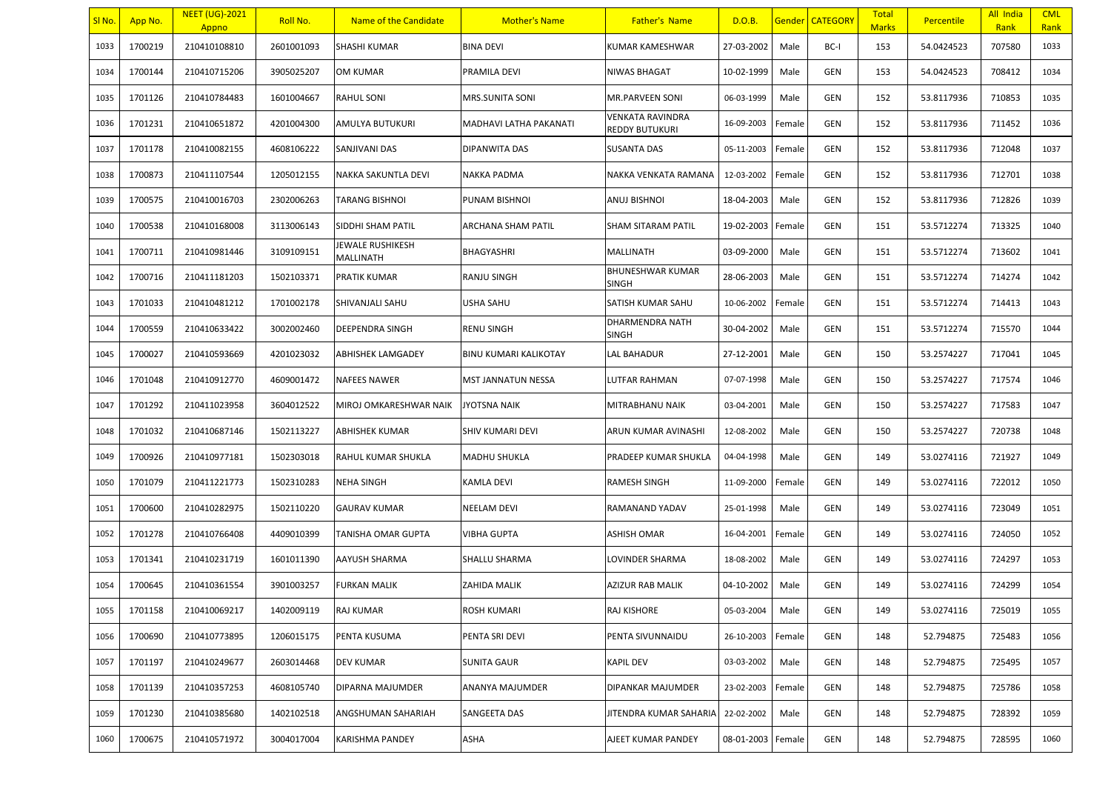| SI No. | App No. | <b>NEET (UG)-2021</b><br>Appno | Roll No.   | Name of the Candidate         | <b>Mother's Name</b>         | <b>Father's Name</b>                      | D.O.B.     |        | <b>Gender   CATEGORY</b> | Total<br><b>Marks</b> | Percentile | All India<br>Rank | <b>CML</b><br>Rank |
|--------|---------|--------------------------------|------------|-------------------------------|------------------------------|-------------------------------------------|------------|--------|--------------------------|-----------------------|------------|-------------------|--------------------|
| 1033   | 1700219 | 210410108810                   | 2601001093 | <b>SHASHI KUMAR</b>           | <b>BINA DEVI</b>             | KUMAR KAMESHWAR                           | 27-03-2002 | Male   | BC-I                     | 153                   | 54.0424523 | 707580            | 1033               |
| 1034   | 1700144 | 210410715206                   | 3905025207 | OM KUMAR                      | PRAMILA DEVI                 | NIWAS BHAGAT                              | 10-02-1999 | Male   | <b>GEN</b>               | 153                   | 54.0424523 | 708412            | 1034               |
| 1035   | 1701126 | 210410784483                   | 1601004667 | <b>RAHUL SONI</b>             | MRS.SUNITA SONI              | MR.PARVEEN SONI                           | 06-03-1999 | Male   | GEN                      | 152                   | 53.8117936 | 710853            | 1035               |
| 1036   | 1701231 | 210410651872                   | 4201004300 | AMULYA BUTUKURI               | MADHAVI LATHA PAKANATI       | <b>VENKATA RAVINDRA</b><br>REDDY BUTUKURI | 16-09-2003 | Female | <b>GEN</b>               | 152                   | 53.8117936 | 711452            | 1036               |
| 1037   | 1701178 | 210410082155                   | 4608106222 | SANJIVANI DAS                 | DIPANWITA DAS                | <b>SUSANTA DAS</b>                        | 05-11-2003 | Female | <b>GEN</b>               | 152                   | 53.8117936 | 712048            | 1037               |
| 1038   | 1700873 | 210411107544                   | 1205012155 | NAKKA SAKUNTLA DEVI           | NAKKA PADMA                  | NAKKA VENKATA RAMANA                      | 12-03-2002 | Female | <b>GEN</b>               | 152                   | 53.8117936 | 712701            | 1038               |
| 1039   | 1700575 | 210410016703                   | 2302006263 | <b>TARANG BISHNOI</b>         | PUNAM BISHNOI                | ANUJ BISHNOI                              | 18-04-2003 | Male   | <b>GEN</b>               | 152                   | 53.8117936 | 712826            | 1039               |
| 1040   | 1700538 | 210410168008                   | 3113006143 | SIDDHI SHAM PATIL             | ARCHANA SHAM PATIL           | SHAM SITARAM PATIL                        | 19-02-2003 | Female | GEN                      | 151                   | 53.5712274 | 713325            | 1040               |
| 1041   | 1700711 | 210410981446                   | 3109109151 | JEWALE RUSHIKESH<br>MALLINATH | <b>BHAGYASHRI</b>            | MALLINATH                                 | 03-09-2000 | Male   | <b>GEN</b>               | 151                   | 53.5712274 | 713602            | 1041               |
| 1042   | 1700716 | 210411181203                   | 1502103371 | <b>PRATIK KUMAR</b>           | <b>RANJU SINGH</b>           | BHUNESHWAR KUMAR<br><b>SINGH</b>          | 28-06-2003 | Male   | <b>GEN</b>               | 151                   | 53.5712274 | 714274            | 1042               |
| 1043   | 1701033 | 210410481212                   | 1701002178 | SHIVANJALI SAHU               | USHA SAHU                    | SATISH KUMAR SAHU                         | 10-06-2002 | Female | <b>GEN</b>               | 151                   | 53.5712274 | 714413            | 1043               |
| 1044   | 1700559 | 210410633422                   | 3002002460 | <b>DEEPENDRA SINGH</b>        | RENU SINGH                   | DHARMENDRA NATH<br><b>SINGH</b>           | 30-04-2002 | Male   | <b>GEN</b>               | 151                   | 53.5712274 | 715570            | 1044               |
| 1045   | 1700027 | 210410593669                   | 4201023032 | <b>ABHISHEK LAMGADEY</b>      | <b>BINU KUMARI KALIKOTAY</b> | LAL BAHADUR                               | 27-12-2001 | Male   | <b>GEN</b>               | 150                   | 53.2574227 | 717041            | 1045               |
| 1046   | 1701048 | 210410912770                   | 4609001472 | <b>NAFEES NAWER</b>           | MST JANNATUN NESSA           | LUTFAR RAHMAN                             | 07-07-1998 | Male   | GEN                      | 150                   | 53.2574227 | 717574            | 1046               |
| 1047   | 1701292 | 210411023958                   | 3604012522 | MIROJ OMKARESHWAR NAIK        | <b>JYOTSNA NAIK</b>          | MITRABHANU NAIK                           | 03-04-2001 | Male   | <b>GEN</b>               | 150                   | 53.2574227 | 717583            | 1047               |
| 1048   | 1701032 | 210410687146                   | 1502113227 | ABHISHEK KUMAR                | SHIV KUMARI DEVI             | ARUN KUMAR AVINASHI                       | 12-08-2002 | Male   | <b>GEN</b>               | 150                   | 53.2574227 | 720738            | 1048               |
| 1049   | 1700926 | 210410977181                   | 1502303018 | RAHUL KUMAR SHUKLA            | <b>MADHU SHUKLA</b>          | PRADEEP KUMAR SHUKLA                      | 04-04-1998 | Male   | <b>GEN</b>               | 149                   | 53.0274116 | 721927            | 1049               |
| 1050   | 1701079 | 210411221773                   | 1502310283 | <b>NEHA SINGH</b>             | <b>KAMLA DEVI</b>            | <b>RAMESH SINGH</b>                       | 11-09-2000 | Female | GEN                      | 149                   | 53.0274116 | 722012            | 1050               |
| 1051   | 1700600 | 210410282975                   | 1502110220 | <b>GAURAV KUMAR</b>           | <b>NEELAM DEVI</b>           | RAMANAND YADAV                            | 25-01-1998 | Male   | <b>GEN</b>               | 149                   | 53.0274116 | 723049            | 1051               |
| 1052   | 1701278 | 210410766408                   | 4409010399 | TANISHA OMAR GUPTA            | VIBHA GUPTA                  | ASHISH OMAR                               | 16-04-2001 | Female | GEN                      | 149                   | 53.0274116 | 724050            | 1052               |
| 1053   | 1701341 | 210410231719                   | 1601011390 | AAYUSH SHARMA                 | SHALLU SHARMA                | LOVINDER SHARMA                           | 18-08-2002 | Male   | <b>GEN</b>               | 149                   | 53.0274116 | 724297            | 1053               |
| 1054   | 1700645 | 210410361554                   | 3901003257 | <b>FURKAN MALIK</b>           | ZAHIDA MALIK                 | AZIZUR RAB MALIK                          | 04-10-2002 | Male   | <b>GEN</b>               | 149                   | 53.0274116 | 724299            | 1054               |
| 1055   | 1701158 | 210410069217                   | 1402009119 | <b>RAJ KUMAR</b>              | <b>ROSH KUMARI</b>           | RAJ KISHORE                               | 05-03-2004 | Male   | <b>GEN</b>               | 149                   | 53.0274116 | 725019            | 1055               |
| 1056   | 1700690 | 210410773895                   | 1206015175 | PENTA KUSUMA                  | PENTA SRI DEVI               | PENTA SIVUNNAIDU                          | 26-10-2003 | Female | GEN                      | 148                   | 52.794875  | 725483            | 1056               |
| 1057   | 1701197 | 210410249677                   | 2603014468 | <b>DEV KUMAR</b>              | <b>SUNITA GAUR</b>           | <b>KAPIL DEV</b>                          | 03-03-2002 | Male   | GEN                      | 148                   | 52.794875  | 725495            | 1057               |
| 1058   | 1701139 | 210410357253                   | 4608105740 | DIPARNA MAJUMDER              | ANANYA MAJUMDER              | DIPANKAR MAJUMDER                         | 23-02-2003 | Female | <b>GEN</b>               | 148                   | 52.794875  | 725786            | 1058               |
| 1059   | 1701230 | 210410385680                   | 1402102518 | ANGSHUMAN SAHARIAH            | SANGEETA DAS                 | JITENDRA KUMAR SAHARIA                    | 22-02-2002 | Male   | GEN                      | 148                   | 52.794875  | 728392            | 1059               |
| 1060   | 1700675 | 210410571972                   | 3004017004 | KARISHMA PANDEY               | ASHA                         | AJEET KUMAR PANDEY                        | 08-01-2003 | Female | <b>GEN</b>               | 148                   | 52.794875  | 728595            | 1060               |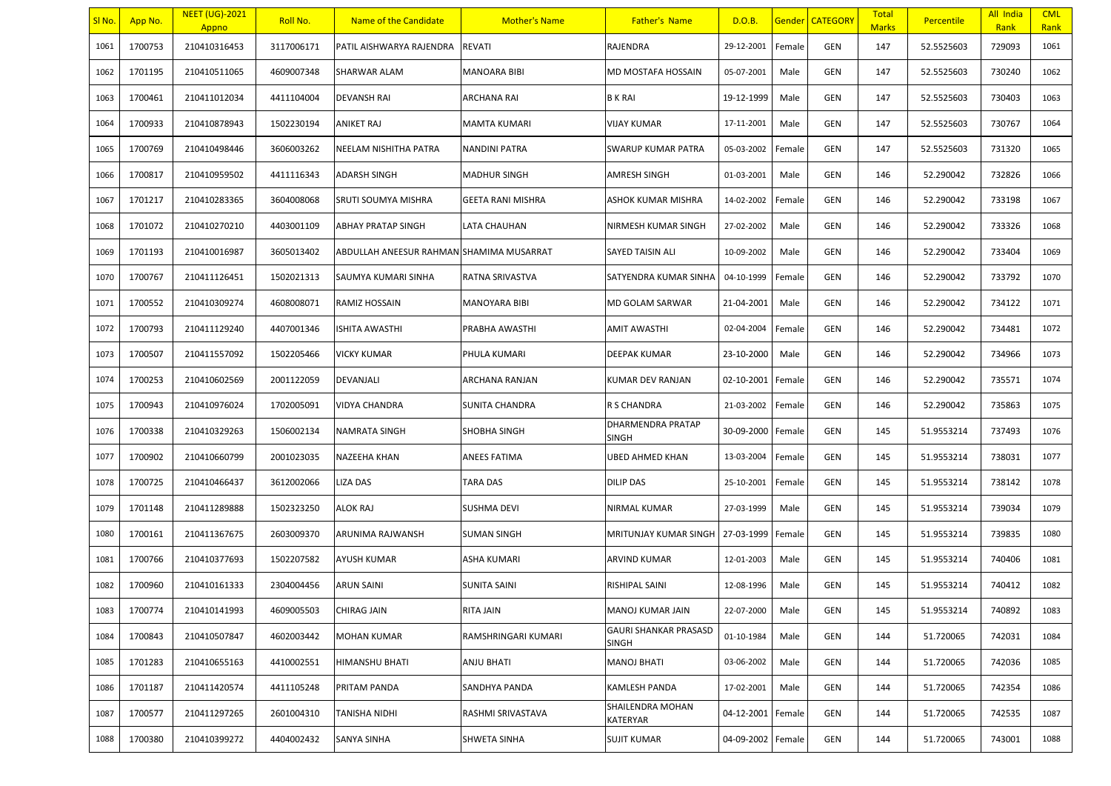| SI No. | App No. | <b>NEET (UG)-2021</b><br>Appno | Roll No.   | Name of the Candidate                    | <b>Mother's Name</b> | <b>Father's Name</b>                         | D.O.B.     |        | <b>Gender   CATEGORY</b> | Total<br><b>Marks</b> | Percentile | All India<br>Rank | <b>CML</b><br>Rank |
|--------|---------|--------------------------------|------------|------------------------------------------|----------------------|----------------------------------------------|------------|--------|--------------------------|-----------------------|------------|-------------------|--------------------|
| 1061   | 1700753 | 210410316453                   | 3117006171 | PATIL AISHWARYA RAJENDRA                 | <b>REVATI</b>        | RAJENDRA                                     | 29-12-2001 | Female | <b>GEN</b>               | 147                   | 52.5525603 | 729093            | 1061               |
| 1062   | 1701195 | 210410511065                   | 4609007348 | <b>SHARWAR ALAM</b>                      | <b>MANOARA BIBI</b>  | MD MOSTAFA HOSSAIN                           | 05-07-2001 | Male   | <b>GEN</b>               | 147                   | 52.5525603 | 730240            | 1062               |
| 1063   | 1700461 | 210411012034                   | 4411104004 | DEVANSH RAI                              | ARCHANA RAI          | <b>BK RAI</b>                                | 19-12-1999 | Male   | GEN                      | 147                   | 52.5525603 | 730403            | 1063               |
| 1064   | 1700933 | 210410878943                   | 1502230194 | <b>ANIKET RAJ</b>                        | MAMTA KUMARI         | VIJAY KUMAR                                  | 17-11-2001 | Male   | GEN                      | 147                   | 52.5525603 | 730767            | 1064               |
| 1065   | 1700769 | 210410498446                   | 3606003262 | NEELAM NISHITHA PATRA                    | <b>NANDINI PATRA</b> | SWARUP KUMAR PATRA                           | 05-03-2002 | Female | <b>GEN</b>               | 147                   | 52.5525603 | 731320            | 1065               |
| 1066   | 1700817 | 210410959502                   | 4411116343 | ADARSH SINGH                             | <b>MADHUR SINGH</b>  | AMRESH SINGH                                 | 01-03-2001 | Male   | <b>GEN</b>               | 146                   | 52.290042  | 732826            | 1066               |
| 1067   | 1701217 | 210410283365                   | 3604008068 | SRUTI SOUMYA MISHRA                      | GEETA RANI MISHRA    | ASHOK KUMAR MISHRA                           | 14-02-2002 | Female | <b>GEN</b>               | 146                   | 52.290042  | 733198            | 1067               |
| 1068   | 1701072 | 210410270210                   | 4403001109 | <b>ABHAY PRATAP SINGH</b>                | LATA CHAUHAN         | NIRMESH KUMAR SINGH                          | 27-02-2002 | Male   | GEN                      | 146                   | 52.290042  | 733326            | 1068               |
| 1069   | 1701193 | 210410016987                   | 3605013402 | ABDULLAH ANEESUR RAHMAN SHAMIMA MUSARRAT |                      | SAYED TAISIN ALI                             | 10-09-2002 | Male   | <b>GEN</b>               | 146                   | 52.290042  | 733404            | 1069               |
| 1070   | 1700767 | 210411126451                   | 1502021313 | SAUMYA KUMARI SINHA                      | RATNA SRIVASTVA      | SATYENDRA KUMAR SINHA                        | 04-10-1999 | Female | <b>GEN</b>               | 146                   | 52.290042  | 733792            | 1070               |
| 1071   | 1700552 | 210410309274                   | 4608008071 | <b>RAMIZ HOSSAIN</b>                     | MANOYARA BIBI        | MD GOLAM SARWAR                              | 21-04-2001 | Male   | <b>GEN</b>               | 146                   | 52.290042  | 734122            | 1071               |
| 1072   | 1700793 | 210411129240                   | 4407001346 | <b>ISHITA AWASTHI</b>                    | PRABHA AWASTHI       | AMIT AWASTHI                                 | 02-04-2004 | Female | <b>GEN</b>               | 146                   | 52.290042  | 734481            | 1072               |
| 1073   | 1700507 | 210411557092                   | 1502205466 | <b>VICKY KUMAR</b>                       | PHULA KUMARI         | DEEPAK KUMAR                                 | 23-10-2000 | Male   | <b>GEN</b>               | 146                   | 52.290042  | 734966            | 1073               |
| 1074   | 1700253 | 210410602569                   | 2001122059 | DEVANJALI                                | ARCHANA RANJAN       | KUMAR DEV RANJAN                             | 02-10-2001 | Female | <b>GEN</b>               | 146                   | 52.290042  | 735571            | 1074               |
| 1075   | 1700943 | 210410976024                   | 1702005091 | <b>VIDYA CHANDRA</b>                     | SUNITA CHANDRA       | R S CHANDRA                                  | 21-03-2002 | Female | <b>GEN</b>               | 146                   | 52.290042  | 735863            | 1075               |
| 1076   | 1700338 | 210410329263                   | 1506002134 | NAMRATA SINGH                            | SHOBHA SINGH         | DHARMENDRA PRATAP<br>SINGH                   | 30-09-2000 | Female | GEN                      | 145                   | 51.9553214 | 737493            | 1076               |
| 1077   | 1700902 | 210410660799                   | 2001023035 | <b>NAZEEHA KHAN</b>                      | ANEES FATIMA         | <b>UBED AHMED KHAN</b>                       | 13-03-2004 | Female | <b>GEN</b>               | 145                   | 51.9553214 | 738031            | 1077               |
| 1078   | 1700725 | 210410466437                   | 3612002066 | LIZA DAS                                 | <b>TARA DAS</b>      | <b>DILIP DAS</b>                             | 25-10-2001 | Female | GEN                      | 145                   | 51.9553214 | 738142            | 1078               |
| 1079   | 1701148 | 210411289888                   | 1502323250 | <b>ALOK RAJ</b>                          | <b>SUSHMA DEVI</b>   | NIRMAL KUMAR                                 | 27-03-1999 | Male   | <b>GEN</b>               | 145                   | 51.9553214 | 739034            | 1079               |
| 1080   | 1700161 | 210411367675                   | 2603009370 | ARUNIMA RAJWANSH                         | <b>SUMAN SINGH</b>   | MRITUNJAY KUMAR SINGH                        | 27-03-1999 | Female | GEN                      | 145                   | 51.9553214 | 739835            | 1080               |
| 1081   | 1700766 | 210410377693                   | 1502207582 | AYUSH KUMAR                              | <b>ASHA KUMARI</b>   | ARVIND KUMAR                                 | 12-01-2003 | Male   | <b>GEN</b>               | 145                   | 51.9553214 | 740406            | 1081               |
| 1082   | 1700960 | 210410161333                   | 2304004456 | <b>ARUN SAINI</b>                        | <b>SUNITA SAINI</b>  | RISHIPAL SAINI                               | 12-08-1996 | Male   | GEN                      | 145                   | 51.9553214 | 740412            | 1082               |
| 1083   | 1700774 | 210410141993                   | 4609005503 | <b>CHIRAG JAIN</b>                       | RITA JAIN            | MANOJ KUMAR JAIN                             | 22-07-2000 | Male   | <b>GEN</b>               | 145                   | 51.9553214 | 740892            | 1083               |
| 1084   | 1700843 | 210410507847                   | 4602003442 | MOHAN KUMAR                              | RAMSHRINGARI KUMARI  | <b>GAURI SHANKAR PRASASD</b><br><b>SINGH</b> | 01-10-1984 | Male   | GEN                      | 144                   | 51.720065  | 742031            | 1084               |
| 1085   | 1701283 | 210410655163                   | 4410002551 | HIMANSHU BHATI                           | ANJU BHATI           | <b>MANOJ BHATI</b>                           | 03-06-2002 | Male   | GEN                      | 144                   | 51.720065  | 742036            | 1085               |
| 1086   | 1701187 | 210411420574                   | 4411105248 | PRITAM PANDA                             | SANDHYA PANDA        | KAMLESH PANDA                                | 17-02-2001 | Male   | <b>GEN</b>               | 144                   | 51.720065  | 742354            | 1086               |
| 1087   | 1700577 | 210411297265                   | 2601004310 | TANISHA NIDHI                            | RASHMI SRIVASTAVA    | SHAILENDRA MOHAN<br>KATERYAR                 | 04-12-2001 | Female | <b>GEN</b>               | 144                   | 51.720065  | 742535            | 1087               |
| 1088   | 1700380 | 210410399272                   | 4404002432 | <b>SANYA SINHA</b>                       | SHWETA SINHA         | <b>SUJIT KUMAR</b>                           | 04-09-2002 | Female | <b>GEN</b>               | 144                   | 51.720065  | 743001            | 1088               |